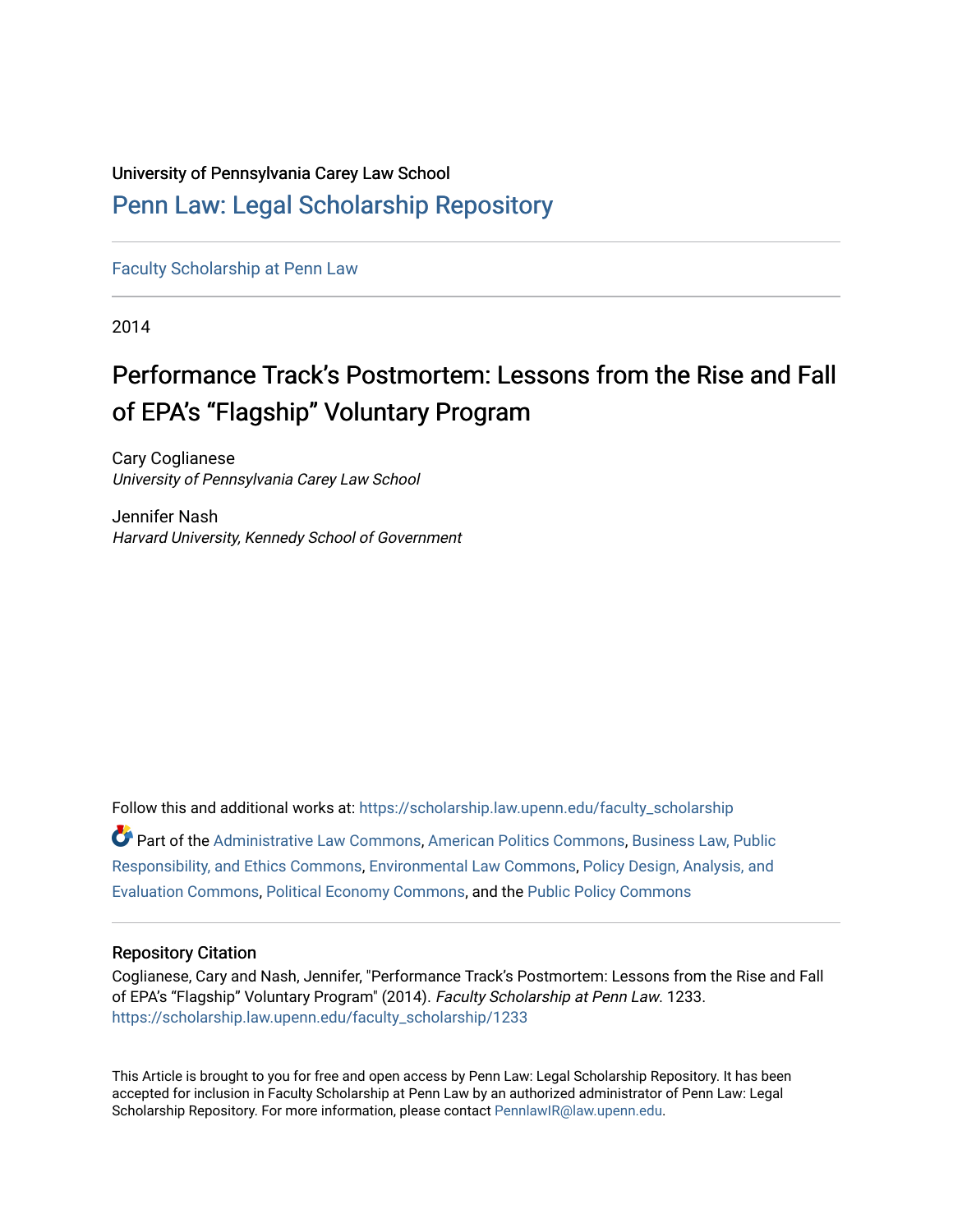# University of Pennsylvania Carey Law School

# [Penn Law: Legal Scholarship Repository](https://scholarship.law.upenn.edu/)

[Faculty Scholarship at Penn Law](https://scholarship.law.upenn.edu/faculty_scholarship)

2014

# Performance Track's Postmortem: Lessons from the Rise and Fall of EPA's "Flagship" Voluntary Program

Cary Coglianese University of Pennsylvania Carey Law School

Jennifer Nash Harvard University, Kennedy School of Government

Follow this and additional works at: [https://scholarship.law.upenn.edu/faculty\\_scholarship](https://scholarship.law.upenn.edu/faculty_scholarship?utm_source=scholarship.law.upenn.edu%2Ffaculty_scholarship%2F1233&utm_medium=PDF&utm_campaign=PDFCoverPages)  Part of the [Administrative Law Commons,](http://network.bepress.com/hgg/discipline/579?utm_source=scholarship.law.upenn.edu%2Ffaculty_scholarship%2F1233&utm_medium=PDF&utm_campaign=PDFCoverPages) [American Politics Commons,](http://network.bepress.com/hgg/discipline/387?utm_source=scholarship.law.upenn.edu%2Ffaculty_scholarship%2F1233&utm_medium=PDF&utm_campaign=PDFCoverPages) [Business Law, Public](http://network.bepress.com/hgg/discipline/628?utm_source=scholarship.law.upenn.edu%2Ffaculty_scholarship%2F1233&utm_medium=PDF&utm_campaign=PDFCoverPages)  [Responsibility, and Ethics Commons,](http://network.bepress.com/hgg/discipline/628?utm_source=scholarship.law.upenn.edu%2Ffaculty_scholarship%2F1233&utm_medium=PDF&utm_campaign=PDFCoverPages) [Environmental Law Commons](http://network.bepress.com/hgg/discipline/599?utm_source=scholarship.law.upenn.edu%2Ffaculty_scholarship%2F1233&utm_medium=PDF&utm_campaign=PDFCoverPages), [Policy Design, Analysis, and](http://network.bepress.com/hgg/discipline/1032?utm_source=scholarship.law.upenn.edu%2Ffaculty_scholarship%2F1233&utm_medium=PDF&utm_campaign=PDFCoverPages) [Evaluation Commons,](http://network.bepress.com/hgg/discipline/1032?utm_source=scholarship.law.upenn.edu%2Ffaculty_scholarship%2F1233&utm_medium=PDF&utm_campaign=PDFCoverPages) [Political Economy Commons](http://network.bepress.com/hgg/discipline/352?utm_source=scholarship.law.upenn.edu%2Ffaculty_scholarship%2F1233&utm_medium=PDF&utm_campaign=PDFCoverPages), and the [Public Policy Commons](http://network.bepress.com/hgg/discipline/400?utm_source=scholarship.law.upenn.edu%2Ffaculty_scholarship%2F1233&utm_medium=PDF&utm_campaign=PDFCoverPages)

## Repository Citation

Coglianese, Cary and Nash, Jennifer, "Performance Track's Postmortem: Lessons from the Rise and Fall of EPA's "Flagship" Voluntary Program" (2014). Faculty Scholarship at Penn Law. 1233. [https://scholarship.law.upenn.edu/faculty\\_scholarship/1233](https://scholarship.law.upenn.edu/faculty_scholarship/1233?utm_source=scholarship.law.upenn.edu%2Ffaculty_scholarship%2F1233&utm_medium=PDF&utm_campaign=PDFCoverPages)

This Article is brought to you for free and open access by Penn Law: Legal Scholarship Repository. It has been accepted for inclusion in Faculty Scholarship at Penn Law by an authorized administrator of Penn Law: Legal Scholarship Repository. For more information, please contact [PennlawIR@law.upenn.edu.](mailto:PennlawIR@law.upenn.edu)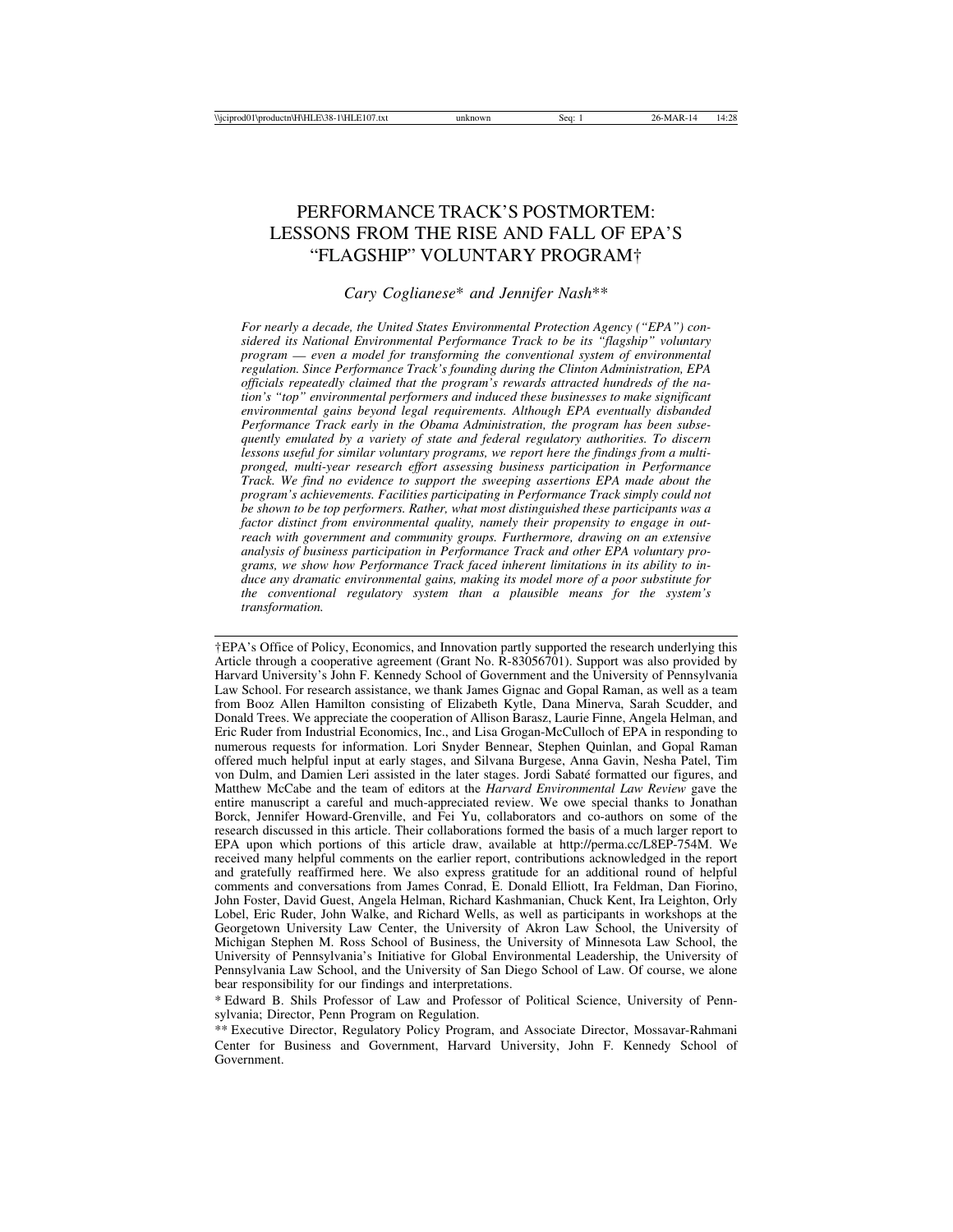# PERFORMANCE TRACK'S POSTMORTEM: LESSONS FROM THE RISE AND FALL OF EPA'S "FLAGSHIP" VOLUNTARY PROGRAM†

#### *Cary Coglianese*\* *and Jennifer Nash*\*\*

*For nearly a decade, the United States Environmental Protection Agency ("EPA") considered its National Environmental Performance Track to be its "flagship" voluntary program* — *even a model for transforming the conventional system of environmental regulation. Since Performance Track's founding during the Clinton Administration, EPA officials repeatedly claimed that the program's rewards attracted hundreds of the nation's "top" environmental performers and induced these businesses to make significant environmental gains beyond legal requirements. Although EPA eventually disbanded Performance Track early in the Obama Administration, the program has been subsequently emulated by a variety of state and federal regulatory authorities. To discern lessons useful for similar voluntary programs, we report here the findings from a multipronged, multi-year research effort assessing business participation in Performance Track. We find no evidence to support the sweeping assertions EPA made about the program's achievements. Facilities participating in Performance Track simply could not be shown to be top performers. Rather, what most distinguished these participants was a factor distinct from environmental quality, namely their propensity to engage in outreach with government and community groups. Furthermore, drawing on an extensive analysis of business participation in Performance Track and other EPA voluntary programs, we show how Performance Track faced inherent limitations in its ability to induce any dramatic environmental gains, making its model more of a poor substitute for the conventional regulatory system than a plausible means for the system's transformation.*

†EPA's Office of Policy, Economics, and Innovation partly supported the research underlying this Article through a cooperative agreement (Grant No. R-83056701). Support was also provided by Harvard University's John F. Kennedy School of Government and the University of Pennsylvania Law School. For research assistance, we thank James Gignac and Gopal Raman, as well as a team from Booz Allen Hamilton consisting of Elizabeth Kytle, Dana Minerva, Sarah Scudder, and Donald Trees. We appreciate the cooperation of Allison Barasz, Laurie Finne, Angela Helman, and Eric Ruder from Industrial Economics, Inc., and Lisa Grogan-McCulloch of EPA in responding to numerous requests for information. Lori Snyder Bennear, Stephen Quinlan, and Gopal Raman offered much helpful input at early stages, and Silvana Burgese, Anna Gavin, Nesha Patel, Tim von Dulm, and Damien Leri assisted in the later stages. Jordi Sabaté formatted our figures, and Matthew McCabe and the team of editors at the *Harvard Environmental Law Review* gave the entire manuscript a careful and much-appreciated review. We owe special thanks to Jonathan Borck, Jennifer Howard-Grenville, and Fei Yu, collaborators and co-authors on some of the research discussed in this article. Their collaborations formed the basis of a much larger report to EPA upon which portions of this article draw, available at http://perma.cc/L8EP-754M. We received many helpful comments on the earlier report, contributions acknowledged in the report and gratefully reaffirmed here. We also express gratitude for an additional round of helpful comments and conversations from James Conrad, E. Donald Elliott, Ira Feldman, Dan Fiorino, John Foster, David Guest, Angela Helman, Richard Kashmanian, Chuck Kent, Ira Leighton, Orly Lobel, Eric Ruder, John Walke, and Richard Wells, as well as participants in workshops at the Georgetown University Law Center, the University of Akron Law School, the University of Michigan Stephen M. Ross School of Business, the University of Minnesota Law School, the University of Pennsylvania's Initiative for Global Environmental Leadership, the University of Pennsylvania Law School, and the University of San Diego School of Law. Of course, we alone bear responsibility for our findings and interpretations.

\* Edward B. Shils Professor of Law and Professor of Political Science, University of Pennsylvania; Director, Penn Program on Regulation.

\*\* Executive Director, Regulatory Policy Program, and Associate Director, Mossavar-Rahmani Center for Business and Government, Harvard University, John F. Kennedy School of Government.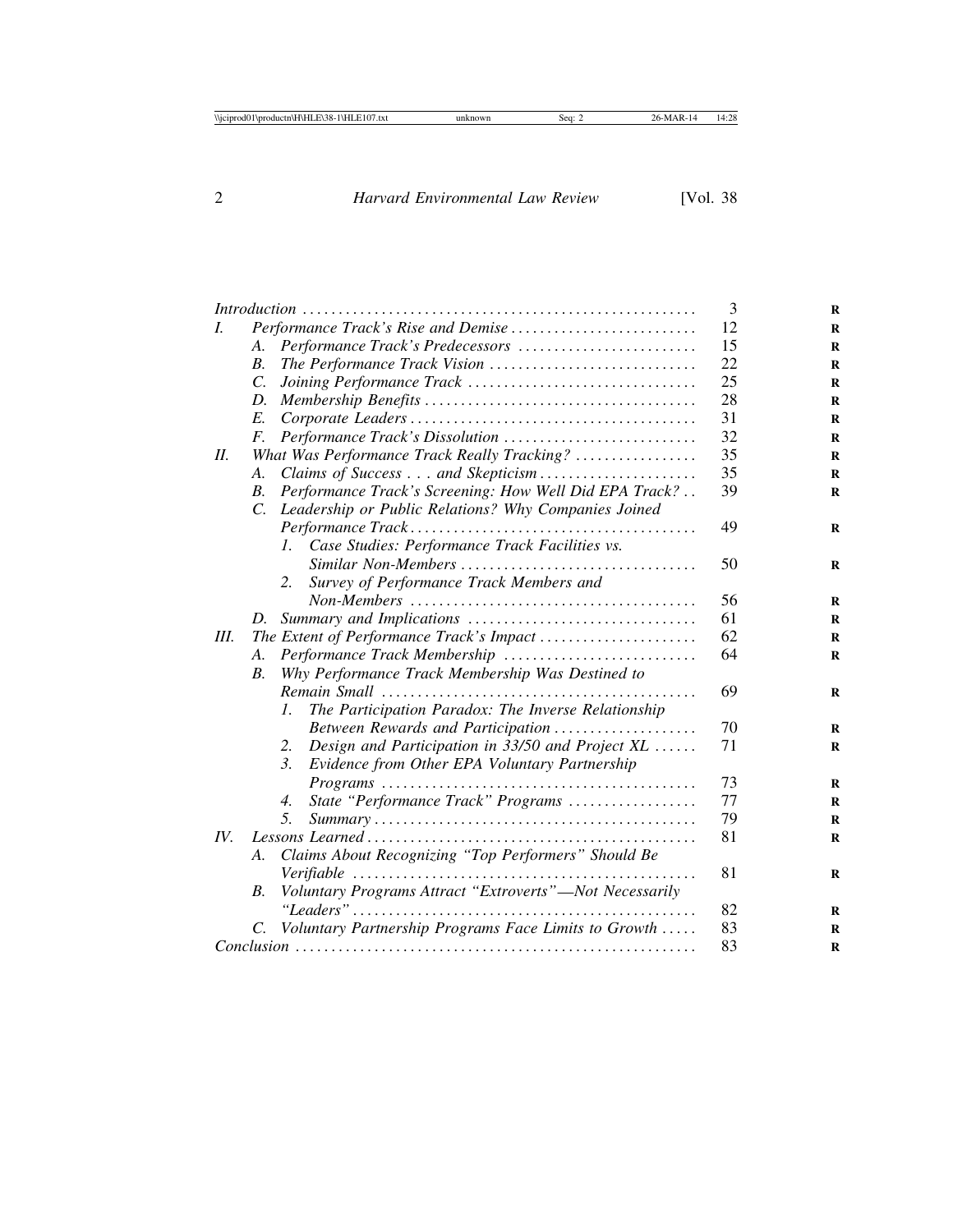|      |                                             |                                                               | 3  |
|------|---------------------------------------------|---------------------------------------------------------------|----|
| I.   | Performance Track's Rise and Demise         |                                                               | 12 |
|      | A.                                          | Performance Track's Predecessors                              | 15 |
|      | $B_{\cdot}$                                 | The Performance Track Vision                                  | 22 |
|      | $\mathcal{C}$ .                             |                                                               | 25 |
|      | D.                                          |                                                               | 28 |
|      | E.                                          |                                                               | 31 |
|      | F.                                          | Performance Track's Dissolution                               | 32 |
| H.   | What Was Performance Track Really Tracking? |                                                               | 35 |
|      | A.                                          |                                                               | 35 |
|      | <i>B</i> .                                  | Performance Track's Screening: How Well Did EPA Track?        | 39 |
|      | C.                                          | Leadership or Public Relations? Why Companies Joined          |    |
|      |                                             |                                                               | 49 |
|      |                                             | Case Studies: Performance Track Facilities vs.<br>$l_{\perp}$ |    |
|      |                                             |                                                               | 50 |
|      |                                             | Survey of Performance Track Members and<br>2.                 |    |
|      |                                             |                                                               | 56 |
|      | D.                                          |                                                               | 61 |
| III. |                                             |                                                               | 62 |
|      | A.                                          | Performance Track Membership                                  | 64 |
|      | <i>B</i> .                                  | Why Performance Track Membership Was Destined to              |    |
|      |                                             |                                                               | 69 |
|      |                                             | The Participation Paradox: The Inverse Relationship<br>I.     |    |
|      |                                             | Between Rewards and Participation                             | 70 |
|      |                                             | Design and Participation in 33/50 and Project XL<br>2.        | 71 |
|      |                                             | 3.<br>Evidence from Other EPA Voluntary Partnership           |    |
|      |                                             |                                                               | 73 |
|      |                                             | State "Performance Track" Programs<br>4.                      | 77 |
|      |                                             | .5.                                                           | 79 |
| IV.  |                                             | 81                                                            |    |
|      | A.                                          | Claims About Recognizing "Top Performers" Should Be           |    |
|      |                                             |                                                               | 81 |
|      | В.                                          | Voluntary Programs Attract "Extroverts"-Not Necessarily       |    |
|      |                                             |                                                               | 82 |
|      | C.                                          | Voluntary Partnership Programs Face Limits to Growth          | 83 |
|      |                                             |                                                               | 83 |
|      |                                             |                                                               |    |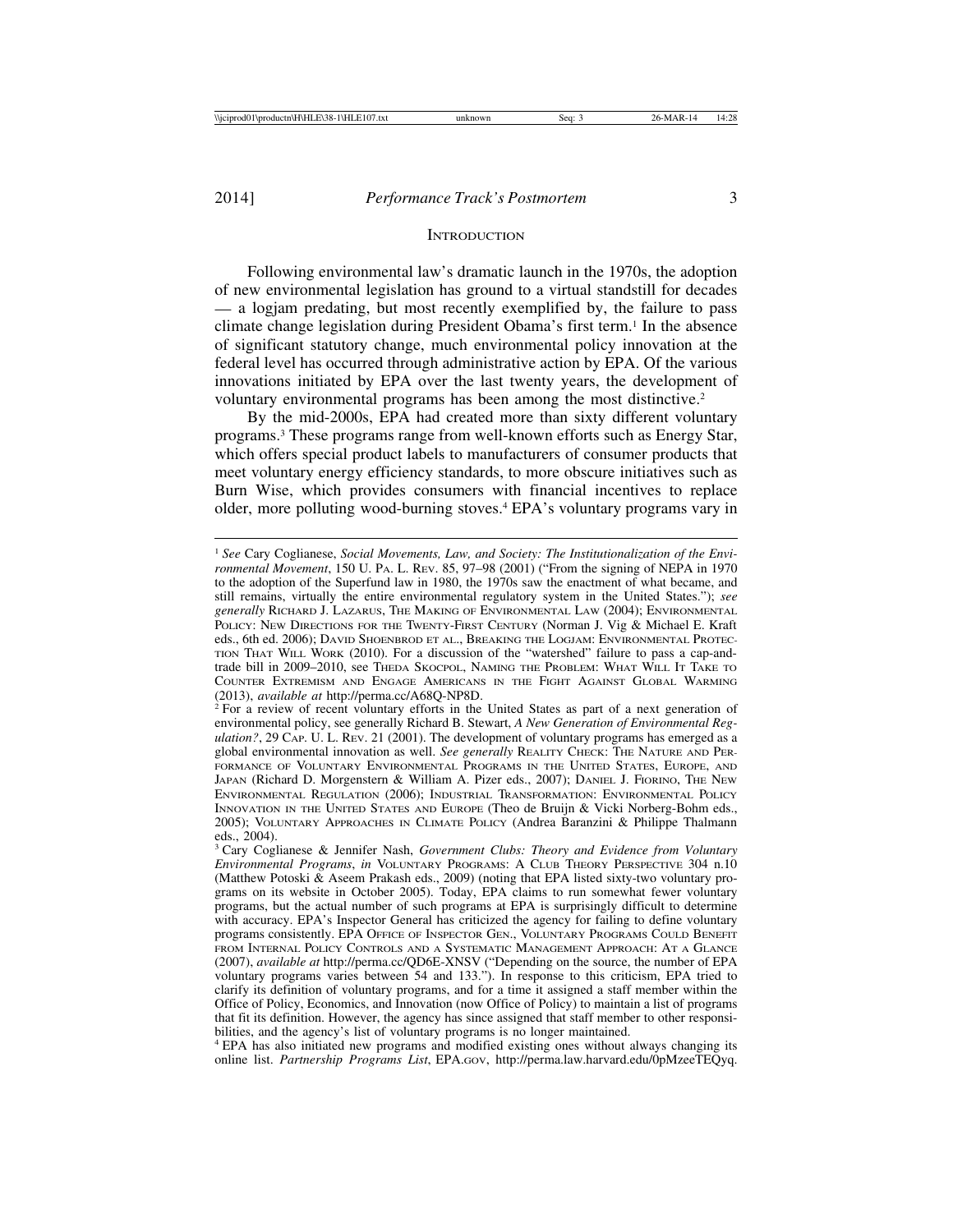#### **INTRODUCTION**

Following environmental law's dramatic launch in the 1970s, the adoption of new environmental legislation has ground to a virtual standstill for decades — a logjam predating, but most recently exemplified by, the failure to pass climate change legislation during President Obama's first term.1 In the absence of significant statutory change, much environmental policy innovation at the federal level has occurred through administrative action by EPA. Of the various innovations initiated by EPA over the last twenty years, the development of voluntary environmental programs has been among the most distinctive.<sup>2</sup>

By the mid-2000s, EPA had created more than sixty different voluntary programs.3 These programs range from well-known efforts such as Energy Star, which offers special product labels to manufacturers of consumer products that meet voluntary energy efficiency standards, to more obscure initiatives such as Burn Wise, which provides consumers with financial incentives to replace older, more polluting wood-burning stoves.4 EPA's voluntary programs vary in

<sup>4</sup> EPA has also initiated new programs and modified existing ones without always changing its online list. *Partnership Programs List*, EPA.GOV, http://perma.law.harvard.edu/0pMzeeTEQyq.

<sup>1</sup> *See* Cary Coglianese, *Social Movements, Law, and Society: The Institutionalization of the Environmental Movement*, 150 U. PA. L. REV. 85, 97–98 (2001) ("From the signing of NEPA in 1970 to the adoption of the Superfund law in 1980, the 1970s saw the enactment of what became, and still remains, virtually the entire environmental regulatory system in the United States."); *see generally* RICHARD J. LAZARUS, THE MAKING OF ENVIRONMENTAL LAW (2004); ENVIRONMENTAL POLICY: NEW DIRECTIONS FOR THE TWENTY-FIRST CENTURY (Norman J. Vig & Michael E. Kraft eds., 6th ed. 2006); DAVID SHOENBROD ET AL., BREAKING THE LOGJAM: ENVIRONMENTAL PROTEC-TION THAT WILL WORK (2010). For a discussion of the "watershed" failure to pass a cap-andtrade bill in 2009–2010, see THEDA SKOCPOL, NAMING THE PROBLEM: WHAT WILL IT TAKE TO COUNTER EXTREMISM AND ENGAGE AMERICANS IN THE FIGHT AGAINST GLOBAL WARMING (2013), *available at* http://perma.cc/A68Q-NP8D.<br><sup>2</sup> For a review of recent voluntary efforts in the United States as part of a next generation of

environmental policy, see generally Richard B. Stewart, *A New Generation of Environmental Regulation?*, 29 CAP. U. L. REV. 21 (2001). The development of voluntary programs has emerged as a global environmental innovation as well. *See generally* REALITY CHECK: THE NATURE AND PER-FORMANCE OF VOLUNTARY ENVIRONMENTAL PROGRAMS IN THE UNITED STATES, EUROPE, AND JAPAN (Richard D. Morgenstern & William A. Pizer eds., 2007); DANIEL J. FIORINO, THE NEW ENVIRONMENTAL REGULATION (2006); INDUSTRIAL TRANSFORMATION: ENVIRONMENTAL POLICY INNOVATION IN THE UNITED STATES AND EUROPE (Theo de Bruijn & Vicki Norberg-Bohm eds., 2005); VOLUNTARY APPROACHES IN CLIMATE POLICY (Andrea Baranzini & Philippe Thalmann eds., 2004).

<sup>3</sup> Cary Coglianese & Jennifer Nash, *Government Clubs: Theory and Evidence from Voluntary Environmental Programs*, *in* VOLUNTARY PROGRAMS: A CLUB THEORY PERSPECTIVE 304 n.10 (Matthew Potoski & Aseem Prakash eds., 2009) (noting that EPA listed sixty-two voluntary programs on its website in October 2005). Today, EPA claims to run somewhat fewer voluntary programs, but the actual number of such programs at EPA is surprisingly difficult to determine with accuracy. EPA's Inspector General has criticized the agency for failing to define voluntary programs consistently. EPA OFFICE OF INSPECTOR GEN., VOLUNTARY PROGRAMS COULD BENEFIT FROM INTERNAL POLICY CONTROLS AND A SYSTEMATIC MANAGEMENT APPROACH: AT A GLANCE (2007), *available at* http://perma.cc/QD6E-XNSV ("Depending on the source, the number of EPA voluntary programs varies between 54 and 133."). In response to this criticism, EPA tried to clarify its definition of voluntary programs, and for a time it assigned a staff member within the Office of Policy, Economics, and Innovation (now Office of Policy) to maintain a list of programs that fit its definition. However, the agency has since assigned that staff member to other responsibilities, and the agency's list of voluntary programs is no longer maintained.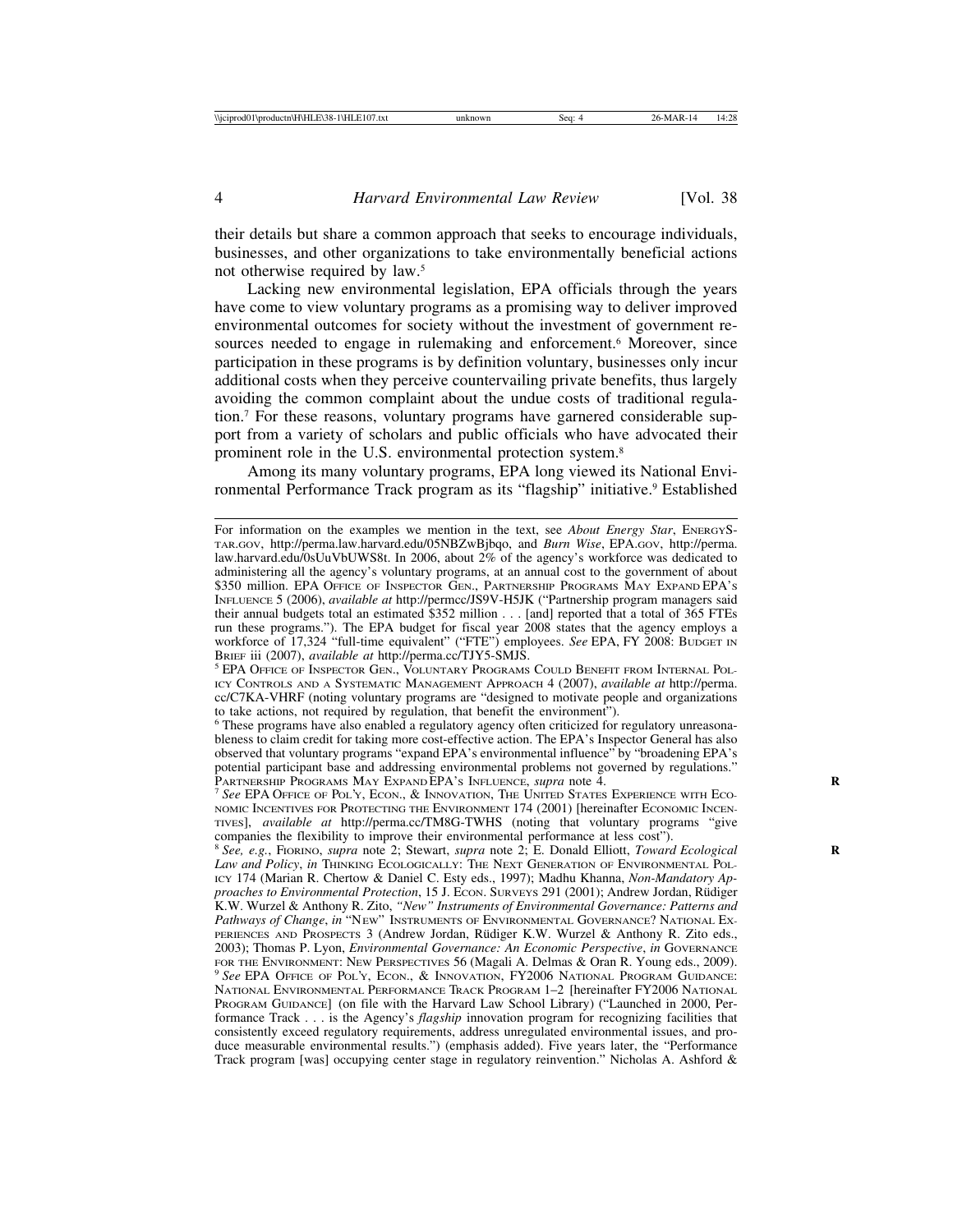their details but share a common approach that seeks to encourage individuals, businesses, and other organizations to take environmentally beneficial actions not otherwise required by law.5

Lacking new environmental legislation, EPA officials through the years have come to view voluntary programs as a promising way to deliver improved environmental outcomes for society without the investment of government resources needed to engage in rulemaking and enforcement.<sup>6</sup> Moreover, since participation in these programs is by definition voluntary, businesses only incur additional costs when they perceive countervailing private benefits, thus largely avoiding the common complaint about the undue costs of traditional regulation.7 For these reasons, voluntary programs have garnered considerable support from a variety of scholars and public officials who have advocated their prominent role in the U.S. environmental protection system.8

Among its many voluntary programs, EPA long viewed its National Environmental Performance Track program as its "flagship" initiative.9 Established

For information on the examples we mention in the text, see *About Energy Star*, ENERGYS-TAR.GOV, http://perma.law.harvard.edu/05NBZwBjbqo, and *Burn Wise*, EPA.GOV, http://perma. law.harvard.edu/0sUuVbUWS8t. In 2006, about 2% of the agency's workforce was dedicated to administering all the agency's voluntary programs, at an annual cost to the government of about \$350 million. EPA OFFICE OF INSPECTOR GEN., PARTNERSHIP PROGRAMS MAY EXPAND EPA'S INFLUENCE 5 (2006), *available at* http://permcc/JS9V-H5JK ("Partnership program managers said their annual budgets total an estimated \$352 million . . . [and] reported that a total of 365 FTEs run these programs."). The EPA budget for fiscal year 2008 states that the agency employs a workforce of 17,324 "full-time equivalent" ("FTE") employees. *See* EPA, FY 2008: BUDGET IN

BRIEF iii (2007), *available at* http://perma.cc/TJY5-SMJS.<br><sup>5</sup> EPA Office of Inspector Gen., Voluntary Programs Could Benefit from Internal Pol-ICY CONTROLS AND A SYSTEMATIC MANAGEMENT APPROACH 4 (2007), *available at* http://perma. cc/C7KA-VHRF (noting voluntary programs are "designed to motivate people and organizations to take actions, not required by regulation, that benefit the environment").

<sup>6</sup> These programs have also enabled a regulatory agency often criticized for regulatory unreasonableness to claim credit for taking more cost-effective action. The EPA's Inspector General has also observed that voluntary programs "expand EPA's environmental influence" by "broadening EPA's potential participant base and addressing environmental problems not governed by regulations."<br>PARTNERSHIP PROGRAMS MAY EXPANDEPA's INFLUENCE, *supra* note 4.

<sup>&</sup>lt;sup>7</sup> See EPA OFFICE OF POL'Y, ECON., & INNOVATION, THE UNITED STATES EXPERIENCE WITH ECO-NOMIC INCENTIVES FOR PROTECTING THE ENVIRONMENT 174 (2001) [hereinafter ECONOMIC INCEN-TIVES], *available at* http://perma.cc/TM8G-TWHS (noting that voluntary programs "give companies the flexibility to improve their environmental performance at less cost").

<sup>8</sup> *See, e.g.*, FIORINO, *supra* note 2; Stewart, *supra* note 2; E. Donald Elliott, *Toward Ecological* **R** *Law and Policy*, *in* THINKING ECOLOGICALLY: THE NEXT GENERATION OF ENVIRONMENTAL POL-ICY 174 (Marian R. Chertow & Daniel C. Esty eds., 1997); Madhu Khanna, *Non-Mandatory Approaches to Environmental Protection*, 15 J. ECON. SURVEYS 291 (2001); Andrew Jordan, R¨udiger K.W. Wurzel & Anthony R. Zito, *"New" Instruments of Environmental Governance: Patterns and Pathways of Change*, *in* "NEW" INSTRUMENTS OF ENVIRONMENTAL GOVERNANCE? NATIONAL EX-PERIENCES AND PROSPECTS 3 (Andrew Jordan, Rüdiger K.W. Wurzel & Anthony R. Zito eds., 2003); Thomas P. Lyon, *Environmental Governance: An Economic Perspective*, *in* GOVERNANCE FOR THE ENVIRONMENT: NEW PERSPECTIVES 56 (Magali A. Delmas & Oran R. Young eds., 2009). <sup>9</sup> See EPA OFFICE OF POL'Y, ECON., & INNOVATION, FY2006 NATIONAL PROGRAM GUIDANCE: NATIONAL ENVIRONMENTAL PERFORMANCE TRACK PROGRAM 1–2 [hereinafter FY2006 NATIONAL PROGRAM GUIDANCE] (on file with the Harvard Law School Library) ("Launched in 2000, Performance Track . . . is the Agency's *flagship* innovation program for recognizing facilities that consistently exceed regulatory requirements, address unregulated environmental issues, and produce measurable environmental results.") (emphasis added). Five years later, the "Performance Track program [was] occupying center stage in regulatory reinvention." Nicholas A. Ashford &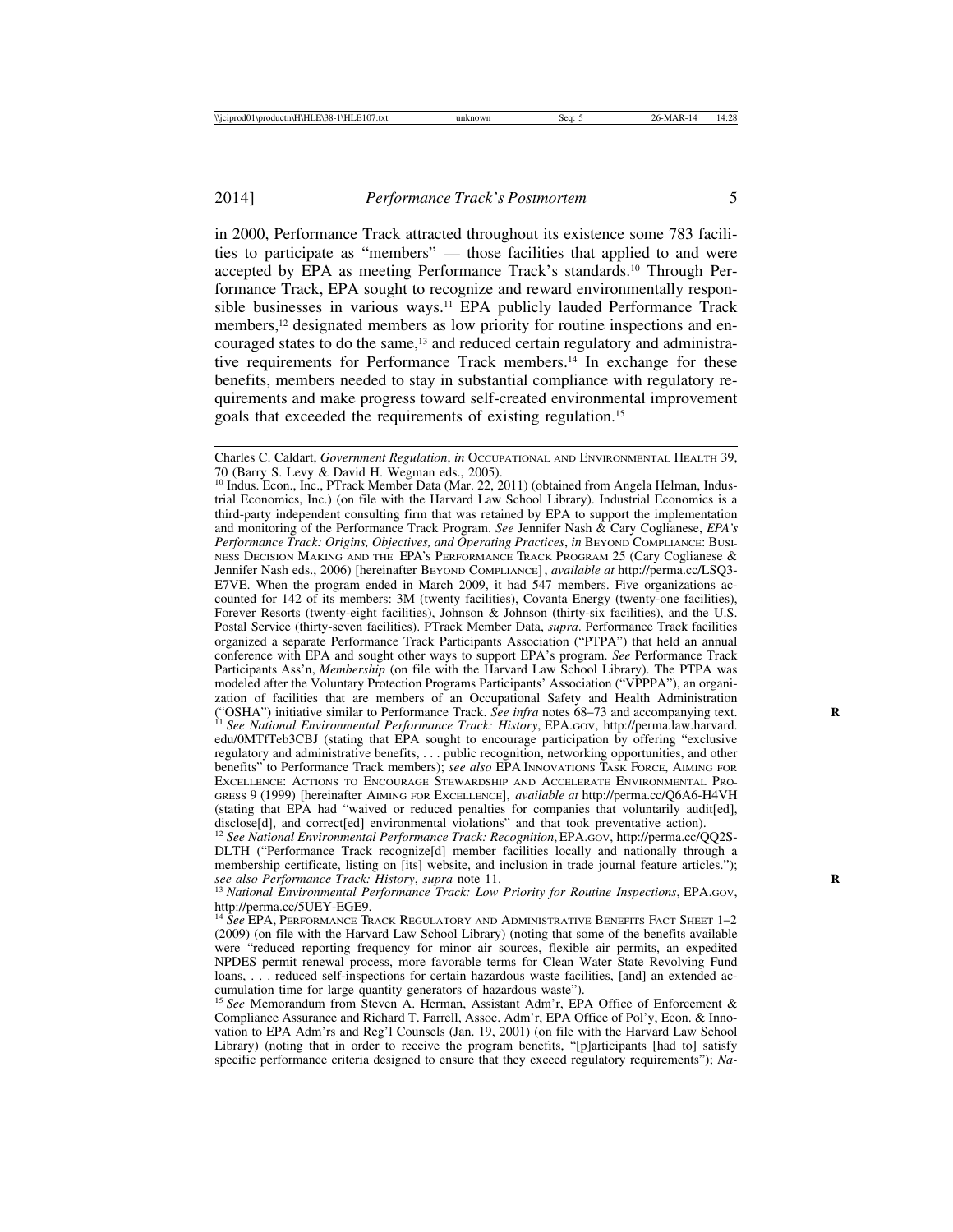in 2000, Performance Track attracted throughout its existence some 783 facilities to participate as "members" — those facilities that applied to and were accepted by EPA as meeting Performance Track's standards.10 Through Performance Track, EPA sought to recognize and reward environmentally responsible businesses in various ways.<sup>11</sup> EPA publicly lauded Performance Track members,<sup>12</sup> designated members as low priority for routine inspections and encouraged states to do the same,<sup>13</sup> and reduced certain regulatory and administrative requirements for Performance Track members.14 In exchange for these benefits, members needed to stay in substantial compliance with regulatory requirements and make progress toward self-created environmental improvement goals that exceeded the requirements of existing regulation.15

Charles C. Caldart, *Government Regulation*, *in* OCCUPATIONAL AND ENVIRONMENTAL HEALTH 39, 70 (Barry S. Levy & David H. Wegman eds., 2005).

<sup>&</sup>lt;sup>10</sup> Indus. Econ., Inc., PTrack Member Data (Mar. 22, 2011) (obtained from Angela Helman, Industrial Economics, Inc.) (on file with the Harvard Law School Library). Industrial Economics is a third-party independent consulting firm that was retained by EPA to support the implementation and monitoring of the Performance Track Program. *See* Jennifer Nash & Cary Coglianese, *EPA's Performance Track: Origins, Objectives, and Operating Practices*, *in* BEYOND COMPLIANCE: BUSI-NESS DECISION MAKING AND THE EPA'S PERFORMANCE TRACK PROGRAM 25 (Cary Coglianese & Jennifer Nash eds., 2006) [hereinafter BEYOND COMPLIANCE], *available at* http://perma.cc/LSQ3- E7VE. When the program ended in March 2009, it had 547 members. Five organizations accounted for 142 of its members: 3M (twenty facilities), Covanta Energy (twenty-one facilities), Forever Resorts (twenty-eight facilities), Johnson & Johnson (thirty-six facilities), and the U.S. Postal Service (thirty-seven facilities). PTrack Member Data, *supra*. Performance Track facilities organized a separate Performance Track Participants Association ("PTPA") that held an annual conference with EPA and sought other ways to support EPA's program. *See* Performance Track Participants Ass'n, *Membership* (on file with the Harvard Law School Library). The PTPA was modeled after the Voluntary Protection Programs Participants' Association ("VPPPA"), an organization of facilities that are members of an Occupational Safety and Health Administration ("OSHA") initiative similar to Performance Track. See infra notes 68–73 and accompanying text. <sup>11</sup> See National Environmental Performance Track: History, EPA.GOV, http://perma.law.harvard. edu/0MTfTeb3CBJ (stating that EPA sought to encourage participation by offering "exclusive regulatory and administrative benefits, . . . public recognition, networking opportunities, and other benefits" to Performance Track members); *see also* EPA INNOVATIONS TASK FORCE, AIMING FOR EXCELLENCE: ACTIONS TO ENCOURAGE STEWARDSHIP AND ACCELERATE ENVIRONMENTAL PRO-GRESS 9 (1999) [hereinafter AIMING FOR EXCELLENCE], *available at* http://perma.cc/Q6A6-H4VH (stating that EPA had "waived or reduced penalties for companies that voluntarily audit[ed], disclose<sup>[d]</sup>, and correct<sup>[ed]</sup> environmental violations" and that took preventative action).

<sup>12</sup> *See National Environmental Performance Track: Recognition*, EPA.GOV, http://perma.cc/QQ2S-DLTH ("Performance Track recognize[d] member facilities locally and nationally through a membership certificate, listing on [its] website, and inclusion in trade journal feature articles."); see also Performance Track: History, supra note 11.

<sup>&</sup>lt;sup>13</sup> National Environmental Performance Track: Low Priority for Routine Inspections, EPA.GOV, http://perma.cc/5UEY-EGE9.

<sup>14</sup> *See* EPA, PERFORMANCE TRACK REGULATORY AND ADMINISTRATIVE BENEFITS FACT SHEET 1–2 (2009) (on file with the Harvard Law School Library) (noting that some of the benefits available were "reduced reporting frequency for minor air sources, flexible air permits, an expedited NPDES permit renewal process, more favorable terms for Clean Water State Revolving Fund loans, . . . reduced self-inspections for certain hazardous waste facilities, [and] an extended accumulation time for large quantity generators of hazardous waste"). <sup>15</sup> *See* Memorandum from Steven A. Herman, Assistant Adm'r, EPA Office of Enforcement &

Compliance Assurance and Richard T. Farrell, Assoc. Adm'r, EPA Office of Pol'y, Econ. & Innovation to EPA Adm'rs and Reg'l Counsels (Jan. 19, 2001) (on file with the Harvard Law School Library) (noting that in order to receive the program benefits, "[p]articipants [had to] satisfy specific performance criteria designed to ensure that they exceed regulatory requirements"); *Na-*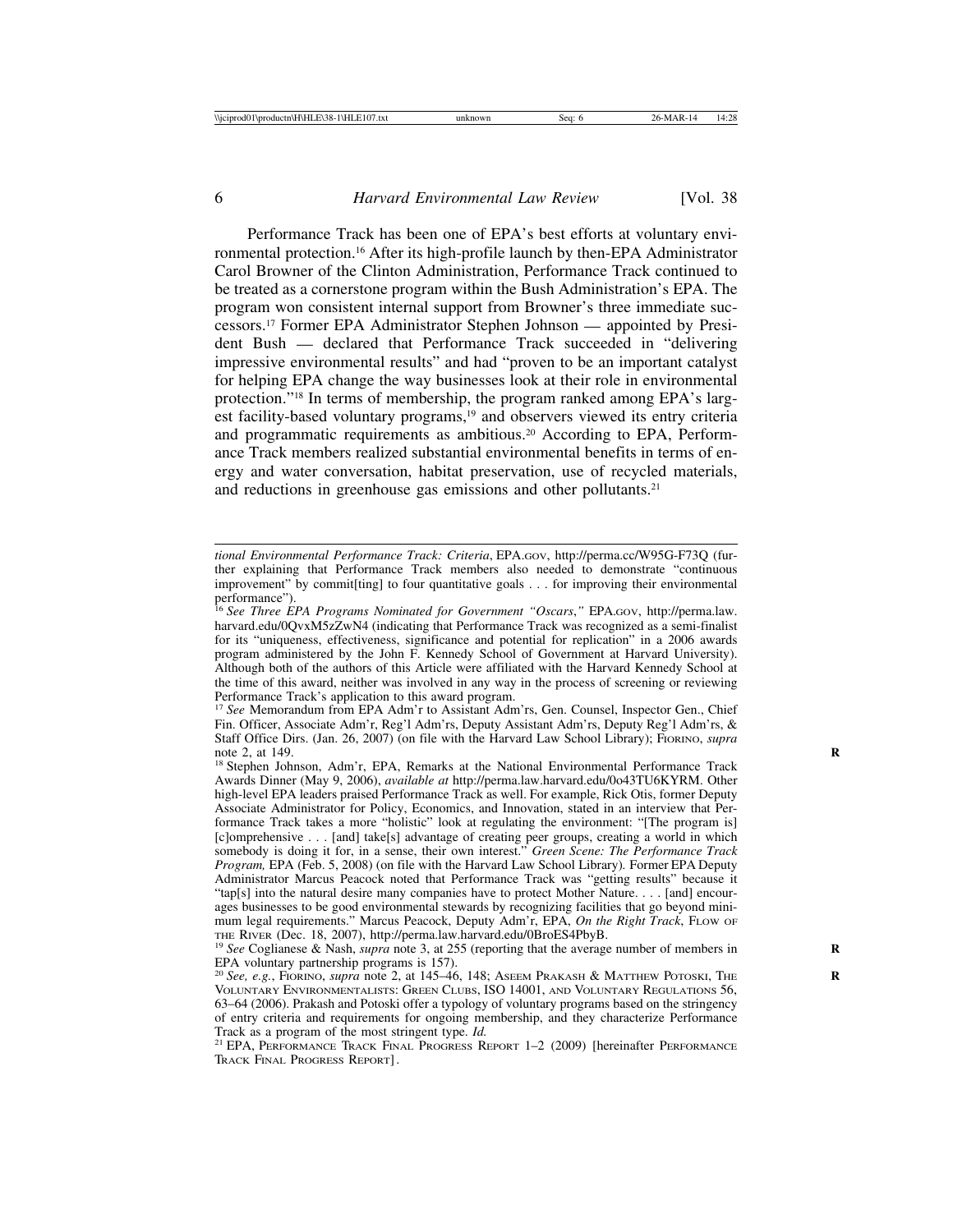Performance Track has been one of EPA's best efforts at voluntary environmental protection.16 After its high-profile launch by then-EPA Administrator Carol Browner of the Clinton Administration, Performance Track continued to be treated as a cornerstone program within the Bush Administration's EPA. The program won consistent internal support from Browner's three immediate successors.17 Former EPA Administrator Stephen Johnson — appointed by President Bush — declared that Performance Track succeeded in "delivering impressive environmental results" and had "proven to be an important catalyst for helping EPA change the way businesses look at their role in environmental protection."<sup>18</sup> In terms of membership, the program ranked among EPA's largest facility-based voluntary programs,<sup>19</sup> and observers viewed its entry criteria and programmatic requirements as ambitious.20 According to EPA, Performance Track members realized substantial environmental benefits in terms of energy and water conversation, habitat preservation, use of recycled materials, and reductions in greenhouse gas emissions and other pollutants.<sup>21</sup>

*tional Environmental Performance Track: Criteria*, EPA.GOV, http://perma.cc/W95G-F73Q (further explaining that Performance Track members also needed to demonstrate "continuous improvement" by commit[ting] to four quantitative goals . . . for improving their environmental

performance"). <sup>16</sup> *See Three EPA Programs Nominated for Government "Oscars*,*"* EPA.GOV, http://perma.law. harvard.edu/0QvxM5zZwN4 (indicating that Performance Track was recognized as a semi-finalist for its "uniqueness, effectiveness, significance and potential for replication" in a 2006 awards program administered by the John F. Kennedy School of Government at Harvard University). Although both of the authors of this Article were affiliated with the Harvard Kennedy School at the time of this award, neither was involved in any way in the process of screening or reviewing Performance Track's application to this award program.

<sup>17</sup> *See* Memorandum from EPA Adm'r to Assistant Adm'rs, Gen. Counsel, Inspector Gen., Chief Fin. Officer, Associate Adm'r, Reg'l Adm'rs, Deputy Assistant Adm'rs, Deputy Reg'l Adm'rs, & Staff Office Dirs. (Jan. 26, 2007) (on file with the Harvard Law School Library); FIORINO, *supra* note 2, at 149.

<sup>&</sup>lt;sup>18</sup> Stephen Johnson, Adm'r, EPA, Remarks at the National Environmental Performance Track Awards Dinner (May 9, 2006), *available at* http://perma.law.harvard.edu/0o43TU6KYRM. Other high-level EPA leaders praised Performance Track as well. For example, Rick Otis, former Deputy Associate Administrator for Policy, Economics, and Innovation, stated in an interview that Performance Track takes a more "holistic" look at regulating the environment: "[The program is] [c]omprehensive . . . [and] take[s] advantage of creating peer groups, creating a world in which somebody is doing it for, in a sense, their own interest." *Green Scene: The Performance Track Program,* EPA (Feb. 5, 2008) (on file with the Harvard Law School Library)*.* Former EPA Deputy Administrator Marcus Peacock noted that Performance Track was "getting results" because it "tap[s] into the natural desire many companies have to protect Mother Nature. . . . [and] encourages businesses to be good environmental stewards by recognizing facilities that go beyond minimum legal requirements." Marcus Peacock, Deputy Adm'r, EPA, *On the Right Track*, FLOW OF THE RIVER (Dec. 18, 2007), http://perma.law.harvard.edu/0BroES4PbyB.

<sup>&</sup>lt;sup>19</sup> See Coglianese & Nash, *supra* note 3, at 255 (reporting that the average number of members in EPA voluntary partnership programs is 157).

<sup>20</sup> *See, e.g.*, FIORINO, *supra* note 2, at 145–46, 148; ASEEM PRAKASH & MATTHEW POTOSKI, THE **R** VOLUNTARY ENVIRONMENTALISTS: GREEN CLUBS, ISO 14001, AND VOLUNTARY REGULATIONS 56, 63–64 (2006). Prakash and Potoski offer a typology of voluntary programs based on the stringency of entry criteria and requirements for ongoing membership, and they characterize Performance Track as a program of the most stringent type. *Id.* 21 EPA, PERFORMANCE <sup>21</sup> EPA, PERFORMANCE TRACK FINAL PROGRESS REPORT 1–2 (2009) [hereinafter PERFORMANCE

TRACK FINAL PROGRESS REPORT].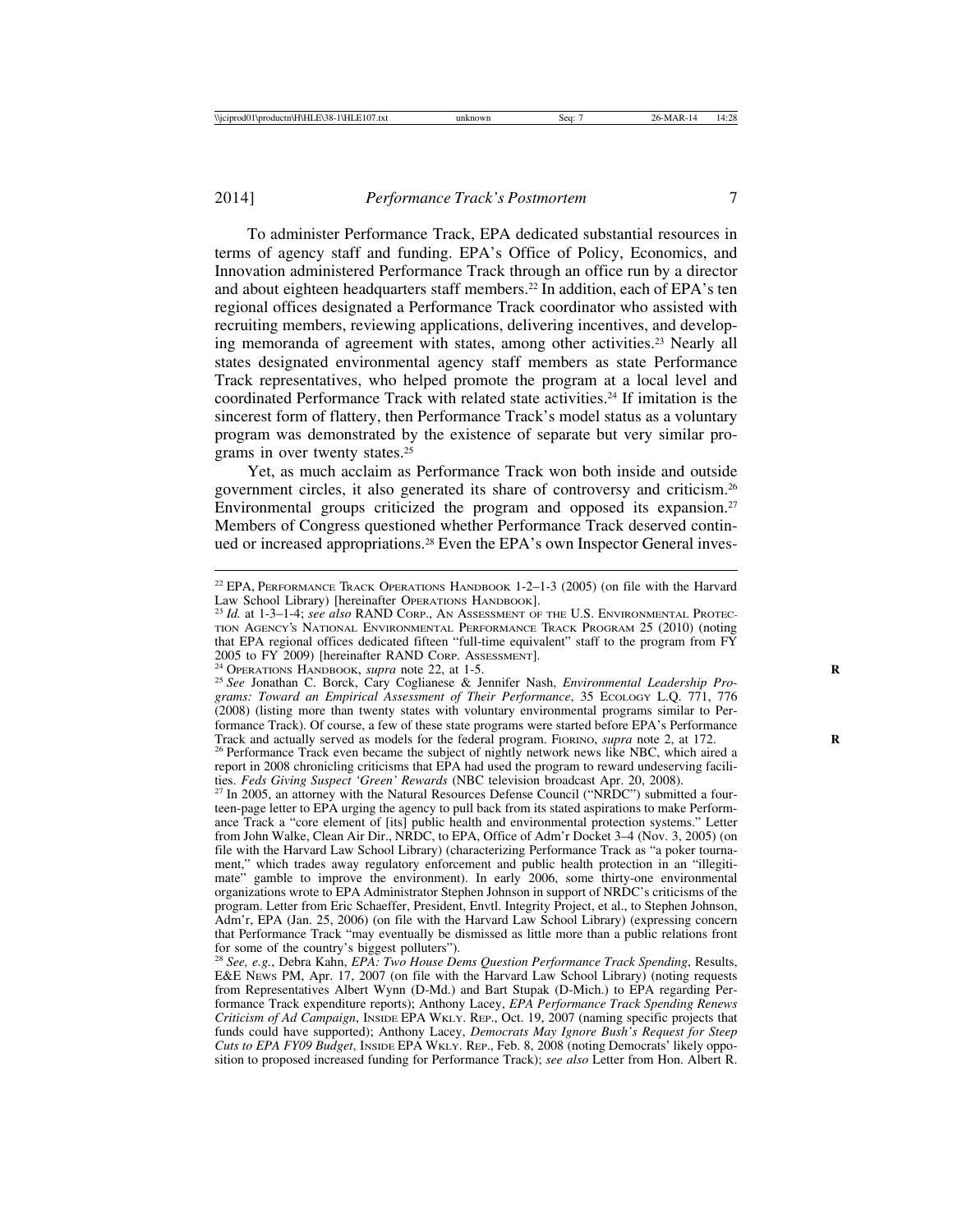To administer Performance Track, EPA dedicated substantial resources in terms of agency staff and funding. EPA's Office of Policy, Economics, and Innovation administered Performance Track through an office run by a director and about eighteen headquarters staff members.<sup>22</sup> In addition, each of EPA's ten regional offices designated a Performance Track coordinator who assisted with recruiting members, reviewing applications, delivering incentives, and developing memoranda of agreement with states, among other activities.23 Nearly all states designated environmental agency staff members as state Performance Track representatives, who helped promote the program at a local level and coordinated Performance Track with related state activities.24 If imitation is the sincerest form of flattery, then Performance Track's model status as a voluntary program was demonstrated by the existence of separate but very similar programs in over twenty states.25

Yet, as much acclaim as Performance Track won both inside and outside government circles, it also generated its share of controversy and criticism.26 Environmental groups criticized the program and opposed its expansion.<sup>27</sup> Members of Congress questioned whether Performance Track deserved continued or increased appropriations.<sup>28</sup> Even the EPA's own Inspector General inves-

<sup>27</sup> In 2005, an attorney with the Natural Resources Defense Council ("NRDC") submitted a fourteen-page letter to EPA urging the agency to pull back from its stated aspirations to make Performance Track a "core element of [its] public health and environmental protection systems." Letter from John Walke, Clean Air Dir., NRDC, to EPA, Office of Adm'r Docket 3–4 (Nov. 3, 2005) (on file with the Harvard Law School Library) (characterizing Performance Track as "a poker tournament," which trades away regulatory enforcement and public health protection in an "illegitimate" gamble to improve the environment). In early 2006, some thirty-one environmental organizations wrote to EPA Administrator Stephen Johnson in support of NRDC's criticisms of the program. Letter from Eric Schaeffer, President, Envtl. Integrity Project, et al., to Stephen Johnson, Adm'r, EPA (Jan. 25, 2006) (on file with the Harvard Law School Library) (expressing concern that Performance Track "may eventually be dismissed as little more than a public relations front for some of the country's biggest polluters").

<sup>28</sup> *See, e.g.*, Debra Kahn, *EPA: Two House Dems Question Performance Track Spending*, Results, E&E NEWS PM, Apr. 17, 2007 (on file with the Harvard Law School Library) (noting requests from Representatives Albert Wynn (D-Md.) and Bart Stupak (D-Mich.) to EPA regarding Performance Track expenditure reports); Anthony Lacey, *EPA Performance Track Spending Renews Criticism of Ad Campaign*, INSIDE EPA WKLY. REP., Oct. 19, 2007 (naming specific projects that funds could have supported); Anthony Lacey, *Democrats May Ignore Bush's Request for Steep Cuts to EPA FY09 Budget*, INSIDE EPA WKLY. REP., Feb. 8, 2008 (noting Democrats' likely opposition to proposed increased funding for Performance Track); *see also* Letter from Hon. Albert R.

<sup>&</sup>lt;sup>22</sup> EPA, PERFORMANCE TRACK OPERATIONS HANDBOOK  $1-2-1-3$  (2005) (on file with the Harvard Law School Library) [hereinafter Operations Handbook].

<sup>&</sup>lt;sup>23</sup> *Id.* at 1-3–1-4; *see also* RAND CORP., AN ASSESSMENT OF THE U.S. ENVIRONMENTAL PROTEC-TION AGENCY'S NATIONAL ENVIRONMENTAL PERFORMANCE TRACK PROGRAM 25 (2010) (noting that EPA regional offices dedicated fifteen "full-time equivalent" staff to the program from FY 2005 to FY 2009) [hereinafter RAND Core, Assessment].

<sup>&</sup>lt;sup>24</sup> OPERATIONS HANDBOOK, *supra* note 22, at 1-5. *Reserved By 25 See Jonathan C. Borck, Cary Coglianese & Jennifer Nash, <i>Environmental Leadership Programs: Toward an Empirical Assessment of Their Performance*, 35 ECOLOGY L.Q. 771, 776 (2008) (listing more than twenty states with voluntary environmental programs similar to Performance Track). Of course, a few of these state programs were started before EPA's Performance Track and actually served as models for the federal program. FIORINO, *supra* note 2, at 172.

<sup>&</sup>lt;sup>26</sup> Performance Track even became the subject of nightly network news like NBC, which aired a report in 2008 chronicling criticisms that EPA had used the program to reward undeserving facili-<br>ties. Feds Giving Suspect 'Green' Rewards (NBC television broadcast Apr. 20. 2008).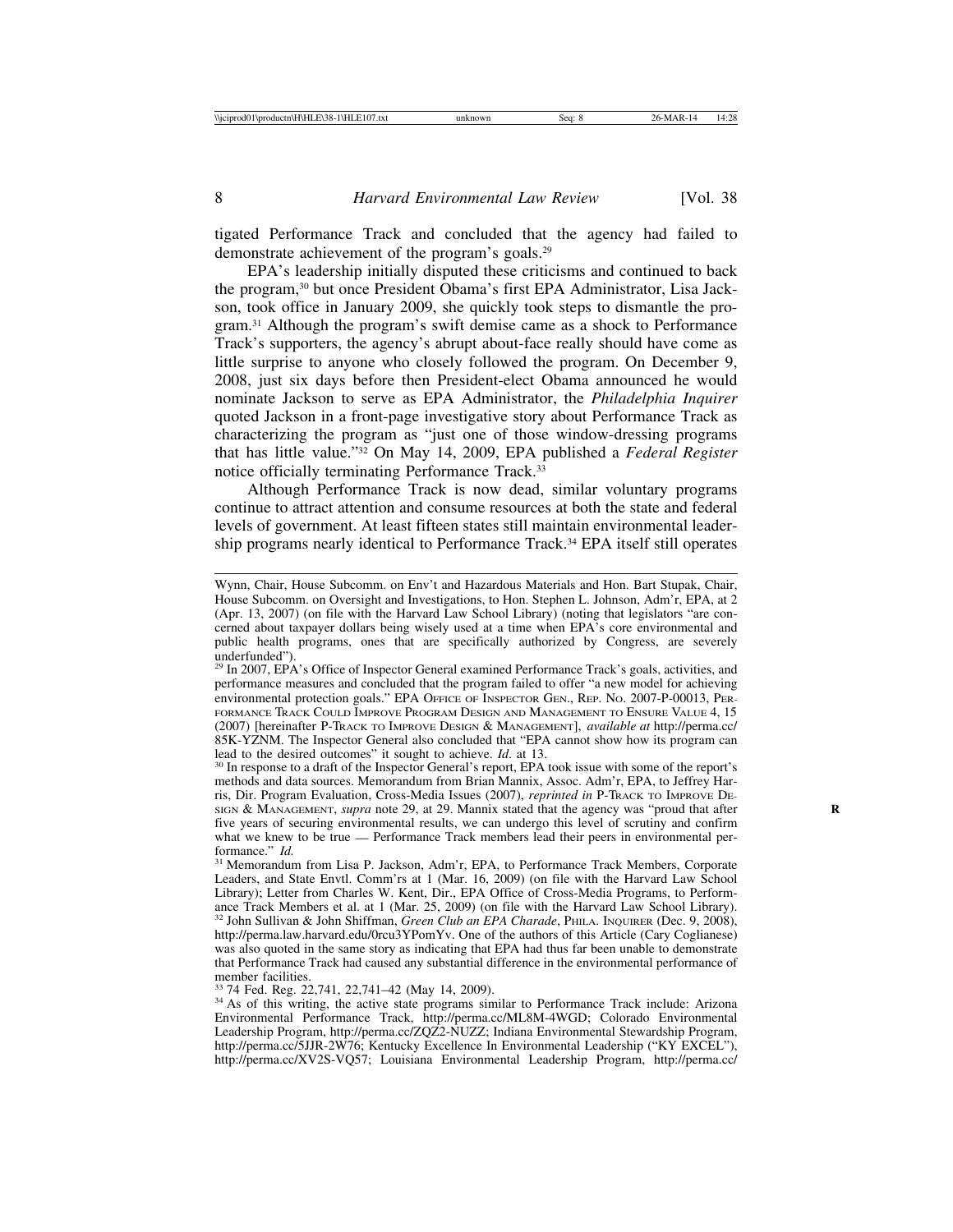tigated Performance Track and concluded that the agency had failed to demonstrate achievement of the program's goals.29

EPA's leadership initially disputed these criticisms and continued to back the program,30 but once President Obama's first EPA Administrator, Lisa Jackson, took office in January 2009, she quickly took steps to dismantle the program.31 Although the program's swift demise came as a shock to Performance Track's supporters, the agency's abrupt about-face really should have come as little surprise to anyone who closely followed the program. On December 9, 2008, just six days before then President-elect Obama announced he would nominate Jackson to serve as EPA Administrator, the *Philadelphia Inquirer* quoted Jackson in a front-page investigative story about Performance Track as characterizing the program as "just one of those window-dressing programs that has little value."32 On May 14, 2009, EPA published a *Federal Register* notice officially terminating Performance Track.33

Although Performance Track is now dead, similar voluntary programs continue to attract attention and consume resources at both the state and federal levels of government. At least fifteen states still maintain environmental leadership programs nearly identical to Performance Track.<sup>34</sup> EPA itself still operates

<sup>34</sup> As of this writing, the active state programs similar to Performance Track include: Arizona Environmental Performance Track, http://perma.cc/ML8M-4WGD; Colorado Environmental Leadership Program, http://perma.cc/ZQZ2-NUZZ; Indiana Environmental Stewardship Program, http://perma.cc/5JJR-2W76; Kentucky Excellence In Environmental Leadership ("KY EXCEL"), http://perma.cc/XV2S-VQ57; Louisiana Environmental Leadership Program, http://perma.cc/

Wynn, Chair, House Subcomm. on Env't and Hazardous Materials and Hon. Bart Stupak, Chair, House Subcomm. on Oversight and Investigations, to Hon. Stephen L. Johnson, Adm'r, EPA, at 2 (Apr. 13, 2007) (on file with the Harvard Law School Library) (noting that legislators "are concerned about taxpayer dollars being wisely used at a time when EPA's core environmental and public health programs, ones that are specifically authorized by Congress, are severely underfunded").

<sup>&</sup>lt;sup>29</sup> In 2007, EPA's Office of Inspector General examined Performance Track's goals, activities, and performance measures and concluded that the program failed to offer "a new model for achieving environmental protection goals." EPA OFFICE OF INSPECTOR GEN., REP. No. 2007-P-00013, PER-FORMANCE TRACK COULD IMPROVE PROGRAM DESIGN AND MANAGEMENT TO ENSURE VALUE 4, 15 (2007) [hereinafter P-TRACK TO IMPROVE DESIGN & MANAGEMENT], *available at* http://perma.cc/ 85K-YZNM. The Inspector General also concluded that "EPA cannot show how its program can lead to the desired outcomes" it sought to achieve.  $Id$ . at 13.

<sup>&</sup>lt;sup>30</sup> In response to a draft of the Inspector General's report, EPA took issue with some of the report's methods and data sources. Memorandum from Brian Mannix, Assoc. Adm'r, EPA, to Jeffrey Harris, Dir. Program Evaluation, Cross-Media Issues (2007), *reprinted in* P-TRACK TO IMPROVE DE-SIGN & MANAGEMENT, *supra* note 29, at 29. Mannix stated that the agency was "proud that after five years of securing environmental results, we can undergo this level of scrutiny and confirm what we knew to be true — Performance Track members lead their peers in environmental performance."  $Id$ .

<sup>&</sup>lt;sup>31</sup> Memorandum from Lisa P. Jackson, Adm'r, EPA, to Performance Track Members, Corporate Leaders, and State Envtl. Comm'rs at 1 (Mar. 16, 2009) (on file with the Harvard Law School Library); Letter from Charles W. Kent, Dir., EPA Office of Cross-Media Programs, to Performance Track Members et al. at 1 (Mar. 25, 2009) (on file with the Harvard Law School Library). <sup>32</sup> John Sullivan & John Shiffman, *Green Club an EPA Charade*, PHILA. INQUIRER (Dec. 9, 2008), http://perma.law.harvard.edu/0rcu3YPomYv. One of the authors of this Article (Cary Coglianese) was also quoted in the same story as indicating that EPA had thus far been unable to demonstrate that Performance Track had caused any substantial difference in the environmental performance of member facilities.<br><sup>33</sup> 74 Fed. Reg. 22,741, 22,741–42 (May 14, 2009).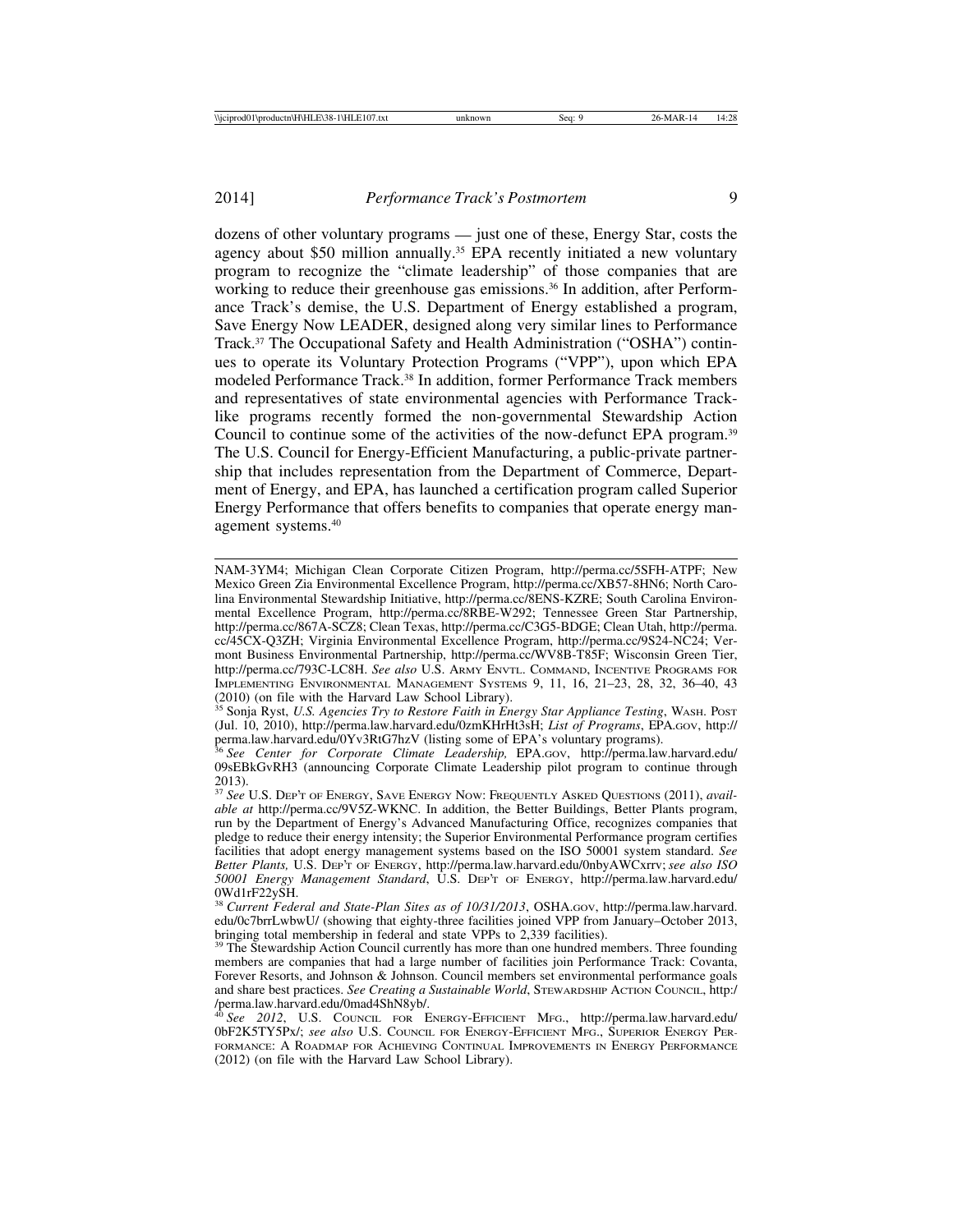agency about \$50 million annually.35 EPA recently initiated a new voluntary program to recognize the "climate leadership" of those companies that are working to reduce their greenhouse gas emissions.<sup>36</sup> In addition, after Performance Track's demise, the U.S. Department of Energy established a program, Save Energy Now LEADER, designed along very similar lines to Performance Track.37 The Occupational Safety and Health Administration ("OSHA") continues to operate its Voluntary Protection Programs ("VPP"), upon which EPA modeled Performance Track.38 In addition, former Performance Track members and representatives of state environmental agencies with Performance Tracklike programs recently formed the non-governmental Stewardship Action Council to continue some of the activities of the now-defunct EPA program.39 The U.S. Council for Energy-Efficient Manufacturing, a public-private partnership that includes representation from the Department of Commerce, Department of Energy, and EPA, has launched a certification program called Superior Energy Performance that offers benefits to companies that operate energy management systems.40

NAM-3YM4; Michigan Clean Corporate Citizen Program, http://perma.cc/5SFH-ATPF; New Mexico Green Zia Environmental Excellence Program, http://perma.cc/XB57-8HN6; North Carolina Environmental Stewardship Initiative, http://perma.cc/8ENS-KZRE; South Carolina Environmental Excellence Program, http://perma.cc/8RBE-W292; Tennessee Green Star Partnership, http://perma.cc/867A-SCZ8; Clean Texas, http://perma.cc/C3G5-BDGE; Clean Utah, http://perma. cc/45CX-Q3ZH; Virginia Environmental Excellence Program, http://perma.cc/9S24-NC24; Vermont Business Environmental Partnership, http://perma.cc/WV8B-T85F; Wisconsin Green Tier, http://perma.cc/793C-LC8H. *See also* U.S. ARMY ENVTL. COMMAND, INCENTIVE PROGRAMS FOR IMPLEMENTING ENVIRONMENTAL MANAGEMENT SYSTEMS 9, 11, 16, 21–23, 28, 32, 36–40, 43 (2010) (on file with the Harvard Law School Library).

<sup>&</sup>lt;sup>35</sup> Sonja Ryst, *U.S. Agencies Try to Restore Faith in Energy Star Appliance Testing*, WASH. POST (Jul. 10, 2010), http://perma.law.harvard.edu/0zmKHrHt3sH; *List of Programs*, EPA.GOV, http://

perma.law.harvard.edu/0Yv3RtG7hzV (listing some of EPA's voluntary programs). <sup>36</sup> *See Center for Corporate Climate Leadership,* EPA.GOV, http://perma.law.harvard.edu/ 09sEBkGvRH3 (announcing Corporate Climate Leadership pilot program to continue through 2013).

<sup>37</sup> *See* U.S. DEP'T OF ENERGY, SAVE ENERGY NOW: FREQUENTLY ASKED QUESTIONS (2011), *available at* http://perma.cc/9V5Z-WKNC. In addition, the Better Buildings, Better Plants program, run by the Department of Energy's Advanced Manufacturing Office, recognizes companies that pledge to reduce their energy intensity; the Superior Environmental Performance program certifies facilities that adopt energy management systems based on the ISO 50001 system standard. *See Better Plants,* U.S. DEP'T OF ENERGY, http://perma.law.harvard.edu/0nbyAWCxrrv; *see also ISO 50001 Energy Management Standard*, U.S. DEP'T OF ENERGY, http://perma.law.harvard.edu/ 0Wd1rF22ySH.

<sup>38</sup> *Current Federal and State-Plan Sites as of 10/31/2013*, OSHA.GOV, http://perma.law.harvard. edu/0c7brrLwbwU/ (showing that eighty-three facilities joined VPP from January–October 2013, bringing total membership in federal and state VPPs to 2,339 facilities).

<sup>&</sup>lt;sup>39</sup> The Stewardship Action Council currently has more than one hundred members. Three founding members are companies that had a large number of facilities join Performance Track: Covanta, Forever Resorts, and Johnson & Johnson. Council members set environmental performance goals and share best practices. *See Creating a Sustainable World*, STEWARDSHIP ACTION COUNCIL, http:/

<sup>/</sup>perma.law.harvard.edu/0mad4ShN8yb/. <sup>40</sup> *See 2012*, U.S. COUNCIL FOR ENERGY-EFFICIENT MFG., http://perma.law.harvard.edu/ 0bF2K5TY5Px/; *see also* U.S. COUNCIL FOR ENERGY-EFFICIENT MFG., SUPERIOR ENERGY PER-FORMANCE: A ROADMAP FOR ACHIEVING CONTINUAL IMPROVEMENTS IN ENERGY PERFORMANCE (2012) (on file with the Harvard Law School Library).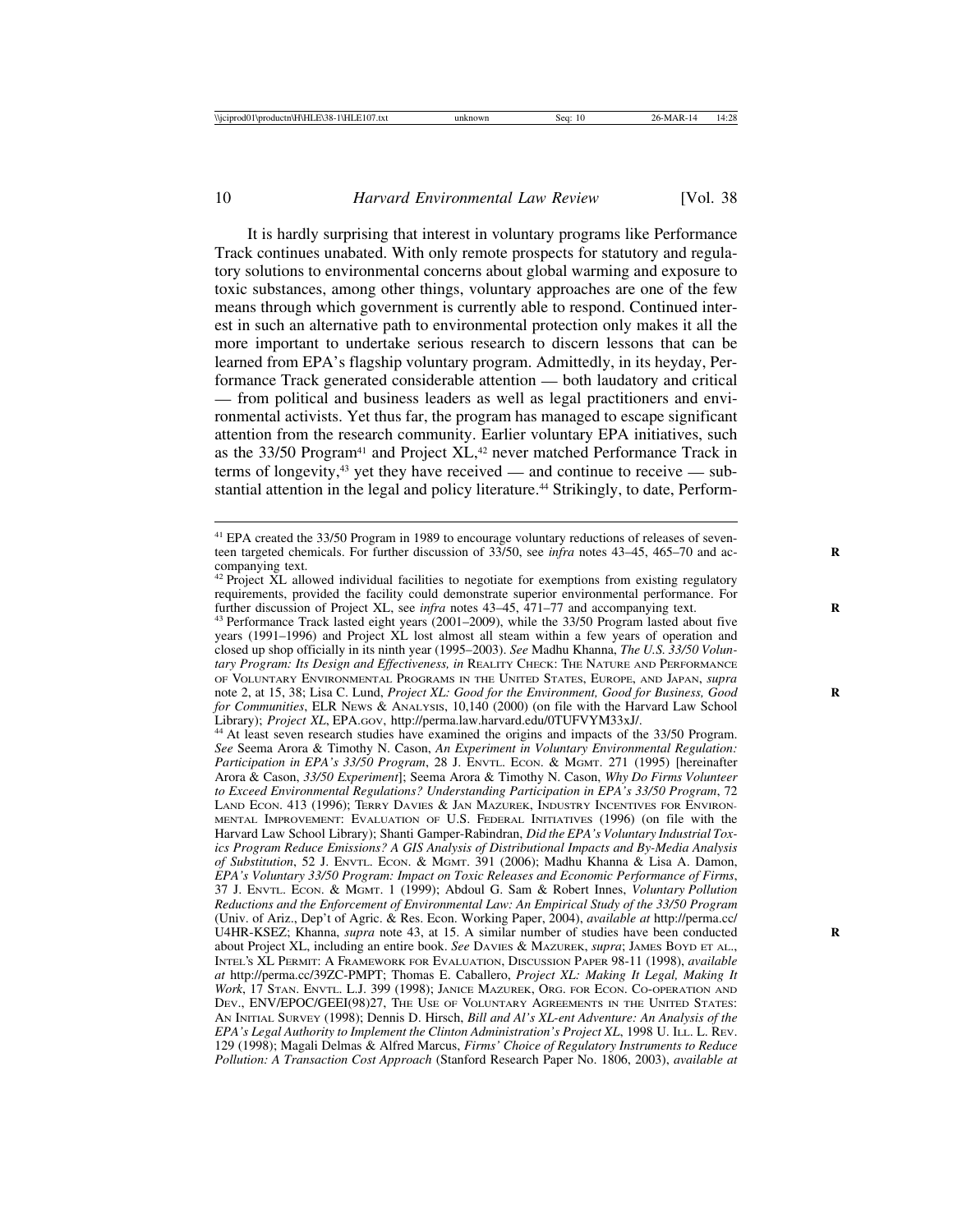It is hardly surprising that interest in voluntary programs like Performance Track continues unabated. With only remote prospects for statutory and regulatory solutions to environmental concerns about global warming and exposure to toxic substances, among other things, voluntary approaches are one of the few means through which government is currently able to respond. Continued interest in such an alternative path to environmental protection only makes it all the more important to undertake serious research to discern lessons that can be learned from EPA's flagship voluntary program. Admittedly, in its heyday, Performance Track generated considerable attention — both laudatory and critical — from political and business leaders as well as legal practitioners and environmental activists. Yet thus far, the program has managed to escape significant attention from the research community. Earlier voluntary EPA initiatives, such as the 33/50 Program<sup>41</sup> and Project XL,<sup>42</sup> never matched Performance Track in terms of longevity,<sup>43</sup> yet they have received — and continue to receive — substantial attention in the legal and policy literature.<sup>44</sup> Strikingly, to date, Perform-

<sup>41</sup> EPA created the 33/50 Program in 1989 to encourage voluntary reductions of releases of seventeen targeted chemicals. For further discussion of 33/50, see *infra* notes 43–45, 465–70 and accompanying text.

 $42$  Project XL allowed individual facilities to negotiate for exemptions from existing regulatory requirements, provided the facility could demonstrate superior environmental performance. For further discussion of Project XL, see *infra* notes  $43-45$ ,  $471-77$  and accompanying text.

<sup>&</sup>lt;sup>43</sup> Performance Track lasted eight years (2001–2009), while the 33/50 Program lasted about five years (1991–1996) and Project XL lost almost all steam within a few years of operation and closed up shop officially in its ninth year (1995–2003). *See* Madhu Khanna, *The U.S. 33/50 Voluntary Program: Its Design and Effectiveness, in REALITY CHECK: THE NATURE AND PERFORMANCE* OF VOLUNTARY ENVIRONMENTAL PROGRAMS IN THE UNITED STATES, EUROPE, AND JAPAN, *supra* note 2, at 15, 38; Lisa C. Lund, *Project XL: Good for the Environment, Good for Business, Good for Communities*, ELR NEWS & ANALYSIS, 10,140 (2000) (on file with the Harvard Law School Library); *Project XL*, EPA.GOV, http://perma.law.harvard.edu/0TUFVYM33xJ/.

<sup>&</sup>lt;sup>44</sup> At least seven research studies have examined the origins and impacts of the 33/50 Program. *See* Seema Arora & Timothy N. Cason, *An Experiment in Voluntary Environmental Regulation: Participation in EPA's 33/50 Program*, 28 J. ENVTL. ECON. & MGMT. 271 (1995) [hereinafter Arora & Cason, *33/50 Experiment*]; Seema Arora & Timothy N. Cason, *Why Do Firms Volunteer to Exceed Environmental Regulations? Understanding Participation in EPA's 33/50 Program*, 72 LAND ECON. 413 (1996); TERRY DAVIES & JAN MAZUREK, INDUSTRY INCENTIVES FOR ENVIRON-MENTAL IMPROVEMENT: EVALUATION OF U.S. FEDERAL INITIATIVES (1996) (on file with the Harvard Law School Library); Shanti Gamper-Rabindran, *Did the EPA's Voluntary Industrial Toxics Program Reduce Emissions? A GIS Analysis of Distributional Impacts and By-Media Analysis of Substitution*, 52 J. ENVTL. ECON. & MGMT. 391 (2006); Madhu Khanna & Lisa A. Damon, *EPA's Voluntary 33/50 Program: Impact on Toxic Releases and Economic Performance of Firms*, 37 J. ENVTL. ECON. & MGMT. 1 (1999); Abdoul G. Sam & Robert Innes, *Voluntary Pollution Reductions and the Enforcement of Environmental Law: An Empirical Study of the 33/50 Program* (Univ. of Ariz., Dep't of Agric. & Res. Econ. Working Paper, 2004), *available at* http://perma.cc/ U4HR-KSEZ; Khanna, *supra* note 43, at 15. A similar number of studies have been conducted **R** about Project XL, including an entire book. *See* DAVIES & MAZUREK, *supra*; JAMES BOYD ET AL., INTEL'S XL PERMIT: A FRAMEWORK FOR EVALUATION, DISCUSSION PAPER 98-11 (1998), *available at* http://perma.cc/39ZC-PMPT; Thomas E. Caballero, *Project XL: Making It Legal, Making It Work*, 17 STAN. ENVTL. L.J. 399 (1998); JANICE MAZUREK, ORG. FOR ECON. CO-OPERATION AND DEV., ENV/EPOC/GEEI(98)27, THE USE OF VOLUNTARY AGREEMENTS IN THE UNITED STATES: AN INITIAL SURVEY (1998); Dennis D. Hirsch, *Bill and Al's XL-ent Adventure: An Analysis of the EPA's Legal Authority to Implement the Clinton Administration's Project XL*, 1998 U. ILL. L. REV. 129 (1998); Magali Delmas & Alfred Marcus, *Firms' Choice of Regulatory Instruments to Reduce Pollution: A Transaction Cost Approach* (Stanford Research Paper No. 1806, 2003), *available at*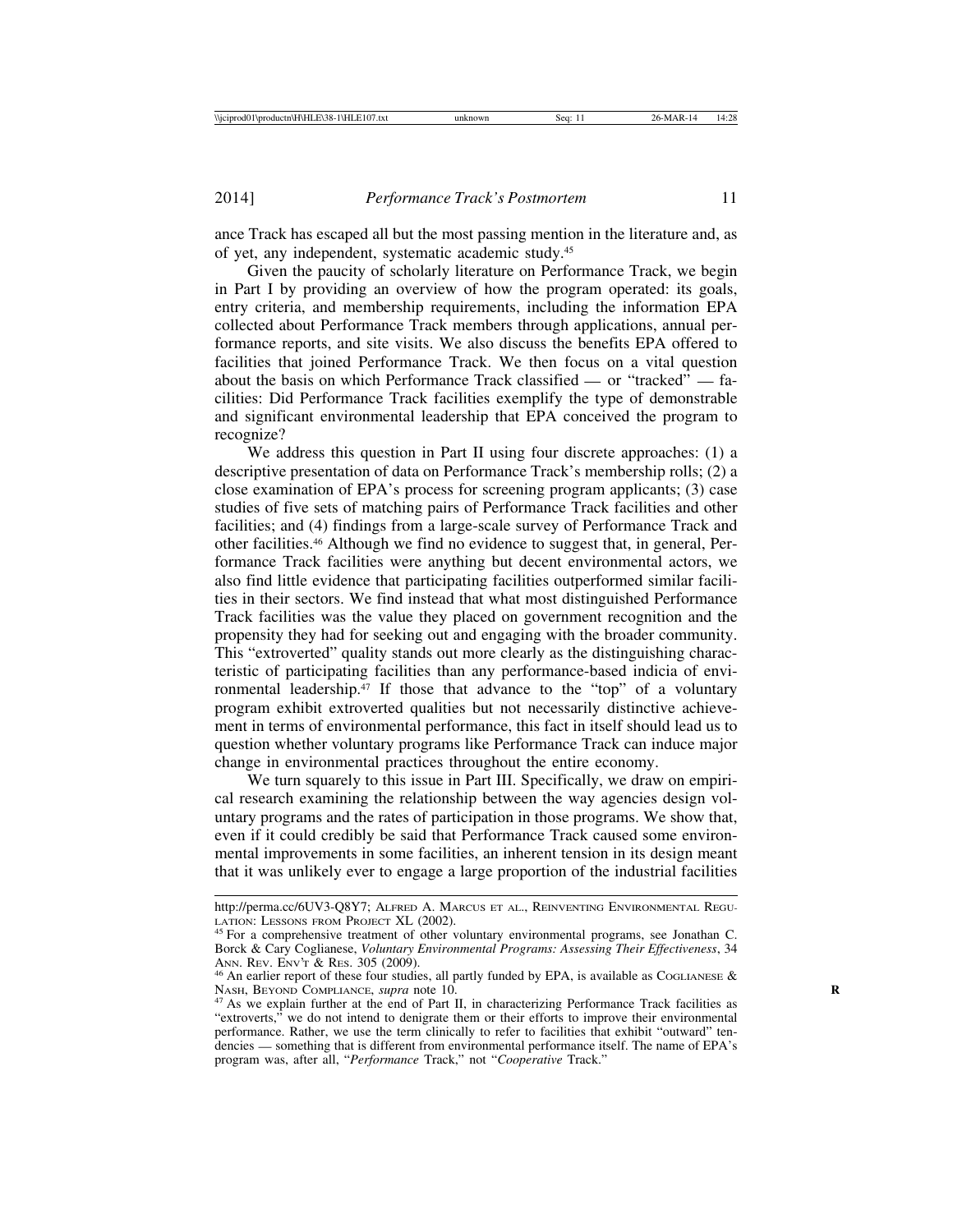ance Track has escaped all but the most passing mention in the literature and, as of yet, any independent, systematic academic study.45

Given the paucity of scholarly literature on Performance Track, we begin in Part I by providing an overview of how the program operated: its goals, entry criteria, and membership requirements, including the information EPA collected about Performance Track members through applications, annual performance reports, and site visits. We also discuss the benefits EPA offered to facilities that joined Performance Track. We then focus on a vital question about the basis on which Performance Track classified — or "tracked" — facilities: Did Performance Track facilities exemplify the type of demonstrable and significant environmental leadership that EPA conceived the program to recognize?

We address this question in Part II using four discrete approaches: (1) a descriptive presentation of data on Performance Track's membership rolls; (2) a close examination of EPA's process for screening program applicants; (3) case studies of five sets of matching pairs of Performance Track facilities and other facilities; and (4) findings from a large-scale survey of Performance Track and other facilities.46 Although we find no evidence to suggest that, in general, Performance Track facilities were anything but decent environmental actors, we also find little evidence that participating facilities outperformed similar facilities in their sectors. We find instead that what most distinguished Performance Track facilities was the value they placed on government recognition and the propensity they had for seeking out and engaging with the broader community. This "extroverted" quality stands out more clearly as the distinguishing characteristic of participating facilities than any performance-based indicia of environmental leadership.<sup>47</sup> If those that advance to the "top" of a voluntary program exhibit extroverted qualities but not necessarily distinctive achievement in terms of environmental performance, this fact in itself should lead us to question whether voluntary programs like Performance Track can induce major change in environmental practices throughout the entire economy.

We turn squarely to this issue in Part III. Specifically, we draw on empirical research examining the relationship between the way agencies design voluntary programs and the rates of participation in those programs. We show that, even if it could credibly be said that Performance Track caused some environmental improvements in some facilities, an inherent tension in its design meant that it was unlikely ever to engage a large proportion of the industrial facilities

http://perma.cc/6UV3-Q8Y7; ALFRED A. MARCUS ET AL., REINVENTING ENVIRONMENTAL REGULATION: LESSONS FROM PROJECT XL (2002).

<sup>&</sup>lt;sup>45</sup> For a comprehensive treatment of other voluntary environmental programs, see Jonathan C. Borck & Cary Coglianese, *Voluntary Environmental Programs: Assessing Their Effectiveness*, 34

<sup>&</sup>lt;sup>46</sup> An earlier report of these four studies, all partly funded by EPA, is available as COGLIANESE & NASH, BEYOND COMPLIANCE, *supra* note 10.

<sup>&</sup>lt;sup>47</sup> As we explain further at the end of Part II, in characterizing Performance Track facilities as "extroverts," we do not intend to denigrate them or their efforts to improve their environmental performance. Rather, we use the term clinically to refer to facilities that exhibit "outward" tendencies — something that is different from environmental performance itself. The name of EPA's program was, after all, "*Performance* Track," not "*Cooperative* Track."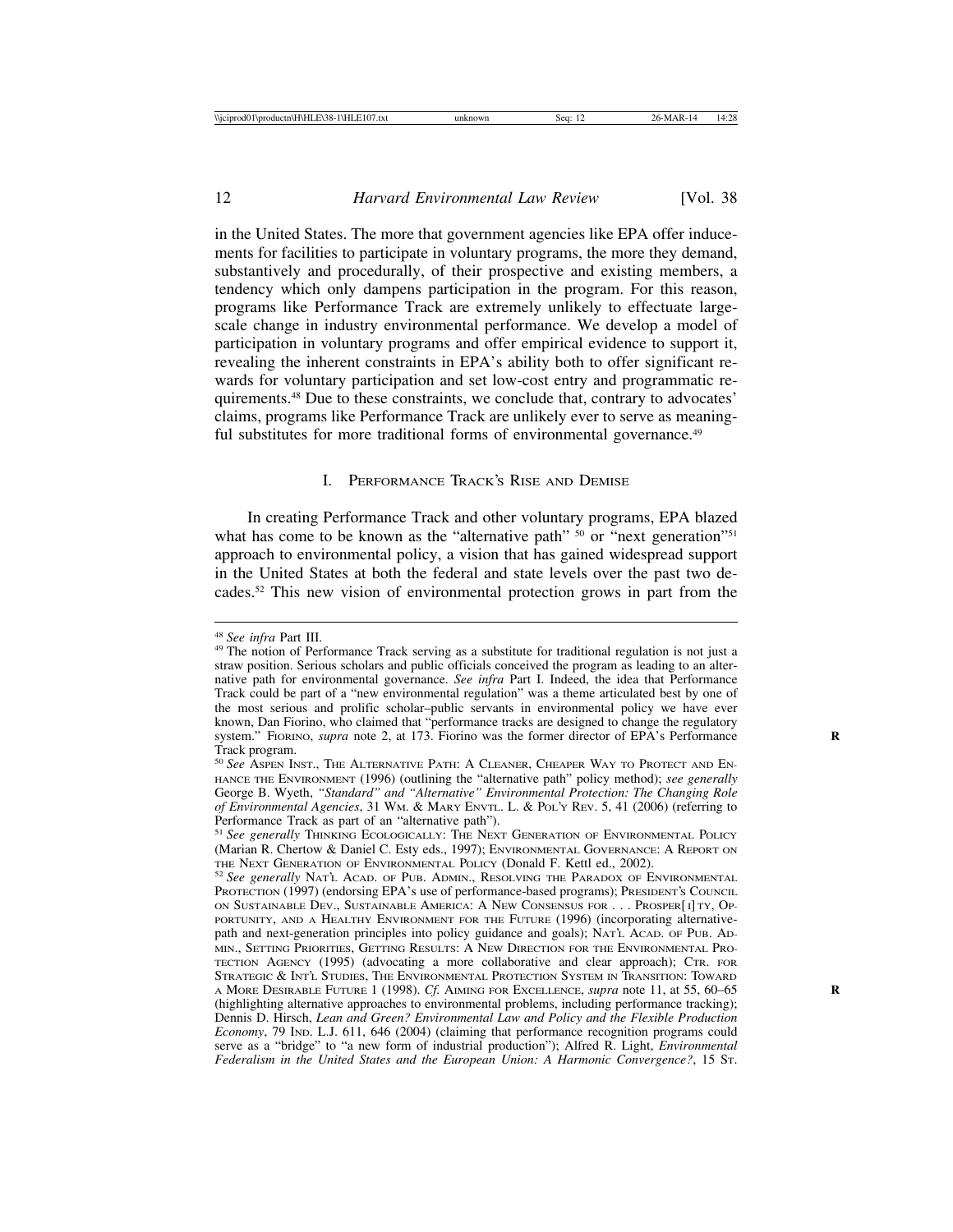in the United States. The more that government agencies like EPA offer inducements for facilities to participate in voluntary programs, the more they demand, substantively and procedurally, of their prospective and existing members, a tendency which only dampens participation in the program. For this reason, programs like Performance Track are extremely unlikely to effectuate largescale change in industry environmental performance. We develop a model of participation in voluntary programs and offer empirical evidence to support it, revealing the inherent constraints in EPA's ability both to offer significant rewards for voluntary participation and set low-cost entry and programmatic requirements.48 Due to these constraints, we conclude that, contrary to advocates' claims, programs like Performance Track are unlikely ever to serve as meaningful substitutes for more traditional forms of environmental governance.<sup>49</sup>

#### I. PERFORMANCE TRACK'S RISE AND DEMISE

In creating Performance Track and other voluntary programs, EPA blazed what has come to be known as the "alternative path" <sup>50</sup> or "next generation"<sup>51</sup> approach to environmental policy, a vision that has gained widespread support in the United States at both the federal and state levels over the past two decades.52 This new vision of environmental protection grows in part from the

<sup>&</sup>lt;sup>48</sup> *See infra* Part III.<br><sup>49</sup> The notion of Performance Track serving as a substitute for traditional regulation is not just a straw position. Serious scholars and public officials conceived the program as leading to an alternative path for environmental governance. *See infra* Part I. Indeed, the idea that Performance Track could be part of a "new environmental regulation" was a theme articulated best by one of the most serious and prolific scholar–public servants in environmental policy we have ever known, Dan Fiorino, who claimed that "performance tracks are designed to change the regulatory system." FIORINO, *supra* note 2, at 173. Fiorino was the former director of EPA's Performance Track program.

<sup>50</sup> *See* ASPEN INST., THE ALTERNATIVE PATH: A CLEANER, CHEAPER WAY TO PROTECT AND EN-HANCE THE ENVIRONMENT (1996) (outlining the "alternative path" policy method); *see generally* George B. Wyeth, *"Standard" and "Alternative" Environmental Protection: The Changing Role of Environmental Agencies*, 31 WM. & MARY ENVTL. L. & POL'Y REV. 5, 41 (2006) (referring to Performance Track as part of an "alternative path").

<sup>51</sup> *See generally* THINKING ECOLOGICALLY: THE NEXT GENERATION OF ENVIRONMENTAL POLICY (Marian R. Chertow & Daniel C. Esty eds., 1997); ENVIRONMENTAL GOVERNANCE: A REPORT ON

<sup>&</sup>lt;sup>52</sup> See generally NAT'L ACAD. OF PUB. ADMIN., RESOLVING THE PARADOX OF ENVIRONMENTAL PROTECTION (1997) (endorsing EPA's use of performance-based programs); PRESIDENT'S COUNCIL ON SUSTAINABLE DEV., SUSTAINABLE AMERICA: A NEW CONSENSUS FOR . . . PROSPER[I] TY, OP-PORTUNITY, AND A HEALTHY ENVIRONMENT FOR THE FUTURE (1996) (incorporating alternativepath and next-generation principles into policy guidance and goals); NAT'L ACAD. OF PUB. AD-MIN., SETTING PRIORITIES, GETTING RESULTS: A NEW DIRECTION FOR THE ENVIRONMENTAL PRO-TECTION AGENCY (1995) (advocating a more collaborative and clear approach); CTR. FOR STRATEGIC & INT'L STUDIES, THE ENVIRONMENTAL PROTECTION SYSTEM IN TRANSITION: TOWARD A MORE DESIRABLE FUTURE 1 (1998). *Cf.* AIMING FOR EXCELLENCE, *supra* note 11, at 55, 60–65 **R** (highlighting alternative approaches to environmental problems, including performance tracking); Dennis D. Hirsch, *Lean and Green? Environmental Law and Policy and the Flexible Production Economy*, 79 IND. L.J. 611, 646 (2004) (claiming that performance recognition programs could serve as a "bridge" to "a new form of industrial production"); Alfred R. Light, *Environmental Federalism in the United States and the European Union: A Harmonic Convergence?*, 15 ST.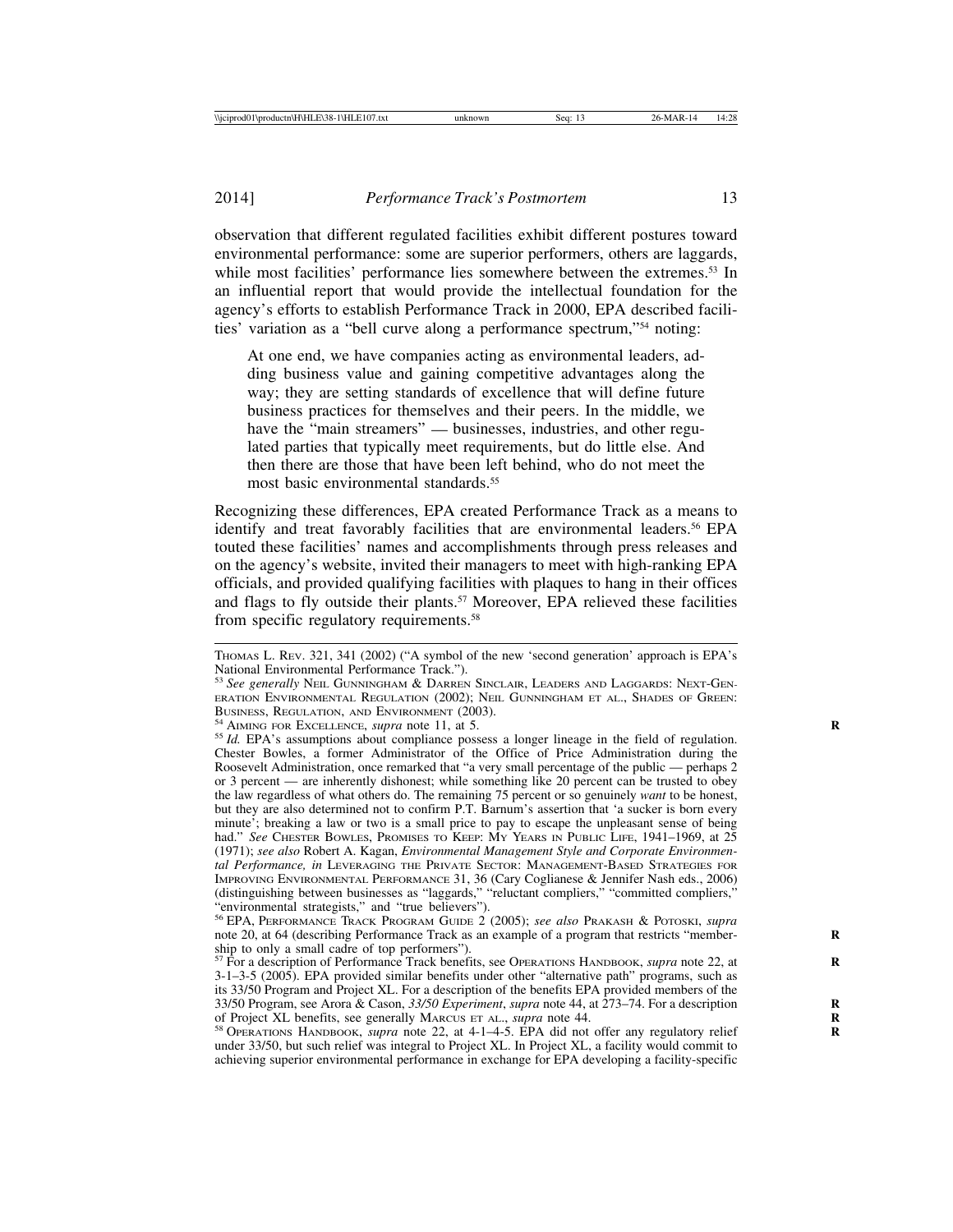observation that different regulated facilities exhibit different postures toward environmental performance: some are superior performers, others are laggards, while most facilities' performance lies somewhere between the extremes.<sup>53</sup> In an influential report that would provide the intellectual foundation for the agency's efforts to establish Performance Track in 2000, EPA described facilities' variation as a "bell curve along a performance spectrum,"54 noting:

At one end, we have companies acting as environmental leaders, adding business value and gaining competitive advantages along the way; they are setting standards of excellence that will define future business practices for themselves and their peers. In the middle, we have the "main streamers" — businesses, industries, and other regulated parties that typically meet requirements, but do little else. And then there are those that have been left behind, who do not meet the most basic environmental standards.<sup>55</sup>

Recognizing these differences, EPA created Performance Track as a means to identify and treat favorably facilities that are environmental leaders.<sup>56</sup> EPA touted these facilities' names and accomplishments through press releases and on the agency's website, invited their managers to meet with high-ranking EPA officials, and provided qualifying facilities with plaques to hang in their offices and flags to fly outside their plants.57 Moreover, EPA relieved these facilities from specific regulatory requirements.<sup>58</sup>

THOMAS L. REV. 321, 341 (2002) ("A symbol of the new 'second generation' approach is EPA's National Environmental Performance Track.").

<sup>53</sup> *See generally* NEIL GUNNINGHAM & DARREN SINCLAIR, LEADERS AND LAGGARDS: NEXT-GEN-ERATION ENVIRONMENTAL REGULATION (2002); NEIL GUNNINGHAM ET AL., SHADES OF GREEN: BUSINESS, REGULATION, AND ENVIRONMENT (2003).

<sup>&</sup>lt;sup>54</sup> AIMING FOR EXCELLENCE, *supra* note 11, at 5.<br><sup>55</sup> *Id.* EPA's assumptions about compliance possess a longer lineage in the field of regulation. Chester Bowles, a former Administrator of the Office of Price Administration during the Roosevelt Administration, once remarked that "a very small percentage of the public — perhaps 2 or 3 percent — are inherently dishonest; while something like 20 percent can be trusted to obey the law regardless of what others do. The remaining 75 percent or so genuinely *want* to be honest, but they are also determined not to confirm P.T. Barnum's assertion that 'a sucker is born every minute'; breaking a law or two is a small price to pay to escape the unpleasant sense of being had." *See* CHESTER BOWLES, PROMISES TO KEEP: MY YEARS IN PUBLIC LIFE, 1941-1969, at 25 (1971); *see also* Robert A. Kagan, *Environmental Management Style and Corporate Environmental Performance, in* LEVERAGING THE PRIVATE SECTOR: MANAGEMENT-BASED STRATEGIES FOR IMPROVING ENVIRONMENTAL PERFORMANCE 31, 36 (Cary Coglianese & Jennifer Nash eds., 2006) (distinguishing between businesses as "laggards," "reluctant compliers," "committed compliers," "environmental strategists," and "true believers").

<sup>56</sup> EPA, PERFORMANCE TRACK PROGRAM GUIDE 2 (2005); *see also* PRAKASH & POTOSKI, *supra* note 20, at 64 (describing Performance Track as an example of a program that restricts "membership to only a small cadre of top performers").

<sup>57</sup> For a description of Performance Track benefits, see OPERATIONS HANDBOOK, *supra* note 22, at **R** 3-1–3-5 (2005). EPA provided similar benefits under other "alternative path" programs, such as its 33/50 Program and Project XL. For a description of the benefits EPA provided members of the 33/50 Program, see Arora & Cason, *33/50 Experiment*, *supra* note 44, at 273–74. For a description **R** of Project XL benefits, see generally MARCUS ET AL., *supra* note 44.<br><sup>58</sup> OPERATIONS HANDBOOK, *supra* note 22, at 4-1–4-5. EPA did not offer any regulatory relief

under 33/50, but such relief was integral to Project XL. In Project XL, a facility would commit to achieving superior environmental performance in exchange for EPA developing a facility-specific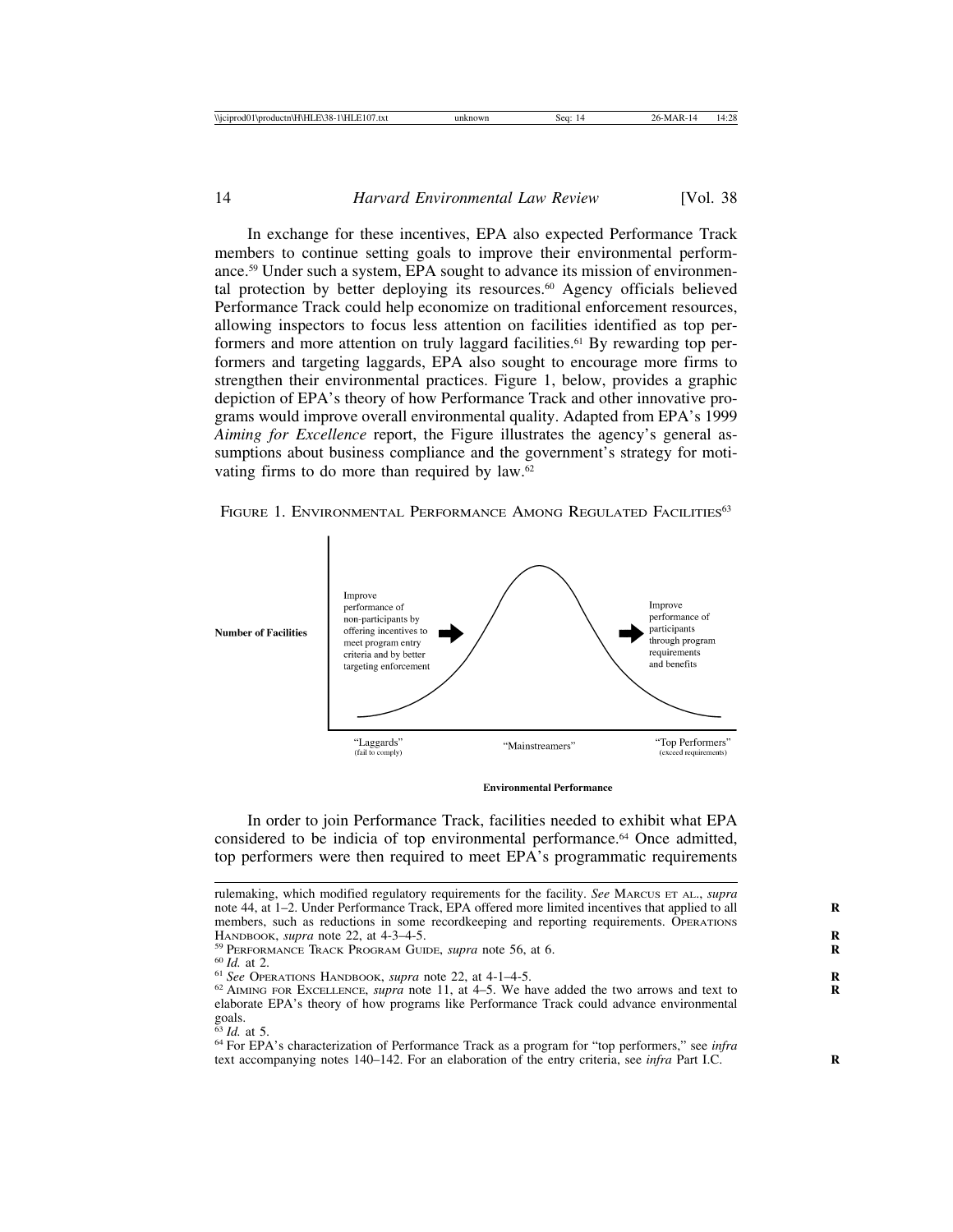In exchange for these incentives, EPA also expected Performance Track members to continue setting goals to improve their environmental performance.59 Under such a system, EPA sought to advance its mission of environmental protection by better deploying its resources.<sup>60</sup> Agency officials believed Performance Track could help economize on traditional enforcement resources, allowing inspectors to focus less attention on facilities identified as top performers and more attention on truly laggard facilities.<sup>61</sup> By rewarding top performers and targeting laggards, EPA also sought to encourage more firms to strengthen their environmental practices. Figure 1, below, provides a graphic depiction of EPA's theory of how Performance Track and other innovative programs would improve overall environmental quality. Adapted from EPA's 1999 *Aiming for Excellence* report, the Figure illustrates the agency's general assumptions about business compliance and the government's strategy for motivating firms to do more than required by law.62

FIGURE 1. ENVIRONMENTAL PERFORMANCE AMONG REGULATED FACILITIES<sup>63</sup>



**Environmental Performance** 

In order to join Performance Track, facilities needed to exhibit what EPA considered to be indicia of top environmental performance.<sup>64</sup> Once admitted, top performers were then required to meet EPA's programmatic requirements

rulemaking, which modified regulatory requirements for the facility. *See* MARCUS ET AL., *supra* note 44, at 1–2. Under Performance Track, EPA offered more limited incentives that applied to all members, such as reductions in some recordkeeping and reporting requirements. OPERATIONS HANDBOOK, *supra* note 22, at  $4-3-4-5$ .

<sup>&</sup>lt;sup>59</sup> PERFORMANCE TRACK PROGRAM GUIDE, *supra* note 56, at 6.<br><sup>60</sup> Id. at 2.<br><sup>61</sup> See Operations Handbook, *supra* note 22, at 4-1–4-5.<br><sup>62</sup> AIMING FOR EXCELLENCE, *supra* note 11, at 4–5. We have added the two arrows and elaborate EPA's theory of how programs like Performance Track could advance environmental goals.<br> $63$  *Id.* at 5.

<sup>&</sup>lt;sup>64</sup> For EPA's characterization of Performance Track as a program for "top performers," see *infra* text accompanying notes 140–142. For an elaboration of the entry criteria, see *infra* Part I.C. **R**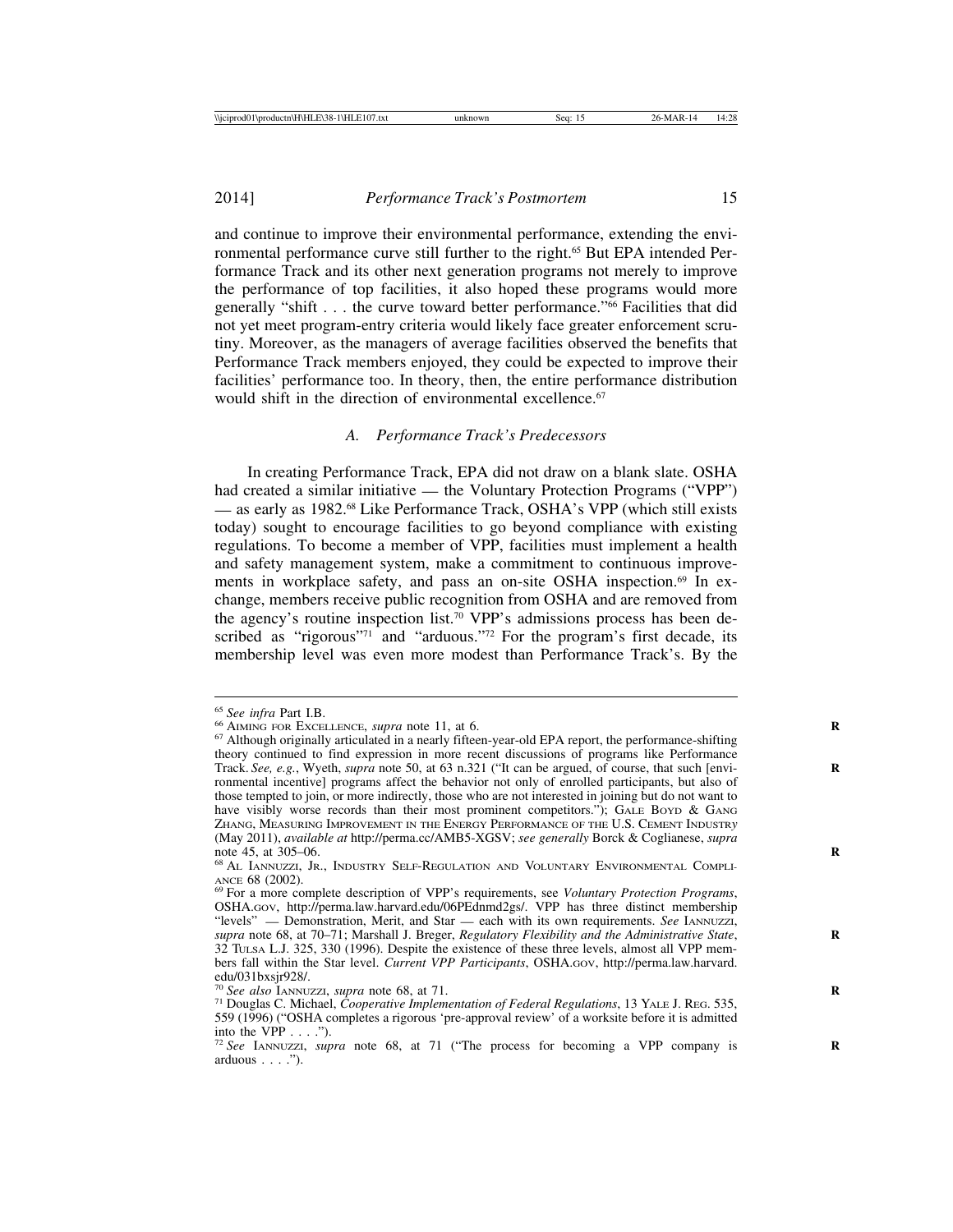2014] *Performance Track's Postmortem* 15

and continue to improve their environmental performance, extending the environmental performance curve still further to the right.<sup>65</sup> But EPA intended Performance Track and its other next generation programs not merely to improve the performance of top facilities, it also hoped these programs would more generally "shift . . . the curve toward better performance."66 Facilities that did not yet meet program-entry criteria would likely face greater enforcement scrutiny. Moreover, as the managers of average facilities observed the benefits that Performance Track members enjoyed, they could be expected to improve their facilities' performance too. In theory, then, the entire performance distribution would shift in the direction of environmental excellence.<sup>67</sup>

#### *A. Performance Track's Predecessors*

In creating Performance Track, EPA did not draw on a blank slate. OSHA had created a similar initiative — the Voluntary Protection Programs ("VPP") — as early as 1982.68 Like Performance Track, OSHA's VPP (which still exists today) sought to encourage facilities to go beyond compliance with existing regulations. To become a member of VPP, facilities must implement a health and safety management system, make a commitment to continuous improvements in workplace safety, and pass an on-site OSHA inspection.<sup>69</sup> In exchange, members receive public recognition from OSHA and are removed from the agency's routine inspection list.<sup>70</sup> VPP's admissions process has been described as "rigorous"<sup>71</sup> and "arduous."<sup>72</sup> For the program's first decade, its membership level was even more modest than Performance Track's. By the

<sup>&</sup>lt;sup>65</sup> See infra Part I.B.<br><sup>66</sup> AIMING FOR EXCELLENCE, *supra* note 11, at 6.<br><sup>67</sup> Although originally articulated in a nearly fifteen-year-old EPA report, the performance-shifting theory continued to find expression in more recent discussions of programs like Performance Track. *See, e.g.*, Wyeth, *supra* note 50, at 63 n.321 ("It can be argued, of course, that such [envi- **R** ronmental incentive] programs affect the behavior not only of enrolled participants, but also of those tempted to join, or more indirectly, those who are not interested in joining but do not want to have visibly worse records than their most prominent competitors."); GALE BOYD & GANG ZHANG, MEASURING IMPROVEMENT IN THE ENERGY PERFORMANCE OF THE U.S. CEMENT INDUSTR*y* (May 2011), *available at* http://perma.cc/AMB5-XGSV; *see generally* Borck & Coglianese, *supra*

<sup>&</sup>lt;sup>68</sup> AL IANNUZZI, JR., INDUSTRY SELF-REGULATION AND VOLUNTARY ENVIRONMENTAL COMPLI-ANCE 68 (2002).<br><sup>69</sup> For a more complete description of VPP's requirements, see *Voluntary Protection Programs*,

OSHA.GOV, http://perma.law.harvard.edu/06PEdnmd2gs/. VPP has three distinct membership "levels" — Demonstration, Merit, and Star — each with its own requirements. *See* IANNUZZI, *supra* note 68, at 70–71; Marshall J. Breger, *Regulatory Flexibility and the Administrative State*, **R** 32 TULSA L.J. 325, 330 (1996). Despite the existence of these three levels, almost all VPP members fall within the Star level. *Current VPP Participants*, OSHA.GOV, http://perma.law.harvard. edu/031bxsjr928/.<br><sup>70</sup> See also IANNUZZI, supra note 68, at 71.

<sup>&</sup>lt;sup>71</sup> Douglas C. Michael, *Cooperative Implementation of Federal Regulations*, 13 YALE J. REG. 535, 559 (1996) ("OSHA completes a rigorous 'pre-approval review' of a worksite before it is admitted

into the VPP . . . .").<br><sup>72</sup> *See* IANNUZZI, *supra* note 68, at 71 ("The process for becoming a VPP company is arduous . . . .").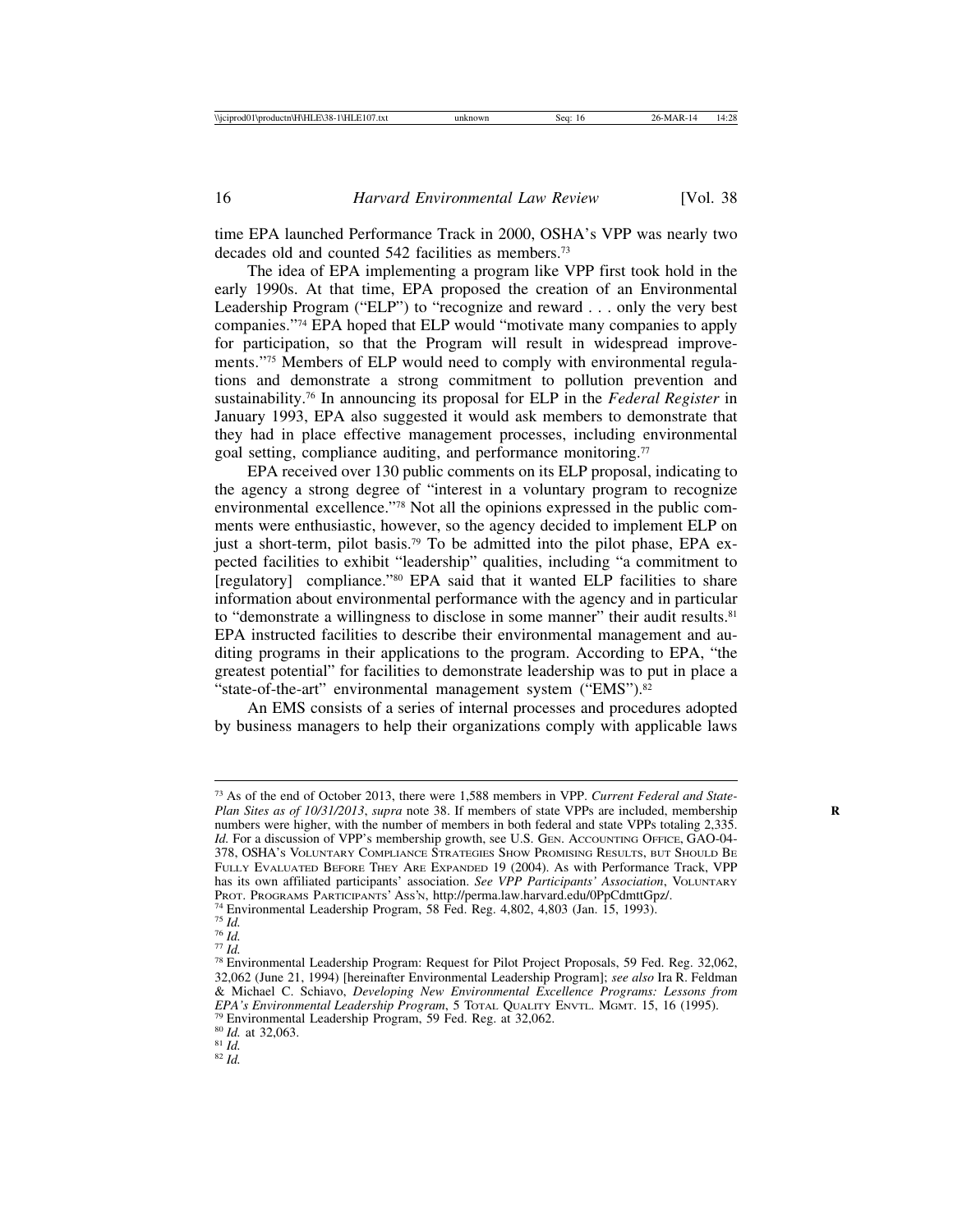time EPA launched Performance Track in 2000, OSHA's VPP was nearly two decades old and counted 542 facilities as members.73

The idea of EPA implementing a program like VPP first took hold in the early 1990s. At that time, EPA proposed the creation of an Environmental Leadership Program ("ELP") to "recognize and reward . . . only the very best companies."74 EPA hoped that ELP would "motivate many companies to apply for participation, so that the Program will result in widespread improvements."75 Members of ELP would need to comply with environmental regulations and demonstrate a strong commitment to pollution prevention and sustainability.76 In announcing its proposal for ELP in the *Federal Register* in January 1993, EPA also suggested it would ask members to demonstrate that they had in place effective management processes, including environmental goal setting, compliance auditing, and performance monitoring.<sup>77</sup>

EPA received over 130 public comments on its ELP proposal, indicating to the agency a strong degree of "interest in a voluntary program to recognize environmental excellence."78 Not all the opinions expressed in the public comments were enthusiastic, however, so the agency decided to implement ELP on just a short-term, pilot basis.79 To be admitted into the pilot phase, EPA expected facilities to exhibit "leadership" qualities, including "a commitment to [regulatory] compliance."<sup>80</sup> EPA said that it wanted ELP facilities to share information about environmental performance with the agency and in particular to "demonstrate a willingness to disclose in some manner" their audit results.<sup>81</sup> EPA instructed facilities to describe their environmental management and auditing programs in their applications to the program. According to EPA, "the greatest potential" for facilities to demonstrate leadership was to put in place a "state-of-the-art" environmental management system ("EMS").<sup>82</sup>

An EMS consists of a series of internal processes and procedures adopted by business managers to help their organizations comply with applicable laws

<sup>73</sup> As of the end of October 2013, there were 1,588 members in VPP. *Current Federal and State-Plan Sites as of 10/31/2013*, *supra* note 38. If members of state VPPs are included, membership **R** numbers were higher, with the number of members in both federal and state VPPs totaling 2,335. Id. For a discussion of VPP's membership growth, see U.S. GEN. ACCOUNTING OFFICE, GAO-04-378, OSHA'S VOLUNTARY COMPLIANCE STRATEGIES SHOW PROMISING RESULTS, BUT SHOULD BE FULLY EVALUATED BEFORE THEY ARE EXPANDED 19 (2004). As with Performance Track, VPP has its own affiliated participants' association. *See VPP Participants' Association*, VOLUNTARY PROT. PROGRAMS PARTICIPANTS' Ass'N, http://perma.law.harvard.edu/0PpCdmttGpz/.

<sup>&</sup>lt;sup>74</sup> Environmental Leadership Program, 58 Fed. Reg. 4,802, 4,803 (Jan. 15, 1993).<br><sup>75</sup> Id.<br><sup>76</sup> Id.<br><sup>77</sup> Id.<br><sup>77</sup> Id.

<sup>32,062 (</sup>June 21, 1994) [hereinafter Environmental Leadership Program]; *see also* Ira R. Feldman & Michael C. Schiavo, *Developing New Environmental Excellence Programs: Lessons from EPA's Environmental Leadership Program*, 5 Total Quality Environmental 1, 15, 16 (1995).<br><sup>79</sup> Environmental Leadership Program, 59 Fed. Reg. at 32,062.<br><sup>80</sup> *Id.* at 32,063. 81 *Id.* 82 *Id*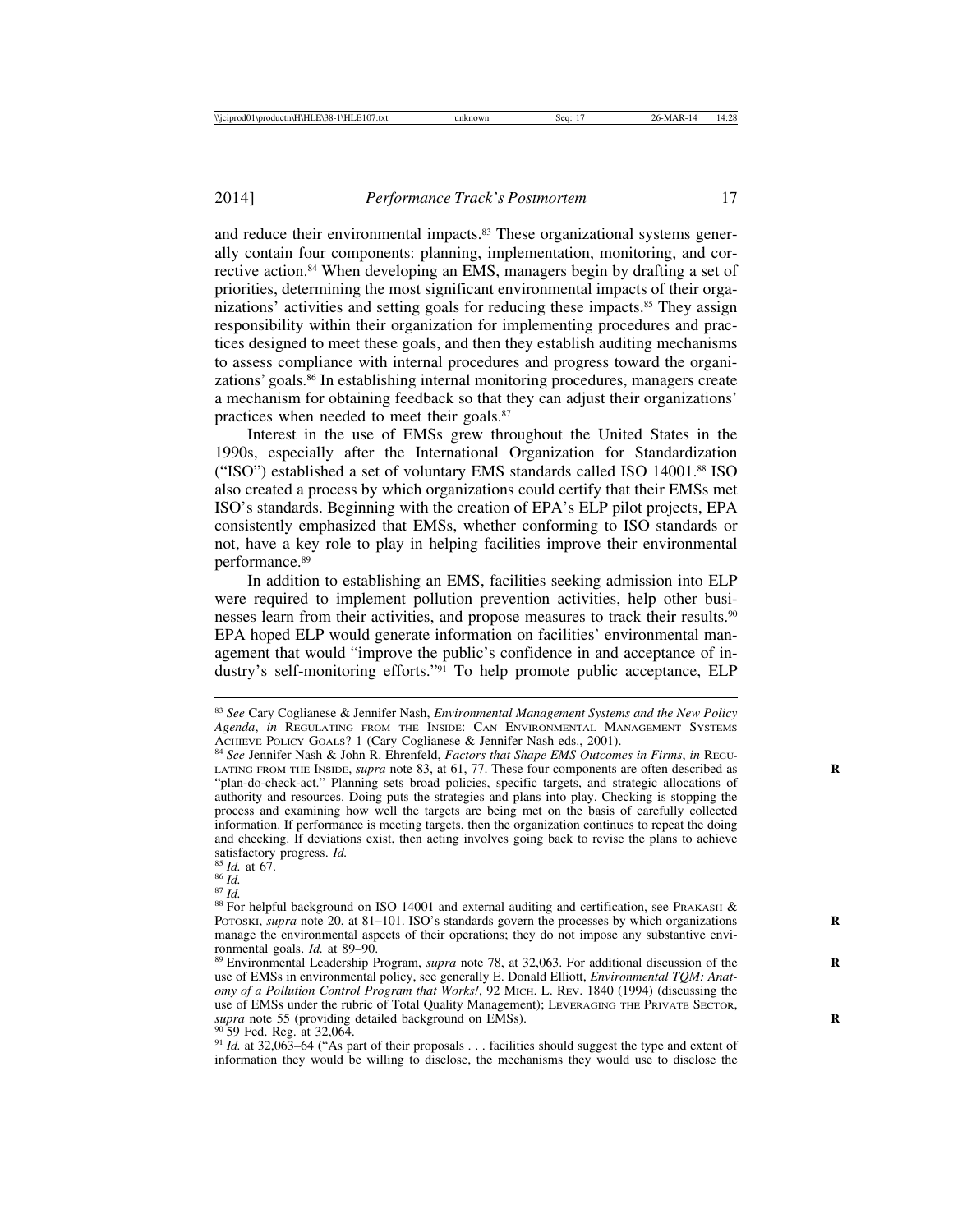and reduce their environmental impacts.<sup>83</sup> These organizational systems generally contain four components: planning, implementation, monitoring, and corrective action.<sup>84</sup> When developing an EMS, managers begin by drafting a set of priorities, determining the most significant environmental impacts of their organizations' activities and setting goals for reducing these impacts.<sup>85</sup> They assign responsibility within their organization for implementing procedures and practices designed to meet these goals, and then they establish auditing mechanisms to assess compliance with internal procedures and progress toward the organizations' goals.<sup>86</sup> In establishing internal monitoring procedures, managers create a mechanism for obtaining feedback so that they can adjust their organizations' practices when needed to meet their goals.<sup>87</sup>

Interest in the use of EMSs grew throughout the United States in the 1990s, especially after the International Organization for Standardization ("ISO") established a set of voluntary EMS standards called ISO 14001.88 ISO also created a process by which organizations could certify that their EMSs met ISO's standards. Beginning with the creation of EPA's ELP pilot projects, EPA consistently emphasized that EMSs, whether conforming to ISO standards or not, have a key role to play in helping facilities improve their environmental performance.89

In addition to establishing an EMS, facilities seeking admission into ELP were required to implement pollution prevention activities, help other businesses learn from their activities, and propose measures to track their results.90 EPA hoped ELP would generate information on facilities' environmental management that would "improve the public's confidence in and acceptance of industry's self-monitoring efforts."<sup>91</sup> To help promote public acceptance, ELP

<sup>90</sup> 59 Fed. Reg. at 32,064.<br><sup>91</sup> *Id.* at 32,063–64 ("As part of their proposals . . . facilities should suggest the type and extent of information they would be willing to disclose, the mechanisms they would use to disclose the

<sup>83</sup> *See* Cary Coglianese & Jennifer Nash, *Environmental Management Systems and the New Policy Agenda*, *in* REGULATING FROM THE INSIDE: CAN ENVIRONMENTAL MANAGEMENT SYSTEMS ACHIEVE POLICY GOALS? 1 (Cary Coglianese & Jennifer Nash eds., 2001). <sup>84</sup> *See* Jennifer Nash & John R. Ehrenfeld, *Factors that Shape EMS Outcomes in Firms*, *in* REGU-

LATING FROM THE INSIDE, *supra* note 83, at 61, 77. These four components are often described as "plan-do-check-act." Planning sets broad policies, specific targets, and strategic allocations of authority and resources. Doing puts the strategies and plans into play. Checking is stopping the process and examining how well the targets are being met on the basis of carefully collected information. If performance is meeting targets, then the organization continues to repeat the doing and checking. If deviations exist, then acting involves going back to revise the plans to achieve satisfactory progress.  $Id$ .

<sup>&</sup>lt;sup>85</sup> *Id.* at 67. <sup>85</sup> *Id.*<br><sup>86</sup> *Id.* 87 *Id.* 87 *Id.* 88 For helpful background on ISO 14001 and external auditing and certification, see PRAKASH & POTOSKI, *supra* note 20, at 81–101. ISO's standards govern the processes by which organizations manage the environmental aspects of their operations; they do not impose any substantive environmental goals.  $Id$  at 89-90.

<sup>&</sup>lt;sup>89</sup> Environmental Leadership Program, *supra* note 78, at 32,063. For additional discussion of the use of EMSs in environmental policy, see generally E. Donald Elliott, *Environmental TQM: Anatomy of a Pollution Control Program that Works!*, 92 MICH. L. REV. 1840 (1994) (discussing the use of EMSs under the rubric of Total Quality Management); LEVERAGING THE PRIVATE SECTOR, *supra* note 55 (providing detailed background on EMSs).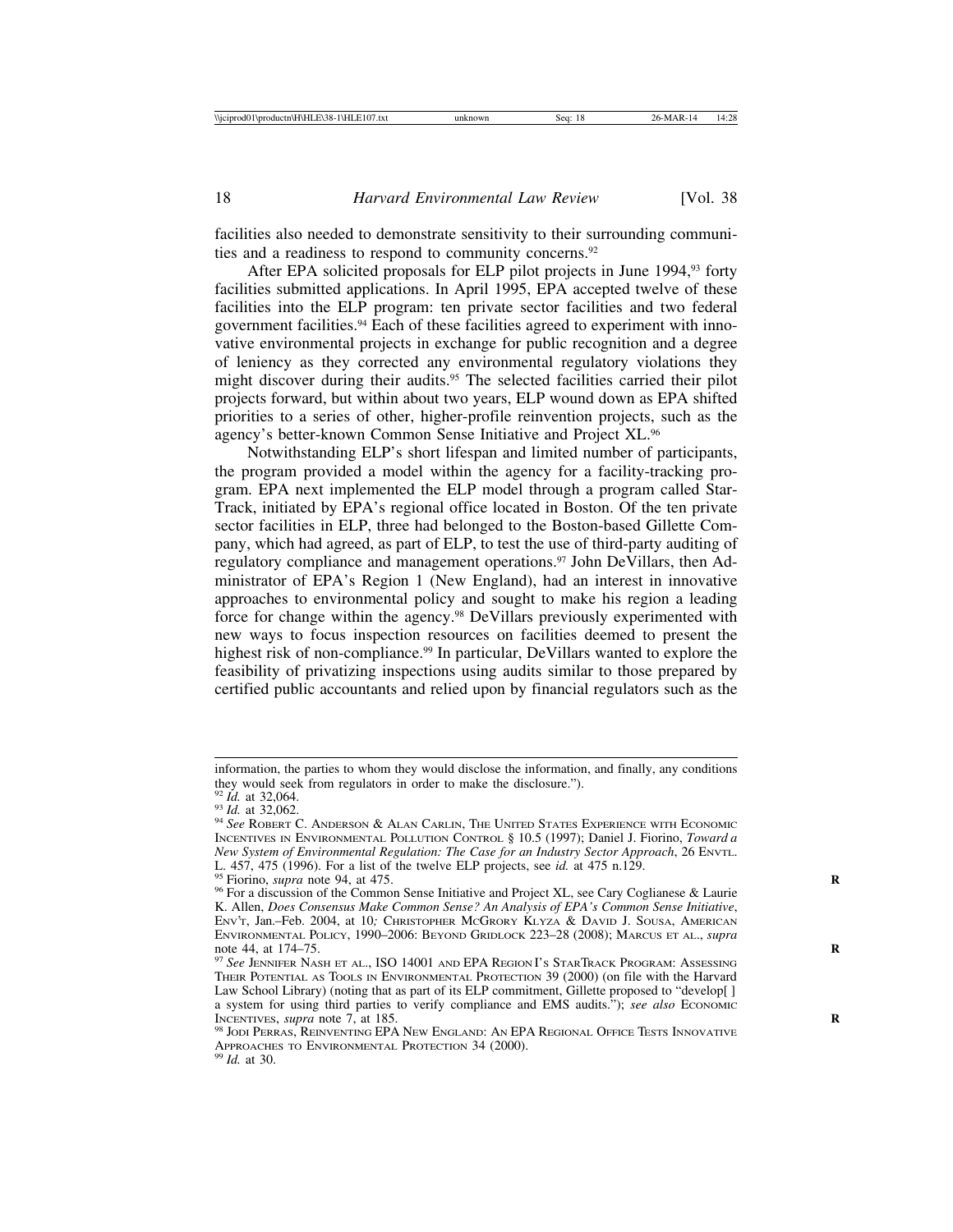facilities also needed to demonstrate sensitivity to their surrounding communities and a readiness to respond to community concerns.<sup>92</sup>

After EPA solicited proposals for ELP pilot projects in June 1994,93 forty facilities submitted applications. In April 1995, EPA accepted twelve of these facilities into the ELP program: ten private sector facilities and two federal government facilities.94 Each of these facilities agreed to experiment with innovative environmental projects in exchange for public recognition and a degree of leniency as they corrected any environmental regulatory violations they might discover during their audits.<sup>95</sup> The selected facilities carried their pilot projects forward, but within about two years, ELP wound down as EPA shifted priorities to a series of other, higher-profile reinvention projects, such as the agency's better-known Common Sense Initiative and Project XL.96

Notwithstanding ELP's short lifespan and limited number of participants, the program provided a model within the agency for a facility-tracking program. EPA next implemented the ELP model through a program called Star-Track, initiated by EPA's regional office located in Boston. Of the ten private sector facilities in ELP, three had belonged to the Boston-based Gillette Company, which had agreed, as part of ELP, to test the use of third-party auditing of regulatory compliance and management operations.<sup>97</sup> John DeVillars, then Administrator of EPA's Region 1 (New England), had an interest in innovative approaches to environmental policy and sought to make his region a leading force for change within the agency.98 DeVillars previously experimented with new ways to focus inspection resources on facilities deemed to present the highest risk of non-compliance.<sup>99</sup> In particular, DeVillars wanted to explore the feasibility of privatizing inspections using audits similar to those prepared by certified public accountants and relied upon by financial regulators such as the

information, the parties to whom they would disclose the information, and finally, any conditions they would seek from regulators in order to make the disclosure.").  $\frac{92 \text{ Id. at } 32,064.}{$ 

<sup>92</sup> *Id.* at 32,064. <sup>93</sup> *Id.* at 32,062. <sup>94</sup> *See* ROBERT C. ANDERSON & ALAN CARLIN, THE UNITED STATES EXPERIENCE WITH ECONOMIC INCENTIVES IN ENVIRONMENTAL POLLUTION CONTROL § 10.5 (1997); Daniel J. Fiorino, *Toward a New System of Environmental Regulation: The Case for an Industry Sector Approach*, 26 ENVTL. L. 457, 475 (1996). For a list of the twelve ELP projects, see *id.* at 475 n.129.

<sup>&</sup>lt;sup>95</sup> Fiorino, *supra* note 94, at 475.<br><sup>96</sup> For a discussion of the Common Sense Initiative and Project XL, see Cary Coglianese & Laurie K. Allen, *Does Consensus Make Common Sense? An Analysis of EPA's Common Sense Initiative*, ENV'T, Jan.–Feb. 2004, at 10*;* CHRISTOPHER MCGRORY KLYZA & DAVID J. SOUSA, AMERICAN ENVIRONMENTAL POLICY, 1990–2006: BEYOND GRIDLOCK 223–28 (2008); MARCUS ET AL., *supra*

<sup>&</sup>lt;sup>97</sup> See JENNIFER NASH ET AL., ISO 14001 AND EPA REGION I's STARTRACK PROGRAM: Assessing THEIR POTENTIAL AS TOOLS IN ENVIRONMENTAL PROTECTION 39 (2000) (on file with the Harvard Law School Library) (noting that as part of its ELP commitment, Gillette proposed to "develop[ ] a system for using third parties to verify compliance and EMS audits."); *see also* ECONOMIC INCENTIVES, *supra* note 7, at 185.

<sup>&</sup>lt;sup>98</sup> JODI PERRAS, REINVENTING EPA NEW ENGLAND: AN EPA REGIONAL OFFICE TESTS INNOVATIVE APPROACHES TO ENVIRONMENTAL PROTECTION 34 (2000). <sup>99</sup> *Id.* at 30.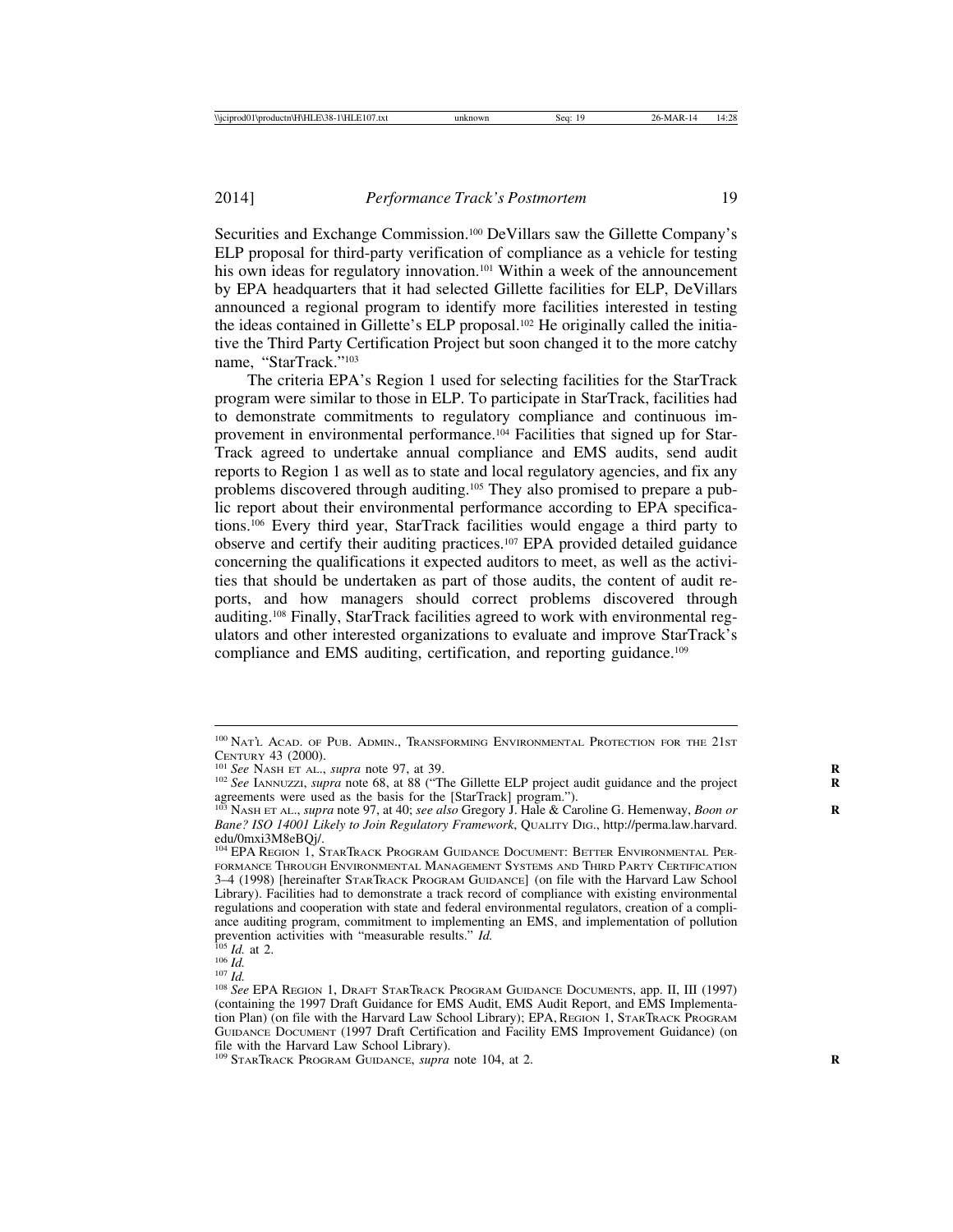Securities and Exchange Commission.100 DeVillars saw the Gillette Company's ELP proposal for third-party verification of compliance as a vehicle for testing his own ideas for regulatory innovation.<sup>101</sup> Within a week of the announcement by EPA headquarters that it had selected Gillette facilities for ELP, DeVillars announced a regional program to identify more facilities interested in testing the ideas contained in Gillette's ELP proposal.102 He originally called the initiative the Third Party Certification Project but soon changed it to the more catchy name, "StarTrack."103

The criteria EPA's Region 1 used for selecting facilities for the StarTrack program were similar to those in ELP. To participate in StarTrack, facilities had to demonstrate commitments to regulatory compliance and continuous improvement in environmental performance.<sup>104</sup> Facilities that signed up for Star-Track agreed to undertake annual compliance and EMS audits, send audit reports to Region 1 as well as to state and local regulatory agencies, and fix any problems discovered through auditing.105 They also promised to prepare a public report about their environmental performance according to EPA specifications.106 Every third year, StarTrack facilities would engage a third party to observe and certify their auditing practices.107 EPA provided detailed guidance concerning the qualifications it expected auditors to meet, as well as the activities that should be undertaken as part of those audits, the content of audit reports, and how managers should correct problems discovered through auditing.108 Finally, StarTrack facilities agreed to work with environmental regulators and other interested organizations to evaluate and improve StarTrack's compliance and EMS auditing, certification, and reporting guidance.109

<sup>100</sup> NAT'L ACAD. OF PUB. ADMIN., TRANSFORMING ENVIRONMENTAL PROTECTION FOR THE 21ST CENTURY 43 (2000).<br><sup>101</sup> *See* NASH ET AL., *supra* note 97, at 39. **Gillette ELP** project audit guidance and the project **R** 102 *See* IANNUZZI, *supra* note 68, at 88 ("The Gillette ELP project audit guidance and the pro

agreements were used as the basis for the [StarTrack] program.").

<sup>&</sup>lt;sup>103</sup> NASH ET AL., *supra* note 97, at 40; *see also* Gregory J. Hale & Caroline G. Hemenway, *Boon or Bane? ISO 14001 Likely to Join Regulatory Framework*, QUALITY DIG., http://perma.law.harvard. edu/0mxi3M8eBQj/.

<sup>104</sup> EPA REGION 1, STARTRACK PROGRAM GUIDANCE DOCUMENT: BETTER ENVIRONMENTAL PER-FORMANCE THROUGH ENVIRONMENTAL MANAGEMENT SYSTEMS AND THIRD PARTY CERTIFICATION 3–4 (1998) [hereinafter STARTRACK PROGRAM GUIDANCE] (on file with the Harvard Law School Library). Facilities had to demonstrate a track record of compliance with existing environmental regulations and cooperation with state and federal environmental regulators, creation of a compliance auditing program, commitment to implementing an EMS, and implementation of pollution prevention activities with "measurable results."  $Id$ .

<sup>&</sup>lt;sup>105</sup> *Id.* at 2.<br><sup>105</sup> *Id.*<br><sup>107</sup> *Id.* 2006 *Id.* 2. 107 *Id.* 2. DRAFT STARTRACK PROGRAM GUIDANCE DOCUMENTS, app. II, III (1997) (containing the 1997 Draft Guidance for EMS Audit, EMS Audit Report, and EMS Implementation Plan) (on file with the Harvard Law School Library); EPA, REGION 1, STARTRACK PROGRAM GUIDANCE DOCUMENT (1997 Draft Certification and Facility EMS Improvement Guidance) (on file with the Harvard Law School Library).

<sup>&</sup>lt;sup>109</sup> STARTRACK PROGRAM GUIDANCE, *supra* note 104, at 2.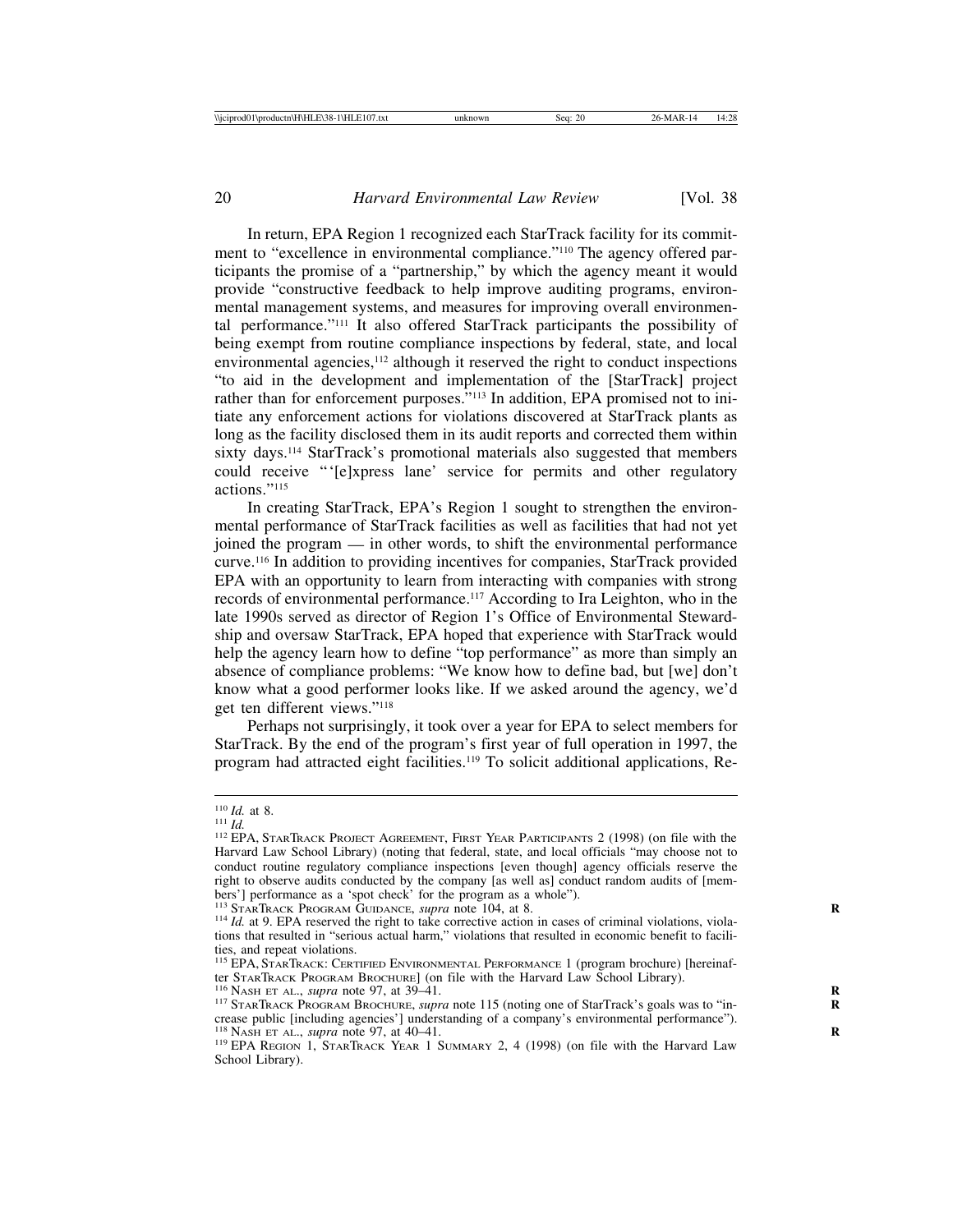In return, EPA Region 1 recognized each StarTrack facility for its commitment to "excellence in environmental compliance."110 The agency offered participants the promise of a "partnership," by which the agency meant it would provide "constructive feedback to help improve auditing programs, environmental management systems, and measures for improving overall environmental performance."111 It also offered StarTrack participants the possibility of being exempt from routine compliance inspections by federal, state, and local environmental agencies,<sup>112</sup> although it reserved the right to conduct inspections "to aid in the development and implementation of the [StarTrack] project rather than for enforcement purposes."<sup>113</sup> In addition, EPA promised not to initiate any enforcement actions for violations discovered at StarTrack plants as long as the facility disclosed them in its audit reports and corrected them within sixty days.114 StarTrack's promotional materials also suggested that members could receive "'[e]xpress lane' service for permits and other regulatory actions<sup>"115</sup>

In creating StarTrack, EPA's Region 1 sought to strengthen the environmental performance of StarTrack facilities as well as facilities that had not yet joined the program — in other words, to shift the environmental performance curve.116 In addition to providing incentives for companies, StarTrack provided EPA with an opportunity to learn from interacting with companies with strong records of environmental performance.117 According to Ira Leighton, who in the late 1990s served as director of Region 1's Office of Environmental Stewardship and oversaw StarTrack, EPA hoped that experience with StarTrack would help the agency learn how to define "top performance" as more than simply an absence of compliance problems: "We know how to define bad, but [we] don't know what a good performer looks like. If we asked around the agency, we'd get ten different views."118

Perhaps not surprisingly, it took over a year for EPA to select members for StarTrack. By the end of the program's first year of full operation in 1997, the program had attracted eight facilities.119 To solicit additional applications, Re-

<sup>&</sup>lt;sup>110</sup> *Id.* at 8.<br><sup>111</sup> *Id.*<br><sup>112</sup> EPA, StarTrack Project Agreement, First Year Participants 2 (1998) (on file with the Harvard Law School Library) (noting that federal, state, and local officials "may choose not to conduct routine regulatory compliance inspections [even though] agency officials reserve the right to observe audits conducted by the company [as well as] conduct random audits of [members'] performance as a 'spot check' for the program as a whole").<br><sup>113</sup> STARTRACK PROGRAM GUIDANCE, *supra* note 104, at 8.

 $114$  *Id.* at 9. EPA reserved the right to take corrective action in cases of criminal violations, violations that resulted in "serious actual harm," violations that resulted in economic benefit to facilities, and repeat violations.

<sup>&</sup>lt;sup>115</sup> EPA, STARTRACK: CERTIFIED ENVIRONMENTAL PERFORMANCE 1 (program brochure) [hereinafter StarTrack Program Brochure] (on file with the Harvard Law School Library).

<sup>116</sup> NASH ET AL., supra note 97, at 39–41.<br><sup>116</sup> NASH ET AL., supra note 97, at 39–41.<br><sup>117</sup> STARTRACK PROGRAM BROCHURE, *supra* note 115 (noting one of StarTrack's goals was to "increase public [including agencies'] understanding of a company's environmental performance").<br><sup>118</sup> NASH ET AL., *supra* note 97, at 40–41.

<sup>&</sup>lt;sup>119</sup> EPA REGION 1, STARTRACK YEAR 1 SUMMARY 2, 4 (1998) (on file with the Harvard Law School Library).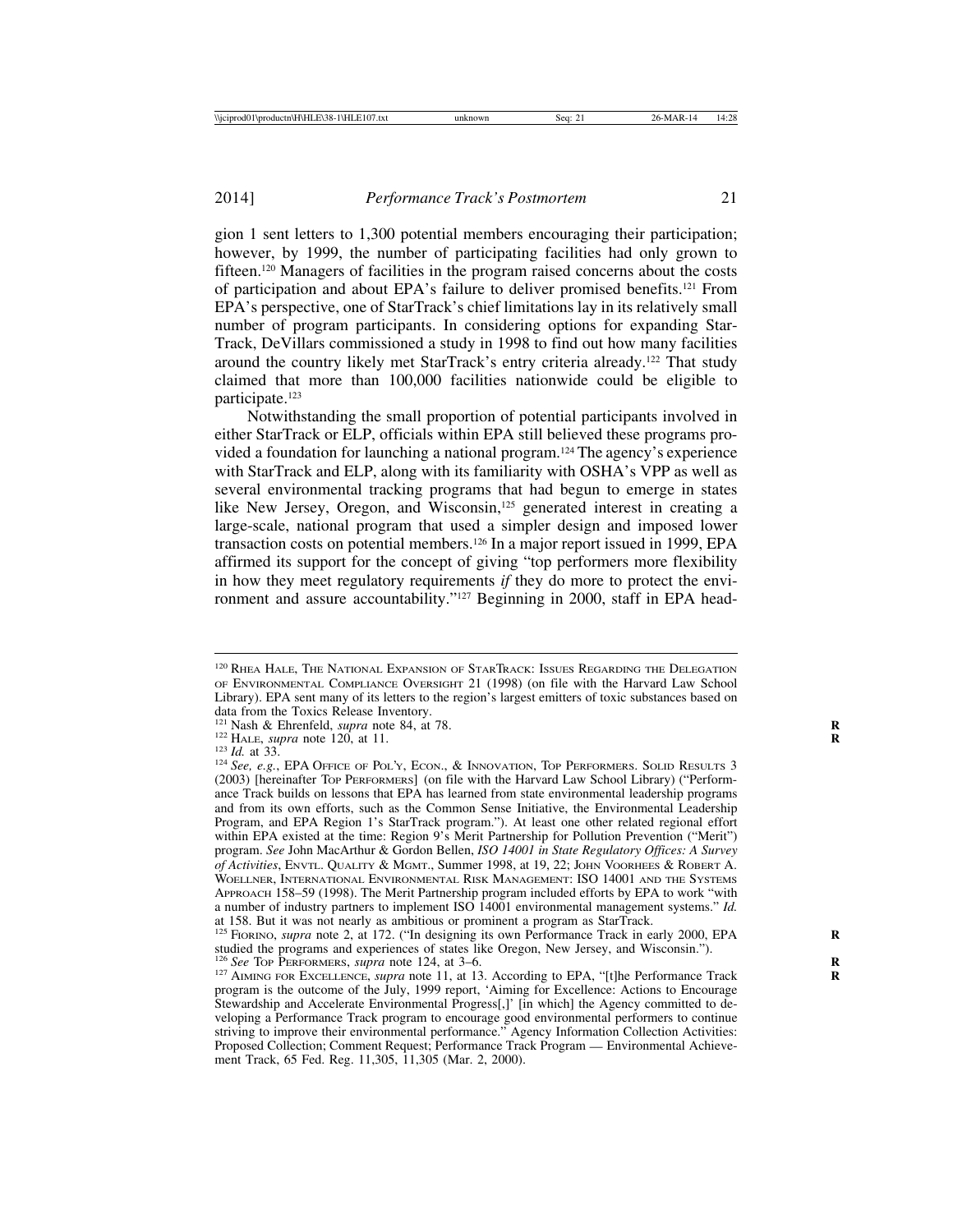gion 1 sent letters to 1,300 potential members encouraging their participation; however, by 1999, the number of participating facilities had only grown to fifteen.120 Managers of facilities in the program raised concerns about the costs of participation and about EPA's failure to deliver promised benefits.121 From EPA's perspective, one of StarTrack's chief limitations lay in its relatively small number of program participants. In considering options for expanding Star-Track, DeVillars commissioned a study in 1998 to find out how many facilities around the country likely met StarTrack's entry criteria already.122 That study claimed that more than 100,000 facilities nationwide could be eligible to participate.123

Notwithstanding the small proportion of potential participants involved in either StarTrack or ELP, officials within EPA still believed these programs provided a foundation for launching a national program.124 The agency's experience with StarTrack and ELP, along with its familiarity with OSHA's VPP as well as several environmental tracking programs that had begun to emerge in states like New Jersey, Oregon, and Wisconsin,<sup>125</sup> generated interest in creating a large-scale, national program that used a simpler design and imposed lower transaction costs on potential members.126 In a major report issued in 1999, EPA affirmed its support for the concept of giving "top performers more flexibility in how they meet regulatory requirements *if* they do more to protect the environment and assure accountability."127 Beginning in 2000, staff in EPA head-

<sup>120</sup> RHEA HALE, THE NATIONAL EXPANSION OF STARTRACK: ISSUES REGARDING THE DELEGATION OF ENVIRONMENTAL COMPLIANCE OVERSIGHT 21 (1998) (on file with the Harvard Law School Library). EPA sent many of its letters to the region's largest emitters of toxic substances based on

data from the Toxics Release Inventory.<br><sup>121</sup> Nash & Ehrenfeld, *supra* note 84, at 78.

<sup>&</sup>lt;sup>122</sup> HALE, *supra* note 120, at 11.<br><sup>123</sup> Id. at 33.<br><sup>124</sup> See, e.g., EPA OFFICE OF POL'Y, ECON., & INNOVATION, TOP PERFORMERS. SOLID RESULTS 3 (2003) [hereinafter TOP PERFORMERS] (on file with the Harvard Law School Library) ("Performance Track builds on lessons that EPA has learned from state environmental leadership programs and from its own efforts, such as the Common Sense Initiative, the Environmental Leadership Program, and EPA Region 1's StarTrack program."). At least one other related regional effort within EPA existed at the time: Region 9's Merit Partnership for Pollution Prevention ("Merit") program. *See* John MacArthur & Gordon Bellen, *ISO 14001 in State Regulatory Offices: A Survey of Activities*, ENVTL. QUALITY & MGMT., Summer 1998, at 19, 22; JOHN VOORHEES & ROBERT A. WOELLNER, INTERNATIONAL ENVIRONMENTAL RISK MANAGEMENT: ISO 14001 AND THE SYSTEMS APPROACH 158–59 (1998). The Merit Partnership program included efforts by EPA to work "with a number of industry partners to implement ISO 14001 environmental management systems." *Id.* at 158. But it was not nearly as ambitious or prominent a program as StarTrack.

<sup>&</sup>lt;sup>125</sup> FIORINO, *supra* note 2, at 172. ("In designing its own Performance Track in early 2000, EPA studied the programs and experiences of states like Oregon, New Jersey, and Wisconsin."). <sup>126</sup> See Top PERFORMERS, *supra* note 124, at 3–6.

<sup>&</sup>lt;sup>127</sup> AIMING FOR EXCELLENCE, *supra* note 11, at 13. According to EPA, "[t]he Performance Track program is the outcome of the July, 1999 report, 'Aiming for Excellence: Actions to Encourage Stewardship and Accelerate Environmental Progress[,]' [in which] the Agency committed to developing a Performance Track program to encourage good environmental performers to continue striving to improve their environmental performance." Agency Information Collection Activities: Proposed Collection; Comment Request; Performance Track Program — Environmental Achievement Track, 65 Fed. Reg. 11,305, 11,305 (Mar. 2, 2000).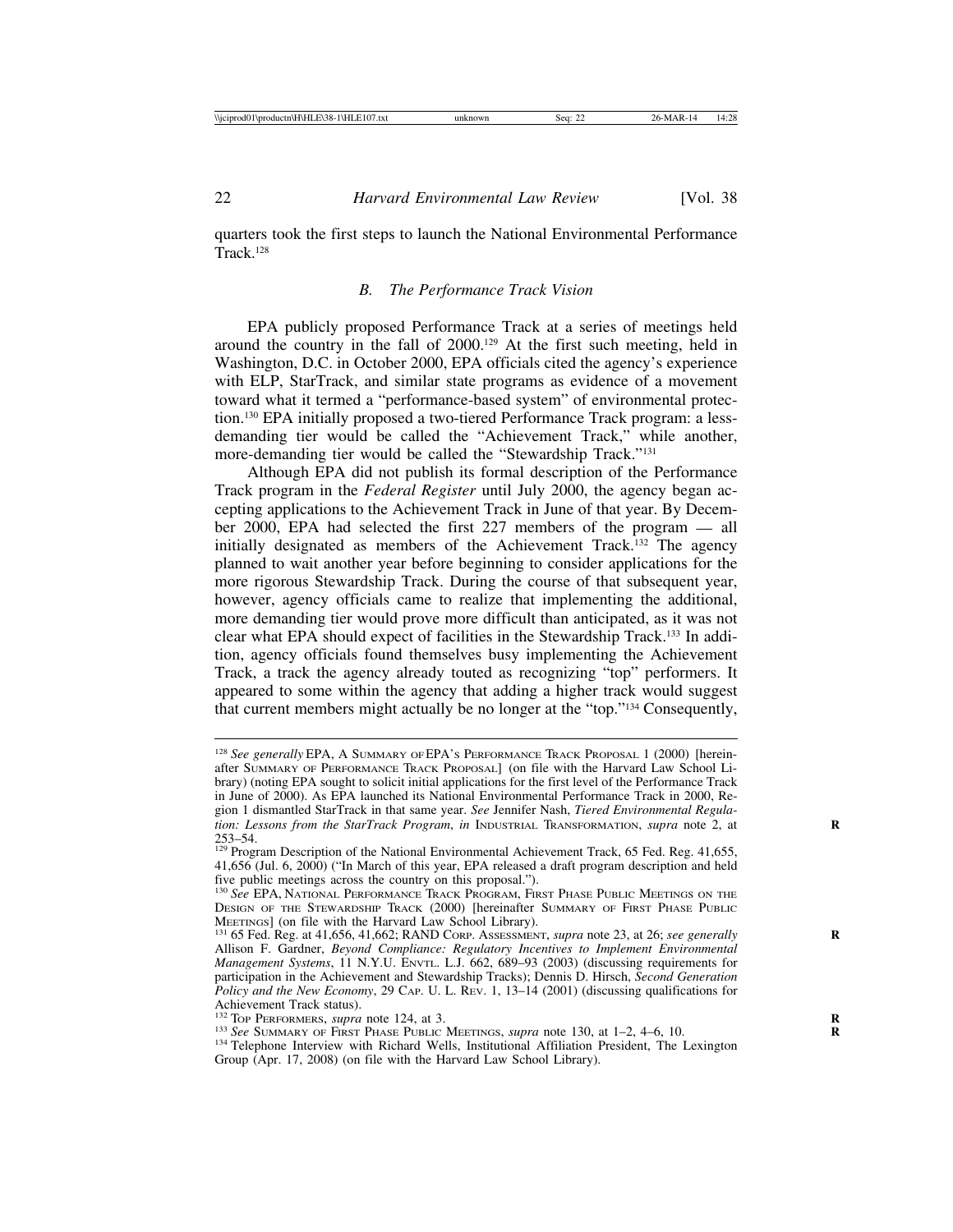quarters took the first steps to launch the National Environmental Performance Track.128

#### *B. The Performance Track Vision*

EPA publicly proposed Performance Track at a series of meetings held around the country in the fall of 2000.129 At the first such meeting, held in Washington, D.C. in October 2000, EPA officials cited the agency's experience with ELP, StarTrack, and similar state programs as evidence of a movement toward what it termed a "performance-based system" of environmental protection.130 EPA initially proposed a two-tiered Performance Track program: a lessdemanding tier would be called the "Achievement Track," while another, more-demanding tier would be called the "Stewardship Track."131

Although EPA did not publish its formal description of the Performance Track program in the *Federal Register* until July 2000, the agency began accepting applications to the Achievement Track in June of that year. By December 2000, EPA had selected the first 227 members of the program — all initially designated as members of the Achievement Track.132 The agency planned to wait another year before beginning to consider applications for the more rigorous Stewardship Track. During the course of that subsequent year, however, agency officials came to realize that implementing the additional, more demanding tier would prove more difficult than anticipated, as it was not clear what EPA should expect of facilities in the Stewardship Track.133 In addition, agency officials found themselves busy implementing the Achievement Track, a track the agency already touted as recognizing "top" performers. It appeared to some within the agency that adding a higher track would suggest that current members might actually be no longer at the "top."134 Consequently,

<sup>128</sup> *See generally* EPA, A SUMMARY OF EPA'S PERFORMANCE TRACK PROPOSAL 1 (2000) [hereinafter SUMMARY OF PERFORMANCE TRACK PROPOSAL] (on file with the Harvard Law School Library) (noting EPA sought to solicit initial applications for the first level of the Performance Track in June of 2000). As EPA launched its National Environmental Performance Track in 2000, Region 1 dismantled StarTrack in that same year. *See* Jennifer Nash, *Tiered Environmental Regulation: Lessons from the StarTrack Program, in* INDUSTRIAL TRANSFORMATION, *supra* note 2, at 253–54.

<sup>&</sup>lt;sup>253</sup> Program Description of the National Environmental Achievement Track, 65 Fed. Reg. 41,655, 41,656 (Jul. 6, 2000) ("In March of this year, EPA released a draft program description and held five public meetings across the country on this proposal.").

<sup>130</sup> *See* EPA, NATIONAL PERFORMANCE TRACK PROGRAM, FIRST PHASE PUBLIC MEETINGS ON THE DESIGN OF THE STEWARDSHIP TRACK (2000) [hereinafter SUMMARY OF FIRST PHASE PUBLIC MEETINGS] (on file with the Harvard Law School Library).

<sup>&</sup>lt;sup>131</sup> 65 Fed. Reg. at 41,656, 41,662; RAND CORP. Assessment, *supra* note 23, at 26; *see generally* Allison F. Gardner, *Beyond Compliance: Regulatory Incentives to Implement Environmental Management Systems*, 11 N.Y.U. ENVTL. L.J. 662, 689–93 (2003) (discussing requirements for participation in the Achievement and Stewardship Tracks); Dennis D. Hirsch, *Second Generation Policy and the New Economy*, 29 CAP. U. L. REV. 1, 13–14 (2001) (discussing qualifications for Achievement Track status).<br><sup>132</sup> Top PERFORMERS, *supra* note 124, at 3.

 $^{133}$  See SUMMARY OF FIRST PHASE PUBLIC MEETINGS, *supra* note 130, at 1–2, 4–6, 10.<br><sup>134</sup> Telephone Interview with Richard Wells, Institutional Affiliation President, The Lexington

Group (Apr. 17, 2008) (on file with the Harvard Law School Library).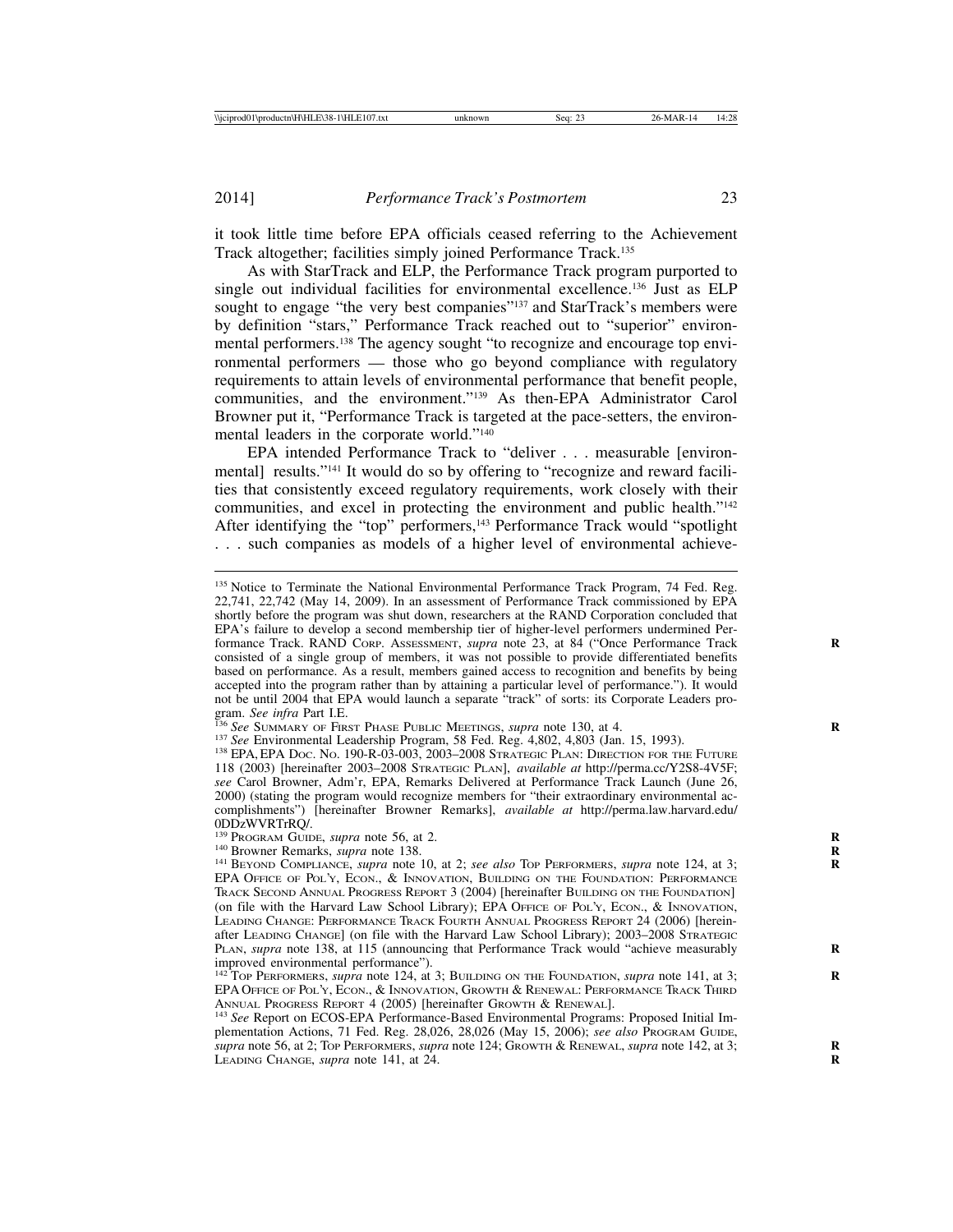it took little time before EPA officials ceased referring to the Achievement Track altogether; facilities simply joined Performance Track.135

As with StarTrack and ELP, the Performance Track program purported to single out individual facilities for environmental excellence.136 Just as ELP sought to engage "the very best companies"<sup>137</sup> and StarTrack's members were by definition "stars," Performance Track reached out to "superior" environmental performers.138 The agency sought "to recognize and encourage top environmental performers — those who go beyond compliance with regulatory requirements to attain levels of environmental performance that benefit people, communities, and the environment."139 As then-EPA Administrator Carol Browner put it, "Performance Track is targeted at the pace-setters, the environmental leaders in the corporate world."140

EPA intended Performance Track to "deliver . . . measurable [environmental] results."141 It would do so by offering to "recognize and reward facilities that consistently exceed regulatory requirements, work closely with their communities, and excel in protecting the environment and public health."142 After identifying the "top" performers,<sup>143</sup> Performance Track would "spotlight . . . such companies as models of a higher level of environmental achieve-

<sup>&</sup>lt;sup>135</sup> Notice to Terminate the National Environmental Performance Track Program, 74 Fed. Reg. 22,741, 22,742 (May 14, 2009). In an assessment of Performance Track commissioned by EPA shortly before the program was shut down, researchers at the RAND Corporation concluded that EPA's failure to develop a second membership tier of higher-level performers undermined Performance Track. RAND CORP. Assessment, *supra* note 23, at 84 ("Once Performance Track consisted of a single group of members, it was not possible to provide differentiated benefits based on performance. As a result, members gained access to recognition and benefits by being accepted into the program rather than by attaining a particular level of performance."). It would not be until 2004 that EPA would launch a separate "track" of sorts: its Corporate Leaders program. See infra Part I.E.<br><sup>136</sup> See SUMMARY OF FIRST PHASE PUBLIC MEETINGS, *supra* note 130, at 4.<br><sup>137</sup> See Environmental Leadership Program, 58 Fed. Reg. 4,802, 4,803 (Jan. 15, 1993).<br><sup>138</sup> EPA, EPA Doc. No. 190-R-03-00

<sup>118 (2003) [</sup>hereinafter 2003–2008 STRATEGIC PLAN], *available at* http://perma.cc/Y2S8-4V5F; *see* Carol Browner, Adm'r, EPA, Remarks Delivered at Performance Track Launch (June 26, 2000) (stating the program would recognize members for "their extraordinary environmental accomplishments") [hereinafter Browner Remarks], *available at* http://perma.law.harvard.edu/

ODDzWVRTrRQ/.<br><sup>139</sup> Program Guide, *supra* note 56, at 2.

<sup>&</sup>lt;sup>140</sup> Browner Remarks, *supra* note 138.<br><sup>141</sup> BEYOND COMPLIANCE, *supra* note 10, at 2; *see also* Top PERFORMERS, *supra* note 124, at 3; EPA OFFICE OF POL'Y, ECON., & INNOVATION, BUILDING ON THE FOUNDATION: PERFORMANCE TRACK SECOND ANNUAL PROGRESS REPORT 3 (2004) [hereinafter BUILDING ON THE FOUNDATION] (on file with the Harvard Law School Library); EPA OFFICE OF POL'Y, ECON., & INNOVATION, LEADING CHANGE: PERFORMANCE TRACK FOURTH ANNUAL PROGRESS REPORT 24 (2006) [hereinafter LEADING CHANGE] (on file with the Harvard Law School Library); 2003–2008 STRATEGIC PLAN, *supra* note 138, at 115 (announcing that Performance Track would "achieve measurably improved environmental performance").

<sup>&</sup>lt;sup>142</sup> TOP PERFORMERS, *supra* note 124, at 3; BUILDING ON THE FOUNDATION, *supra* note 141, at 3; EPA OFFICE OF POL'Y, ECON., & INNOVATION, GROWTH & RENEWAL: PERFORMANCE TRACK THIRD ANNUAL PROGRESS REPORT 4 (2005) [hereinafter GROWTH & RENEWAL]. <sup>143</sup> *See* Report on ECOS-EPA Performance-Based Environmental Programs: Proposed Initial Im-

plementation Actions, 71 Fed. Reg. 28,026, 28,026 (May 15, 2006); *see also* PROGRAM GUIDE, *supra* note 56, at 2; TOP PERFORMERS, *supra* note 124; GROWTH & RENEWAL, *supra* note 142, at 3; **R** LEADING CHANGE, *supra* note 141, at 24.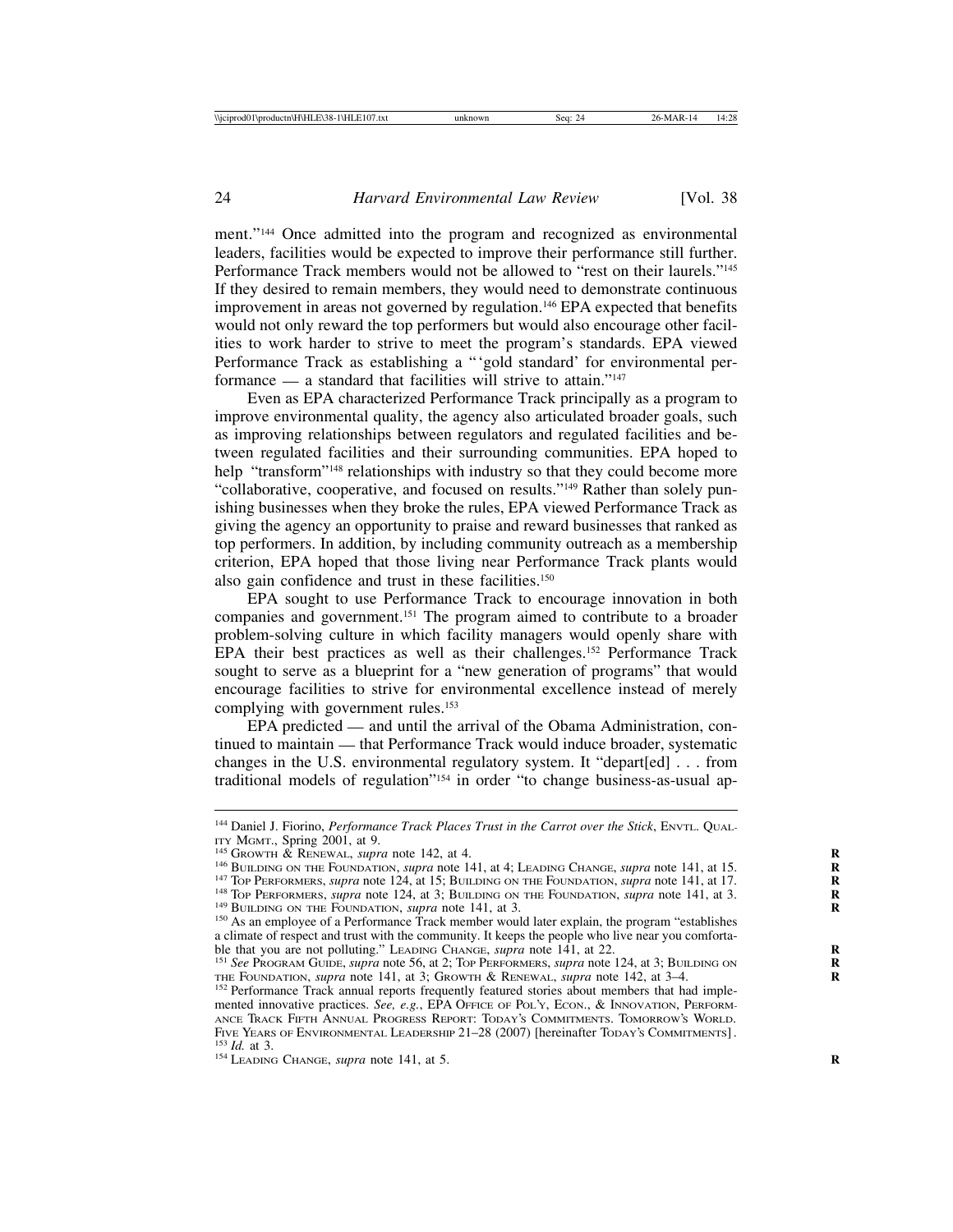ment."144 Once admitted into the program and recognized as environmental leaders, facilities would be expected to improve their performance still further. Performance Track members would not be allowed to "rest on their laurels."145 If they desired to remain members, they would need to demonstrate continuous improvement in areas not governed by regulation.146 EPA expected that benefits would not only reward the top performers but would also encourage other facilities to work harder to strive to meet the program's standards. EPA viewed Performance Track as establishing a "'gold standard' for environmental performance — a standard that facilities will strive to attain."147

Even as EPA characterized Performance Track principally as a program to improve environmental quality, the agency also articulated broader goals, such as improving relationships between regulators and regulated facilities and between regulated facilities and their surrounding communities. EPA hoped to help "transform"<sup>148</sup> relationships with industry so that they could become more "collaborative, cooperative, and focused on results."149 Rather than solely punishing businesses when they broke the rules, EPA viewed Performance Track as giving the agency an opportunity to praise and reward businesses that ranked as top performers. In addition, by including community outreach as a membership criterion, EPA hoped that those living near Performance Track plants would also gain confidence and trust in these facilities.150

EPA sought to use Performance Track to encourage innovation in both companies and government.151 The program aimed to contribute to a broader problem-solving culture in which facility managers would openly share with EPA their best practices as well as their challenges.152 Performance Track sought to serve as a blueprint for a "new generation of programs" that would encourage facilities to strive for environmental excellence instead of merely complying with government rules.<sup>153</sup>

EPA predicted — and until the arrival of the Obama Administration, continued to maintain — that Performance Track would induce broader, systematic changes in the U.S. environmental regulatory system. It "depart[ed] . . . from traditional models of regulation"154 in order "to change business-as-usual ap-

<sup>&</sup>lt;sup>144</sup> Daniel J. Fiorino, *Performance Track Places Trust in the Carrot over the Stick*, ENVTL. QUAL-<br>ITY MGMT., Spring 2001, at 9.

<sup>&</sup>lt;sup>145</sup> GROWTH & RENEWAL, *supra* note 142, at 4.<br><sup>146</sup> BUILDING ON THE FOUNDATION, *supra* note 141, at 4; LEADING CHANGE, *supra* note 141, at 15.<br><sup>146</sup> TOP PERFORMERS, *supra* note 124, at 15; BUILDING ON THE FOUNDATION,

a climate of respect and trust with the community. It keeps the people who live near you comforta-<br>ble that you are not polluting." LEADING CHANGE, *supra* note 141, at 22.

<sup>&</sup>lt;sup>151</sup> See PROGRAM GUIDE, *supra* note 56, at 2; TOP PERFORMERS, *supra* note 124, at 3; BUILDING ON THE FOUNDATION, *supra* note 141, at 3; GROWTH & RENEWAL, *supra* note 142, at 3–4.

<sup>&</sup>lt;sup>152</sup> Performance Track annual reports frequently featured stories about members that had implemented innovative practices. *See, e.g.*, EPA OFFICE OF POL'Y, ECON., & INNOVATION, PERFORM-ANCE TRACK FIFTH ANNUAL PROGRESS REPORT: TODAY'S COMMITMENTS. TOMORROW'S WORLD. FIVE YEARS OF ENVIRONMENTAL LEADERSHIP 21–28 (2007) [hereinafter TODAY'S COMMITMENTS]. <sup>153</sup> *Id.* at 3. <sup>154</sup> LEADING CHANGE, *supra* note 141, at 5.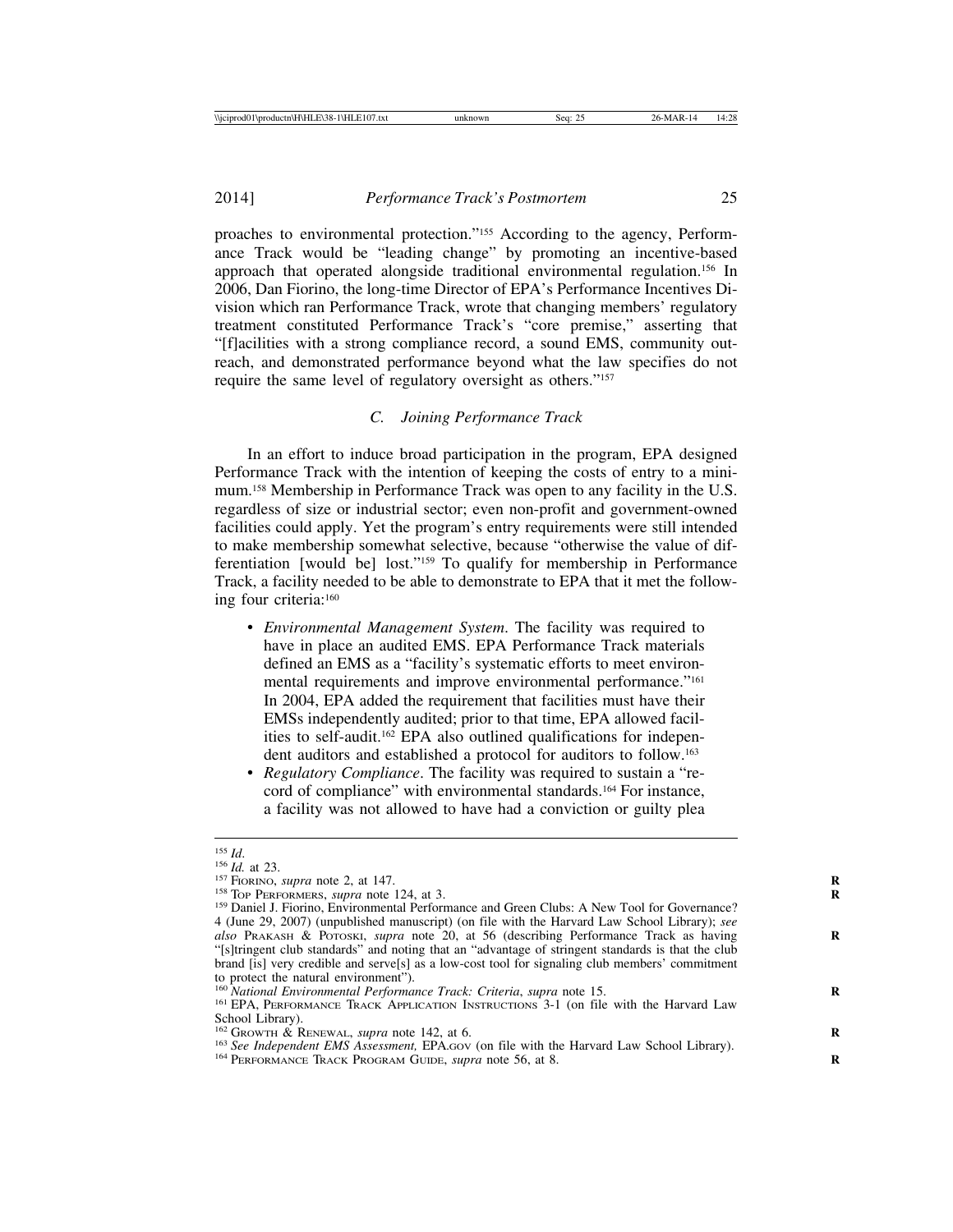2014] *Performance Track's Postmortem* 25

proaches to environmental protection."155 According to the agency, Performance Track would be "leading change" by promoting an incentive-based approach that operated alongside traditional environmental regulation.156 In 2006, Dan Fiorino, the long-time Director of EPA's Performance Incentives Division which ran Performance Track, wrote that changing members' regulatory treatment constituted Performance Track's "core premise," asserting that "[f]acilities with a strong compliance record, a sound EMS, community outreach, and demonstrated performance beyond what the law specifies do not require the same level of regulatory oversight as others."157

#### *C. Joining Performance Track*

In an effort to induce broad participation in the program, EPA designed Performance Track with the intention of keeping the costs of entry to a minimum.158 Membership in Performance Track was open to any facility in the U.S. regardless of size or industrial sector; even non-profit and government-owned facilities could apply. Yet the program's entry requirements were still intended to make membership somewhat selective, because "otherwise the value of differentiation [would be] lost."159 To qualify for membership in Performance Track, a facility needed to be able to demonstrate to EPA that it met the following four criteria:160

- *Environmental Management System*. The facility was required to have in place an audited EMS. EPA Performance Track materials defined an EMS as a "facility's systematic efforts to meet environmental requirements and improve environmental performance."<sup>161</sup> In 2004, EPA added the requirement that facilities must have their EMSs independently audited; prior to that time, EPA allowed facilities to self-audit.162 EPA also outlined qualifications for independent auditors and established a protocol for auditors to follow.163
- *Regulatory Compliance*. The facility was required to sustain a "record of compliance" with environmental standards.<sup>164</sup> For instance, a facility was not allowed to have had a conviction or guilty plea

<sup>&</sup>lt;sup>155</sup> *Id.*<br><sup>156</sup> *Id.* at 23.<br><sup>157</sup> FIORINO, *supra* note 2, at 147.<br><sup>158</sup> Top PERFORMERS, *supra* note 124, at 3.<br><sup>159</sup> Daniel J. Fiorino, Environmental Performance and Green Clubs: A New Tool for Governance? 4 (June 29, 2007) (unpublished manuscript) (on file with the Harvard Law School Library); *see also* PRAKASH & POTOSKI, *supra* note 20, at 56 (describing Performance Track as having **R** "[s]tringent club standards" and noting that an "advantage of stringent standards is that the club brand [is] very credible and serve[s] as a low-cost tool for signaling club members' commitment to protect the natural environment").<br><sup>160</sup> National Environmental Performance Track: Criteria, supra note 15.

<sup>&</sup>lt;sup>161</sup> EPA, PERFORMANCE TRACK APPLICATION INSTRUCTIONS 3-1 (on file with the Harvard Law School Library).<br><sup>162</sup> Growth & RENEWAL, *supra* note 142, at 6.

<sup>&</sup>lt;sup>163</sup> See Independent EMS Assessment, EPA.Gov (on file with the Harvard Law School Library).<br><sup>164</sup> PERFORMANCE TRACK PROGRAM GUIDE, *supra* note 56, at 8.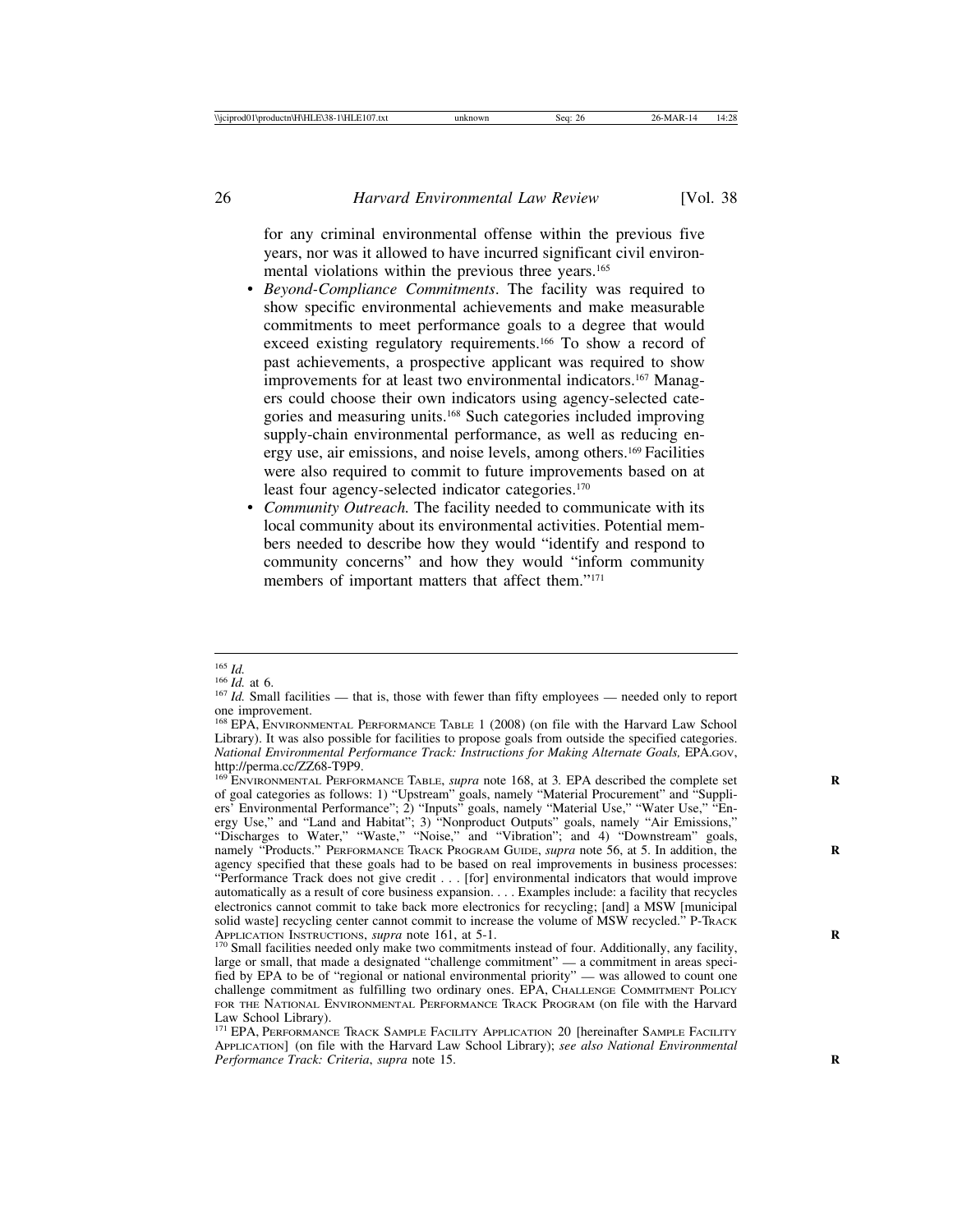for any criminal environmental offense within the previous five years, nor was it allowed to have incurred significant civil environmental violations within the previous three years.165

- *Beyond-Compliance Commitments*. The facility was required to show specific environmental achievements and make measurable commitments to meet performance goals to a degree that would exceed existing regulatory requirements.166 To show a record of past achievements, a prospective applicant was required to show improvements for at least two environmental indicators.<sup>167</sup> Managers could choose their own indicators using agency-selected categories and measuring units.168 Such categories included improving supply-chain environmental performance, as well as reducing energy use, air emissions, and noise levels, among others.169 Facilities were also required to commit to future improvements based on at least four agency-selected indicator categories.170
- *Community Outreach.* The facility needed to communicate with its local community about its environmental activities. Potential members needed to describe how they would "identify and respond to community concerns" and how they would "inform community members of important matters that affect them."<sup>171</sup>

<sup>&</sup>lt;sup>165</sup> *Id.* at 6.<br><sup>166</sup> *Id.* at 6.<br><sup>167</sup> *Id.* Small facilities — that is, those with fewer than fifty employees — needed only to report one improvement.

<sup>168</sup> EPA, ENVIRONMENTAL PERFORMANCE TABLE 1 (2008) (on file with the Harvard Law School Library). It was also possible for facilities to propose goals from outside the specified categories. *National Environmental Performance Track: Instructions for Making Alternate Goals,* EPA.GOV, http://perma.cc/ZZ68-T9P9.

<sup>&</sup>lt;sup>169</sup> ENVIRONMENTAL PERFORMANCE TABLE, *supra* note 168, at 3. EPA described the complete set of goal categories as follows: 1) "Upstream" goals, namely "Material Procurement" and "Suppliers' Environmental Performance"; 2) "Inputs" goals, namely "Material Use," "Water Use," "Energy Use," and "Land and Habitat"; 3) "Nonproduct Outputs" goals, namely "Air Emissions," "Discharges to Water," "Waste," "Noise," and "Vibration"; and 4) "Downstream" goals, namely "Products." PERFORMANCE TRACK PROGRAM GUIDE, *supra* note 56, at 5. In addition, the **R** agency specified that these goals had to be based on real improvements in business processes: "Performance Track does not give credit . . . [for] environmental indicators that would improve automatically as a result of core business expansion. . . . Examples include: a facility that recycles electronics cannot commit to take back more electronics for recycling; [and] a MSW [municipal solid waste] recycling center cannot commit to increase the volume of MSW recycled." P-TRACK APPLICATION INSTRUCTIONS, *supra* note 161, at 5-1.

<sup>&</sup>lt;sup>170</sup> Small facilities needed only make two commitments instead of four. Additionally, any facility, large or small, that made a designated "challenge commitment" — a commitment in areas specified by EPA to be of "regional or national environmental priority" — was allowed to count one challenge commitment as fulfilling two ordinary ones. EPA, CHALLENGE COMMITMENT POLICY FOR THE NATIONAL ENVIRONMENTAL PERFORMANCE TRACK PROGRAM (on file with the Harvard Law School Library).

<sup>&</sup>lt;sup>171</sup> EPA, PERFORMANCE TRACK SAMPLE FACILITY APPLICATION 20 [hereinafter SAMPLE FACILITY APPLICATION] (on file with the Harvard Law School Library); *see also National Environmental Performance Track: Criteria*, *supra* note 15. **R**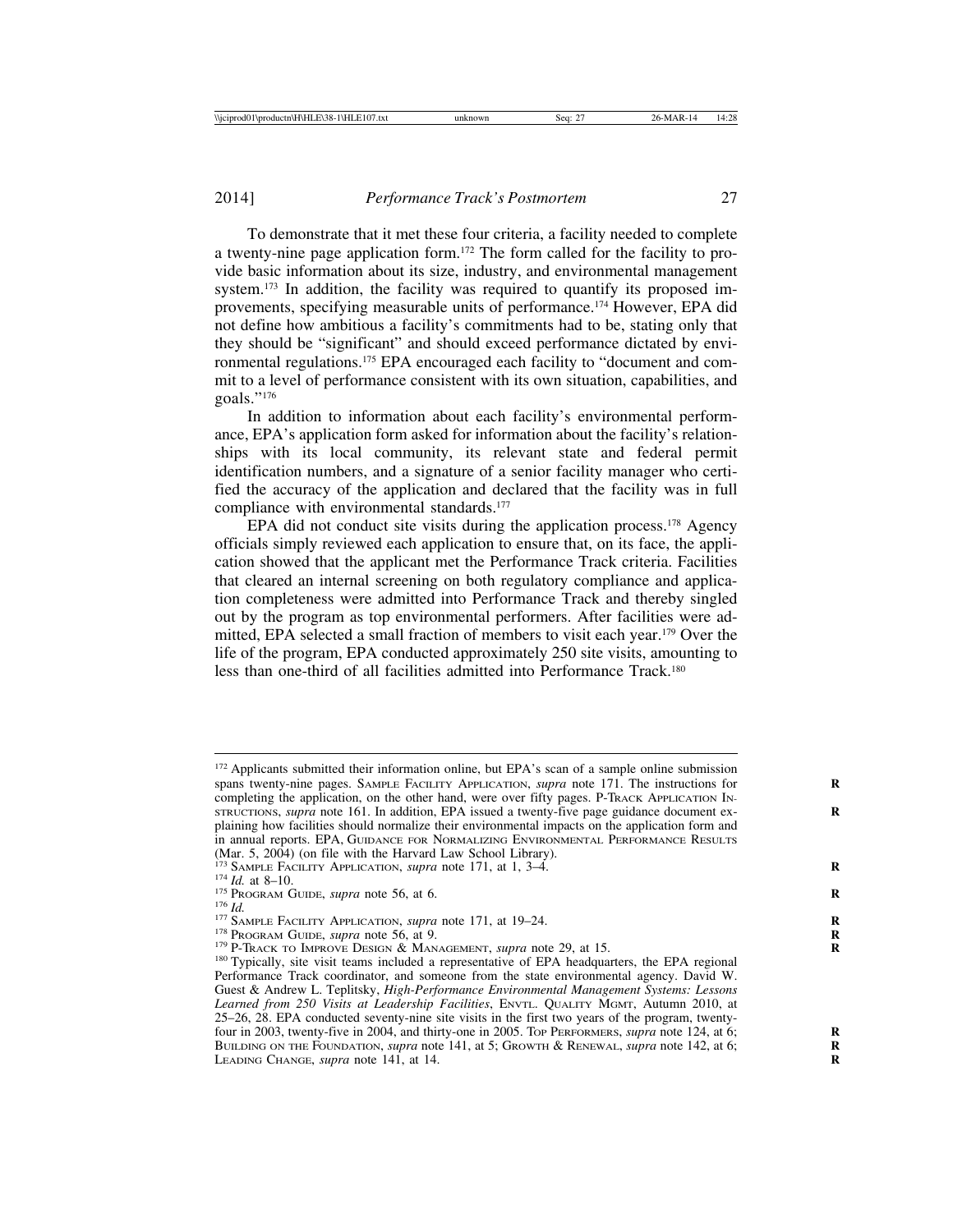To demonstrate that it met these four criteria, a facility needed to complete a twenty-nine page application form.172 The form called for the facility to provide basic information about its size, industry, and environmental management system.<sup>173</sup> In addition, the facility was required to quantify its proposed improvements, specifying measurable units of performance.174 However, EPA did not define how ambitious a facility's commitments had to be, stating only that they should be "significant" and should exceed performance dictated by environmental regulations.175 EPA encouraged each facility to "document and commit to a level of performance consistent with its own situation, capabilities, and goals."176

In addition to information about each facility's environmental performance, EPA's application form asked for information about the facility's relationships with its local community, its relevant state and federal permit identification numbers, and a signature of a senior facility manager who certified the accuracy of the application and declared that the facility was in full compliance with environmental standards.<sup>177</sup>

EPA did not conduct site visits during the application process.<sup>178</sup> Agency officials simply reviewed each application to ensure that, on its face, the application showed that the applicant met the Performance Track criteria. Facilities that cleared an internal screening on both regulatory compliance and application completeness were admitted into Performance Track and thereby singled out by the program as top environmental performers. After facilities were admitted, EPA selected a small fraction of members to visit each year.179 Over the life of the program, EPA conducted approximately 250 site visits, amounting to less than one-third of all facilities admitted into Performance Track.180

<sup>&</sup>lt;sup>172</sup> Applicants submitted their information online, but EPA's scan of a sample online submission spans twenty-nine pages. SAMPLE FACILITY APPLICATION, *supra* note 171. The instructions for **R** completing the application, on the other hand, were over fifty pages. P-TRACK APPLICATION IN-STRUCTIONS, *supra* note 161. In addition, EPA issued a twenty-five page guidance document ex- **R** plaining how facilities should normalize their environmental impacts on the application form and in annual reports. EPA, GUIDANCE FOR NORMALIZING ENVIRONMENTAL PERFORMANCE RESULTS (Mar. 5, 2004) (on file with the Harvard Law School Library).  $^{173}$  SAMPLE FACILITY APPLICATION, *supra* note 171, at 1, 3–4.

<sup>&</sup>lt;sup>174</sup> *Id.* at 8–10.<br>
<sup>175</sup> PROGRAM GUIDE, *supra* note 56, at 6.<br>
<sup>176</sup> *Id.*<br>
<sup>176</sup> PROGRAM GUIDE, *supra* note 56, at 9.<br>
<sup>178</sup> PROGRAM GUIDE, *supra* note 56, at 9.<br>
<sup>179</sup> P-TRACK TO IMPROVE DESIGN & MANAGEMENT, *supr* Performance Track coordinator, and someone from the state environmental agency. David W. Guest & Andrew L. Teplitsky, *High-Performance Environmental Management Systems: Lessons Learned from 250 Visits at Leadership Facilities*, ENVTL. QUALITY MGMT, Autumn 2010, at 25–26, 28. EPA conducted seventy-nine site visits in the first two years of the program, twentyfour in 2003, twenty-five in 2004, and thirty-one in 2005. TOP PERFORMERS, *supra* note 124, at 6; **R** BUILDING ON THE FOUNDATION, *supra* note 141, at 5; GROWTH & RENEWAL, *supra* note 142, at 6; **R** LEADING CHANGE, *supra* note 141, at 14.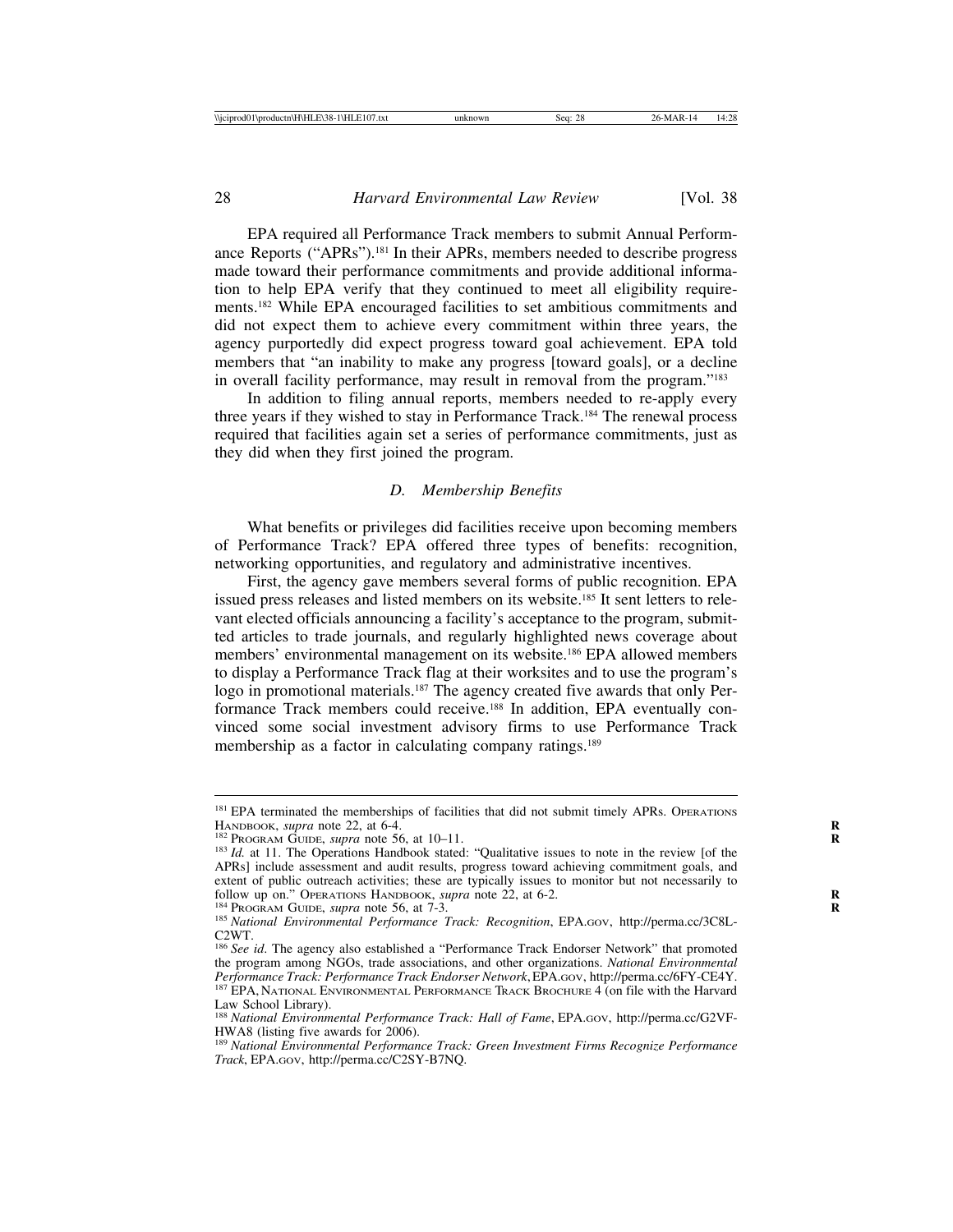EPA required all Performance Track members to submit Annual Performance Reports ("APRs").181 In their APRs, members needed to describe progress made toward their performance commitments and provide additional information to help EPA verify that they continued to meet all eligibility requirements.182 While EPA encouraged facilities to set ambitious commitments and did not expect them to achieve every commitment within three years, the agency purportedly did expect progress toward goal achievement. EPA told members that "an inability to make any progress [toward goals], or a decline in overall facility performance, may result in removal from the program."183

In addition to filing annual reports, members needed to re-apply every three years if they wished to stay in Performance Track.184 The renewal process required that facilities again set a series of performance commitments, just as they did when they first joined the program.

#### *D. Membership Benefits*

What benefits or privileges did facilities receive upon becoming members of Performance Track? EPA offered three types of benefits: recognition, networking opportunities, and regulatory and administrative incentives.

First, the agency gave members several forms of public recognition. EPA issued press releases and listed members on its website.185 It sent letters to relevant elected officials announcing a facility's acceptance to the program, submitted articles to trade journals, and regularly highlighted news coverage about members' environmental management on its website.186 EPA allowed members to display a Performance Track flag at their worksites and to use the program's logo in promotional materials.<sup>187</sup> The agency created five awards that only Performance Track members could receive.188 In addition, EPA eventually convinced some social investment advisory firms to use Performance Track membership as a factor in calculating company ratings.<sup>189</sup>

 $181$  EPA terminated the memberships of facilities that did not submit timely APRs. OPERATIONS HANDBOOK, *supra* note 22, at 6-4.

<sup>&</sup>lt;sup>182</sup> PROGRAM GUIDE, *supra* note 56, at 10–11.<br><sup>183</sup> *Id.* at 11. The Operations Handbook stated: "Qualitative issues to note in the review [of the APRs] include assessment and audit results, progress toward achieving commitment goals, and extent of public outreach activities; these are typically issues to monitor but not necessarily to follow up on." OPERATIONS HANDBOOK, *supra* note 22, at 6-2.

<sup>&</sup>lt;sup>184</sup> PROGRAM GUIDE, *supra* note 56, at 7-3.<br><sup>185</sup> National Environmental Performance Track: Recognition, EPA.GOV, http://perma.cc/3C8L-C2WT.

<sup>&</sup>lt;sup>186</sup> See id. The agency also established a "Performance Track Endorser Network" that promoted the program among NGOs, trade associations, and other organizations. *National Environmental Performance Track: Performance Track Endorser Network*, EPA.GOV, http://perma.cc/6FY-CE4Y. <sup>187</sup> EPA, NATIONAL ENVIRONMENTAL PERFORMANCE TRACK BROCHURE 4 (on file with the Harvard Law School Library).

<sup>188</sup> *National Environmental Performance Track: Hall of Fame*, EPA.GOV, http://perma.cc/G2VF-HWA8 (listing five awards for 2006).

<sup>189</sup> *National Environmental Performance Track: Green Investment Firms Recognize Performance Track*, EPA.GOV, http://perma.cc/C2SY-B7NQ.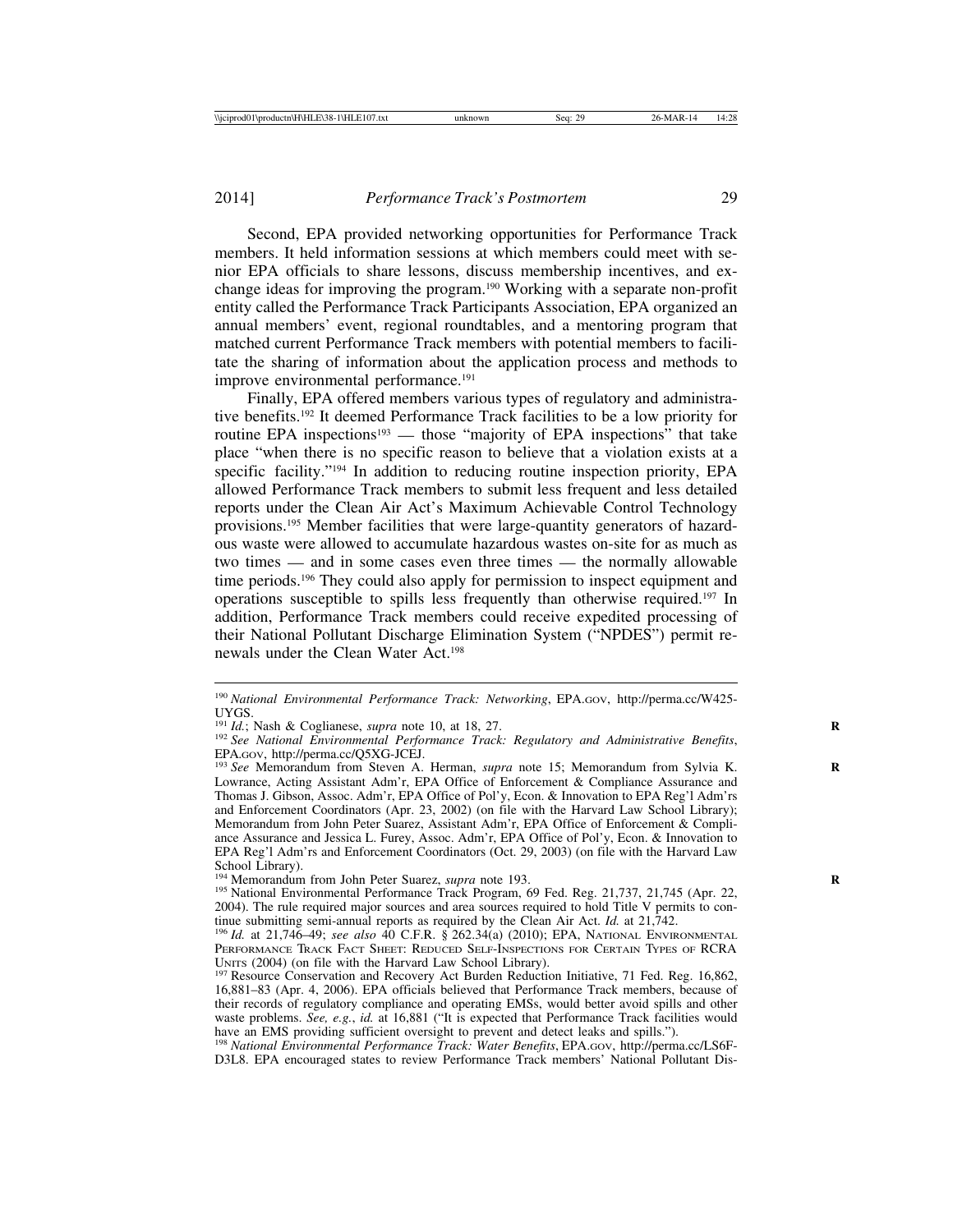Second, EPA provided networking opportunities for Performance Track members. It held information sessions at which members could meet with senior EPA officials to share lessons, discuss membership incentives, and exchange ideas for improving the program.190 Working with a separate non-profit entity called the Performance Track Participants Association, EPA organized an annual members' event, regional roundtables, and a mentoring program that matched current Performance Track members with potential members to facilitate the sharing of information about the application process and methods to improve environmental performance.<sup>191</sup>

Finally, EPA offered members various types of regulatory and administrative benefits.192 It deemed Performance Track facilities to be a low priority for routine EPA inspections<sup>193</sup> — those "majority of EPA inspections" that take place "when there is no specific reason to believe that a violation exists at a specific facility."194 In addition to reducing routine inspection priority, EPA allowed Performance Track members to submit less frequent and less detailed reports under the Clean Air Act's Maximum Achievable Control Technology provisions.195 Member facilities that were large-quantity generators of hazardous waste were allowed to accumulate hazardous wastes on-site for as much as two times — and in some cases even three times — the normally allowable time periods.196 They could also apply for permission to inspect equipment and operations susceptible to spills less frequently than otherwise required.197 In addition, Performance Track members could receive expedited processing of their National Pollutant Discharge Elimination System ("NPDES") permit renewals under the Clean Water Act.198

<sup>190</sup> *National Environmental Performance Track: Networking*, EPA.GOV, http://perma.cc/W425- UYGS.<br><sup>191</sup> Id.; Nash & Coglianese, *supra* note 10, at 18, 27.

<sup>191</sup> *Id.*; Nash & Coglianese, *supra* note 10, at 18, 27. **<sup>R</sup>** <sup>192</sup> *See National Environmental Performance Track: Regulatory and Administrative Benefits*, EPA.GOV, http://perma.cc/Q5XG-JCEJ. <sup>193</sup> *See* Memorandum from Steven A. Herman, *supra* note 15; Memorandum from Sylvia K. **<sup>R</sup>**

Lowrance, Acting Assistant Adm'r, EPA Office of Enforcement & Compliance Assurance and Thomas J. Gibson, Assoc. Adm'r, EPA Office of Pol'y, Econ. & Innovation to EPA Reg'l Adm'rs and Enforcement Coordinators (Apr. 23, 2002) (on file with the Harvard Law School Library); Memorandum from John Peter Suarez, Assistant Adm'r, EPA Office of Enforcement & Compliance Assurance and Jessica L. Furey, Assoc. Adm'r, EPA Office of Pol'y, Econ. & Innovation to EPA Reg'l Adm'rs and Enforcement Coordinators (Oct. 29, 2003) (on file with the Harvard Law School Library).<br><sup>194</sup> Memorandum from John Peter Suarez, *supra* note 193.

<sup>&</sup>lt;sup>195</sup> National Environmental Performance Track Program, 69 Fed. Reg. 21,737, 21,745 (Apr. 22, 2004). The rule required major sources and area sources required to hold Title V permits to continue submitting semi-annual reports as required by the Clean Air Act. *Id.* at  $21,742$ .

<sup>196</sup> *Id.* at 21,746–49; *see also* 40 C.F.R. § 262.34(a) (2010); EPA, NATIONAL ENVIRONMENTAL PERFORMANCE TRACK FACT SHEET: REDUCED SELF-INSPECTIONS FOR CERTAIN TYPES OF RCRA UNITS (2004) (on file with the Harvard Law School Library).<br><sup>197</sup> Resource Conservation and Recovery Act Burden Reduction Initiative, 71 Fed. Reg. 16,862,

<sup>16,881</sup>–83 (Apr. 4, 2006). EPA officials believed that Performance Track members, because of their records of regulatory compliance and operating EMSs, would better avoid spills and other waste problems. *See, e.g.*, *id.* at 16,881 ("It is expected that Performance Track facilities would

have an EMS providing sufficient oversight to prevent and detect leaks and spills."). <sup>198</sup> *National Environmental Performance Track: Water Benefits*, EPA.GOV, http://perma.cc/LS6F-D3L8. EPA encouraged states to review Performance Track members' National Pollutant Dis-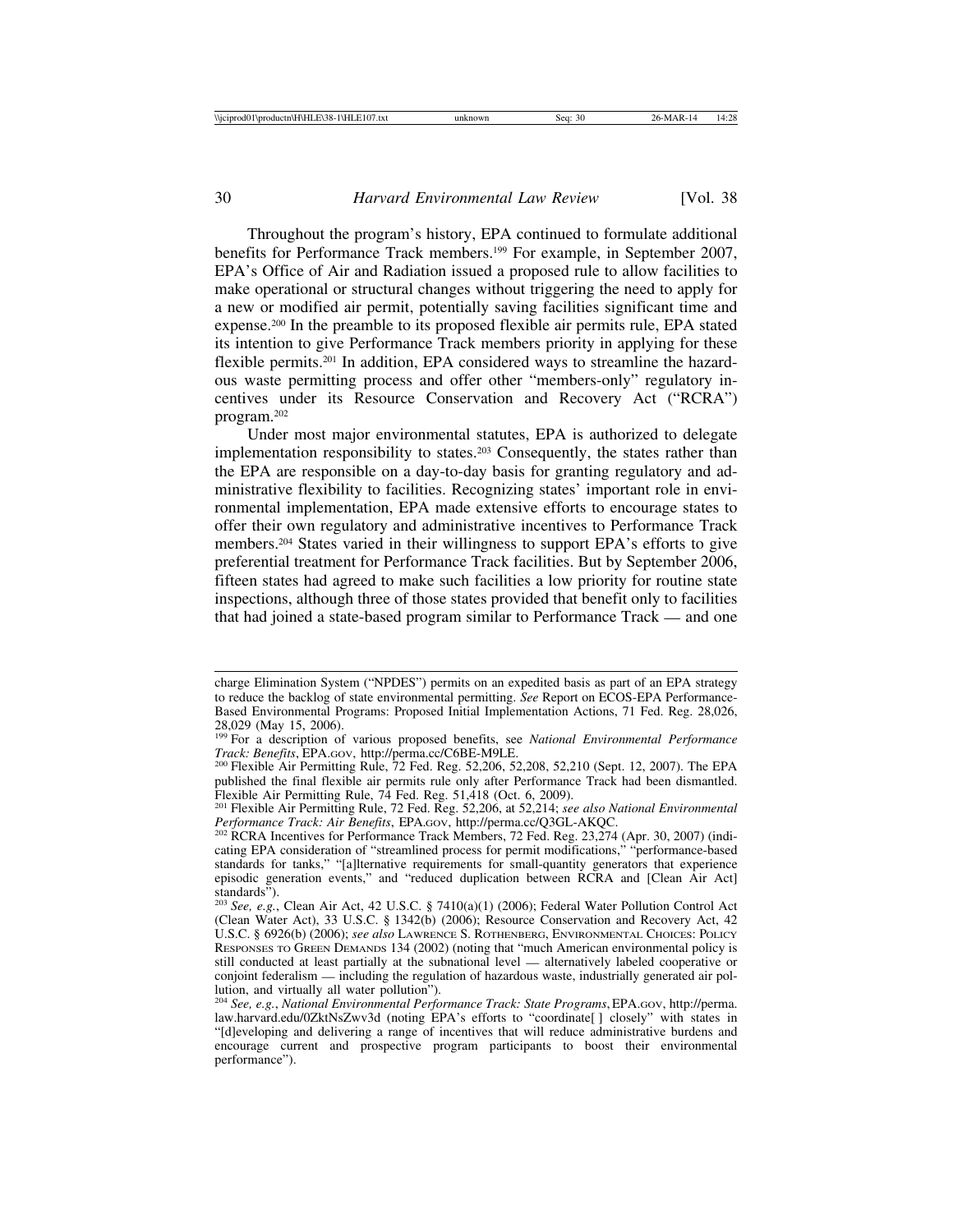Throughout the program's history, EPA continued to formulate additional benefits for Performance Track members.199 For example, in September 2007, EPA's Office of Air and Radiation issued a proposed rule to allow facilities to make operational or structural changes without triggering the need to apply for a new or modified air permit, potentially saving facilities significant time and expense.200 In the preamble to its proposed flexible air permits rule, EPA stated its intention to give Performance Track members priority in applying for these flexible permits.201 In addition, EPA considered ways to streamline the hazardous waste permitting process and offer other "members-only" regulatory incentives under its Resource Conservation and Recovery Act ("RCRA") program.202

Under most major environmental statutes, EPA is authorized to delegate implementation responsibility to states.203 Consequently, the states rather than the EPA are responsible on a day-to-day basis for granting regulatory and administrative flexibility to facilities. Recognizing states' important role in environmental implementation, EPA made extensive efforts to encourage states to offer their own regulatory and administrative incentives to Performance Track members.204 States varied in their willingness to support EPA's efforts to give preferential treatment for Performance Track facilities. But by September 2006, fifteen states had agreed to make such facilities a low priority for routine state inspections, although three of those states provided that benefit only to facilities that had joined a state-based program similar to Performance Track — and one

charge Elimination System ("NPDES") permits on an expedited basis as part of an EPA strategy to reduce the backlog of state environmental permitting. *See* Report on ECOS-EPA Performance-Based Environmental Programs: Proposed Initial Implementation Actions, 71 Fed. Reg. 28,026, 28,029 (May 15, 2006).

<sup>199</sup> For a description of various proposed benefits, see *National Environmental Performance Track: Benefits*, EPA.Gov, http://perma.cc/C6BE-M9LE.<br><sup>200</sup> Flexible Air Permitting Rule, 72 Fed. Reg. 52,206, 52,208, 52,210 (Sept. 12, 2007). The EPA

published the final flexible air permits rule only after Performance Track had been dismantled. Flexible Air Permitting Rule, 74 Fed. Reg. 51,418 (Oct. 6, 2009).

<sup>201</sup> Flexible Air Permitting Rule, 72 Fed. Reg. 52,206, at 52,214; *see also National Environmental*

<sup>&</sup>lt;sup>202</sup> RCRA Incentives for Performance Track Members, 72 Fed. Reg. 23,274 (Apr. 30, 2007) (indicating EPA consideration of "streamlined process for permit modifications," "performance-based standards for tanks," "[a]lternative requirements for small-quantity generators that experience episodic generation events," and "reduced duplication between RCRA and [Clean Air Act] standards").

<sup>203</sup> *See, e.g.*, Clean Air Act, 42 U.S.C. § 7410(a)(1) (2006); Federal Water Pollution Control Act (Clean Water Act), 33 U.S.C. § 1342(b) (2006); Resource Conservation and Recovery Act, 42 U.S.C. § 6926(b) (2006); *see also* LAWRENCE S. ROTHENBERG, ENVIRONMENTAL CHOICES: POLICY RESPONSES TO GREEN DEMANDS 134 (2002) (noting that "much American environmental policy is still conducted at least partially at the subnational level — alternatively labeled cooperative or conjoint federalism — including the regulation of hazardous waste, industrially generated air pollution, and virtually all water pollution").

<sup>204</sup> *See, e.g.*, *National Environmental Performance Track: State Programs*, EPA.GOV, http://perma. law.harvard.edu/0ZktNsZwv3d (noting EPA's efforts to "coordinate[ ] closely" with states in "[d]eveloping and delivering a range of incentives that will reduce administrative burdens and encourage current and prospective program participants to boost their environmental performance").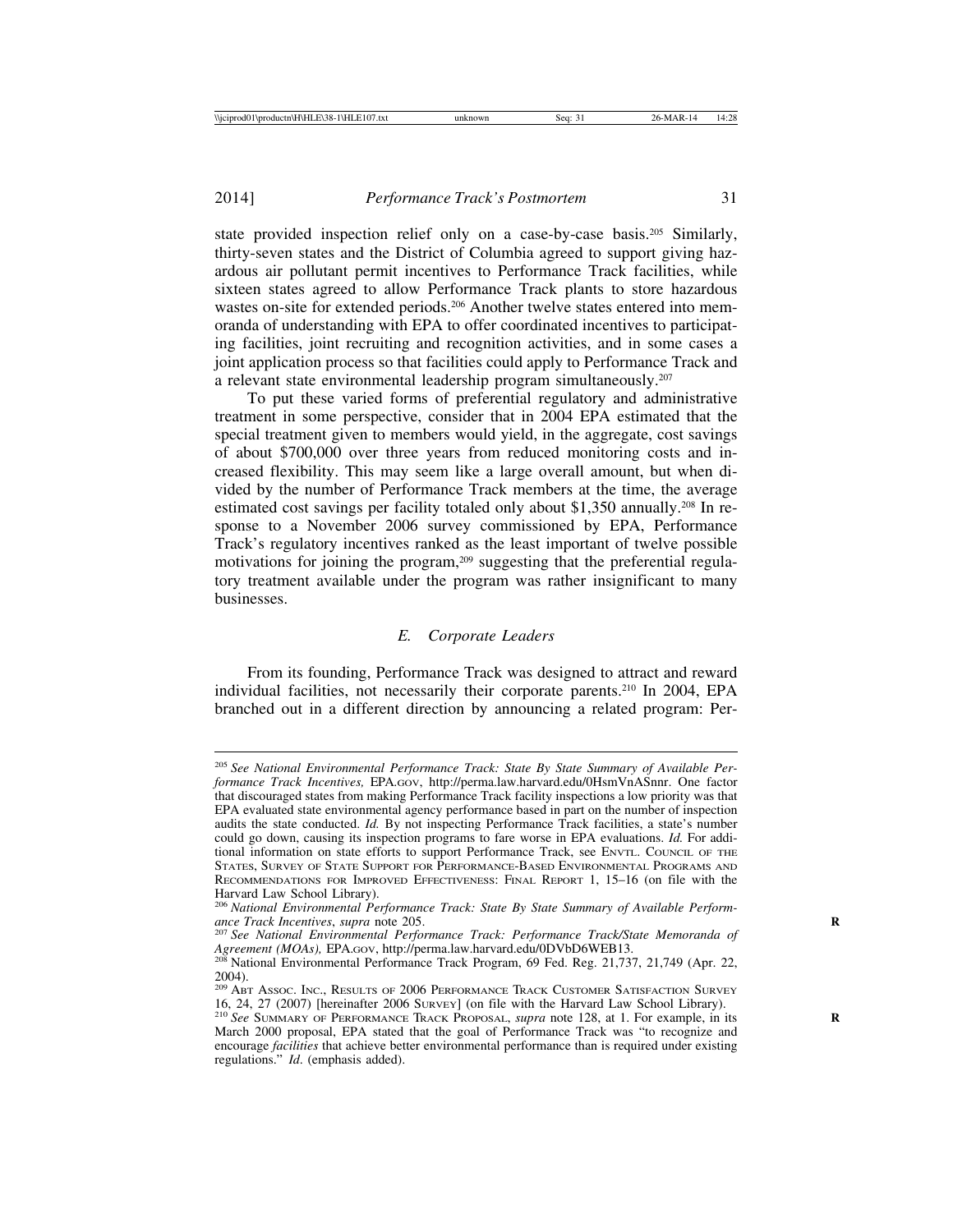state provided inspection relief only on a case-by-case basis.205 Similarly, thirty-seven states and the District of Columbia agreed to support giving hazardous air pollutant permit incentives to Performance Track facilities, while sixteen states agreed to allow Performance Track plants to store hazardous wastes on-site for extended periods.<sup>206</sup> Another twelve states entered into memoranda of understanding with EPA to offer coordinated incentives to participating facilities, joint recruiting and recognition activities, and in some cases a joint application process so that facilities could apply to Performance Track and a relevant state environmental leadership program simultaneously.207

To put these varied forms of preferential regulatory and administrative treatment in some perspective, consider that in 2004 EPA estimated that the special treatment given to members would yield, in the aggregate, cost savings of about \$700,000 over three years from reduced monitoring costs and increased flexibility. This may seem like a large overall amount, but when divided by the number of Performance Track members at the time, the average estimated cost savings per facility totaled only about \$1,350 annually.208 In response to a November 2006 survey commissioned by EPA, Performance Track's regulatory incentives ranked as the least important of twelve possible motivations for joining the program,<sup>209</sup> suggesting that the preferential regulatory treatment available under the program was rather insignificant to many businesses.

### *E. Corporate Leaders*

From its founding, Performance Track was designed to attract and reward individual facilities, not necessarily their corporate parents.210 In 2004, EPA branched out in a different direction by announcing a related program: Per-

<sup>205</sup> *See National Environmental Performance Track: State By State Summary of Available Performance Track Incentives,* EPA.GOV, http://perma.law.harvard.edu/0HsmVnASnnr. One factor that discouraged states from making Performance Track facility inspections a low priority was that EPA evaluated state environmental agency performance based in part on the number of inspection audits the state conducted. *Id.* By not inspecting Performance Track facilities, a state's number could go down, causing its inspection programs to fare worse in EPA evaluations. *Id.* For additional information on state efforts to support Performance Track, see ENVTL. COUNCIL OF THE STATES, SURVEY OF STATE SUPPORT FOR PERFORMANCE-BASED ENVIRONMENTAL PROGRAMS AND RECOMMENDATIONS FOR IMPROVED EFFECTIVENESS: FINAL REPORT 1, 15–16 (on file with the Harvard Law School Library).

<sup>&</sup>lt;sup>206</sup> National Environmental Performance Track: State By State Summary of Available Perform-<br>ance Track Incentives, supra note 205.

<sup>&</sup>lt;sup>207</sup> See National Environmental Performance Track: Performance Track/State Memoranda of *Agreement (MOAs),* EPA.GOV, http://perma.law.harvard.edu/0DVbD6WEB13. <sup>208</sup> National Environmental Performance Track Program, 69 Fed. Reg. 21,737, 21,749 (Apr. 22,

<sup>2004).</sup>

<sup>&</sup>lt;sup>209</sup> ABT Assoc. Inc., Results of 2006 Performance Track Customer Satisfaction Survey 16, 24, 27 (2007) [hereinafter 2006 SURVEY] (on file with the Harvard Law School Library). <sup>210</sup> *See* SUMMARY OF PERFORMANCE TRACK PROPOSAL, *supra* note 128, at 1. For example, in its **<sup>R</sup>**

March 2000 proposal, EPA stated that the goal of Performance Track was "to recognize and encourage *facilities* that achieve better environmental performance than is required under existing regulations." *Id*. (emphasis added).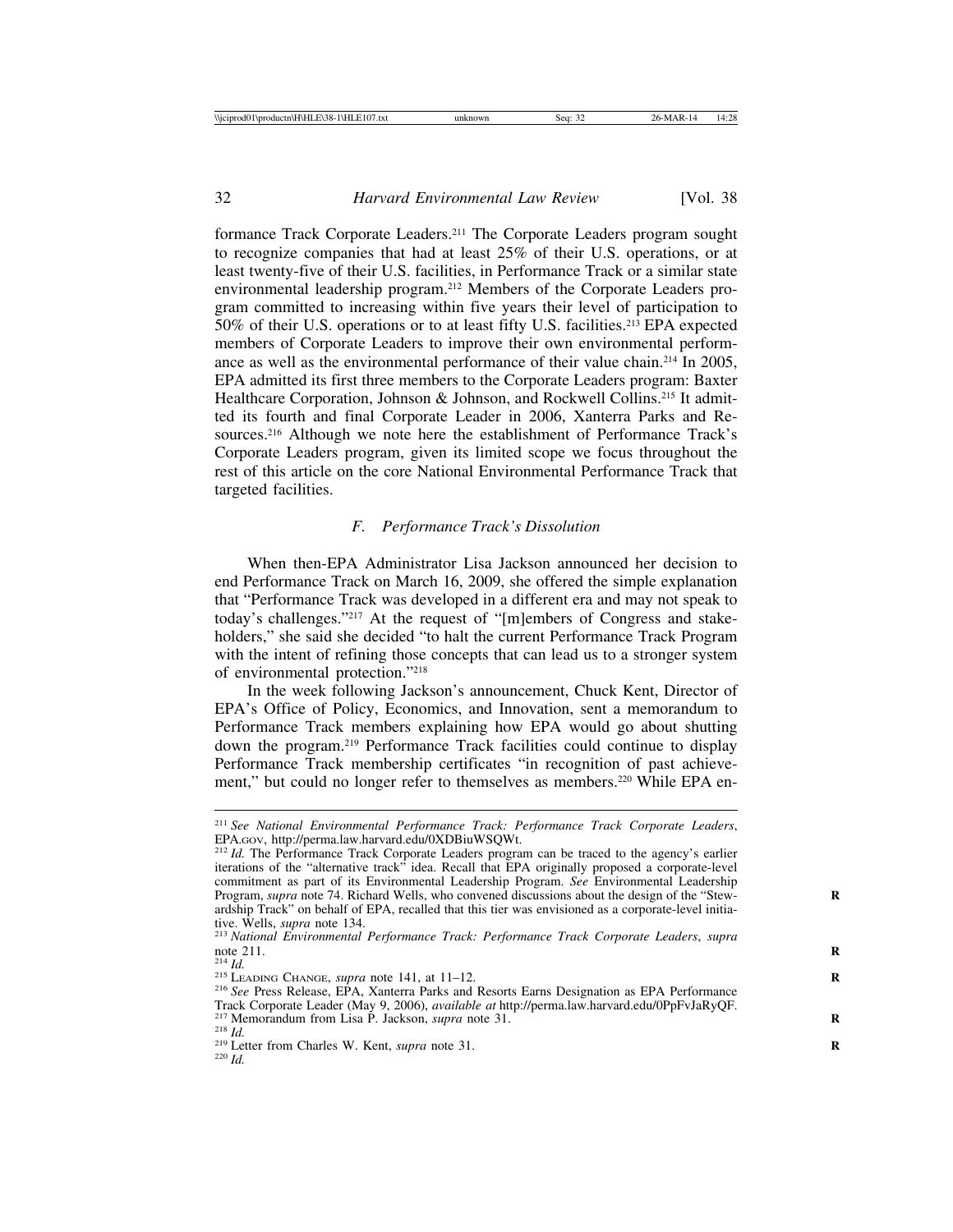formance Track Corporate Leaders.211 The Corporate Leaders program sought to recognize companies that had at least 25% of their U.S. operations, or at least twenty-five of their U.S. facilities, in Performance Track or a similar state environmental leadership program.212 Members of the Corporate Leaders program committed to increasing within five years their level of participation to 50% of their U.S. operations or to at least fifty U.S. facilities.213 EPA expected members of Corporate Leaders to improve their own environmental performance as well as the environmental performance of their value chain.214 In 2005, EPA admitted its first three members to the Corporate Leaders program: Baxter Healthcare Corporation, Johnson & Johnson, and Rockwell Collins.<sup>215</sup> It admitted its fourth and final Corporate Leader in 2006, Xanterra Parks and Resources.216 Although we note here the establishment of Performance Track's Corporate Leaders program, given its limited scope we focus throughout the rest of this article on the core National Environmental Performance Track that targeted facilities.

### *F. Performance Track's Dissolution*

When then-EPA Administrator Lisa Jackson announced her decision to end Performance Track on March 16, 2009, she offered the simple explanation that "Performance Track was developed in a different era and may not speak to today's challenges."217 At the request of "[m]embers of Congress and stakeholders," she said she decided "to halt the current Performance Track Program with the intent of refining those concepts that can lead us to a stronger system of environmental protection."218

In the week following Jackson's announcement, Chuck Kent, Director of EPA's Office of Policy, Economics, and Innovation, sent a memorandum to Performance Track members explaining how EPA would go about shutting down the program.219 Performance Track facilities could continue to display Performance Track membership certificates "in recognition of past achievement," but could no longer refer to themselves as members.<sup>220</sup> While EPA en-

<sup>&</sup>lt;sup>211</sup> *See National Environmental Performance Track: Performance Track Corporate Leaders,* EPA.Gov, http://perma.law.harvard.edu/0XDBiuWSQWt.

<sup>&</sup>lt;sup>212</sup> Id. The Performance Track Corporate Leaders program can be traced to the agency's earlier iterations of the "alternative track" idea. Recall that EPA originally proposed a corporate-level commitment as part of its Environmental Leadership Program. *See* Environmental Leadership Program, *supra* note 74. Richard Wells, who convened discussions about the design of the "Stew- **R** ardship Track" on behalf of EPA, recalled that this tier was envisioned as a corporate-level initiative. Wells, *supra* note 134.

tive. Wells, *supra* note 134. <sup>213</sup> *National Environmental Performance Track: Performance Track Corporate Leaders*, *supra*

<sup>&</sup>lt;sup>215</sup> LEADING CHANGE, *supra* note 141, at 11–12.<br><sup>215</sup> LeADING CHANGE, *supra* note 141, at 11–12.<br><sup>216</sup> See Press Release, EPA, Xanterra Parks and Resorts Earns Designation as EPA Performance Track Corporate Leader (May 9, 2006), *available at* http://perma.law.harvard.edu/0PpFvJaRyQF.<br><sup>217</sup> Memorandum from Lisa P. Jackson, *supra* note 31.<br><sup>218</sup> Letter from Charles W. Kent, *supra* note 31.<br><sup>219</sup> Letter from C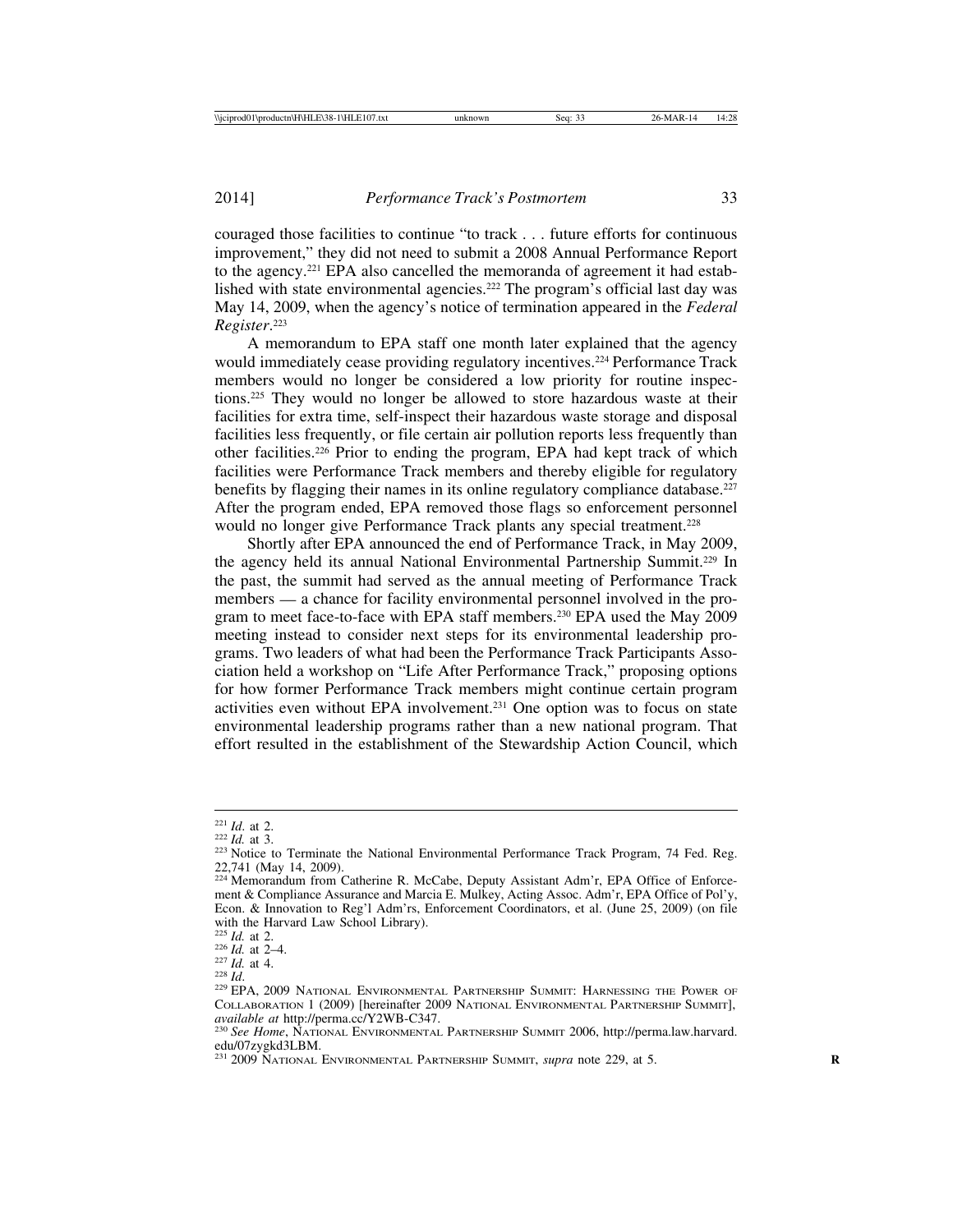couraged those facilities to continue "to track . . . future efforts for continuous improvement," they did not need to submit a 2008 Annual Performance Report to the agency.221 EPA also cancelled the memoranda of agreement it had established with state environmental agencies.<sup>222</sup> The program's official last day was May 14, 2009, when the agency's notice of termination appeared in the *Federal Register*. 223

A memorandum to EPA staff one month later explained that the agency would immediately cease providing regulatory incentives.224 Performance Track members would no longer be considered a low priority for routine inspections.225 They would no longer be allowed to store hazardous waste at their facilities for extra time, self-inspect their hazardous waste storage and disposal facilities less frequently, or file certain air pollution reports less frequently than other facilities.226 Prior to ending the program, EPA had kept track of which facilities were Performance Track members and thereby eligible for regulatory benefits by flagging their names in its online regulatory compliance database.<sup>227</sup> After the program ended, EPA removed those flags so enforcement personnel would no longer give Performance Track plants any special treatment.<sup>228</sup>

Shortly after EPA announced the end of Performance Track, in May 2009, the agency held its annual National Environmental Partnership Summit.229 In the past, the summit had served as the annual meeting of Performance Track members — a chance for facility environmental personnel involved in the program to meet face-to-face with EPA staff members.230 EPA used the May 2009 meeting instead to consider next steps for its environmental leadership programs. Two leaders of what had been the Performance Track Participants Association held a workshop on "Life After Performance Track," proposing options for how former Performance Track members might continue certain program activities even without EPA involvement.231 One option was to focus on state environmental leadership programs rather than a new national program. That effort resulted in the establishment of the Stewardship Action Council, which

<sup>&</sup>lt;sup>221</sup> *Id.* at 2.<br><sup>222</sup> *Id.* at 3.<br><sup>223</sup> Notice to Terminate the National Environmental Performance Track Program, 74 Fed. Reg. 22,741 (May 14, 2009).

<sup>&</sup>lt;sup>224</sup> Memorandum from Catherine R. McCabe, Deputy Assistant Adm'r, EPA Office of Enforcement & Compliance Assurance and Marcia E. Mulkey, Acting Assoc. Adm'r, EPA Office of Pol'y, Econ. & Innovation to Reg'l Adm'rs, Enforcement Coordinators, et al. (June 25, 2009) (on file with the Harvard Law School Library).<br> $^{225}$  *Id.* at 2.

<sup>&</sup>lt;sup>226</sup> *Id.* at 2–4.<br><sup>227</sup> *Id.* at 4.<br><sup>228</sup> *Id.* at 4. 228 *Id.* 229 **PDA, 2009 NATIONAL ENVIRONMENTAL PARTNERSHIP SUMMIT: HARNESSING THE POWER OF** COLLABORATION 1 (2009) [hereinafter 2009 NATIONAL ENVIRONMENTAL PARTNERSHIP SUMMIT], available at http://perma.cc/Y2WB-C347.

<sup>&</sup>lt;sup>230</sup> See Home, NATIONAL ENVIRONMENTAL PARTNERSHIP SUMMIT 2006, http://perma.law.harvard. edu/07zygkd3LBM.<br><sup>231</sup> 2009 National Environmental Partnership Summit, *supra* note 229, at 5.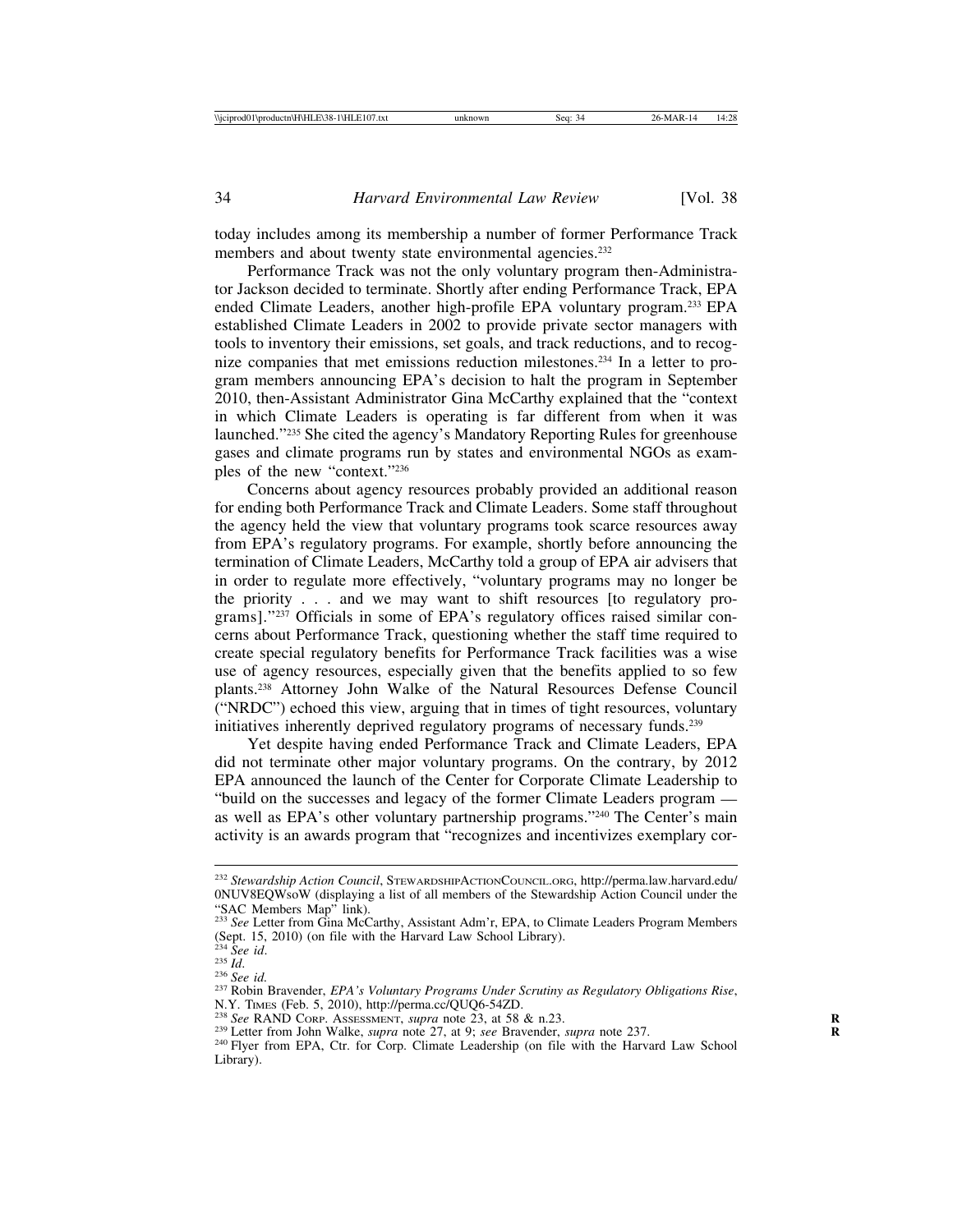today includes among its membership a number of former Performance Track members and about twenty state environmental agencies.<sup>232</sup>

Performance Track was not the only voluntary program then-Administrator Jackson decided to terminate. Shortly after ending Performance Track, EPA ended Climate Leaders, another high-profile EPA voluntary program.233 EPA established Climate Leaders in 2002 to provide private sector managers with tools to inventory their emissions, set goals, and track reductions, and to recognize companies that met emissions reduction milestones.234 In a letter to program members announcing EPA's decision to halt the program in September 2010, then-Assistant Administrator Gina McCarthy explained that the "context in which Climate Leaders is operating is far different from when it was launched."235 She cited the agency's Mandatory Reporting Rules for greenhouse gases and climate programs run by states and environmental NGOs as examples of the new "context."236

Concerns about agency resources probably provided an additional reason for ending both Performance Track and Climate Leaders. Some staff throughout the agency held the view that voluntary programs took scarce resources away from EPA's regulatory programs. For example, shortly before announcing the termination of Climate Leaders, McCarthy told a group of EPA air advisers that in order to regulate more effectively, "voluntary programs may no longer be the priority . . . and we may want to shift resources [to regulatory programs]."237 Officials in some of EPA's regulatory offices raised similar concerns about Performance Track, questioning whether the staff time required to create special regulatory benefits for Performance Track facilities was a wise use of agency resources, especially given that the benefits applied to so few plants.238 Attorney John Walke of the Natural Resources Defense Council ("NRDC") echoed this view, arguing that in times of tight resources, voluntary initiatives inherently deprived regulatory programs of necessary funds.<sup>239</sup>

Yet despite having ended Performance Track and Climate Leaders, EPA did not terminate other major voluntary programs. On the contrary, by 2012 EPA announced the launch of the Center for Corporate Climate Leadership to "build on the successes and legacy of the former Climate Leaders program as well as EPA's other voluntary partnership programs."240 The Center's main activity is an awards program that "recognizes and incentivizes exemplary cor-

<sup>232</sup> *Stewardship Action Council*, STEWARDSHIPACTIONCOUNCIL.ORG, http://perma.law.harvard.edu/ 0NUV8EQWsoW (displaying a list of all members of the Stewardship Action Council under the "SAC Members Map" link).

<sup>&</sup>lt;sup>233</sup> See Letter from Gina McCarthy, Assistant Adm'r, EPA, to Climate Leaders Program Members (Sept. 15, 2010) (on file with the Harvard Law School Library).<br><sup>234</sup> See id.

<sup>&</sup>lt;sup>235</sup> *Id.* 235 *Id.* 236 *Id.* 236 *See id.* 236 *See id.* 236 *See id.* 236 *See id.* 236 *See id.* 237 Robin Bravender, *EPA's Voluntary Programs Under Scrutiny as Regulatory Obligations Rise*, N.Y. Times (Feb. 5, 2010)

<sup>&</sup>lt;sup>238</sup> See RAND CORP. ASSESSMENT, *supra* note 23, at 58 & n.23.<br><sup>239</sup> Letter from John Walke, *supra* note 27, at 9; *see* Bravender, *supra* note 237.<br><sup>240</sup> Flyer from EPA, Ctr. for Corp. Climate Leadership (on file with

Library).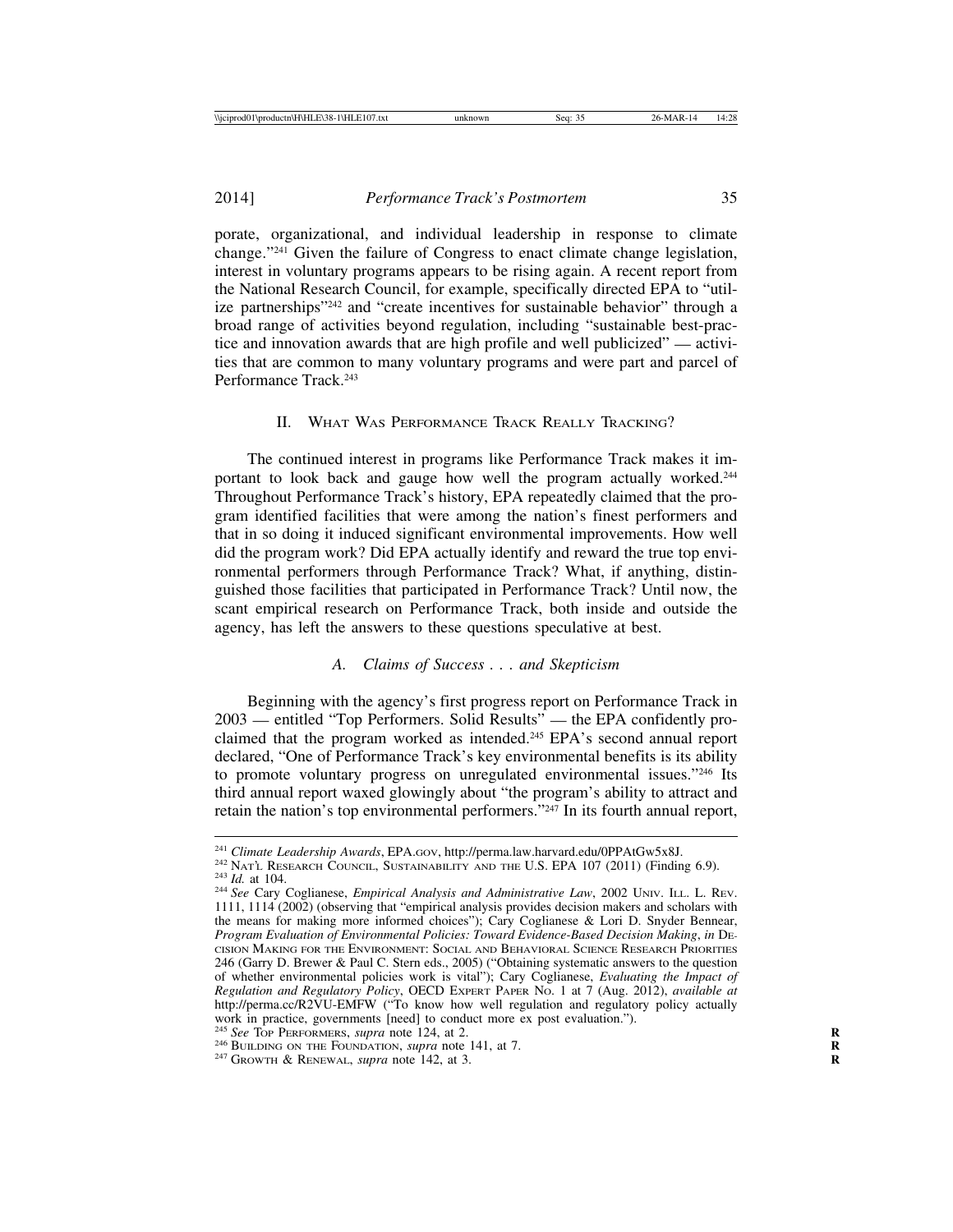porate, organizational, and individual leadership in response to climate change."241 Given the failure of Congress to enact climate change legislation, interest in voluntary programs appears to be rising again. A recent report from the National Research Council, for example, specifically directed EPA to "utilize partnerships"242 and "create incentives for sustainable behavior" through a broad range of activities beyond regulation, including "sustainable best-practice and innovation awards that are high profile and well publicized" — activities that are common to many voluntary programs and were part and parcel of Performance Track.243

#### II. WHAT WAS PERFORMANCE TRACK REALLY TRACKING?

The continued interest in programs like Performance Track makes it important to look back and gauge how well the program actually worked.244 Throughout Performance Track's history, EPA repeatedly claimed that the program identified facilities that were among the nation's finest performers and that in so doing it induced significant environmental improvements. How well did the program work? Did EPA actually identify and reward the true top environmental performers through Performance Track? What, if anything, distinguished those facilities that participated in Performance Track? Until now, the scant empirical research on Performance Track, both inside and outside the agency, has left the answers to these questions speculative at best.

### *A. Claims of Success . . . and Skepticism*

Beginning with the agency's first progress report on Performance Track in 2003 — entitled "Top Performers. Solid Results" — the EPA confidently proclaimed that the program worked as intended.<sup>245</sup> EPA's second annual report declared, "One of Performance Track's key environmental benefits is its ability to promote voluntary progress on unregulated environmental issues."246 Its third annual report waxed glowingly about "the program's ability to attract and retain the nation's top environmental performers."247 In its fourth annual report,

<sup>&</sup>lt;sup>241</sup> Climate Leadership Awards, EPA.GOV, http://perma.law.harvard.edu/0PPAtGw5x8J.<br><sup>242</sup> NATL RESEARCH COUNCIL, SUSTAINABILITY AND THE U.S. EPA 107 (2011) (Finding 6.9).<br><sup>243</sup> Id. at 104.<br><sup>244</sup> See Cary Coglianese, *Empir* 

<sup>1111, 1114 (2002) (</sup>observing that "empirical analysis provides decision makers and scholars with the means for making more informed choices"); Cary Coglianese & Lori D. Snyder Bennear, *Program Evaluation of Environmental Policies: Toward Evidence-Based Decision Making*, *in* DE-CISION MAKING FOR THE ENVIRONMENT: SOCIAL AND BEHAVIORAL SCIENCE RESEARCH PRIORITIES 246 (Garry D. Brewer & Paul C. Stern eds., 2005) ("Obtaining systematic answers to the question of whether environmental policies work is vital"); Cary Coglianese, *Evaluating the Impact of Regulation and Regulatory Policy*, OECD EXPERT PAPER NO. 1 at 7 (Aug. 2012), *available at* http://perma.cc/R2VU-EMFW ("To know how well regulation and regulatory policy actually work in practice, governments [need] to conduct more ex post evaluation."). <sup>245</sup> See Top PERFORMERS, *supra* note 124, at 2.

<sup>&</sup>lt;sup>246</sup> BUILDING ON THE FOUNDATION, *supra* note 141, at 7. <sup>247</sup> GROWTH & RENEWAL, *supra* note 142, at 3.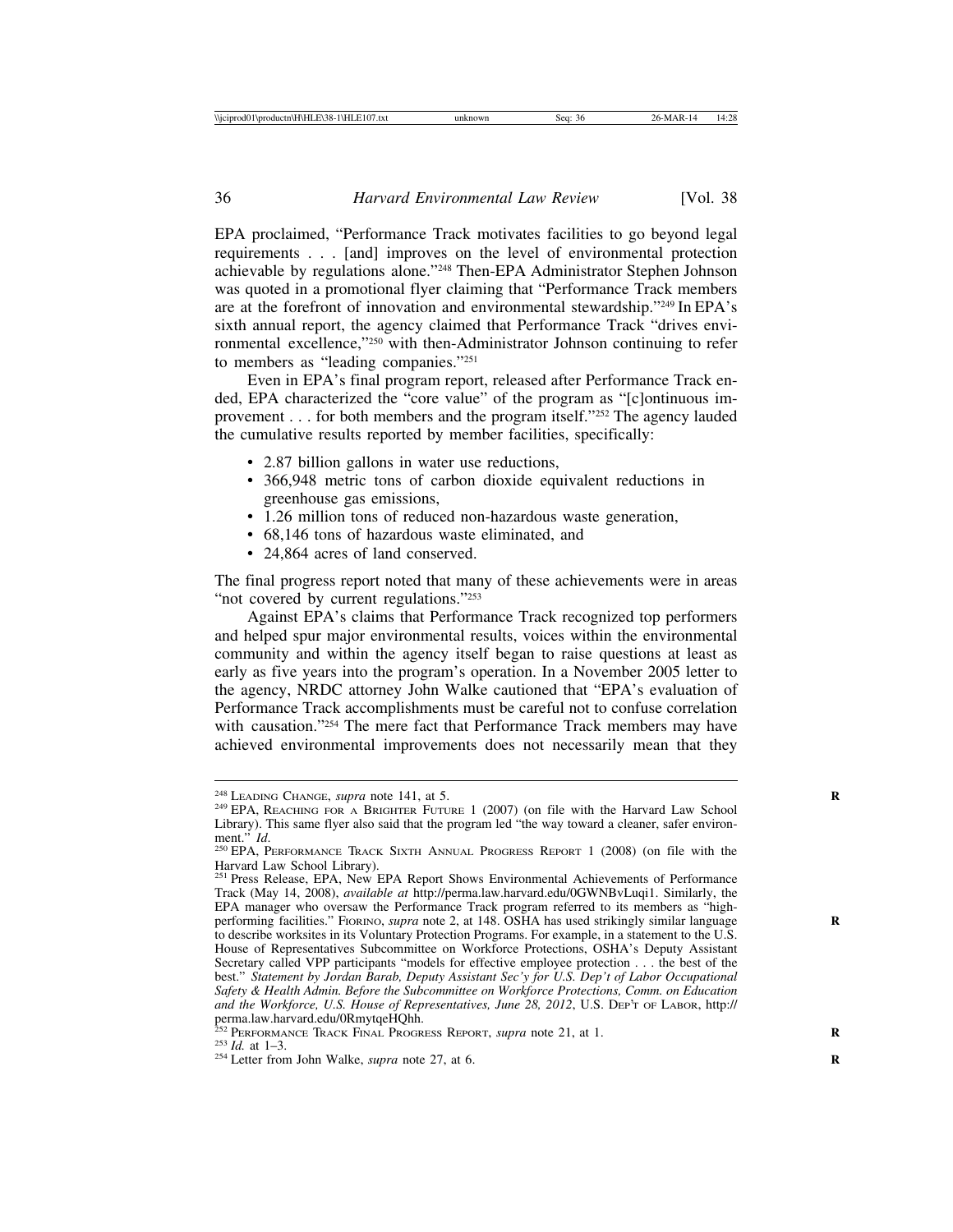EPA proclaimed, "Performance Track motivates facilities to go beyond legal requirements . . . [and] improves on the level of environmental protection achievable by regulations alone."248 Then-EPA Administrator Stephen Johnson was quoted in a promotional flyer claiming that "Performance Track members are at the forefront of innovation and environmental stewardship."249 In EPA's sixth annual report, the agency claimed that Performance Track "drives environmental excellence,"250 with then-Administrator Johnson continuing to refer to members as "leading companies."251

Even in EPA's final program report, released after Performance Track ended, EPA characterized the "core value" of the program as "[c]ontinuous improvement . . . for both members and the program itself."252 The agency lauded the cumulative results reported by member facilities, specifically:

- 2.87 billion gallons in water use reductions,
- 366,948 metric tons of carbon dioxide equivalent reductions in greenhouse gas emissions,
- 1.26 million tons of reduced non-hazardous waste generation,
- 68,146 tons of hazardous waste eliminated, and
- 24,864 acres of land conserved.

The final progress report noted that many of these achievements were in areas "not covered by current regulations."<sup>253</sup>

Against EPA's claims that Performance Track recognized top performers and helped spur major environmental results, voices within the environmental community and within the agency itself began to raise questions at least as early as five years into the program's operation. In a November 2005 letter to the agency, NRDC attorney John Walke cautioned that "EPA's evaluation of Performance Track accomplishments must be careful not to confuse correlation with causation."<sup>254</sup> The mere fact that Performance Track members may have achieved environmental improvements does not necessarily mean that they

<sup>&</sup>lt;sup>248</sup> LEADING CHANGE, *supra* note 141, at 5.<br><sup>249</sup> EPA, REACHING FOR A BRIGHTER FUTURE 1 (2007) (on file with the Harvard Law School Library). This same flyer also said that the program led "the way toward a cleaner, safer environ-<br>ment."  $Id$ .

<sup>&</sup>lt;sup>250</sup> EPA, PERFORMANCE TRACK SIXTH ANNUAL PROGRESS REPORT 1 (2008) (on file with the Harvard Law School Library).

<sup>&</sup>lt;sup>251</sup> Press Release, EPA, New EPA Report Shows Environmental Achievements of Performance Track (May 14, 2008), *available at* http://perma.law.harvard.edu/0GWNBvLuqi1. Similarly, the EPA manager who oversaw the Performance Track program referred to its members as "highperforming facilities." FIORINO, *supra* note 2, at 148. OSHA has used strikingly similar language to describe worksites in its Voluntary Protection Programs. For example, in a statement to the U.S. House of Representatives Subcommittee on Workforce Protections, OSHA's Deputy Assistant Secretary called VPP participants "models for effective employee protection . . . the best of the best." *Statement by Jordan Barab, Deputy Assistant Sec'y for U.S. Dep't of Labor Occupational Safety & Health Admin. Before the Subcommittee on Workforce Protections, Comm. on Education and the Workforce, U.S. House of Representatives, June 28, 2012*, U.S. DEP'T OF LABOR, http://

perma.law.harvard.edu/0RmytqeHQhh.<br><sup>252</sup> PERFORMANCE TRACK FINAL PROGRESS REPORT, *supra* note 21, at 1.<br><sup>253</sup> *Id.* at 1–3.<br><sup>254</sup> Letter from John Walke, *supra* note 27, at 6.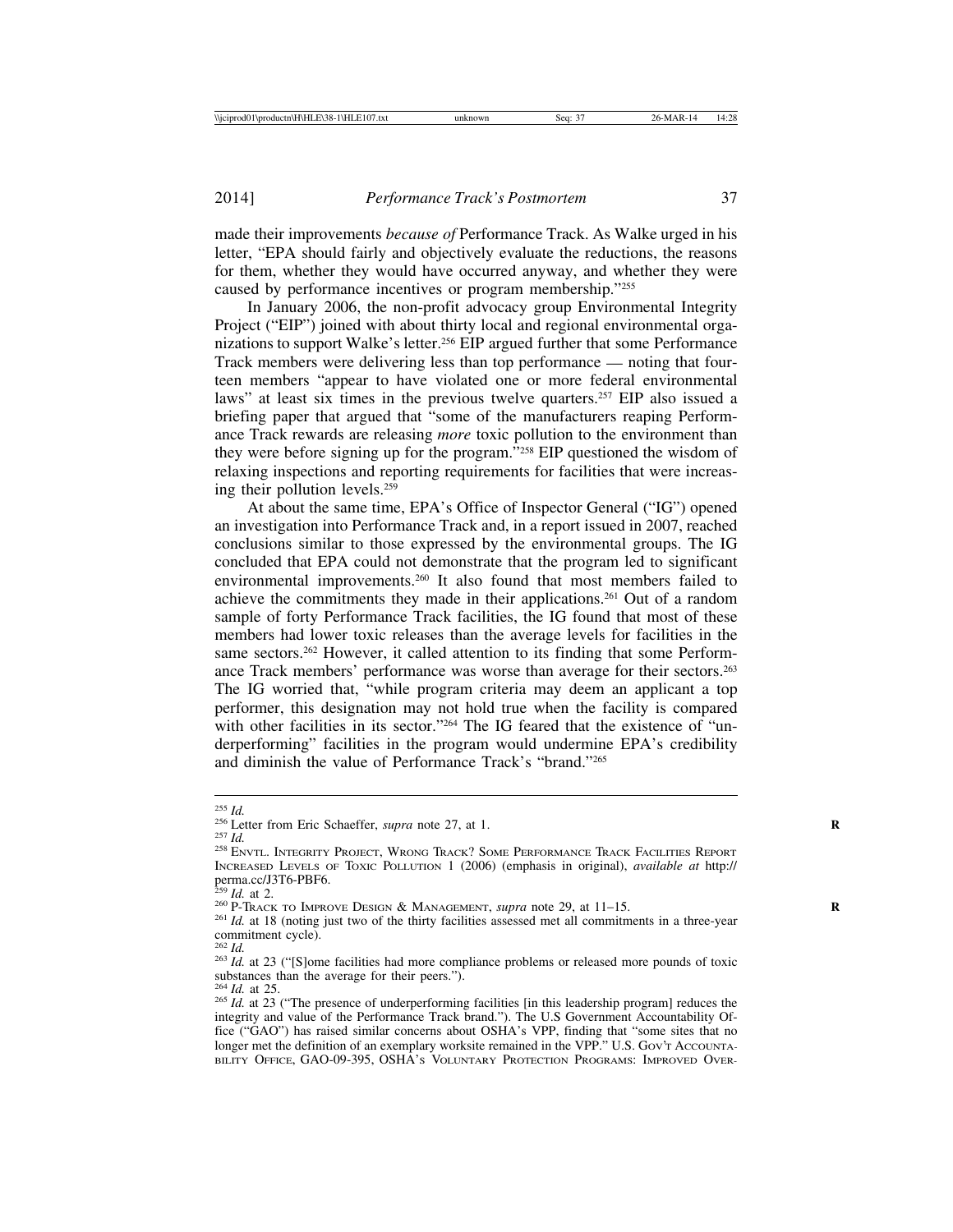made their improvements *because of* Performance Track. As Walke urged in his letter, "EPA should fairly and objectively evaluate the reductions, the reasons for them, whether they would have occurred anyway, and whether they were caused by performance incentives or program membership."255

In January 2006, the non-profit advocacy group Environmental Integrity Project ("EIP") joined with about thirty local and regional environmental organizations to support Walke's letter.256 EIP argued further that some Performance Track members were delivering less than top performance — noting that fourteen members "appear to have violated one or more federal environmental laws" at least six times in the previous twelve quarters.<sup>257</sup> EIP also issued a briefing paper that argued that "some of the manufacturers reaping Performance Track rewards are releasing *more* toxic pollution to the environment than they were before signing up for the program."258 EIP questioned the wisdom of relaxing inspections and reporting requirements for facilities that were increasing their pollution levels.259

At about the same time, EPA's Office of Inspector General ("IG") opened an investigation into Performance Track and, in a report issued in 2007, reached conclusions similar to those expressed by the environmental groups. The IG concluded that EPA could not demonstrate that the program led to significant environmental improvements.260 It also found that most members failed to achieve the commitments they made in their applications.261 Out of a random sample of forty Performance Track facilities, the IG found that most of these members had lower toxic releases than the average levels for facilities in the same sectors.<sup>262</sup> However, it called attention to its finding that some Performance Track members' performance was worse than average for their sectors.263 The IG worried that, "while program criteria may deem an applicant a top performer, this designation may not hold true when the facility is compared with other facilities in its sector."<sup>264</sup> The IG feared that the existence of "underperforming" facilities in the program would undermine EPA's credibility and diminish the value of Performance Track's "brand."265

<sup>&</sup>lt;sup>255</sup> *Id.*<br><sup>256</sup> Letter from Eric Schaeffer, *supra* note 27, at 1.<br><sup>257</sup> *Id.* 258 ENVTL. INTEGRITY PROJECT, WRONG TRACK? SOME PERFORMANCE TRACK FACILITIES REPORT INCREASED LEVELS OF TOXIC POLLUTION 1 (2006) (emphasis in original), *available at* http:// perma.cc/J3T6-PBF6.<br> $^{259}$  *Id.* at 2.

<sup>&</sup>lt;sup>260</sup> P-TRACK TO IMPROVE DESIGN & MANAGEMENT, *supra* note 29, at 11–15.<br><sup>261</sup> *Id.* at 18 (noting just two of the thirty facilities assessed met all commitments in a three-year commitment cycle).<br> $262$  *Id.* 

<sup>&</sup>lt;sup>263</sup> *Id.* at 23 ("[S]ome facilities had more compliance problems or released more pounds of toxic substances than the average for their peers.").  $264$  *Id.* at 25.

<sup>&</sup>lt;sup>265</sup> *Id.* at 23 ("The presence of underperforming facilities [in this leadership program] reduces the integrity and value of the Performance Track brand."). The U.S Government Accountability Office ("GAO") has raised similar concerns about OSHA's VPP, finding that "some sites that no longer met the definition of an exemplary worksite remained in the VPP." U.S. Gov't Accounta-BILITY OFFICE, GAO-09-395, OSHA'S VOLUNTARY PROTECTION PROGRAMS: IMPROVED OVER-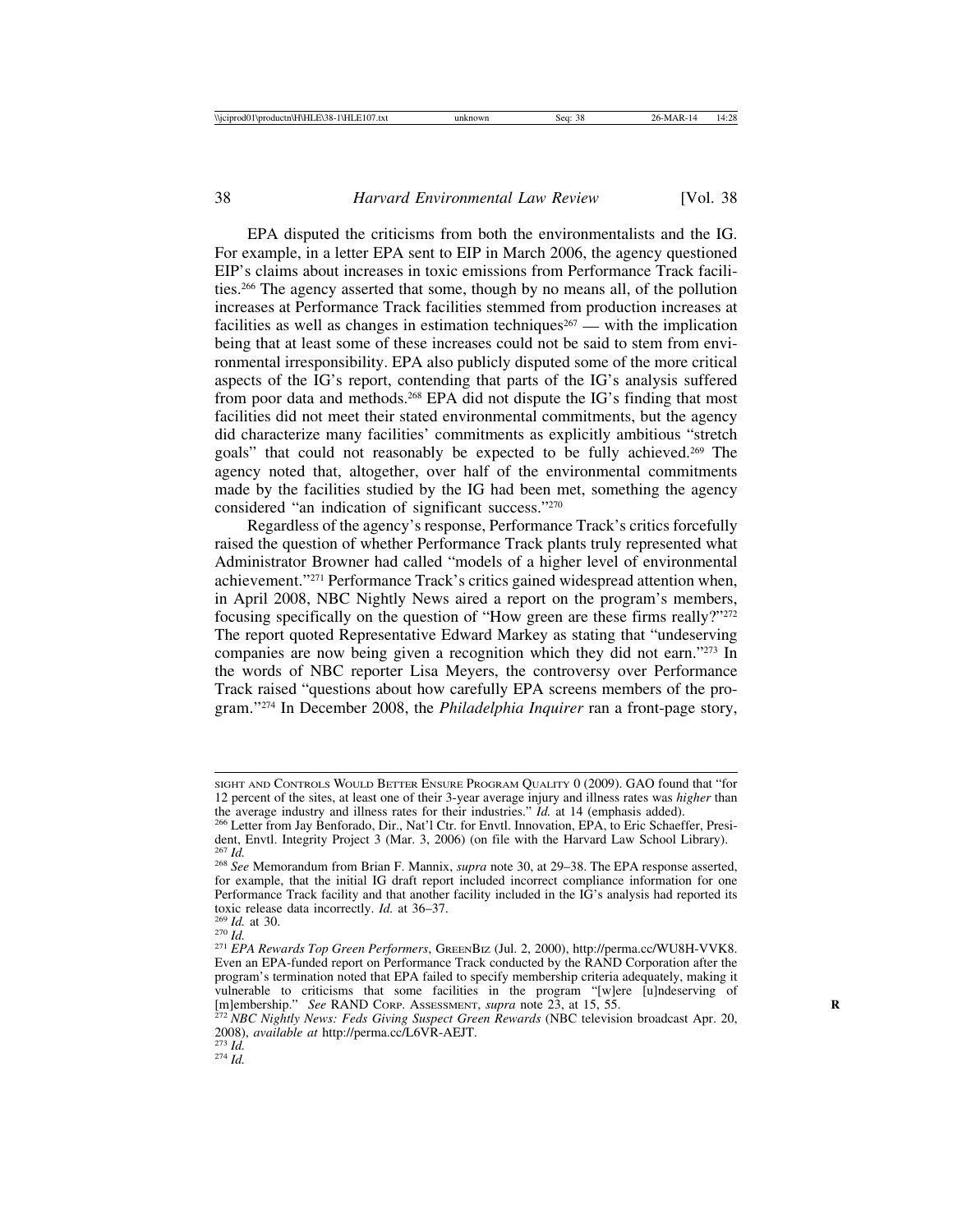EPA disputed the criticisms from both the environmentalists and the IG. For example, in a letter EPA sent to EIP in March 2006, the agency questioned EIP's claims about increases in toxic emissions from Performance Track facilities.266 The agency asserted that some, though by no means all, of the pollution increases at Performance Track facilities stemmed from production increases at facilities as well as changes in estimation techniques<sup>267</sup> — with the implication being that at least some of these increases could not be said to stem from environmental irresponsibility. EPA also publicly disputed some of the more critical aspects of the IG's report, contending that parts of the IG's analysis suffered from poor data and methods.268 EPA did not dispute the IG's finding that most facilities did not meet their stated environmental commitments, but the agency did characterize many facilities' commitments as explicitly ambitious "stretch goals" that could not reasonably be expected to be fully achieved.269 The agency noted that, altogether, over half of the environmental commitments made by the facilities studied by the IG had been met, something the agency considered "an indication of significant success."270

Regardless of the agency's response, Performance Track's critics forcefully raised the question of whether Performance Track plants truly represented what Administrator Browner had called "models of a higher level of environmental achievement."271 Performance Track's critics gained widespread attention when, in April 2008, NBC Nightly News aired a report on the program's members, focusing specifically on the question of "How green are these firms really?"<sup>272</sup> The report quoted Representative Edward Markey as stating that "undeserving companies are now being given a recognition which they did not earn."273 In the words of NBC reporter Lisa Meyers, the controversy over Performance Track raised "questions about how carefully EPA screens members of the program."274 In December 2008, the *Philadelphia Inquirer* ran a front-page story,

SIGHT AND CONTROLS WOULD BETTER ENSURE PROGRAM QUALITY 0 (2009). GAO found that "for 12 percent of the sites, at least one of their 3-year average injury and illness rates was *higher* than

<sup>&</sup>lt;sup>266</sup> Letter from Jay Benforado, Dir., Nat'l Ctr. for Envtl. Innovation, EPA, to Eric Schaeffer, President, Envtl. Integrity Project 3 (Mar. 3, 2006) (on file with the Harvard Law School Library).<br> $\frac{267}{1}$ 

<sup>267</sup> *Id.* <sup>268</sup> *See* Memorandum from Brian F. Mannix, *supra* note 30, at 29–38. The EPA response asserted, for example, that the initial IG draft report included incorrect compliance information for one Performance Track facility and that another facility included in the IG's analysis had reported its toxic release data incorrectly. *Id.* at 36–37.

toxic release data incorrectly. *Id.* at 36–37. <sup>269</sup> *Id.* at 30. <sup>270</sup> *Id.* <sup>271</sup> *EPA Rewards Top Green Performers*, GREENBIZ (Jul. 2, 2000), http://perma.cc/WU8H-VVK8. Even an EPA-funded report on Performance Track conducted by the RAND Corporation after the program's termination noted that EPA failed to specify membership criteria adequately, making it vulnerable to criticisms that some facilities in the program "[w]ere [u]ndeserving of [m]embership." *See* RAND Core. Assessment, *supra* note 23, at 15, 55.<br><sup>272</sup> NBC Nightly News: Feds Giving Suspect Green Rewards (NBC t

<sup>2008),</sup> *available at* http://perma.cc/L6VR-AEJT. <sup>273</sup> *Id.* <sup>274</sup> *Id.*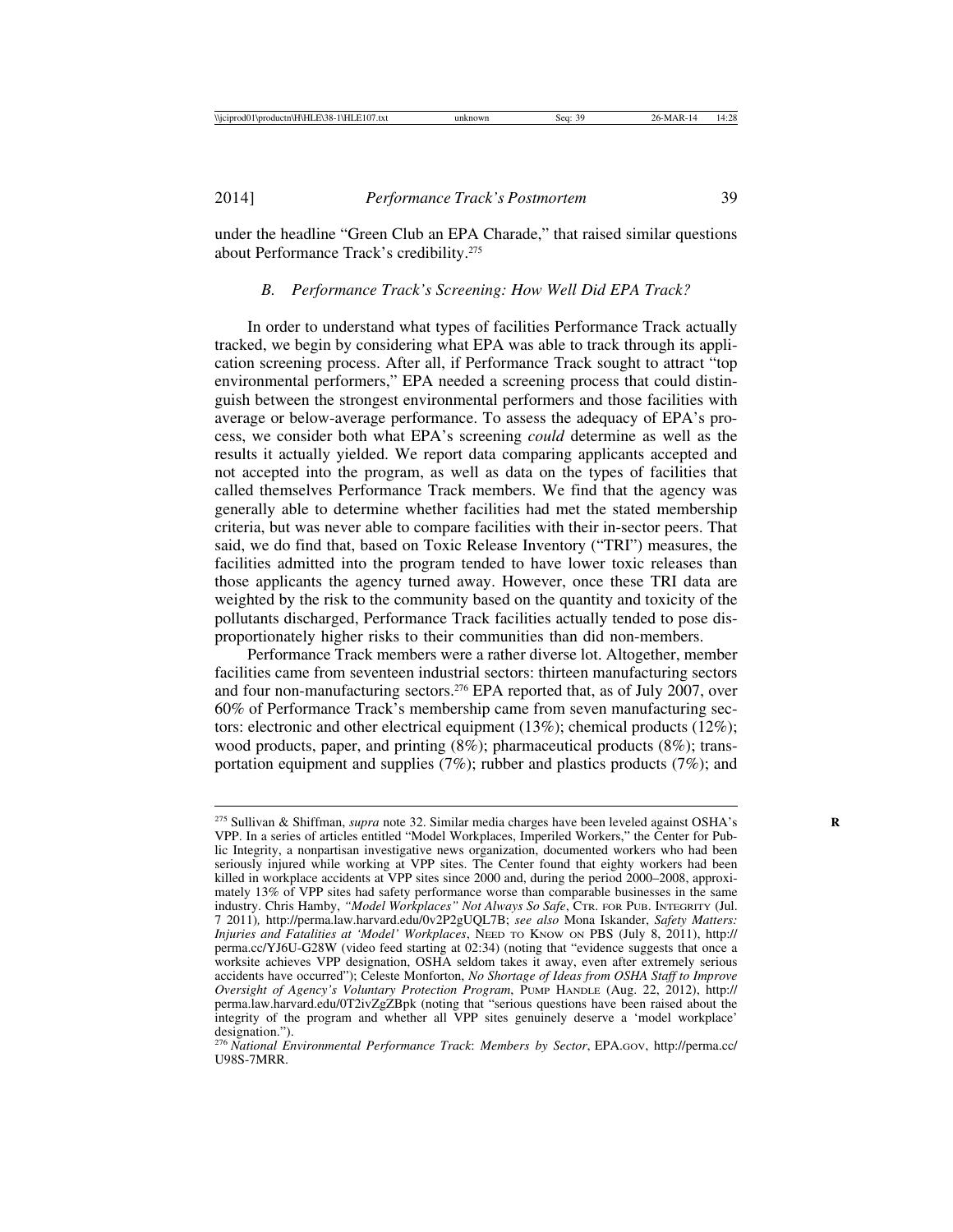under the headline "Green Club an EPA Charade," that raised similar questions about Performance Track's credibility.275

### *B. Performance Track's Screening: How Well Did EPA Track?*

In order to understand what types of facilities Performance Track actually tracked, we begin by considering what EPA was able to track through its application screening process. After all, if Performance Track sought to attract "top environmental performers," EPA needed a screening process that could distinguish between the strongest environmental performers and those facilities with average or below-average performance. To assess the adequacy of EPA's process, we consider both what EPA's screening *could* determine as well as the results it actually yielded. We report data comparing applicants accepted and not accepted into the program, as well as data on the types of facilities that called themselves Performance Track members. We find that the agency was generally able to determine whether facilities had met the stated membership criteria, but was never able to compare facilities with their in-sector peers. That said, we do find that, based on Toxic Release Inventory ("TRI") measures, the facilities admitted into the program tended to have lower toxic releases than those applicants the agency turned away. However, once these TRI data are weighted by the risk to the community based on the quantity and toxicity of the pollutants discharged, Performance Track facilities actually tended to pose disproportionately higher risks to their communities than did non-members.

Performance Track members were a rather diverse lot. Altogether, member facilities came from seventeen industrial sectors: thirteen manufacturing sectors and four non-manufacturing sectors.276 EPA reported that, as of July 2007, over 60% of Performance Track's membership came from seven manufacturing sectors: electronic and other electrical equipment (13%); chemical products (12%); wood products, paper, and printing (8%); pharmaceutical products (8%); transportation equipment and supplies (7%); rubber and plastics products (7%); and

<sup>&</sup>lt;sup>275</sup> Sullivan & Shiffman, *supra* note 32. Similar media charges have been leveled against OSHA's VPP. In a series of articles entitled "Model Workplaces, Imperiled Workers," the Center for Public Integrity, a nonpartisan investigative news organization, documented workers who had been seriously injured while working at VPP sites. The Center found that eighty workers had been killed in workplace accidents at VPP sites since 2000 and, during the period 2000–2008, approximately 13% of VPP sites had safety performance worse than comparable businesses in the same industry. Chris Hamby, *"Model Workplaces" Not Always So Safe*, CTR. FOR PUB. INTEGRITY (Jul. 7 2011)*,* http://perma.law.harvard.edu/0v2P2gUQL7B; *see also* Mona Iskander, *Safety Matters: Injuries and Fatalities at 'Model' Workplaces*, NEED TO KNOW ON PBS (July 8, 2011), http:// perma.cc/YJ6U-G28W (video feed starting at 02:34) (noting that "evidence suggests that once a worksite achieves VPP designation, OSHA seldom takes it away, even after extremely serious accidents have occurred"); Celeste Monforton, *No Shortage of Ideas from OSHA Staff to Improve Oversight of Agency's Voluntary Protection Program*, PUMP HANDLE (Aug. 22, 2012), http:// perma.law.harvard.edu/0T2ivZgZBpk (noting that "serious questions have been raised about the integrity of the program and whether all VPP sites genuinely deserve a 'model workplace'

designation."). <sup>276</sup> *National Environmental Performance Track*: *Members by Sector*, EPA.GOV, http://perma.cc/ U98S-7MRR.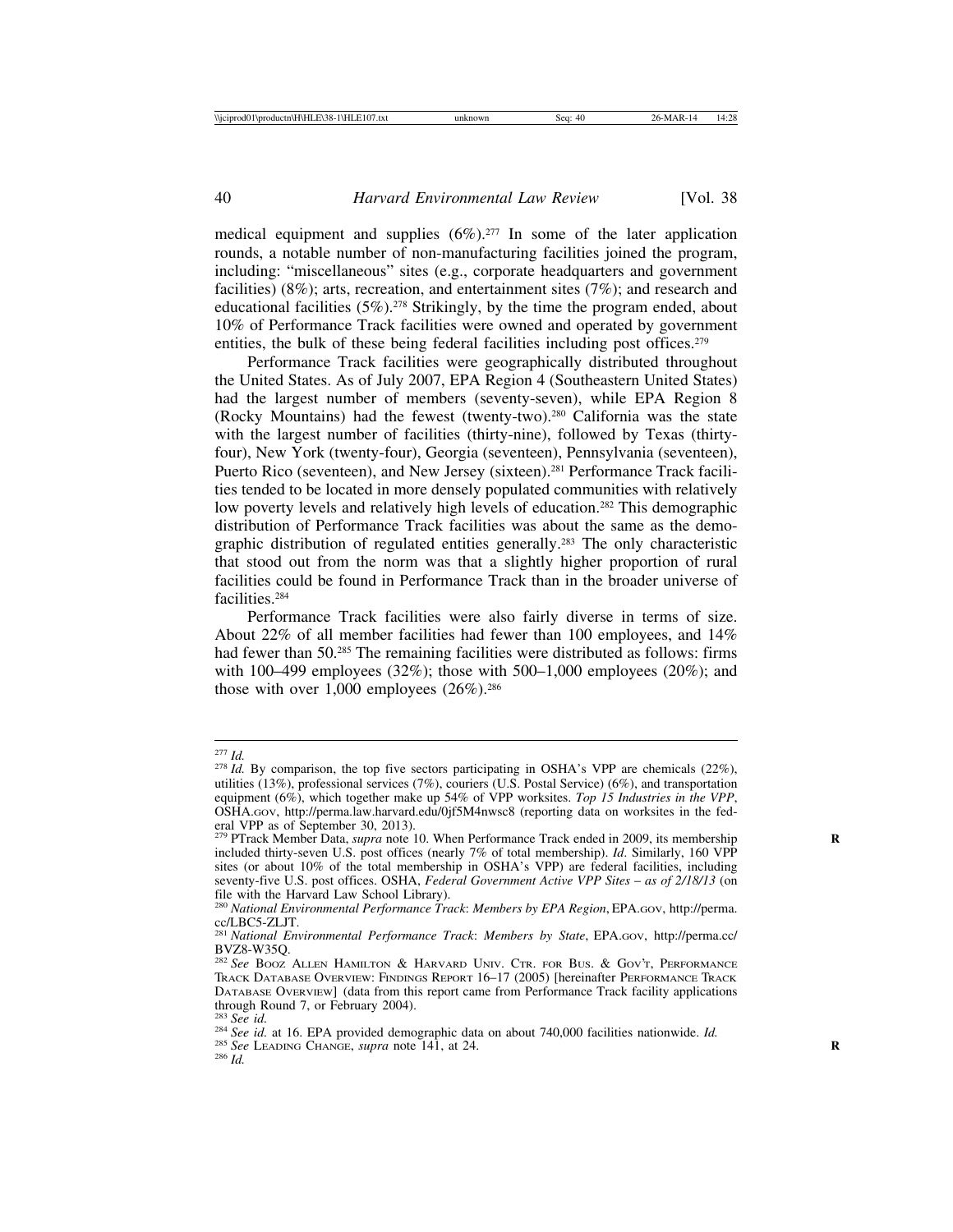medical equipment and supplies  $(6\%)$ .<sup>277</sup> In some of the later application rounds, a notable number of non-manufacturing facilities joined the program, including: "miscellaneous" sites (e.g., corporate headquarters and government facilities) (8%); arts, recreation, and entertainment sites (7%); and research and educational facilities  $(5\%)$ .<sup>278</sup> Strikingly, by the time the program ended, about 10% of Performance Track facilities were owned and operated by government entities, the bulk of these being federal facilities including post offices.<sup>279</sup>

Performance Track facilities were geographically distributed throughout the United States. As of July 2007, EPA Region 4 (Southeastern United States) had the largest number of members (seventy-seven), while EPA Region 8 (Rocky Mountains) had the fewest (twenty-two).280 California was the state with the largest number of facilities (thirty-nine), followed by Texas (thirtyfour), New York (twenty-four), Georgia (seventeen), Pennsylvania (seventeen), Puerto Rico (seventeen), and New Jersey (sixteen).<sup>281</sup> Performance Track facilities tended to be located in more densely populated communities with relatively low poverty levels and relatively high levels of education.<sup>282</sup> This demographic distribution of Performance Track facilities was about the same as the demographic distribution of regulated entities generally.283 The only characteristic that stood out from the norm was that a slightly higher proportion of rural facilities could be found in Performance Track than in the broader universe of facilities.284

Performance Track facilities were also fairly diverse in terms of size. About 22% of all member facilities had fewer than 100 employees, and 14% had fewer than 50.<sup>285</sup> The remaining facilities were distributed as follows: firms with 100–499 employees  $(32\%)$ ; those with 500–1,000 employees  $(20\%)$ ; and those with over  $1,000$  employees  $(26\%)$ .<sup>286</sup>

<sup>&</sup>lt;sup>277</sup> *Id.* By comparison, the top five sectors participating in OSHA's VPP are chemicals (22%), utilities (13%), professional services (7%), couriers (U.S. Postal Service) (6%), and transportation equipment (6%), which together make up 54% of VPP worksites. *Top 15 Industries in the VPP*, OSHA.GOV, http://perma.law.harvard.edu/0jf5M4nwsc8 (reporting data on worksites in the federal VPP as of September 30, 2013).<br><sup>279</sup> PTrack Member Data, *supra* note 10. When Performance Track ended in 2009, its membership

included thirty-seven U.S. post offices (nearly 7% of total membership). *Id*. Similarly, 160 VPP sites (or about 10% of the total membership in OSHA's VPP) are federal facilities, including seventy-five U.S. post offices. OSHA, *Federal Government Active VPP Sites* – *as of 2/18/13* (on file with the Harvard Law School Library).

<sup>280</sup> *National Environmental Performance Track*: *Members by EPA Region*, EPA.GOV, http://perma.

cc/LBC5-ZLJT. <sup>281</sup> *National Environmental Performance Track*: *Members by State*, EPA.GOV, http://perma.cc/ BVZ8-W35Q.

<sup>282</sup> *See* BOOZ ALLEN HAMILTON & HARVARD UNIV. CTR. FOR BUS. & GOV'T, PERFORMANCE TRACK DATABASE OVERVIEW: FINDINGS REPORT 16–17 (2005) [hereinafter PERFORMANCE TRACK DATABASE OVERVIEW] (data from this report came from Performance Track facility applications through Round 7, or February 2004).<br> $283 \text{ See } id$ .

<sup>&</sup>lt;sup>284</sup> *See id.* at 16. EPA provided demographic data on about 740,000 facilities nationwide. *Id.* <sup>285</sup> *See* LEADING CHANGE, *supra* note 141, at 24.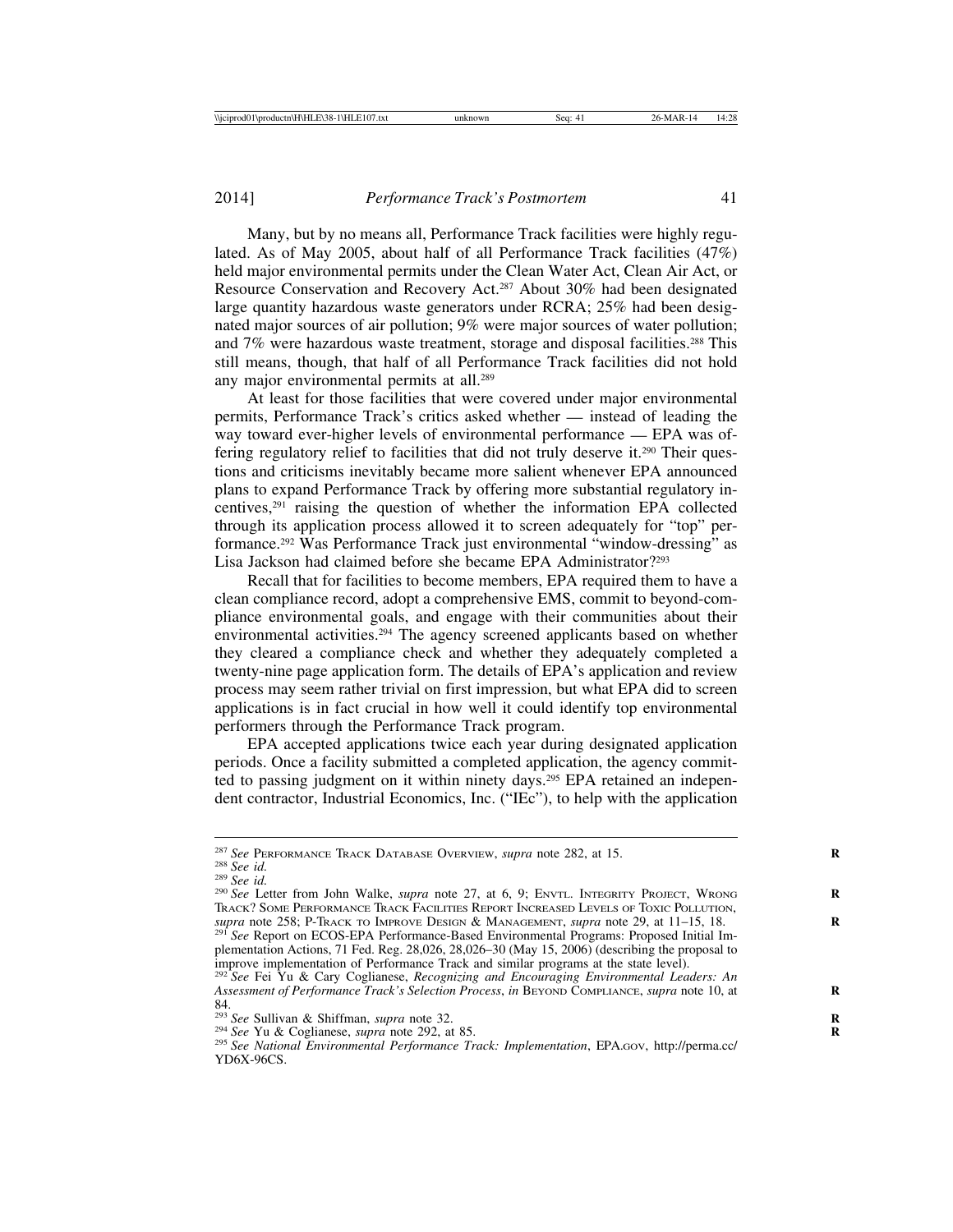Many, but by no means all, Performance Track facilities were highly regulated. As of May 2005, about half of all Performance Track facilities (47%) held major environmental permits under the Clean Water Act, Clean Air Act, or Resource Conservation and Recovery Act.287 About 30% had been designated large quantity hazardous waste generators under RCRA; 25% had been designated major sources of air pollution; 9% were major sources of water pollution; and 7% were hazardous waste treatment, storage and disposal facilities.288 This still means, though, that half of all Performance Track facilities did not hold any major environmental permits at all.289

At least for those facilities that were covered under major environmental permits, Performance Track's critics asked whether — instead of leading the way toward ever-higher levels of environmental performance — EPA was offering regulatory relief to facilities that did not truly deserve it.290 Their questions and criticisms inevitably became more salient whenever EPA announced plans to expand Performance Track by offering more substantial regulatory incentives,291 raising the question of whether the information EPA collected through its application process allowed it to screen adequately for "top" performance.292 Was Performance Track just environmental "window-dressing" as Lisa Jackson had claimed before she became EPA Administrator?293

Recall that for facilities to become members, EPA required them to have a clean compliance record, adopt a comprehensive EMS, commit to beyond-compliance environmental goals, and engage with their communities about their environmental activities.<sup>294</sup> The agency screened applicants based on whether they cleared a compliance check and whether they adequately completed a twenty-nine page application form. The details of EPA's application and review process may seem rather trivial on first impression, but what EPA did to screen applications is in fact crucial in how well it could identify top environmental performers through the Performance Track program.

EPA accepted applications twice each year during designated application periods. Once a facility submitted a completed application, the agency committed to passing judgment on it within ninety days.295 EPA retained an independent contractor, Industrial Economics, Inc. ("IEc"), to help with the application

<sup>&</sup>lt;sup>287</sup> See PERFORMANCE TRACK DATABASE OVERVIEW, *supra* note 282, at 15.<br><sup>288</sup> See id.<br><sup>289</sup> See id.<br><sup>290</sup> See Letter from John Walke, *supra* note 27, at 6, 9; ENVTL. INTEGRITY PROJECT, WRONG TRACK? SOME PERFORMANCE TRACK FACILITIES REPORT INCREASED LEVELS OF TOXIC POLLUTION, *supra* note 258; P-TRACK TO IMPROVE DESIGN & MANAGEMENT, *supra* note 29, at 11–15, 18. **<sup>R</sup>** <sup>291</sup> *See* Report on ECOS-EPA Performance-Based Environmental Programs: Proposed Initial Im-

plementation Actions, 71 Fed. Reg. 28,026, 28,026–30 (May 15, 2006) (describing the proposal to improve implementation of Performance Track and similar programs at the state level).

<sup>292</sup> *See* Fei Yu & Cary Coglianese, *Recognizing and Encouraging Environmental Leaders: An Assessment of Performance Track's Selection Process*, *in* BEYOND COMPLIANCE, *supra* note 10, at **R** 84.<br> $293 \text{ See }$  Sullivan & Shiffman, *supra* note 32.

<sup>&</sup>lt;sup>294</sup> See Yu & Coglianese, *supra* note 292, at 85.<br><sup>295</sup> See National Environmental Performance Track: Implementation, EPA.GOV, http://perma.cc/ YD6X-96CS.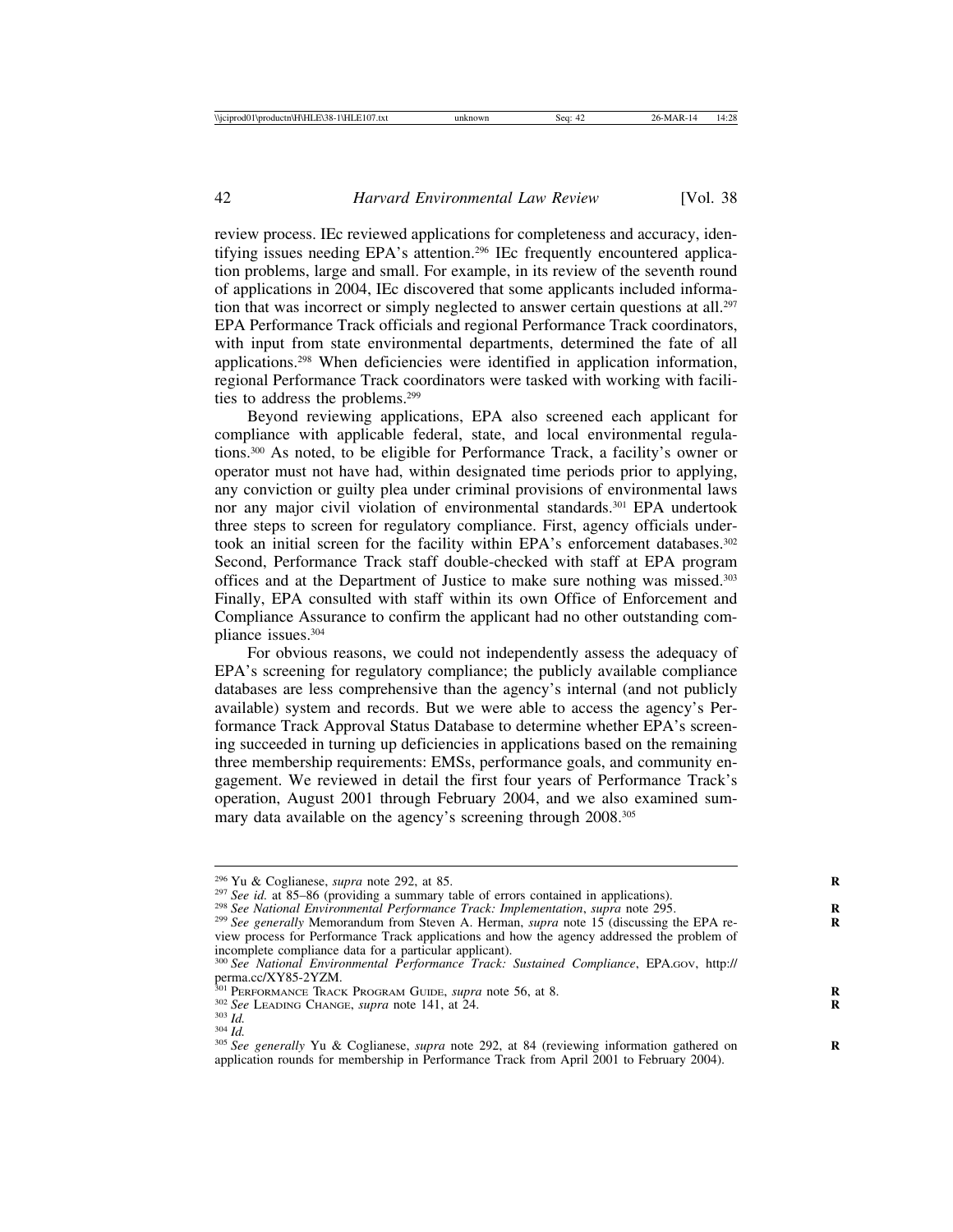review process. IEc reviewed applications for completeness and accuracy, identifying issues needing EPA's attention.296 IEc frequently encountered application problems, large and small. For example, in its review of the seventh round of applications in 2004, IEc discovered that some applicants included information that was incorrect or simply neglected to answer certain questions at all.<sup>297</sup> EPA Performance Track officials and regional Performance Track coordinators, with input from state environmental departments, determined the fate of all applications.298 When deficiencies were identified in application information, regional Performance Track coordinators were tasked with working with facilities to address the problems.299

Beyond reviewing applications, EPA also screened each applicant for compliance with applicable federal, state, and local environmental regulations.300 As noted, to be eligible for Performance Track, a facility's owner or operator must not have had, within designated time periods prior to applying, any conviction or guilty plea under criminal provisions of environmental laws nor any major civil violation of environmental standards.<sup>301</sup> EPA undertook three steps to screen for regulatory compliance. First, agency officials undertook an initial screen for the facility within EPA's enforcement databases.<sup>302</sup> Second, Performance Track staff double-checked with staff at EPA program offices and at the Department of Justice to make sure nothing was missed.303 Finally, EPA consulted with staff within its own Office of Enforcement and Compliance Assurance to confirm the applicant had no other outstanding compliance issues.304

For obvious reasons, we could not independently assess the adequacy of EPA's screening for regulatory compliance; the publicly available compliance databases are less comprehensive than the agency's internal (and not publicly available) system and records. But we were able to access the agency's Performance Track Approval Status Database to determine whether EPA's screening succeeded in turning up deficiencies in applications based on the remaining three membership requirements: EMSs, performance goals, and community engagement. We reviewed in detail the first four years of Performance Track's operation, August 2001 through February 2004, and we also examined summary data available on the agency's screening through 2008.305

<sup>&</sup>lt;sup>296</sup> Yu & Coglianese, *supra* note 292, at 85.<br><sup>297</sup> See id. at 85–86 (providing a summary table of errors contained in applications).<br><sup>298</sup> See National Environmental Performance Track: Implementation, *supra* note 295. view process for Performance Track applications and how the agency addressed the problem of incomplete compliance data for a particular applicant). <sup>300</sup> *See National Environmental Performance Track: Sustained Compliance*, EPA.GOV, http://

perma.cc/XY85-2YZM.<br><sup>301</sup> PERFORMANCE TRACK PROGRAM GUIDE, *supra* note 56, at 8.

<sup>&</sup>lt;sup>302</sup> See LEADING CHANGE, *supra* note 141, at 24.<br><sup>303</sup> Id.<br><sup>304</sup> Id.<br><sup>305</sup> See generally Yu & Coglianese, *supra* note 292, at 84 (reviewing information gathered on application rounds for membership in Performance Track from April 2001 to February 2004).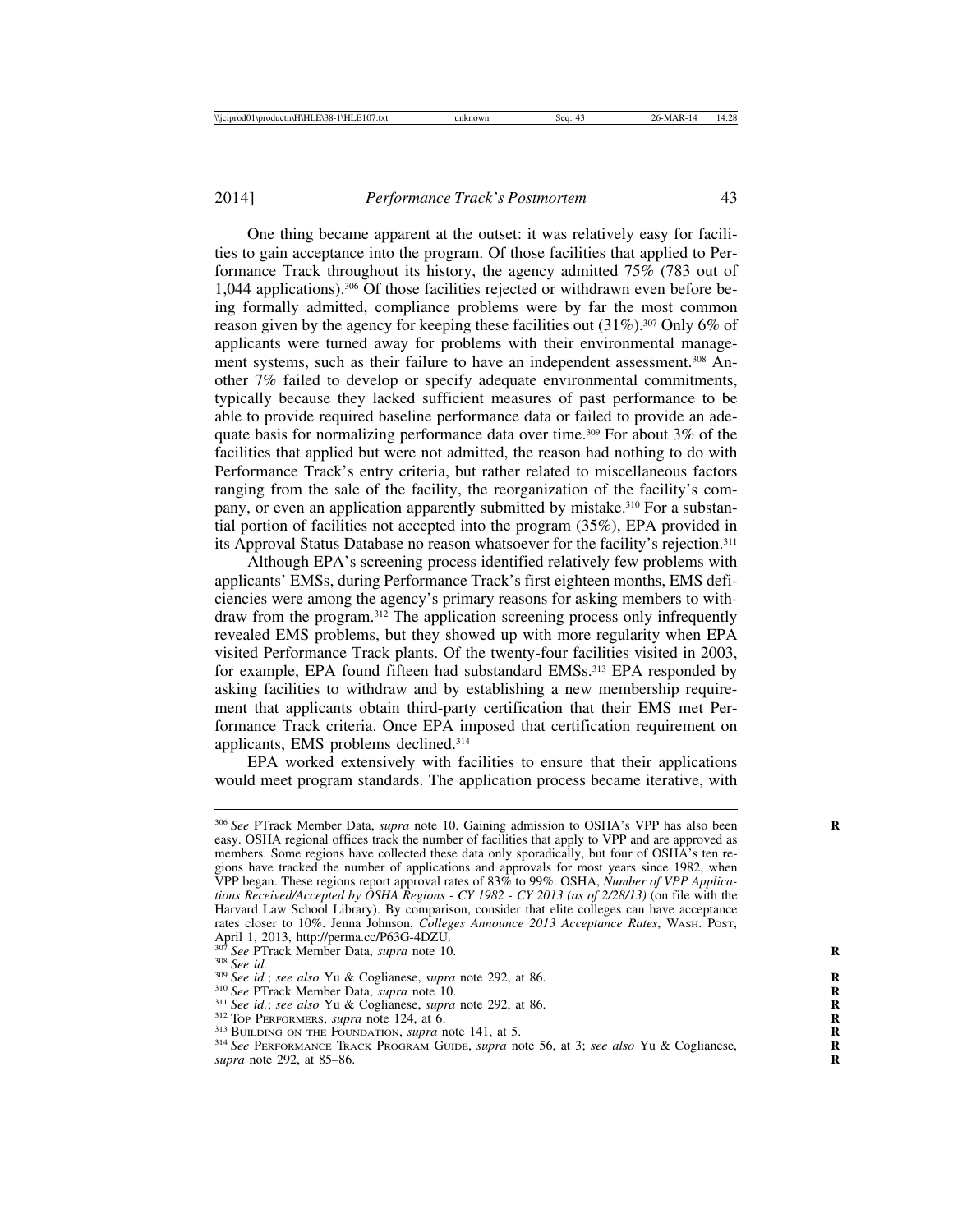One thing became apparent at the outset: it was relatively easy for facilities to gain acceptance into the program. Of those facilities that applied to Performance Track throughout its history, the agency admitted 75% (783 out of 1,044 applications).306 Of those facilities rejected or withdrawn even before being formally admitted, compliance problems were by far the most common reason given by the agency for keeping these facilities out  $(31\%)$ .<sup>307</sup> Only 6% of applicants were turned away for problems with their environmental management systems, such as their failure to have an independent assessment.<sup>308</sup> Another 7% failed to develop or specify adequate environmental commitments, typically because they lacked sufficient measures of past performance to be able to provide required baseline performance data or failed to provide an adequate basis for normalizing performance data over time.<sup>309</sup> For about  $3\%$  of the facilities that applied but were not admitted, the reason had nothing to do with Performance Track's entry criteria, but rather related to miscellaneous factors ranging from the sale of the facility, the reorganization of the facility's company, or even an application apparently submitted by mistake.<sup>310</sup> For a substantial portion of facilities not accepted into the program (35%), EPA provided in its Approval Status Database no reason whatsoever for the facility's rejection.311

Although EPA's screening process identified relatively few problems with applicants' EMSs, during Performance Track's first eighteen months, EMS deficiencies were among the agency's primary reasons for asking members to withdraw from the program.312 The application screening process only infrequently revealed EMS problems, but they showed up with more regularity when EPA visited Performance Track plants. Of the twenty-four facilities visited in 2003, for example, EPA found fifteen had substandard EMSs.<sup>313</sup> EPA responded by asking facilities to withdraw and by establishing a new membership requirement that applicants obtain third-party certification that their EMS met Performance Track criteria. Once EPA imposed that certification requirement on applicants, EMS problems declined.314

EPA worked extensively with facilities to ensure that their applications would meet program standards. The application process became iterative, with

<sup>&</sup>lt;sup>306</sup> See PTrack Member Data, *supra* note 10. Gaining admission to OSHA's VPP has also been easy. OSHA regional offices track the number of facilities that apply to VPP and are approved as members. Some regions have collected these data only sporadically, but four of OSHA's ten regions have tracked the number of applications and approvals for most years since 1982, when VPP began. These regions report approval rates of 83% to 99%. OSHA, *Number of VPP Applications Received/Accepted by OSHA Regions - CY 1982 - CY 2013 (as of 2/28/13)* (on file with the Harvard Law School Library). By comparison, consider that elite colleges can have acceptance rates closer to 10%. Jenna Johnson, *Colleges Announce 2013 Acceptance Rates*, WASH. POST, April 1, 2013, http://perma.cc/P63G-4DZU.<br><sup>307</sup> See PTrack Member Data, *supra* note 10.

<sup>&</sup>lt;sup>308</sup> See id.<br><sup>309</sup> See id.; see also Yu & Coglianese, *supra* note 292, at 86.<br><sup>310</sup> See PTrack Member Data, *supra* note 10.<br><sup>311</sup> See id.; see also Yu & Coglianese, *supra* note 292, at 86.<br><sup>312</sup> To PERFORMERS, *supra supra* note 292, at 85–86. **R**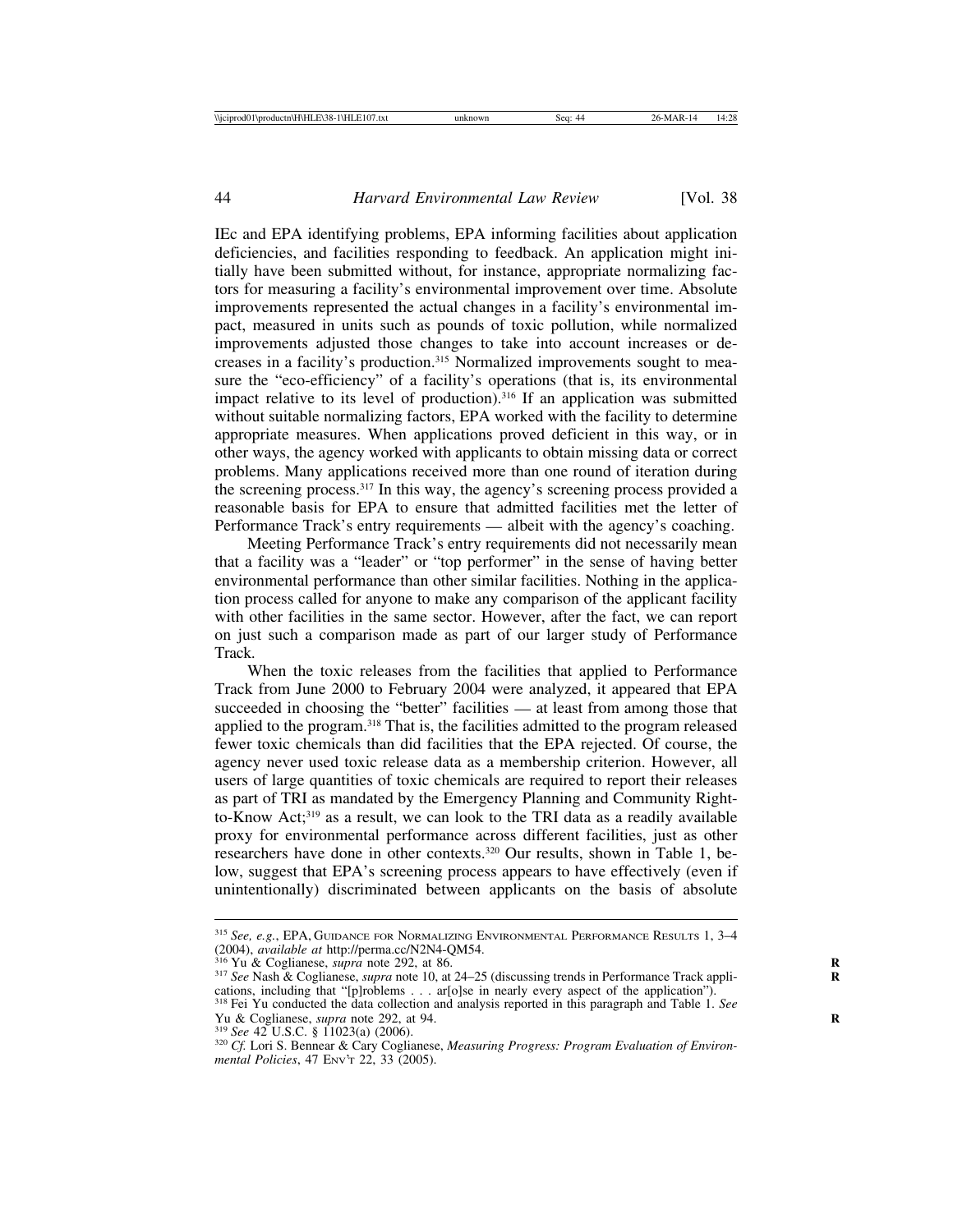IEc and EPA identifying problems, EPA informing facilities about application deficiencies, and facilities responding to feedback. An application might initially have been submitted without, for instance, appropriate normalizing factors for measuring a facility's environmental improvement over time. Absolute improvements represented the actual changes in a facility's environmental impact, measured in units such as pounds of toxic pollution, while normalized improvements adjusted those changes to take into account increases or decreases in a facility's production.315 Normalized improvements sought to measure the "eco-efficiency" of a facility's operations (that is, its environmental impact relative to its level of production).316 If an application was submitted without suitable normalizing factors, EPA worked with the facility to determine appropriate measures. When applications proved deficient in this way, or in other ways, the agency worked with applicants to obtain missing data or correct problems. Many applications received more than one round of iteration during the screening process.<sup>317</sup> In this way, the agency's screening process provided a reasonable basis for EPA to ensure that admitted facilities met the letter of Performance Track's entry requirements — albeit with the agency's coaching.

Meeting Performance Track's entry requirements did not necessarily mean that a facility was a "leader" or "top performer" in the sense of having better environmental performance than other similar facilities. Nothing in the application process called for anyone to make any comparison of the applicant facility with other facilities in the same sector. However, after the fact, we can report on just such a comparison made as part of our larger study of Performance Track.

When the toxic releases from the facilities that applied to Performance Track from June 2000 to February 2004 were analyzed, it appeared that EPA succeeded in choosing the "better" facilities — at least from among those that applied to the program.318 That is, the facilities admitted to the program released fewer toxic chemicals than did facilities that the EPA rejected. Of course, the agency never used toxic release data as a membership criterion. However, all users of large quantities of toxic chemicals are required to report their releases as part of TRI as mandated by the Emergency Planning and Community Rightto-Know Act;319 as a result, we can look to the TRI data as a readily available proxy for environmental performance across different facilities, just as other researchers have done in other contexts.320 Our results, shown in Table 1, below, suggest that EPA's screening process appears to have effectively (even if unintentionally) discriminated between applicants on the basis of absolute

<sup>&</sup>lt;sup>315</sup> *See, e.g.*, EPA, GUIDANCE FOR NORMALIZING ENVIRONMENTAL PERFORMANCE RESULTS 1, 3–4 (2004), *available at http://perma.cc/N2N4-QM54.* 

<sup>&</sup>lt;sup>316</sup> Yu & Coglianese, *supra* note 292, at 86.<br><sup>317</sup> See Nash & Coglianese, *supra* note 10, at 24–25 (discussing trends in Performance Track appli-

cations, including that "[p]roblems . . . ar[o]se in nearly every aspect of the application").<br><sup>318</sup> Fei Yu conducted the data collection and analysis reported in this paragraph and Table 1. *See*<br>Yu & Coglianese, *supra*

<sup>&</sup>lt;sup>319</sup> See 42 U.S.C. § 11023(a) (2006).<br><sup>320</sup> Cf. Lori S. Bennear & Cary Coglianese, *Measuring Progress: Program Evaluation of Environmental Policies*, 47 ENV'T 22, 33 (2005).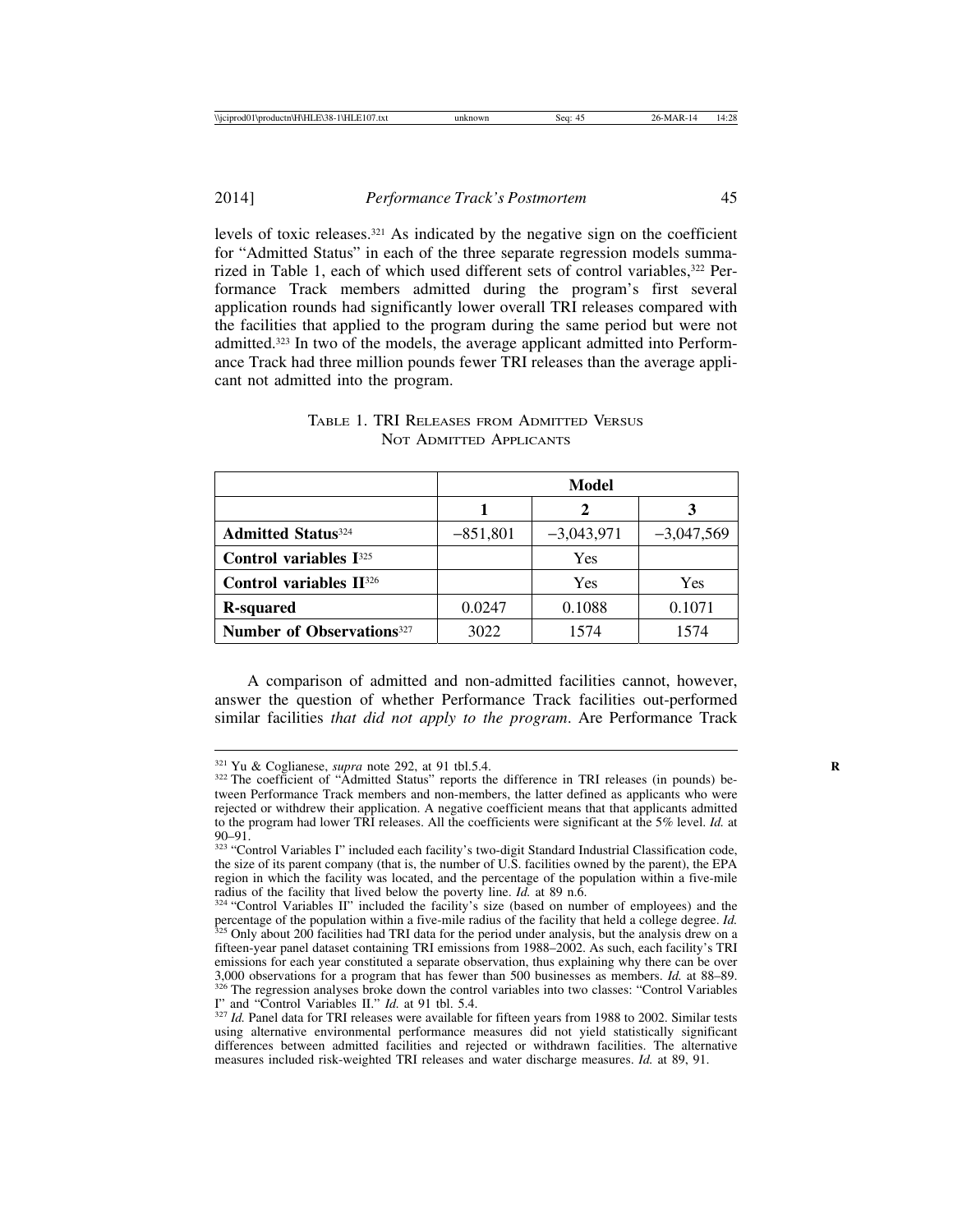2014] *Performance Track's Postmortem* 45

levels of toxic releases.321 As indicated by the negative sign on the coefficient for "Admitted Status" in each of the three separate regression models summarized in Table 1, each of which used different sets of control variables,<sup>322</sup> Performance Track members admitted during the program's first several application rounds had significantly lower overall TRI releases compared with the facilities that applied to the program during the same period but were not admitted.323 In two of the models, the average applicant admitted into Performance Track had three million pounds fewer TRI releases than the average applicant not admitted into the program.

|                                              | Model      |              |              |  |  |  |
|----------------------------------------------|------------|--------------|--------------|--|--|--|
|                                              |            |              |              |  |  |  |
| <b>Admitted Status</b> <sup>324</sup>        | $-851,801$ | $-3,043,971$ | $-3,047,569$ |  |  |  |
| Control variables $I^{325}$                  |            | Yes          |              |  |  |  |
| Control variables II <sup>326</sup>          |            | Yes          | Yes          |  |  |  |
| <b>R-squared</b>                             | 0.0247     | 0.1088       | 0.1071       |  |  |  |
| <b>Number of Observations</b> <sup>327</sup> | 3022       | 1574         | 1574         |  |  |  |

## TABLE 1. TRI RELEASES FROM ADMITTED VERSUS NOT ADMITTED APPLICANTS

A comparison of admitted and non-admitted facilities cannot, however, answer the question of whether Performance Track facilities out-performed similar facilities *that did not apply to the program*. Are Performance Track

<sup>&</sup>lt;sup>321</sup> Yu & Coglianese, *supra* note 292, at 91 tbl.5.4.<br><sup>322</sup> The coefficient of "Admitted Status" reports the difference in TRI releases (in pounds) between Performance Track members and non-members, the latter defined as applicants who were rejected or withdrew their application. A negative coefficient means that that applicants admitted to the program had lower TRI releases. All the coefficients were significant at the 5% level. *Id.* at

<sup>323 &</sup>quot;Control Variables I" included each facility's two-digit Standard Industrial Classification code, the size of its parent company (that is, the number of U.S. facilities owned by the parent), the EPA region in which the facility was located, and the percentage of the population within a five-mile radius of the facility that lived below the poverty line.  $Id$ . at 89 n.6.

 $324$  "Control Variables II" included the facility's size (based on number of employees) and the percentage of the population within a five-mile radius of the facility that held a college degree. *Id.* <sup>525</sup> Only about 200 facilities had TRI data for the period under analysis, but the analysis drew on a fifteen-year panel dataset containing TRI emissions from 1988–2002. As such, each facility's TRI emissions for each year constituted a separate observation, thus explaining why there can be over 3,000 observations for a program that has fewer than 500 businesses as members. *Id.* at 88–89. <sup>326</sup> The regression analyses broke down the control variables into two classes: "Control Variables II" and "Control Variables II." *Id.* at 91 tbl. 5.4.

<sup>&</sup>lt;sup>327</sup> Id. Panel data for TRI releases were available for fifteen years from 1988 to 2002. Similar tests using alternative environmental performance measures did not yield statistically significant differences between admitted facilities and rejected or withdrawn facilities. The alternative measures included risk-weighted TRI releases and water discharge measures. *Id.* at 89, 91.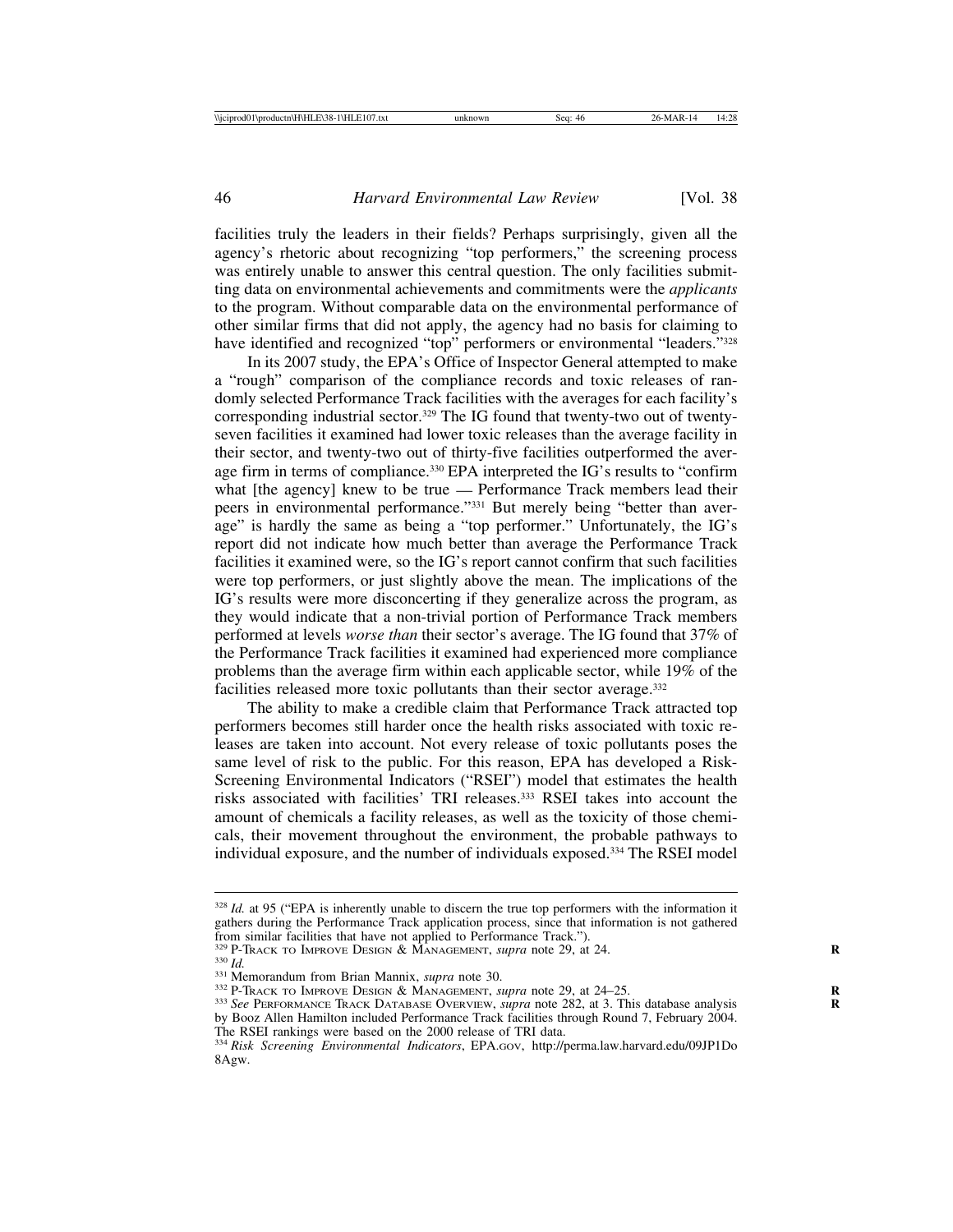facilities truly the leaders in their fields? Perhaps surprisingly, given all the agency's rhetoric about recognizing "top performers," the screening process was entirely unable to answer this central question. The only facilities submitting data on environmental achievements and commitments were the *applicants* to the program. Without comparable data on the environmental performance of other similar firms that did not apply, the agency had no basis for claiming to have identified and recognized "top" performers or environmental "leaders."<sup>328</sup>

In its 2007 study, the EPA's Office of Inspector General attempted to make a "rough" comparison of the compliance records and toxic releases of randomly selected Performance Track facilities with the averages for each facility's corresponding industrial sector.329 The IG found that twenty-two out of twentyseven facilities it examined had lower toxic releases than the average facility in their sector, and twenty-two out of thirty-five facilities outperformed the average firm in terms of compliance.<sup>330</sup> EPA interpreted the IG's results to "confirm what [the agency] knew to be true — Performance Track members lead their peers in environmental performance."331 But merely being "better than average" is hardly the same as being a "top performer." Unfortunately, the IG's report did not indicate how much better than average the Performance Track facilities it examined were, so the IG's report cannot confirm that such facilities were top performers, or just slightly above the mean. The implications of the IG's results were more disconcerting if they generalize across the program, as they would indicate that a non-trivial portion of Performance Track members performed at levels *worse than* their sector's average. The IG found that 37% of the Performance Track facilities it examined had experienced more compliance problems than the average firm within each applicable sector, while 19% of the facilities released more toxic pollutants than their sector average.<sup>332</sup>

The ability to make a credible claim that Performance Track attracted top performers becomes still harder once the health risks associated with toxic releases are taken into account. Not every release of toxic pollutants poses the same level of risk to the public. For this reason, EPA has developed a Risk-Screening Environmental Indicators ("RSEI") model that estimates the health risks associated with facilities' TRI releases.333 RSEI takes into account the amount of chemicals a facility releases, as well as the toxicity of those chemicals, their movement throughout the environment, the probable pathways to individual exposure, and the number of individuals exposed.334 The RSEI model

<sup>&</sup>lt;sup>328</sup> *Id.* at 95 ("EPA is inherently unable to discern the true top performers with the information it gathers during the Performance Track application process, since that information is not gathered from similar facilities that have not applied to Performance Track.").<br> $329$  P-Track to IMPROVE DESIGN & MANAGEMENT, *supra* note 29, at 24.

<sup>&</sup>lt;sup>330</sup> *Id.*<br><sup>331</sup> Memorandum from Brian Mannix, *supra* note 30.<br><sup>332</sup> P-TRACK TO IMPROVE DESIGN & MANAGEMENT, *supra* note 29, at 24–25.<br><sup>333</sup> See PERFORMANCE TRACK DATABASE OVERVIEW, *supra* note 282, at 3. This databas

by Booz Allen Hamilton included Performance Track facilities through Round 7, February 2004. The RSEI rankings were based on the 2000 release of TRI data.

<sup>334</sup> *Risk Screening Environmental Indicators*, EPA.GOV, http://perma.law.harvard.edu/09JP1Do 8Agw.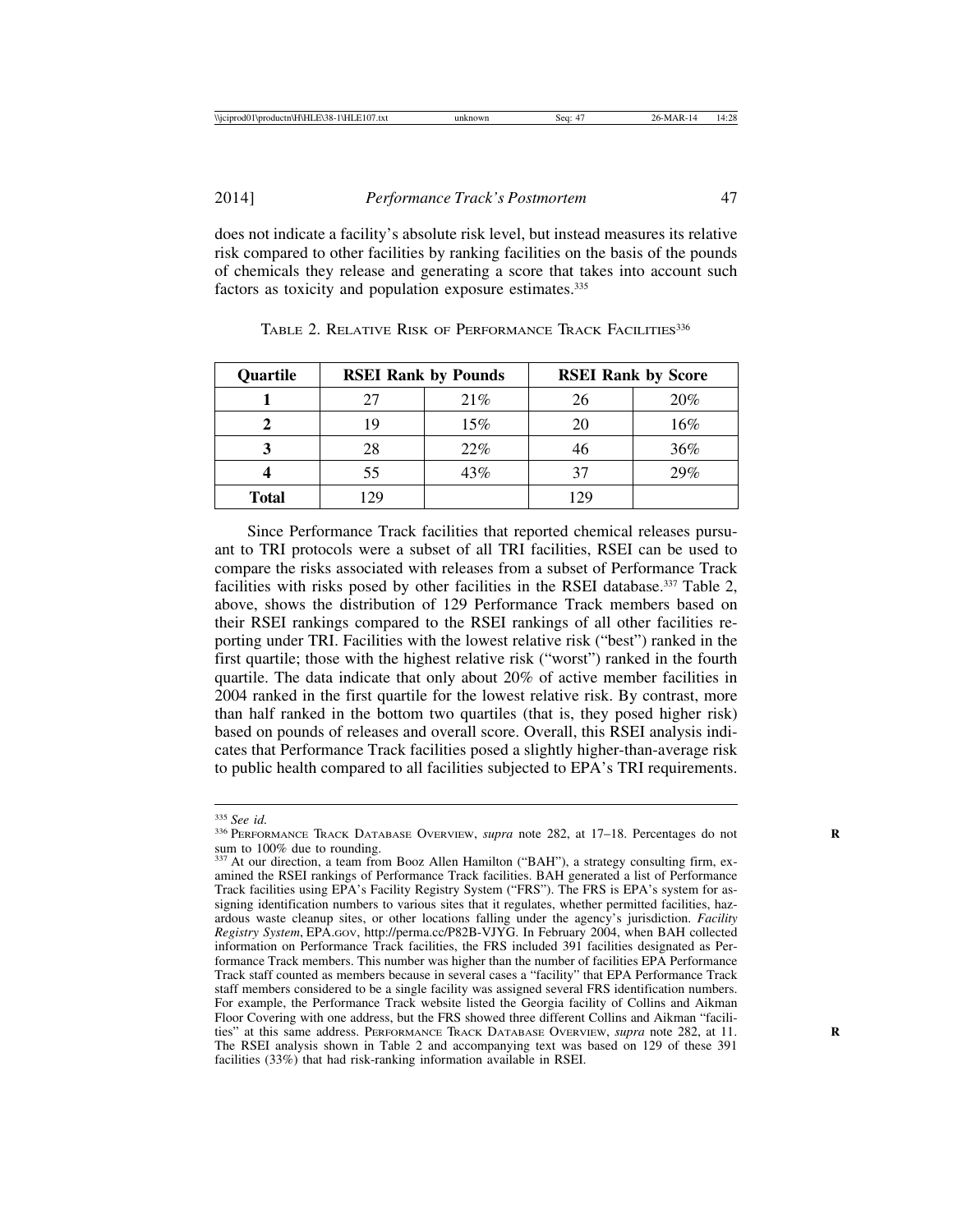does not indicate a facility's absolute risk level, but instead measures its relative risk compared to other facilities by ranking facilities on the basis of the pounds of chemicals they release and generating a score that takes into account such factors as toxicity and population exposure estimates.<sup>335</sup>

| Quartile     | <b>RSEI Rank by Pounds</b> |      | <b>RSEI Rank by Score</b> |     |
|--------------|----------------------------|------|---------------------------|-----|
|              | 27                         | 21\% | 26                        | 20% |
|              | 19                         | 15%  | 20                        | 16% |
|              | 28                         | 22%  | 46                        | 36% |
|              | 55                         | 43%  | 37                        | 29% |
| <b>Total</b> | l 29                       |      | 129                       |     |

TABLE 2. RELATIVE RISK OF PERFORMANCE TRACK FACILITIES<sup>336</sup>

Since Performance Track facilities that reported chemical releases pursuant to TRI protocols were a subset of all TRI facilities, RSEI can be used to compare the risks associated with releases from a subset of Performance Track facilities with risks posed by other facilities in the RSEI database.<sup>337</sup> Table 2, above, shows the distribution of 129 Performance Track members based on their RSEI rankings compared to the RSEI rankings of all other facilities reporting under TRI. Facilities with the lowest relative risk ("best") ranked in the first quartile; those with the highest relative risk ("worst") ranked in the fourth quartile. The data indicate that only about 20% of active member facilities in 2004 ranked in the first quartile for the lowest relative risk. By contrast, more than half ranked in the bottom two quartiles (that is, they posed higher risk) based on pounds of releases and overall score. Overall, this RSEI analysis indicates that Performance Track facilities posed a slightly higher-than-average risk to public health compared to all facilities subjected to EPA's TRI requirements.

<sup>&</sup>lt;sup>335</sup> See id.<br><sup>336</sup> PERFORMANCE TRACK DATABASE OVERVIEW, *supra* note 282, at 17–18. Percentages do not sum to 100% due to rounding.

<sup>337</sup> At our direction, a team from Booz Allen Hamilton ("BAH"), a strategy consulting firm, examined the RSEI rankings of Performance Track facilities. BAH generated a list of Performance Track facilities using EPA's Facility Registry System ("FRS"). The FRS is EPA's system for assigning identification numbers to various sites that it regulates, whether permitted facilities, hazardous waste cleanup sites, or other locations falling under the agency's jurisdiction. *Facility Registry System*, EPA.GOV, http://perma.cc/P82B-VJYG. In February 2004, when BAH collected information on Performance Track facilities, the FRS included 391 facilities designated as Performance Track members. This number was higher than the number of facilities EPA Performance Track staff counted as members because in several cases a "facility" that EPA Performance Track staff members considered to be a single facility was assigned several FRS identification numbers. For example, the Performance Track website listed the Georgia facility of Collins and Aikman Floor Covering with one address, but the FRS showed three different Collins and Aikman "facilities" at this same address. PERFORMANCE TRACK DATABASE OVERVIEW, *supra* note 282, at 11. **R** The RSEI analysis shown in Table 2 and accompanying text was based on 129 of these 391 facilities (33%) that had risk-ranking information available in RSEI.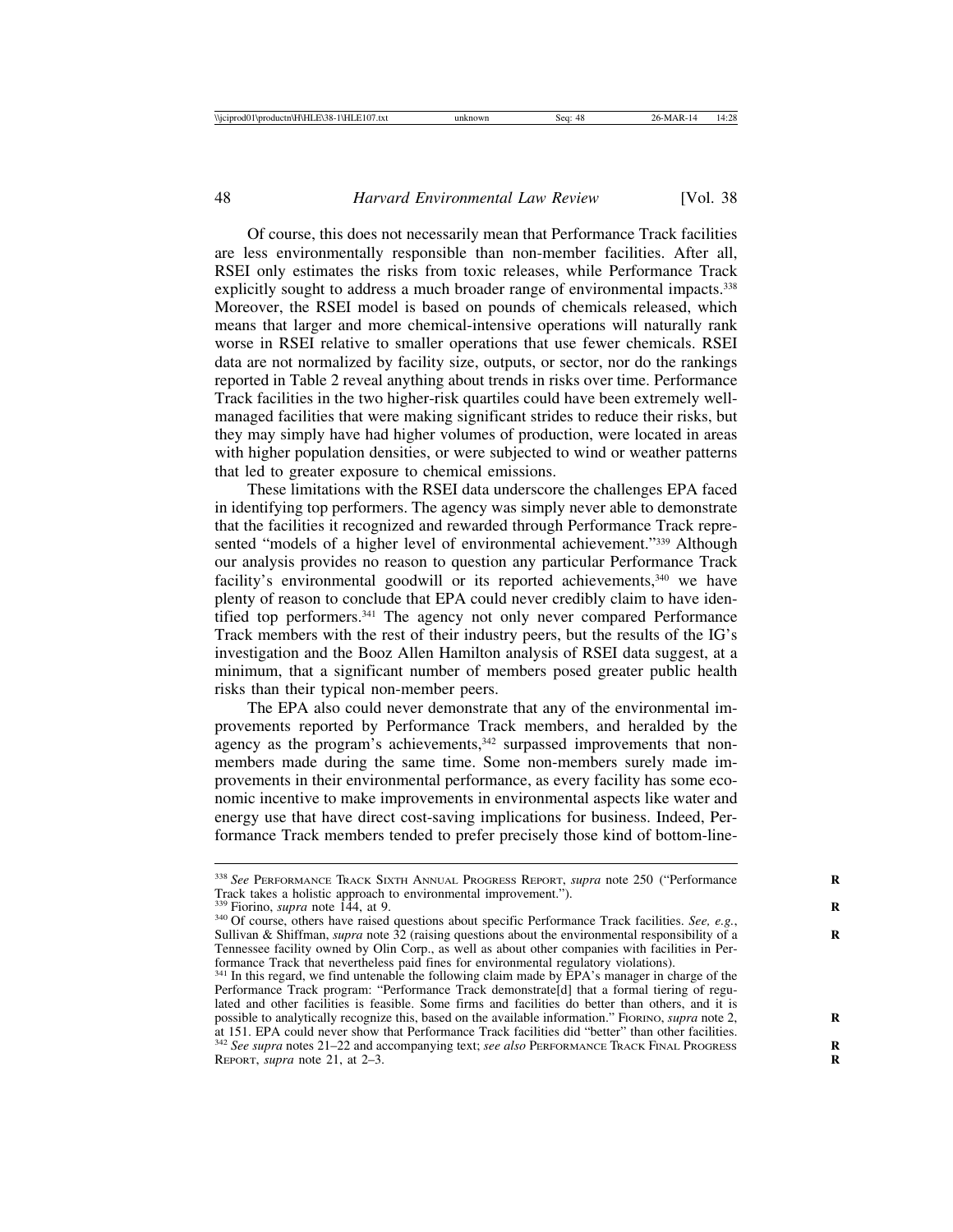Of course, this does not necessarily mean that Performance Track facilities are less environmentally responsible than non-member facilities. After all, RSEI only estimates the risks from toxic releases, while Performance Track explicitly sought to address a much broader range of environmental impacts.<sup>338</sup> Moreover, the RSEI model is based on pounds of chemicals released, which means that larger and more chemical-intensive operations will naturally rank worse in RSEI relative to smaller operations that use fewer chemicals. RSEI data are not normalized by facility size, outputs, or sector, nor do the rankings reported in Table 2 reveal anything about trends in risks over time. Performance Track facilities in the two higher-risk quartiles could have been extremely wellmanaged facilities that were making significant strides to reduce their risks, but they may simply have had higher volumes of production, were located in areas with higher population densities, or were subjected to wind or weather patterns that led to greater exposure to chemical emissions.

These limitations with the RSEI data underscore the challenges EPA faced in identifying top performers. The agency was simply never able to demonstrate that the facilities it recognized and rewarded through Performance Track represented "models of a higher level of environmental achievement."339 Although our analysis provides no reason to question any particular Performance Track facility's environmental goodwill or its reported achievements,<sup>340</sup> we have plenty of reason to conclude that EPA could never credibly claim to have identified top performers.<sup>341</sup> The agency not only never compared Performance Track members with the rest of their industry peers, but the results of the IG's investigation and the Booz Allen Hamilton analysis of RSEI data suggest, at a minimum, that a significant number of members posed greater public health risks than their typical non-member peers.

The EPA also could never demonstrate that any of the environmental improvements reported by Performance Track members, and heralded by the agency as the program's achievements,<sup>342</sup> surpassed improvements that nonmembers made during the same time. Some non-members surely made improvements in their environmental performance, as every facility has some economic incentive to make improvements in environmental aspects like water and energy use that have direct cost-saving implications for business. Indeed, Performance Track members tended to prefer precisely those kind of bottom-line-

<sup>338</sup> *See* PERFORMANCE TRACK SIXTH ANNUAL PROGRESS REPORT, *supra* note 250 ("Performance **R** Track takes a holistic approach to environmental improvement.").<br><sup>339</sup> Fiorino, *supra* note 144, at 9.

<sup>&</sup>lt;sup>340</sup> Of course, others have raised questions about specific Performance Track facilities. *See, e.g.*, Sullivan & Shiffman, *supra* note 32 (raising questions about the environmental responsibility of a Tennessee facility owned by Olin Corp., as well as about other companies with facilities in Performance Track that nevertheless paid fines for environmental regulatory violations).

<sup>&</sup>lt;sup>341</sup> In this regard, we find untenable the following claim made by EPA's manager in charge of the Performance Track program: "Performance Track demonstrate[d] that a formal tiering of regulated and other facilities is feasible. Some firms and facilities do better than others, and it is possible to analytically recognize this, based on the available information." FIORINO, *supra* note 2, at 151. EPA could never show that Performance Track facilities did "better" than other facilities. <sup>342</sup> *See supra* notes 21–22 and accompanying text; *see also* PERFORMANCE TRACK FINAL PROGRESS **R** REPORT, *supra* note 21, at 2–3. **R**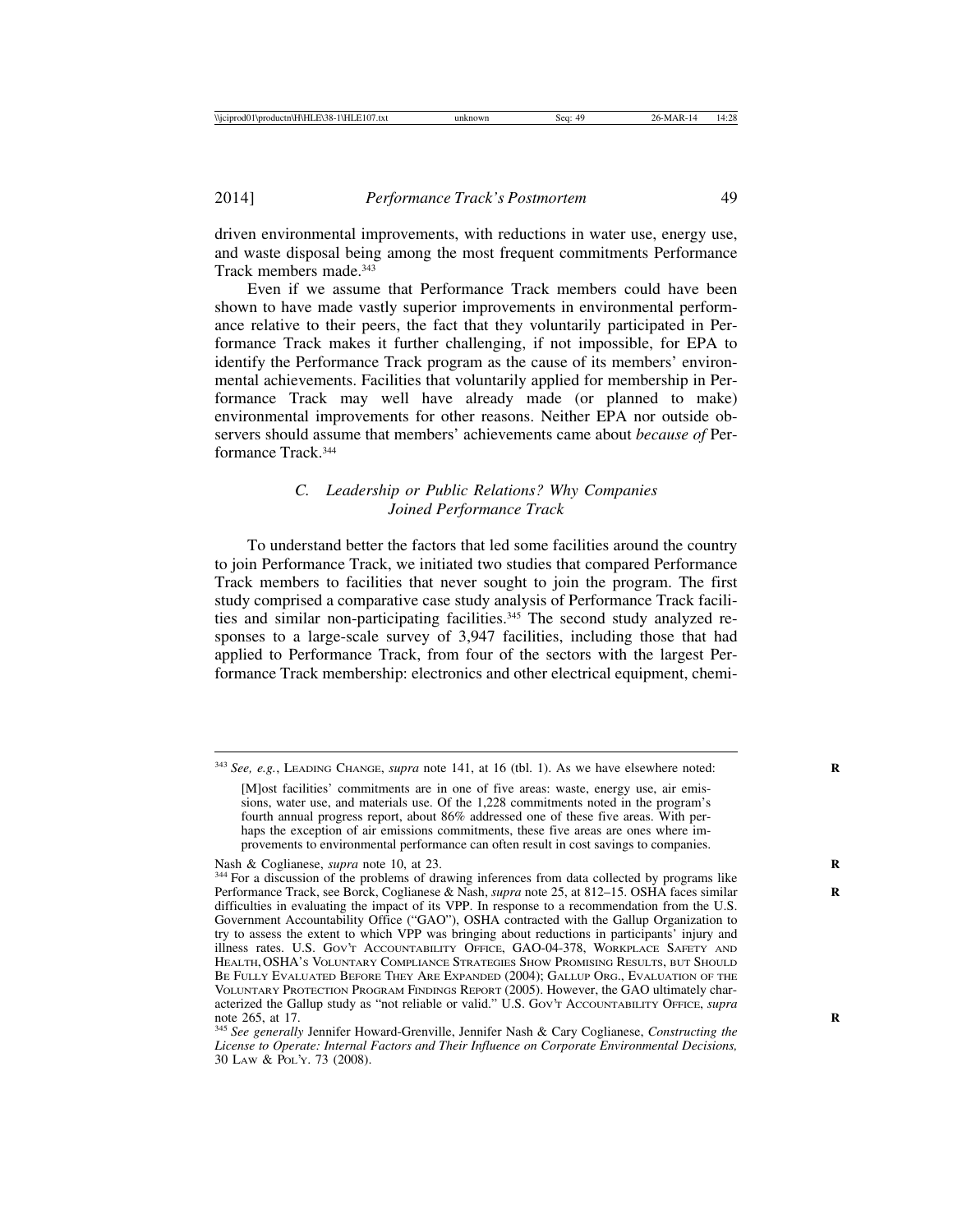driven environmental improvements, with reductions in water use, energy use, and waste disposal being among the most frequent commitments Performance Track members made.343

Even if we assume that Performance Track members could have been shown to have made vastly superior improvements in environmental performance relative to their peers, the fact that they voluntarily participated in Performance Track makes it further challenging, if not impossible, for EPA to identify the Performance Track program as the cause of its members' environmental achievements. Facilities that voluntarily applied for membership in Performance Track may well have already made (or planned to make) environmental improvements for other reasons. Neither EPA nor outside observers should assume that members' achievements came about *because of* Performance Track.344

### *C. Leadership or Public Relations? Why Companies Joined Performance Track*

To understand better the factors that led some facilities around the country to join Performance Track, we initiated two studies that compared Performance Track members to facilities that never sought to join the program. The first study comprised a comparative case study analysis of Performance Track facilities and similar non-participating facilities.345 The second study analyzed responses to a large-scale survey of 3,947 facilities, including those that had applied to Performance Track, from four of the sectors with the largest Performance Track membership: electronics and other electrical equipment, chemi-

<sup>343</sup> *See, e.g.*, LEADING CHANGE, *supra* note 141, at 16 (tbl. 1). As we have elsewhere noted: **R**

<sup>[</sup>M]ost facilities' commitments are in one of five areas: waste, energy use, air emissions, water use, and materials use. Of the 1,228 commitments noted in the program's fourth annual progress report, about 86% addressed one of these five areas. With perhaps the exception of air emissions commitments, these five areas are ones where improvements to environmental performance can often result in cost savings to companies.

Nash & Coglianese, *supra* note 10, at 23.<br><sup>344</sup> For a discussion of the problems of drawing inferences from data collected by programs like Performance Track, see Borck, Coglianese & Nash, *supra* note 25, at 812–15. OSHA faces similar **R** difficulties in evaluating the impact of its VPP. In response to a recommendation from the U.S. Government Accountability Office ("GAO"), OSHA contracted with the Gallup Organization to try to assess the extent to which VPP was bringing about reductions in participants' injury and illness rates. U.S. GOV'T ACCOUNTABILITY OFFICE, GAO-04-378, WORKPLACE SAFETY AND HEALTH, OSHA'S VOLUNTARY COMPLIANCE STRATEGIES SHOW PROMISING RESULTS, BUT SHOULD BE FULLY EVALUATED BEFORE THEY ARE EXPANDED (2004); GALLUP ORG., EVALUATION OF THE VOLUNTARY PROTECTION PROGRAM FINDINGS REPORT (2005). However, the GAO ultimately characterized the Gallup study as "not reliable or valid." U.S. Gov't Accountability Office, *supra* note 265, at 17.

note 265, at 17. **<sup>R</sup>** <sup>345</sup> *See generally* Jennifer Howard-Grenville, Jennifer Nash & Cary Coglianese, *Constructing the License to Operate: Internal Factors and Their Influence on Corporate Environmental Decisions,* 30 LAW & POL'Y. 73 (2008).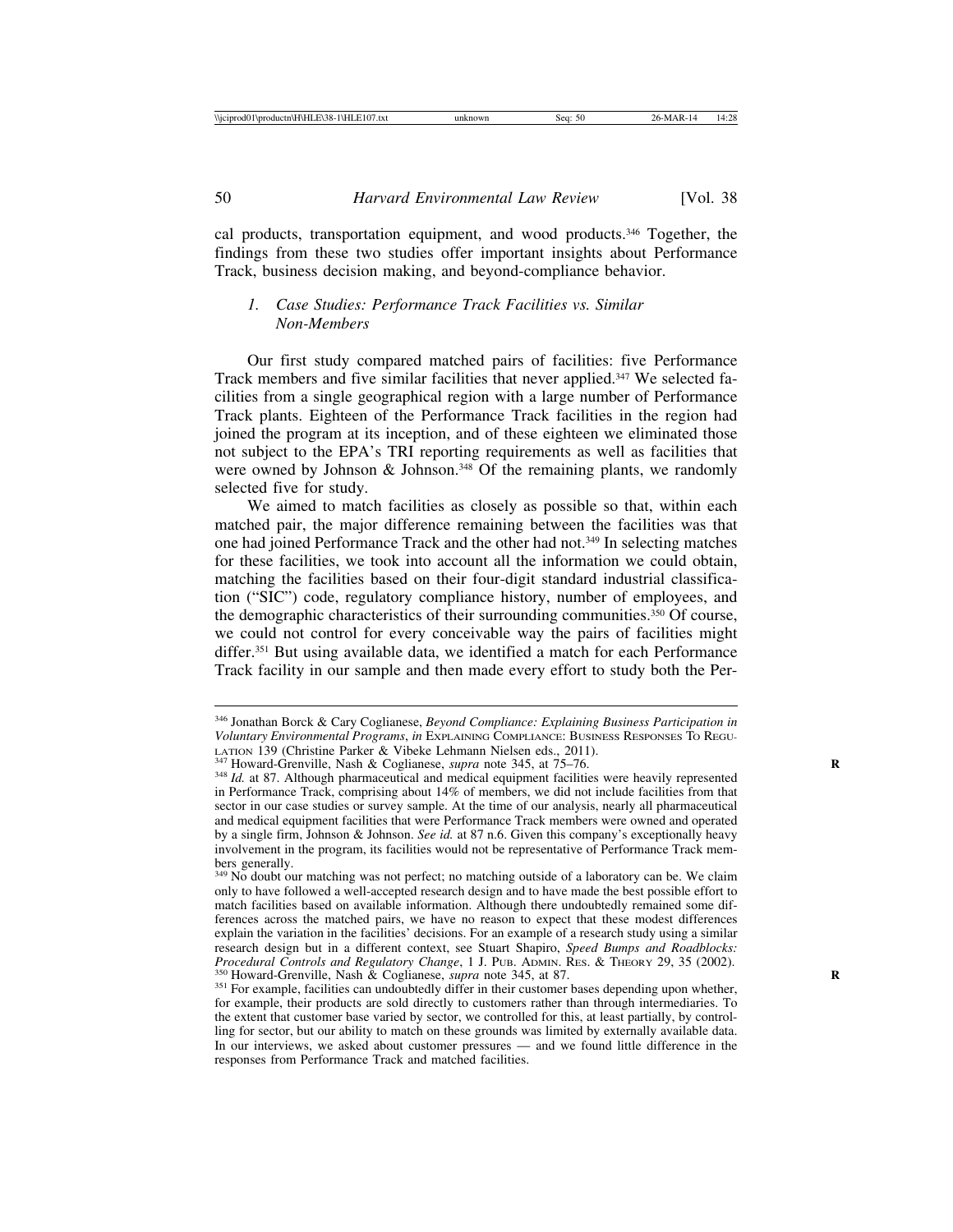cal products, transportation equipment, and wood products.<sup>346</sup> Together, the findings from these two studies offer important insights about Performance Track, business decision making, and beyond-compliance behavior.

#### *1. Case Studies: Performance Track Facilities vs. Similar Non-Members*

Our first study compared matched pairs of facilities: five Performance Track members and five similar facilities that never applied.347 We selected facilities from a single geographical region with a large number of Performance Track plants. Eighteen of the Performance Track facilities in the region had joined the program at its inception, and of these eighteen we eliminated those not subject to the EPA's TRI reporting requirements as well as facilities that were owned by Johnson & Johnson.<sup>348</sup> Of the remaining plants, we randomly selected five for study.

We aimed to match facilities as closely as possible so that, within each matched pair, the major difference remaining between the facilities was that one had joined Performance Track and the other had not.349 In selecting matches for these facilities, we took into account all the information we could obtain, matching the facilities based on their four-digit standard industrial classification ("SIC") code, regulatory compliance history, number of employees, and the demographic characteristics of their surrounding communities.350 Of course, we could not control for every conceivable way the pairs of facilities might differ.<sup>351</sup> But using available data, we identified a match for each Performance Track facility in our sample and then made every effort to study both the Per-

<sup>346</sup> Jonathan Borck & Cary Coglianese, *Beyond Compliance: Explaining Business Participation in Voluntary Environmental Programs*, *in* EXPLAINING COMPLIANCE: BUSINESS RESPONSES TO REGU-LATION 139 (Christine Parker & Vibeke Lehmann Nielsen eds., 2011).<br><sup>347</sup> Howard-Grenville, Nash & Coglianese, *supra* note 345, at 75–76.<br><sup>348</sup> Id. at 87. Although pharmaceutical and medical equipment facilities were heav

in Performance Track, comprising about 14% of members, we did not include facilities from that sector in our case studies or survey sample. At the time of our analysis, nearly all pharmaceutical and medical equipment facilities that were Performance Track members were owned and operated by a single firm, Johnson & Johnson. *See id.* at 87 n.6. Given this company's exceptionally heavy involvement in the program, its facilities would not be representative of Performance Track members generally.

<sup>&</sup>lt;sup>349</sup> No doubt our matching was not perfect; no matching outside of a laboratory can be. We claim only to have followed a well-accepted research design and to have made the best possible effort to match facilities based on available information. Although there undoubtedly remained some differences across the matched pairs, we have no reason to expect that these modest differences explain the variation in the facilities' decisions. For an example of a research study using a similar research design but in a different context, see Stuart Shapiro, *Speed Bumps and Roadblocks:* <sup>350</sup> Howard-Grenville, Nash & Coglianese, *supra* note 345, at 87.<br><sup>351</sup> For example, facilities can undoubtedly differ in their customer bases depending upon whether,

for example, their products are sold directly to customers rather than through intermediaries. To the extent that customer base varied by sector, we controlled for this, at least partially, by controlling for sector, but our ability to match on these grounds was limited by externally available data. In our interviews, we asked about customer pressures — and we found little difference in the responses from Performance Track and matched facilities.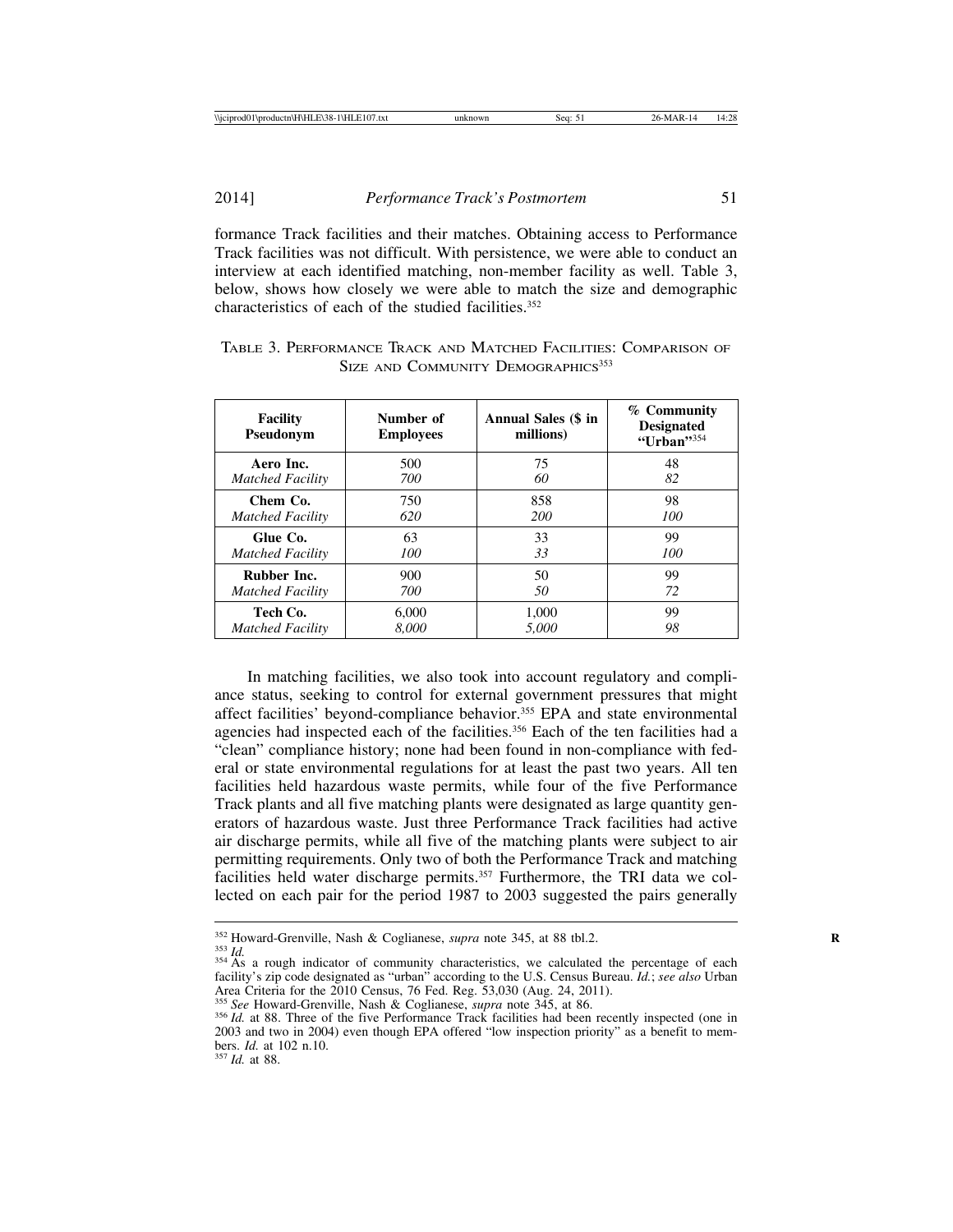2014] *Performance Track's Postmortem* 51

formance Track facilities and their matches. Obtaining access to Performance Track facilities was not difficult. With persistence, we were able to conduct an interview at each identified matching, non-member facility as well. Table 3, below, shows how closely we were able to match the size and demographic characteristics of each of the studied facilities. $352$ 

| <b>Facility</b><br>Pseudonym | Number of<br><b>Employees</b> | <b>Annual Sales (\$ in</b><br>millions) | % Community<br><b>Designated</b><br>"Urban" $354$ |
|------------------------------|-------------------------------|-----------------------------------------|---------------------------------------------------|
| Aero Inc.                    | 500                           | 75                                      | 48                                                |
| <b>Matched Facility</b>      | 700                           | 60                                      | 82                                                |
| Chem Co.                     | 750                           | 858                                     | 98                                                |
| <b>Matched Facility</b>      | 620                           | <b>200</b>                              | 100                                               |
| Glue Co.                     | 63                            | 33                                      | 99                                                |
| <b>Matched Facility</b>      | 100                           | 33                                      | 100                                               |
| <b>Rubber Inc.</b>           | 900                           |                                         | 99                                                |
| <b>Matched Facility</b>      | 700                           |                                         | 72                                                |
| Tech Co.                     | 6,000                         | 1,000                                   | 99                                                |
| <b>Matched Facility</b>      | 8.000                         | 5.000                                   | 98                                                |

| TABLE 3. PERFORMANCE TRACK AND MATCHED FACILITIES: COMPARISON OF |                                                |  |  |
|------------------------------------------------------------------|------------------------------------------------|--|--|
|                                                                  | SIZE AND COMMUNITY DEMOGRAPHICS <sup>353</sup> |  |  |

In matching facilities, we also took into account regulatory and compliance status, seeking to control for external government pressures that might affect facilities' beyond-compliance behavior.355 EPA and state environmental agencies had inspected each of the facilities.<sup>356</sup> Each of the ten facilities had a "clean" compliance history; none had been found in non-compliance with federal or state environmental regulations for at least the past two years. All ten facilities held hazardous waste permits, while four of the five Performance Track plants and all five matching plants were designated as large quantity generators of hazardous waste. Just three Performance Track facilities had active air discharge permits, while all five of the matching plants were subject to air permitting requirements. Only two of both the Performance Track and matching facilities held water discharge permits.<sup>357</sup> Furthermore, the TRI data we collected on each pair for the period 1987 to 2003 suggested the pairs generally

<sup>&</sup>lt;sup>352</sup> Howard-Grenville, Nash & Coglianese, *supra* note 345, at 88 tbl.2.<br><sup>353</sup> *Id.* 354 As a rough indicator of community characteristics, we calculated the percentage of each facility's zip code designated as "urban" according to the U.S. Census Bureau. *Id.*; *see also* Urban Area Criteria for the 2010 Census, 76 Fed. Reg. 53,030 (Aug. 24, 2011).<br><sup>355</sup> See Howard-Grenville, Nash & Coglianese, *supra* note 345, at 86.

<sup>&</sup>lt;sup>356</sup> *Id.* at 88. Three of the five Performance Track facilities had been recently inspected (one in 2003 and two in 2004) even though EPA offered "low inspection priority" as a benefit to members. *Id.* at 102 n.10. <sup>357</sup> *Id.* at 88.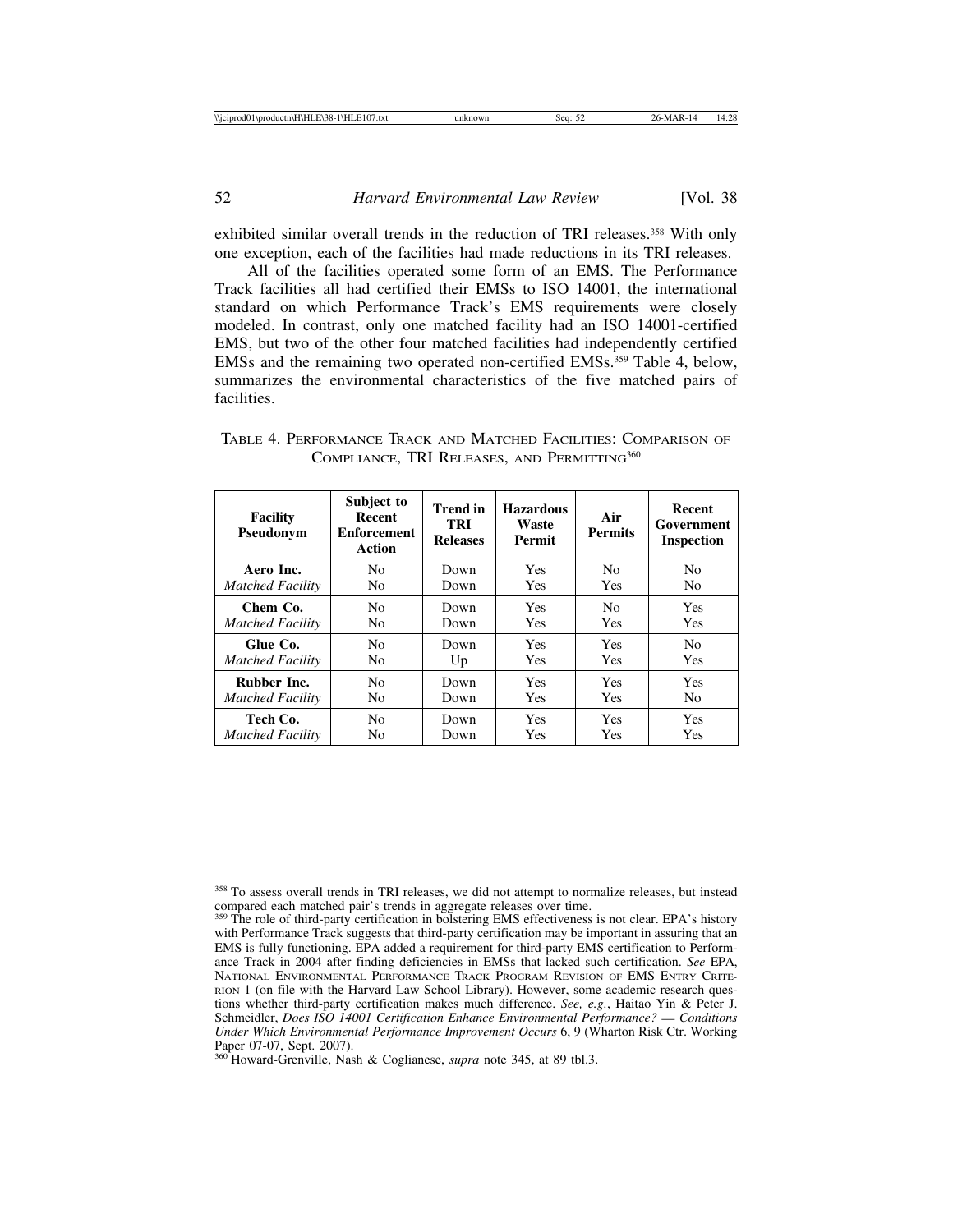exhibited similar overall trends in the reduction of TRI releases.<sup>358</sup> With only one exception, each of the facilities had made reductions in its TRI releases.

All of the facilities operated some form of an EMS. The Performance Track facilities all had certified their EMSs to ISO 14001, the international standard on which Performance Track's EMS requirements were closely modeled. In contrast, only one matched facility had an ISO 14001-certified EMS, but two of the other four matched facilities had independently certified EMSs and the remaining two operated non-certified EMSs.359 Table 4, below, summarizes the environmental characteristics of the five matched pairs of facilities.

| <b>Facility</b><br>Pseudonym | Subject to<br>Recent<br><b>Enforcement</b><br>Action | <b>Trend</b> in<br>TRI<br><b>Releases</b> | <b>Hazardous</b><br>Waste<br>Permit | Air<br><b>Permits</b> | Recent<br>Government<br><b>Inspection</b> |
|------------------------------|------------------------------------------------------|-------------------------------------------|-------------------------------------|-----------------------|-------------------------------------------|
| Aero Inc.                    | No                                                   | Down                                      | <b>Yes</b>                          | N <sub>0</sub>        | N <sub>0</sub>                            |
| <b>Matched Facility</b>      | No                                                   | Down                                      | <b>Yes</b>                          | <b>Yes</b>            | N <sub>0</sub>                            |
| Chem Co.                     | No.                                                  | Down                                      | <b>Yes</b>                          | N <sub>0</sub>        | Yes                                       |
| <b>Matched Facility</b>      | No.                                                  | Down                                      | <b>Yes</b>                          | <b>Yes</b>            | Yes                                       |
| Glue Co.                     | N <sub>0</sub>                                       | Down                                      | <b>Yes</b>                          | Yes                   | N <sub>0</sub>                            |
| <b>Matched Facility</b>      | No                                                   | Up                                        | <b>Yes</b>                          | <b>Yes</b>            | Yes                                       |
| Rubber Inc.                  | No.                                                  | Down                                      | <b>Yes</b>                          | <b>Yes</b>            | <b>Yes</b>                                |
| <b>Matched Facility</b>      | No.                                                  | Down                                      | <b>Yes</b>                          | <b>Yes</b>            | N <sub>o</sub>                            |
| Tech Co.                     | N <sub>0</sub>                                       | Down                                      | <b>Yes</b>                          | <b>Yes</b>            | <b>Yes</b>                                |
| <b>Matched Facility</b>      | No                                                   | Down                                      | Yes                                 | <b>Yes</b>            | <b>Yes</b>                                |

TABLE 4. PERFORMANCE TRACK AND MATCHED FACILITIES: COMPARISON OF COMPLIANCE, TRI RELEASES, AND PERMITTING<sup>360</sup>

<sup>&</sup>lt;sup>358</sup> To assess overall trends in TRI releases, we did not attempt to normalize releases, but instead compared each matched pair's trends in aggregate releases over time.

<sup>&</sup>lt;sup>359</sup> The role of third-party certification in bolstering EMS effectiveness is not clear. EPA's history with Performance Track suggests that third-party certification may be important in assuring that an EMS is fully functioning. EPA added a requirement for third-party EMS certification to Performance Track in 2004 after finding deficiencies in EMSs that lacked such certification. *See* EPA, NATIONAL ENVIRONMENTAL PERFORMANCE TRACK PROGRAM REVISION OF EMS ENTRY CRITE-RION 1 (on file with the Harvard Law School Library). However, some academic research questions whether third-party certification makes much difference. *See, e.g.*, Haitao Yin & Peter J. Schmeidler, *Does ISO 14001 Certification Enhance Environmental Performance?* — *Conditions Under Which Environmental Performance Improvement Occurs* 6, 9 (Wharton Risk Ctr. Working Paper 07-07, Sept. 2007).

<sup>360</sup> Howard-Grenville, Nash & Coglianese, *supra* note 345, at 89 tbl.3.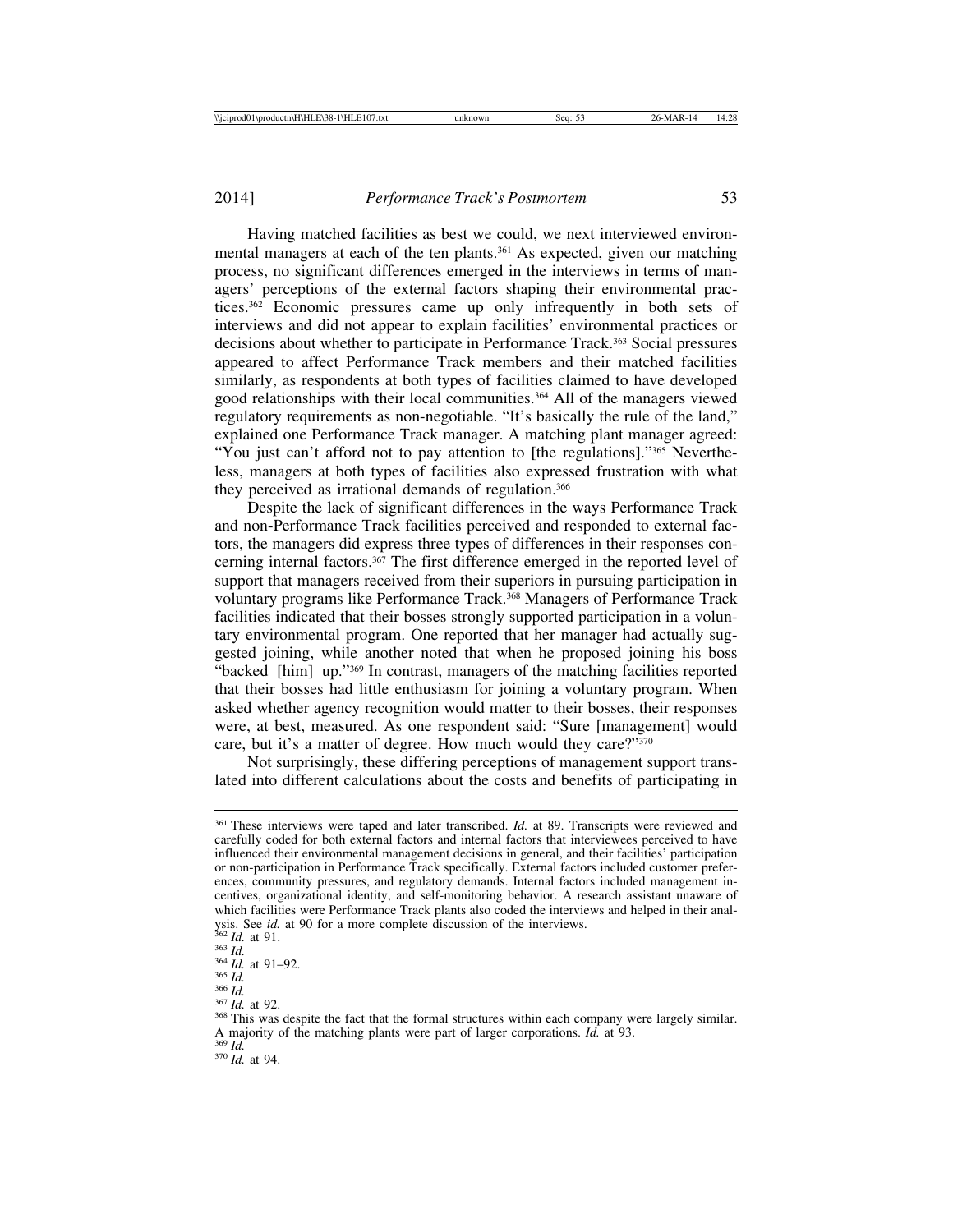Having matched facilities as best we could, we next interviewed environmental managers at each of the ten plants.<sup>361</sup> As expected, given our matching process, no significant differences emerged in the interviews in terms of managers' perceptions of the external factors shaping their environmental practices.362 Economic pressures came up only infrequently in both sets of interviews and did not appear to explain facilities' environmental practices or decisions about whether to participate in Performance Track.363 Social pressures appeared to affect Performance Track members and their matched facilities similarly, as respondents at both types of facilities claimed to have developed good relationships with their local communities.364 All of the managers viewed regulatory requirements as non-negotiable. "It's basically the rule of the land," explained one Performance Track manager. A matching plant manager agreed: "You just can't afford not to pay attention to [the regulations]."365 Nevertheless, managers at both types of facilities also expressed frustration with what they perceived as irrational demands of regulation.366

Despite the lack of significant differences in the ways Performance Track and non-Performance Track facilities perceived and responded to external factors, the managers did express three types of differences in their responses concerning internal factors.367 The first difference emerged in the reported level of support that managers received from their superiors in pursuing participation in voluntary programs like Performance Track.368 Managers of Performance Track facilities indicated that their bosses strongly supported participation in a voluntary environmental program. One reported that her manager had actually suggested joining, while another noted that when he proposed joining his boss "backed [him] up."369 In contrast, managers of the matching facilities reported that their bosses had little enthusiasm for joining a voluntary program. When asked whether agency recognition would matter to their bosses, their responses were, at best, measured. As one respondent said: "Sure [management] would care, but it's a matter of degree. How much would they care?"<sup>370</sup>

Not surprisingly, these differing perceptions of management support translated into different calculations about the costs and benefits of participating in

<sup>361</sup> These interviews were taped and later transcribed. *Id.* at 89. Transcripts were reviewed and carefully coded for both external factors and internal factors that interviewees perceived to have influenced their environmental management decisions in general, and their facilities' participation or non-participation in Performance Track specifically. External factors included customer preferences, community pressures, and regulatory demands. Internal factors included management incentives, organizational identity, and self-monitoring behavior. A research assistant unaware of which facilities were Performance Track plants also coded the interviews and helped in their analysis. See *id.* at 90 for a more complete discussion of the interviews.<br><sup>362</sup> *Id.* at 91.<br><sup>363</sup> *Id.*<br><sup>364</sup> *Id.* at 91–92.<br><sup>366</sup> *Id.*<br><sup>367</sup> *Id.* at 92.<br><sup>367</sup> *Id.* at 92.<br><sup>367</sup> *Id.* at 92.<br><sup>367</sup> *Id.* at 92.

A majority of the matching plants were part of larger corporations. *Id.* at 93. <sup>369</sup> *Id.* <sup>370</sup> *Id.* at 94.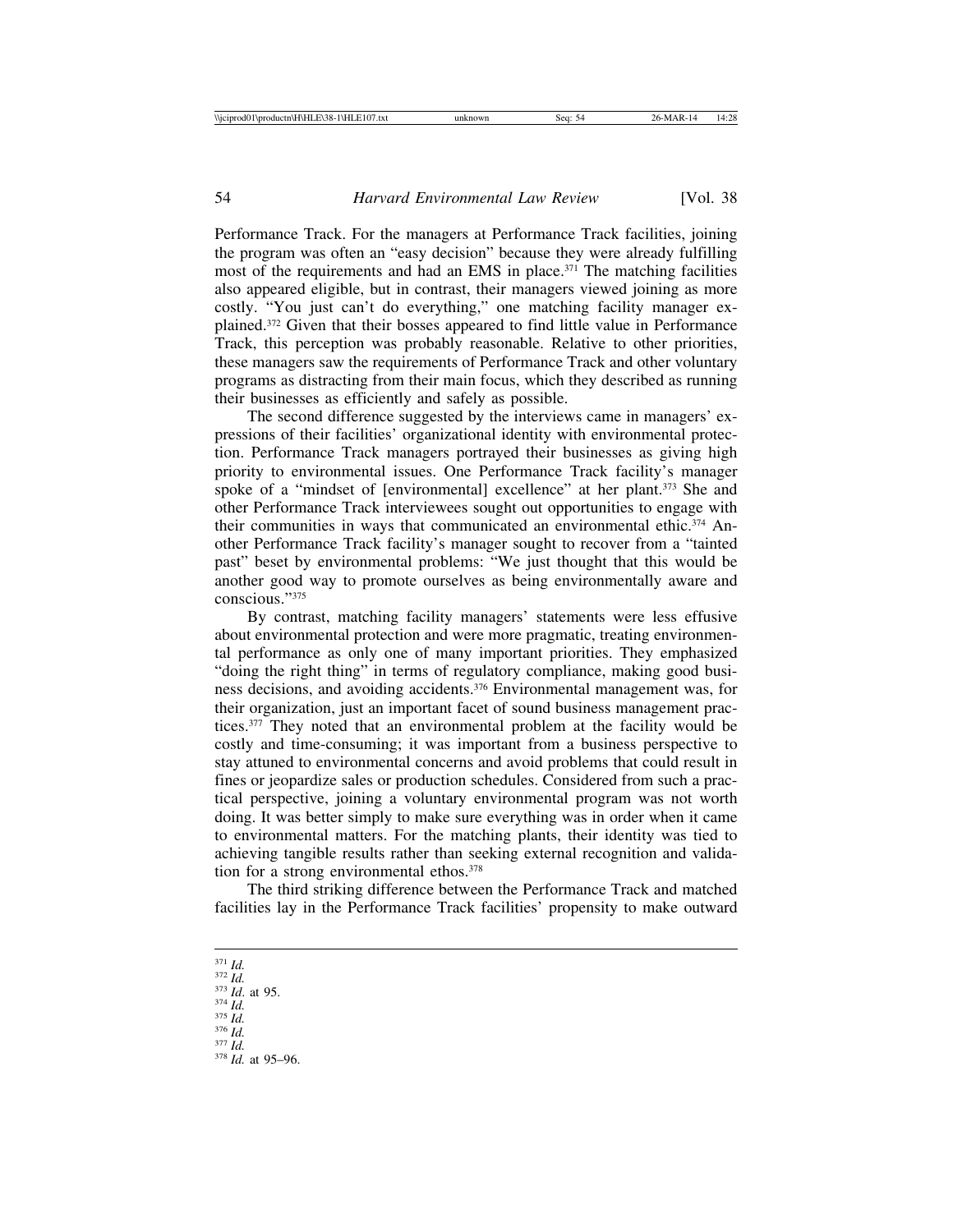Performance Track. For the managers at Performance Track facilities, joining the program was often an "easy decision" because they were already fulfilling most of the requirements and had an EMS in place.<sup>371</sup> The matching facilities also appeared eligible, but in contrast, their managers viewed joining as more costly. "You just can't do everything," one matching facility manager explained.372 Given that their bosses appeared to find little value in Performance Track, this perception was probably reasonable. Relative to other priorities, these managers saw the requirements of Performance Track and other voluntary programs as distracting from their main focus, which they described as running their businesses as efficiently and safely as possible.

The second difference suggested by the interviews came in managers' expressions of their facilities' organizational identity with environmental protection. Performance Track managers portrayed their businesses as giving high priority to environmental issues. One Performance Track facility's manager spoke of a "mindset of [environmental] excellence" at her plant.<sup>373</sup> She and other Performance Track interviewees sought out opportunities to engage with their communities in ways that communicated an environmental ethic.<sup>374</sup> Another Performance Track facility's manager sought to recover from a "tainted past" beset by environmental problems: "We just thought that this would be another good way to promote ourselves as being environmentally aware and conscious."375

By contrast, matching facility managers' statements were less effusive about environmental protection and were more pragmatic, treating environmental performance as only one of many important priorities. They emphasized "doing the right thing" in terms of regulatory compliance, making good business decisions, and avoiding accidents.376 Environmental management was, for their organization, just an important facet of sound business management practices.<sup>377</sup> They noted that an environmental problem at the facility would be costly and time-consuming; it was important from a business perspective to stay attuned to environmental concerns and avoid problems that could result in fines or jeopardize sales or production schedules. Considered from such a practical perspective, joining a voluntary environmental program was not worth doing. It was better simply to make sure everything was in order when it came to environmental matters. For the matching plants, their identity was tied to achieving tangible results rather than seeking external recognition and validation for a strong environmental ethos.378

The third striking difference between the Performance Track and matched facilities lay in the Performance Track facilities' propensity to make outward

- 
- 371 *Id.* 372 *Id.* 373 *Id*. at 95. 374 *Id.* 375 *Id.* 376 *Id.* 377 *Id.* 378 *Id.* at 95–96.
- 
- 
-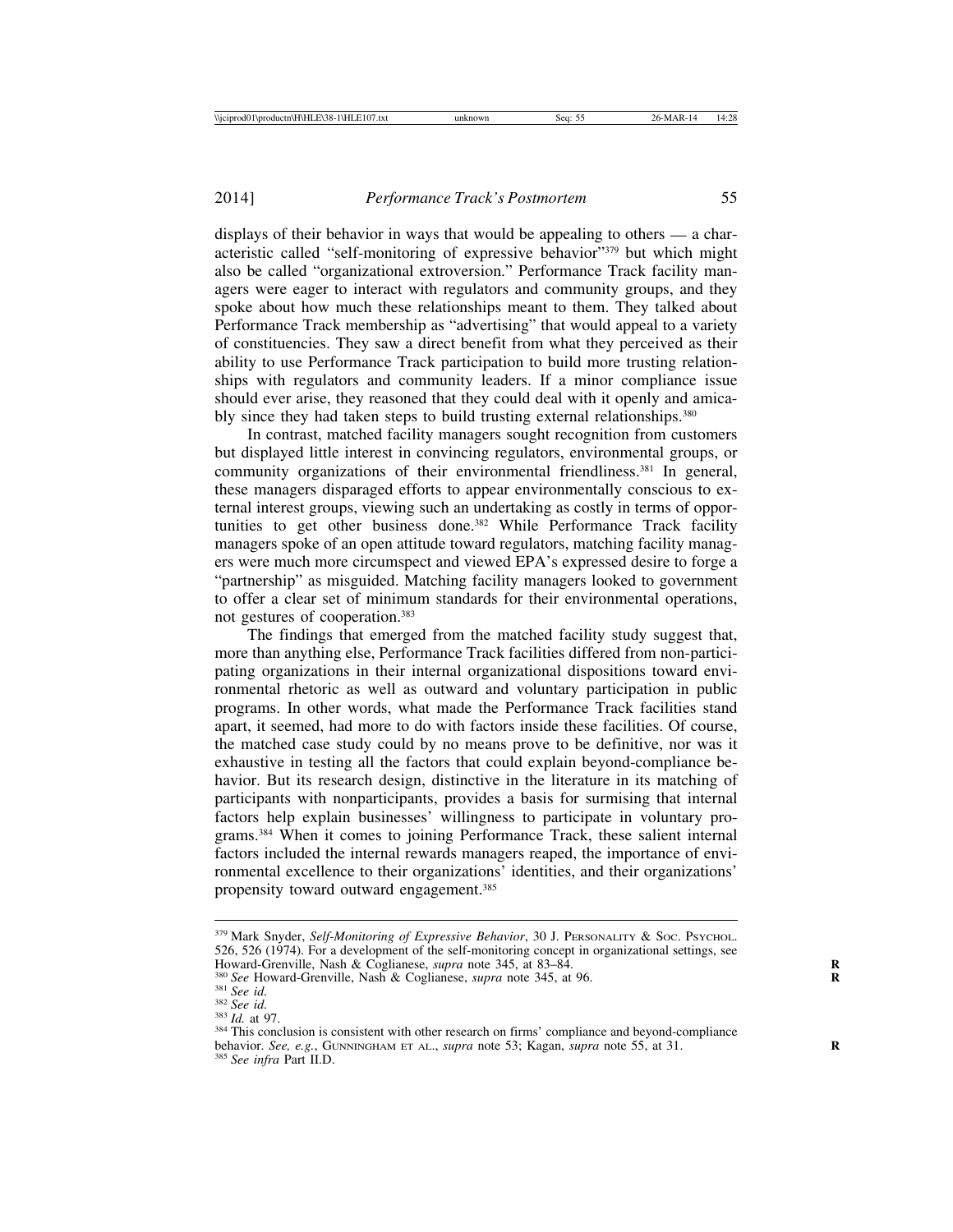displays of their behavior in ways that would be appealing to others — a characteristic called "self-monitoring of expressive behavior"379 but which might also be called "organizational extroversion." Performance Track facility managers were eager to interact with regulators and community groups, and they spoke about how much these relationships meant to them. They talked about Performance Track membership as "advertising" that would appeal to a variety of constituencies. They saw a direct benefit from what they perceived as their ability to use Performance Track participation to build more trusting relationships with regulators and community leaders. If a minor compliance issue should ever arise, they reasoned that they could deal with it openly and amicably since they had taken steps to build trusting external relationships.<sup>380</sup>

In contrast, matched facility managers sought recognition from customers but displayed little interest in convincing regulators, environmental groups, or community organizations of their environmental friendliness.<sup>381</sup> In general, these managers disparaged efforts to appear environmentally conscious to external interest groups, viewing such an undertaking as costly in terms of opportunities to get other business done.382 While Performance Track facility managers spoke of an open attitude toward regulators, matching facility managers were much more circumspect and viewed EPA's expressed desire to forge a "partnership" as misguided. Matching facility managers looked to government to offer a clear set of minimum standards for their environmental operations, not gestures of cooperation.383

The findings that emerged from the matched facility study suggest that, more than anything else, Performance Track facilities differed from non-participating organizations in their internal organizational dispositions toward environmental rhetoric as well as outward and voluntary participation in public programs. In other words, what made the Performance Track facilities stand apart, it seemed, had more to do with factors inside these facilities. Of course, the matched case study could by no means prove to be definitive, nor was it exhaustive in testing all the factors that could explain beyond-compliance behavior. But its research design, distinctive in the literature in its matching of participants with nonparticipants, provides a basis for surmising that internal factors help explain businesses' willingness to participate in voluntary programs.384 When it comes to joining Performance Track, these salient internal factors included the internal rewards managers reaped, the importance of environmental excellence to their organizations' identities, and their organizations' propensity toward outward engagement.385

<sup>379</sup> Mark Snyder, *Self-Monitoring of Expressive Behavior*, 30 J. PERSONALITY & SOC. PSYCHOL. 526, 526 (1974). For a development of the self-monitoring concept in organizational settings, see Howard-Grenville, Nash & Coglianese, *supra* note 345, at 83–84.<br>
Superior Security 18 See Howard-Grenville, Nash & Coglianese, *supra* note 345, at 83–84.<br>
<sup>381</sup> See id.<br>
<sup>382</sup> See id.<br>
<sup>382</sup> See id.<br>
<sup>382</sup> See id.<br>
<sup>382</sup>

behavior. *See, e.g.*, GUNNINGHAM ET AL., *supra* note 53; Kagan, *supra* note 55, at 31. **<sup>R</sup>** <sup>385</sup> *See infra* Part II.D.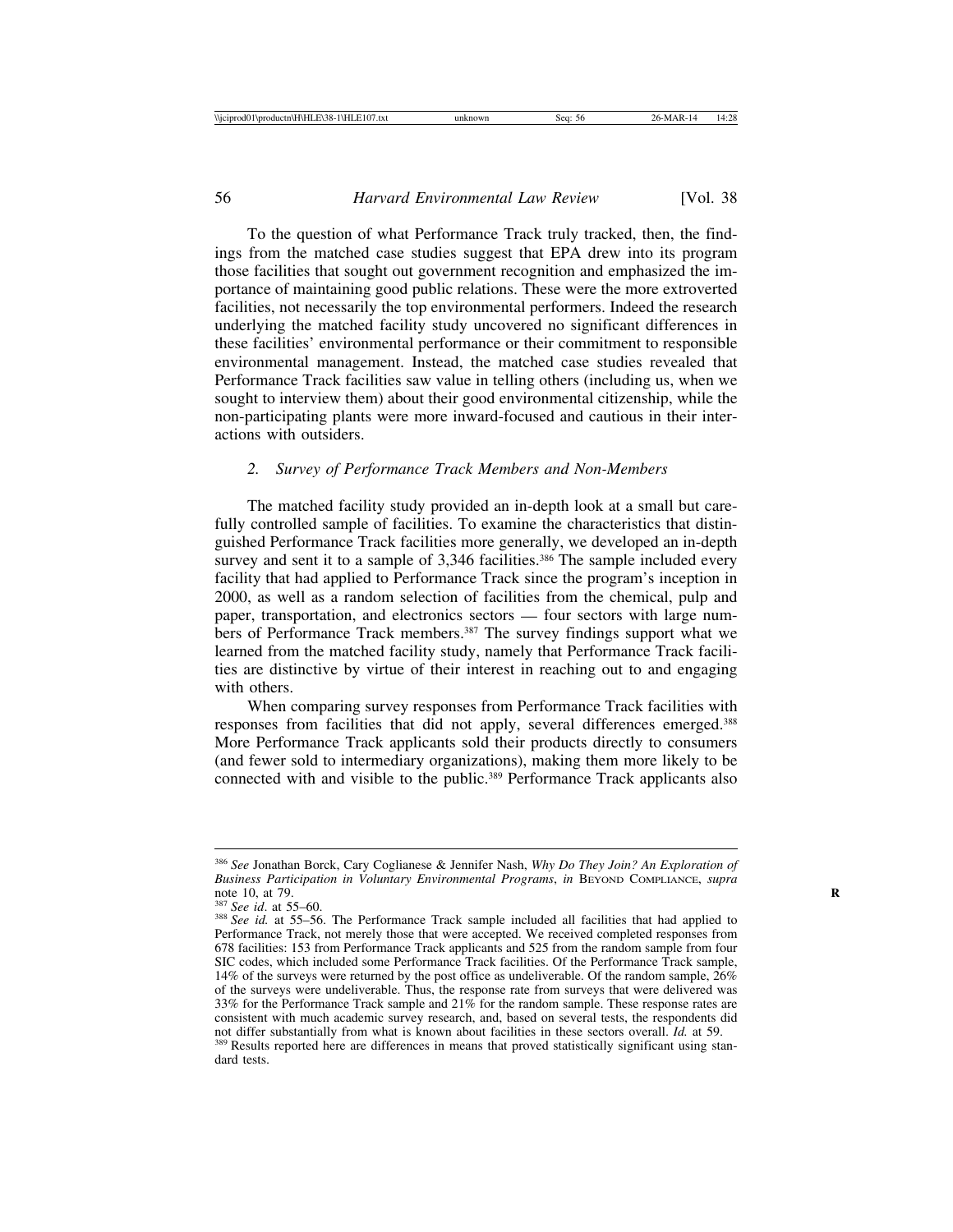To the question of what Performance Track truly tracked, then, the findings from the matched case studies suggest that EPA drew into its program those facilities that sought out government recognition and emphasized the importance of maintaining good public relations. These were the more extroverted facilities, not necessarily the top environmental performers. Indeed the research underlying the matched facility study uncovered no significant differences in these facilities' environmental performance or their commitment to responsible environmental management. Instead, the matched case studies revealed that Performance Track facilities saw value in telling others (including us, when we sought to interview them) about their good environmental citizenship, while the non-participating plants were more inward-focused and cautious in their interactions with outsiders.

### *2. Survey of Performance Track Members and Non-Members*

The matched facility study provided an in-depth look at a small but carefully controlled sample of facilities. To examine the characteristics that distinguished Performance Track facilities more generally, we developed an in-depth survey and sent it to a sample of 3,346 facilities.<sup>386</sup> The sample included every facility that had applied to Performance Track since the program's inception in 2000, as well as a random selection of facilities from the chemical, pulp and paper, transportation, and electronics sectors — four sectors with large numbers of Performance Track members.<sup>387</sup> The survey findings support what we learned from the matched facility study, namely that Performance Track facilities are distinctive by virtue of their interest in reaching out to and engaging with others.

When comparing survey responses from Performance Track facilities with responses from facilities that did not apply, several differences emerged.388 More Performance Track applicants sold their products directly to consumers (and fewer sold to intermediary organizations), making them more likely to be connected with and visible to the public.<sup>389</sup> Performance Track applicants also

<sup>386</sup> *See* Jonathan Borck, Cary Coglianese & Jennifer Nash, *Why Do They Join? An Exploration of Business Participation in Voluntary Environmental Programs*, *in* BEYOND COMPLIANCE, *supra*

<sup>&</sup>lt;sup>387</sup> *See id.* at 55–60.<br><sup>388</sup> *See id.* at 55–56. The Performance Track sample included all facilities that had applied to Performance Track, not merely those that were accepted. We received completed responses from 678 facilities: 153 from Performance Track applicants and 525 from the random sample from four SIC codes, which included some Performance Track facilities. Of the Performance Track sample, 14% of the surveys were returned by the post office as undeliverable. Of the random sample, 26% of the surveys were undeliverable. Thus, the response rate from surveys that were delivered was 33% for the Performance Track sample and  $21\%$  for the random sample. These response rates are consistent with much academic survey research, and, based on several tests, the respondents did not differ substantially from what is known about facilities in these sectors overall.  $Id$ , at 59. <sup>389</sup> Results reported here are differences in means that proved statistically significant using standard tests.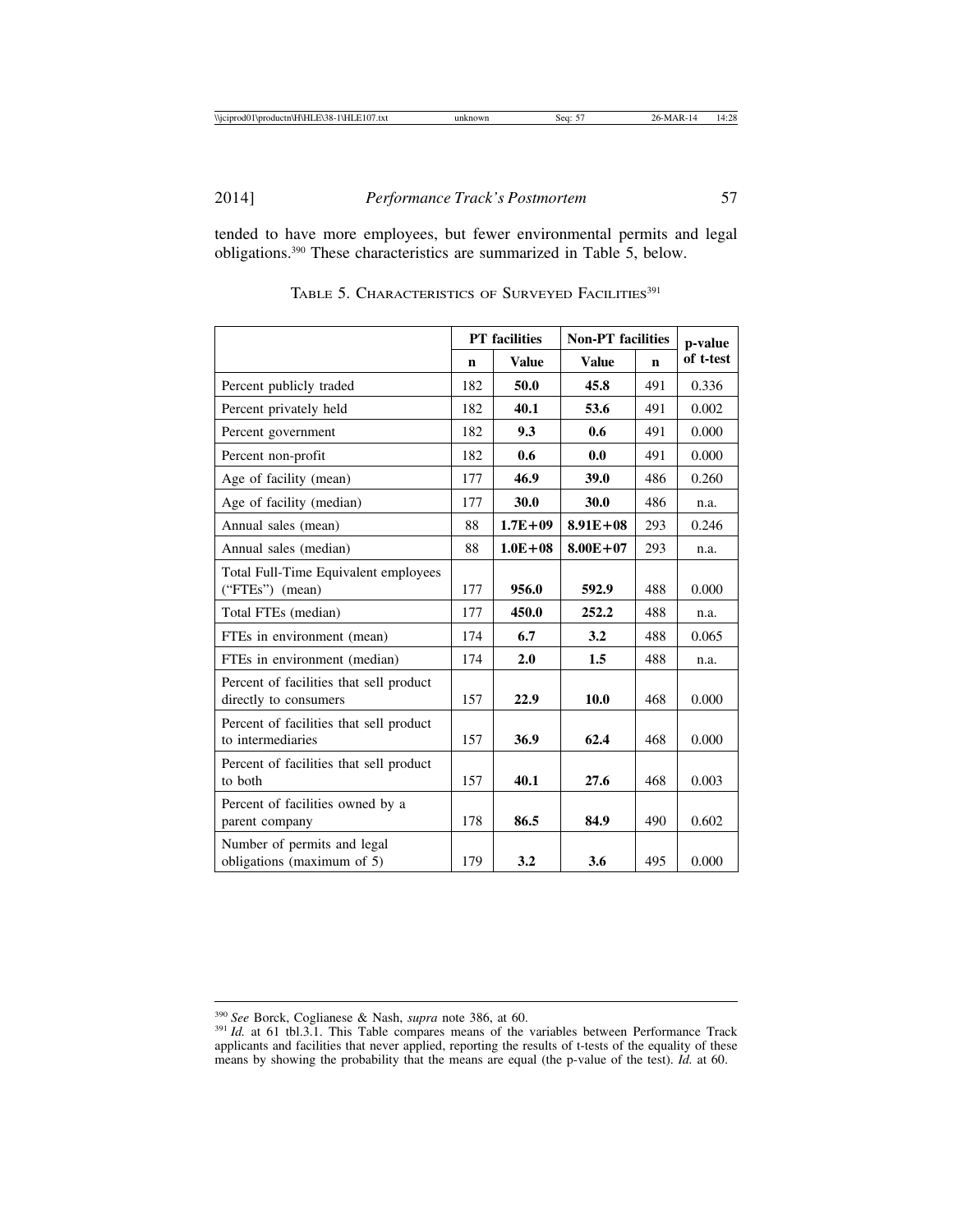2014] *Performance Track's Postmortem* 57

tended to have more employees, but fewer environmental permits and legal obligations.390 These characteristics are summarized in Table 5, below.

|                                                                  |     | <b>PT</b> facilities | <b>Non-PT</b> facilities | p-value |           |
|------------------------------------------------------------------|-----|----------------------|--------------------------|---------|-----------|
|                                                                  | n   | <b>Value</b>         | <b>Value</b>             | n       | of t-test |
| Percent publicly traded                                          | 182 | 50.0                 | 45.8                     | 491     | 0.336     |
| Percent privately held                                           | 182 | 40.1                 | 53.6                     | 491     | 0.002     |
| Percent government                                               | 182 | 9.3                  | 0.6                      | 491     | 0.000     |
| Percent non-profit                                               | 182 | 0.6                  | 0.0                      | 491     | 0.000     |
| Age of facility (mean)                                           | 177 | 46.9                 | 39.0                     | 486     | 0.260     |
| Age of facility (median)                                         | 177 | 30.0                 | 30.0                     | 486     | n.a.      |
| Annual sales (mean)                                              | 88  | $1.7E + 09$          | $8.91E + 08$             | 293     | 0.246     |
| Annual sales (median)                                            | 88  | $1.0E + 08$          | $8.00E + 07$             | 293     | n.a.      |
| Total Full-Time Equivalent employees<br>$("FTEs")$ (mean)        | 177 | 956.0                | 592.9                    | 488     | 0.000     |
| Total FTEs (median)                                              | 177 | 450.0                | 252.2                    | 488     | n.a.      |
| FTEs in environment (mean)                                       | 174 | 6.7                  | 3.2                      | 488     | 0.065     |
| FTEs in environment (median)                                     | 174 | 2.0                  | 1.5                      | 488     | n.a.      |
| Percent of facilities that sell product<br>directly to consumers | 157 | 22.9                 | 10.0                     | 468     | 0.000     |
| Percent of facilities that sell product<br>to intermediaries     | 157 | 36.9                 | 62.4                     | 468     | 0.000     |
| Percent of facilities that sell product<br>to both               | 157 | 40.1                 | 27.6                     | 468     | 0.003     |
| Percent of facilities owned by a<br>parent company               | 178 | 86.5                 | 84.9                     | 490     | 0.602     |
| Number of permits and legal<br>obligations (maximum of 5)        | 179 | 3.2                  | 3.6                      | 495     | 0.000     |

TABLE 5. CHARACTERISTICS OF SURVEYED FACILITIES<sup>391</sup>

<sup>390</sup> *See* Borck, Coglianese & Nash, *supra* note 386, at 60. <sup>391</sup> *Id.* at 61 tbl.3.1. This Table compares means of the variables between Performance Track applicants and facilities that never applied, reporting the results of t-tests of the equality of these means by showing the probability that the means are equal (the p-value of the test). *Id.* at 60.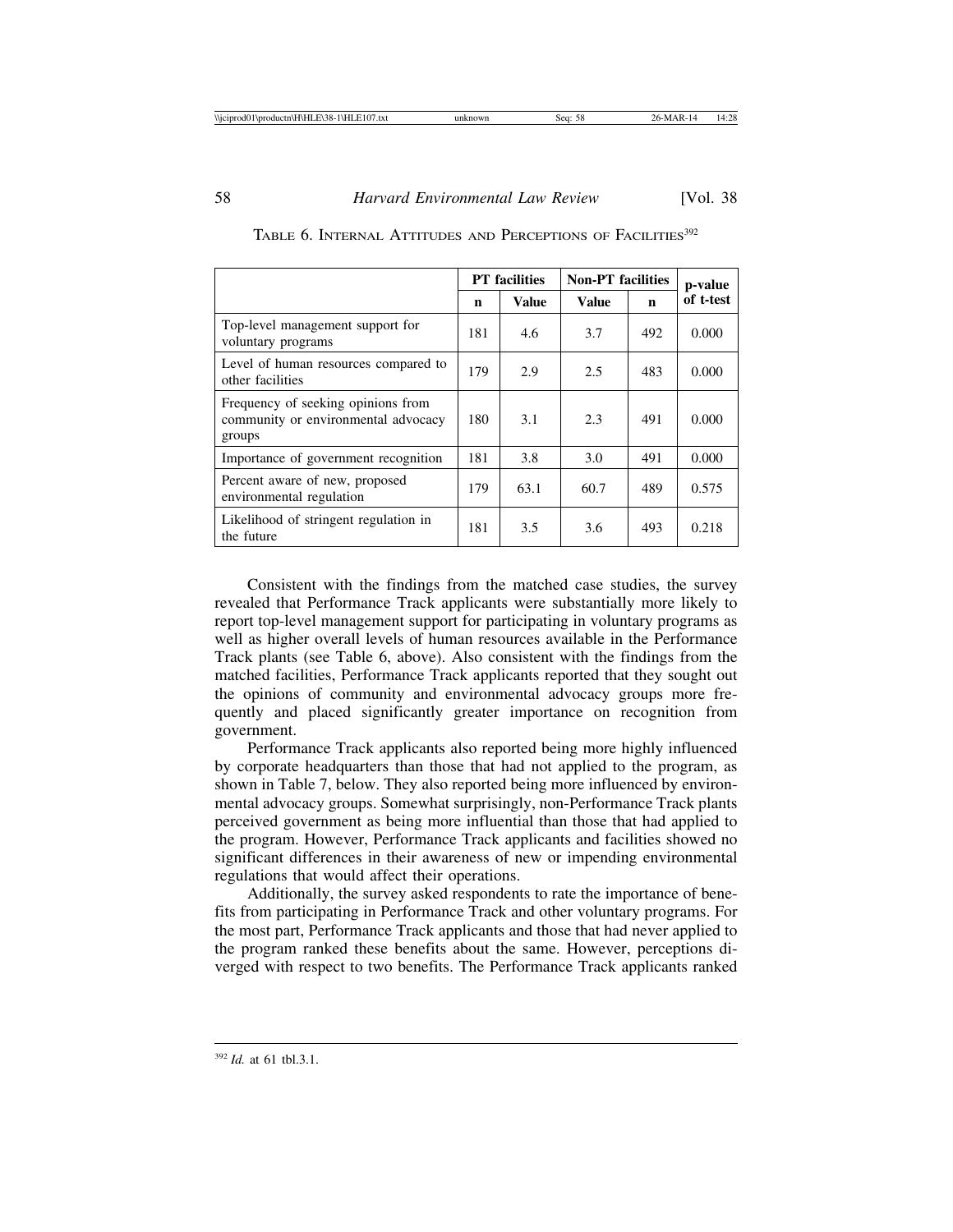|                                                                                     | <b>PT</b> facilities |              | <b>Non-PT</b> facilities | p-value |           |
|-------------------------------------------------------------------------------------|----------------------|--------------|--------------------------|---------|-----------|
|                                                                                     | n                    | <b>Value</b> | <b>Value</b>             | n       | of t-test |
| Top-level management support for<br>voluntary programs                              | 181                  | 4.6          | 3.7                      | 492     | 0.000     |
| Level of human resources compared to<br>other facilities                            | 179                  | 2.9          | 2.5                      | 483     | 0.000     |
| Frequency of seeking opinions from<br>community or environmental advocacy<br>groups | 180                  | 3.1          | 2.3                      | 491     | 0.000     |
| Importance of government recognition                                                | 181                  | 3.8          | 3.0                      | 491     | 0.000     |
| Percent aware of new, proposed<br>environmental regulation                          | 179                  | 63.1         | 60.7                     | 489     | 0.575     |
| Likelihood of stringent regulation in<br>the future                                 | 181                  | 3.5          | 3.6                      | 493     | 0.218     |

|  |  | TABLE 6. INTERNAL ATTITUDES AND PERCEPTIONS OF FACILITIES <sup>392</sup> |  |
|--|--|--------------------------------------------------------------------------|--|
|  |  |                                                                          |  |

Consistent with the findings from the matched case studies, the survey revealed that Performance Track applicants were substantially more likely to report top-level management support for participating in voluntary programs as well as higher overall levels of human resources available in the Performance Track plants (see Table 6, above). Also consistent with the findings from the matched facilities, Performance Track applicants reported that they sought out the opinions of community and environmental advocacy groups more frequently and placed significantly greater importance on recognition from government.

Performance Track applicants also reported being more highly influenced by corporate headquarters than those that had not applied to the program, as shown in Table 7, below. They also reported being more influenced by environmental advocacy groups. Somewhat surprisingly, non-Performance Track plants perceived government as being more influential than those that had applied to the program. However, Performance Track applicants and facilities showed no significant differences in their awareness of new or impending environmental regulations that would affect their operations.

Additionally, the survey asked respondents to rate the importance of benefits from participating in Performance Track and other voluntary programs. For the most part, Performance Track applicants and those that had never applied to the program ranked these benefits about the same. However, perceptions diverged with respect to two benefits. The Performance Track applicants ranked

<sup>392</sup> *Id.* at 61 tbl.3.1.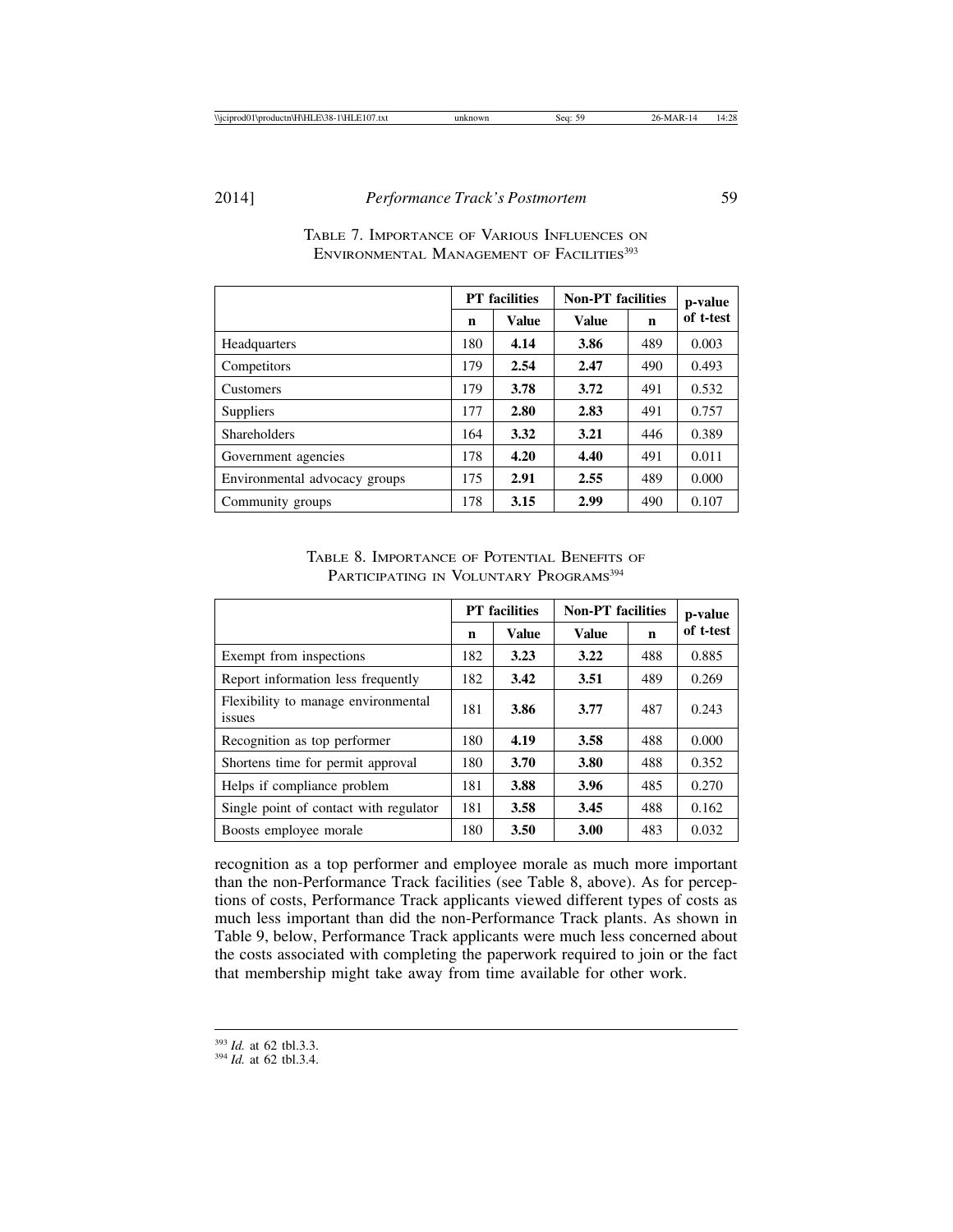|                               | <b>PT</b> facilities |              | <b>Non-PT</b> facilities | p-value |           |
|-------------------------------|----------------------|--------------|--------------------------|---------|-----------|
|                               | n                    | <b>Value</b> | <b>Value</b>             | n       | of t-test |
| Headquarters                  | 180                  | 4.14         | 3.86                     | 489     | 0.003     |
| Competitors                   | 179                  | 2.54         | 2.47                     | 490     | 0.493     |
| <b>Customers</b>              | 179                  | 3.78         | 3.72                     | 491     | 0.532     |
| <b>Suppliers</b>              | 177                  | 2.80         | 2.83                     | 491     | 0.757     |
| <b>Shareholders</b>           | 164                  | 3.32         | 3.21                     | 446     | 0.389     |
| Government agencies           | 178                  | 4.20         | 4.40                     | 491     | 0.011     |
| Environmental advocacy groups | 175                  | 2.91         | 2.55                     | 489     | 0.000     |
| Community groups              | 178                  | 3.15         | 2.99                     | 490     | 0.107     |

# TABLE 7. IMPORTANCE OF VARIOUS INFLUENCES ON ENVIRONMENTAL MANAGEMENT OF FACILITIES<sup>393</sup>

TABLE 8. IMPORTANCE OF POTENTIAL BENEFITS OF PARTICIPATING IN VOLUNTARY PROGRAMS<sup>394</sup>

|                                               | <b>PT</b> facilities |              | <b>Non-PT</b> facilities | p-value |           |
|-----------------------------------------------|----------------------|--------------|--------------------------|---------|-----------|
|                                               | n                    | <b>Value</b> | <b>Value</b>             | n       | of t-test |
| Exempt from inspections                       | 182                  | 3.23         | 3.22                     | 488     | 0.885     |
| Report information less frequently            | 182                  | 3.42         | 3.51                     | 489     | 0.269     |
| Flexibility to manage environmental<br>issues | 181                  | 3.86         | 3.77                     | 487     | 0.243     |
| Recognition as top performer                  | 180                  | 4.19         | 3.58                     | 488     | 0.000     |
| Shortens time for permit approval             | 180                  | 3.70         | 3.80                     | 488     | 0.352     |
| Helps if compliance problem                   | 181                  | 3.88         | 3.96                     | 485     | 0.270     |
| Single point of contact with regulator        | 181                  | 3.58         | 3.45                     | 488     | 0.162     |
| Boosts employee morale                        | 180                  | 3.50         | 3.00                     | 483     | 0.032     |

recognition as a top performer and employee morale as much more important than the non-Performance Track facilities (see Table 8, above). As for perceptions of costs, Performance Track applicants viewed different types of costs as much less important than did the non-Performance Track plants. As shown in Table 9, below, Performance Track applicants were much less concerned about the costs associated with completing the paperwork required to join or the fact that membership might take away from time available for other work.

<sup>393</sup> *Id.* at 62 tbl.3.3. <sup>394</sup> *Id.* at 62 tbl.3.4.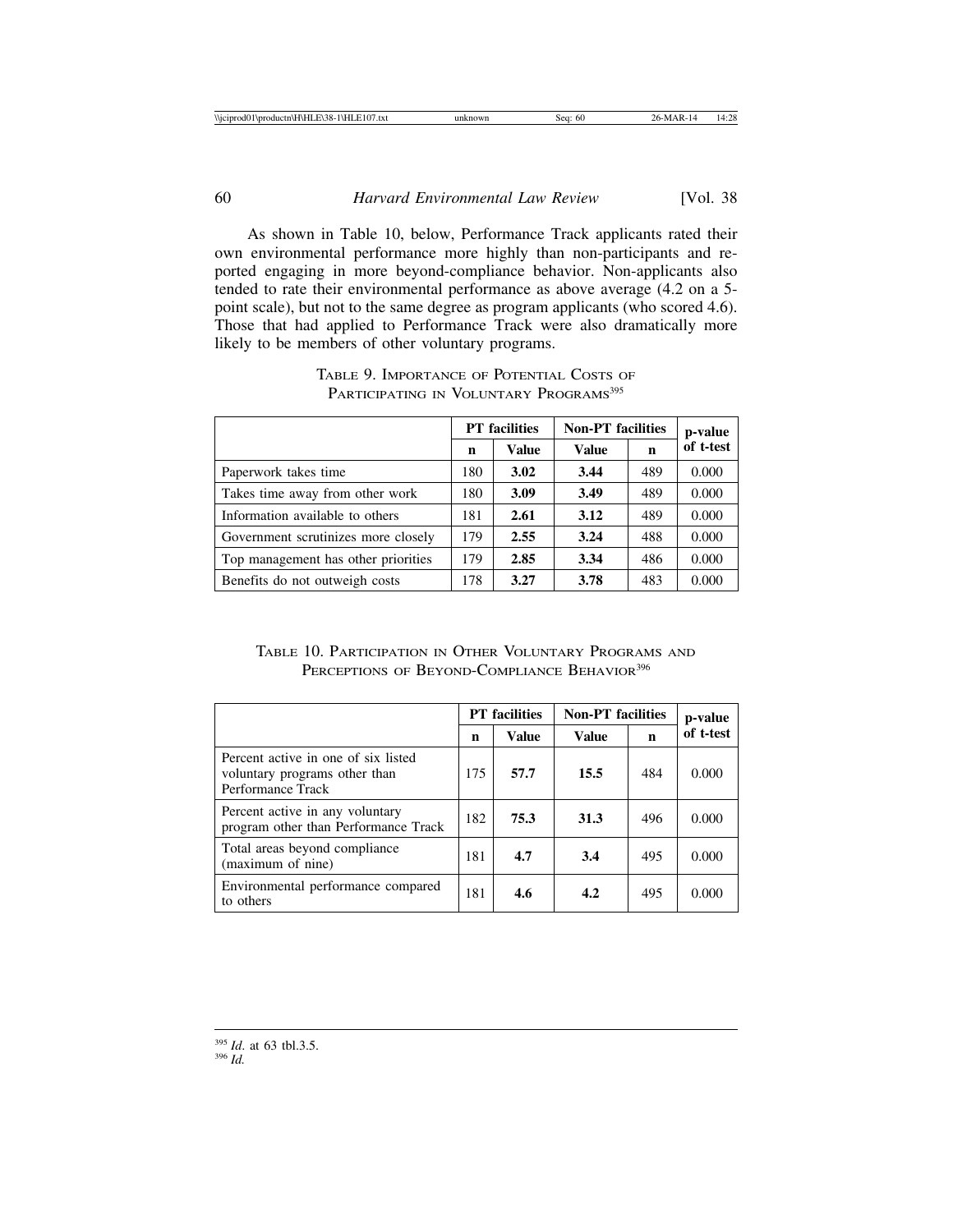As shown in Table 10, below, Performance Track applicants rated their own environmental performance more highly than non-participants and reported engaging in more beyond-compliance behavior. Non-applicants also tended to rate their environmental performance as above average (4.2 on a 5 point scale), but not to the same degree as program applicants (who scored 4.6). Those that had applied to Performance Track were also dramatically more likely to be members of other voluntary programs.

|                                     | <b>PT</b> facilities |       | <b>Non-PT</b> facilities | p-value |           |
|-------------------------------------|----------------------|-------|--------------------------|---------|-----------|
|                                     | n                    | Value | <b>Value</b>             | n       | of t-test |
| Paperwork takes time                | 180                  | 3.02  | 3.44                     | 489     | 0.000     |
| Takes time away from other work     | 180                  | 3.09  | 3.49                     | 489     | 0.000     |
| Information available to others     | 181                  | 2.61  | 3.12                     | 489     | 0.000     |
| Government scrutinizes more closely | 179                  | 2.55  | 3.24                     | 488     | 0.000     |
| Top management has other priorities | 179                  | 2.85  | 3.34                     | 486     | 0.000     |
| Benefits do not outweigh costs      | 178                  | 3.27  | 3.78                     | 483     | 0.000     |

## TABLE 9. IMPORTANCE OF POTENTIAL COSTS OF PARTICIPATING IN VOLUNTARY PROGRAMS<sup>395</sup>

# TABLE 10. PARTICIPATION IN OTHER VOLUNTARY PROGRAMS AND PERCEPTIONS OF BEYOND-COMPLIANCE BEHAVIOR<sup>396</sup>

|                                                                                           | <b>PT</b> facilities |       | <b>Non-PT</b> facilities | p-value |           |
|-------------------------------------------------------------------------------------------|----------------------|-------|--------------------------|---------|-----------|
|                                                                                           | n                    | Value | <b>Value</b>             | n       | of t-test |
| Percent active in one of six listed<br>voluntary programs other than<br>Performance Track | 175                  | 57.7  | 15.5                     | 484     | 0.000     |
| Percent active in any voluntary<br>program other than Performance Track                   | 182                  | 75.3  | 31.3                     | 496     | 0.000     |
| Total areas beyond compliance<br>(maximum of nine)                                        | 181                  | 4.7   | 3.4                      | 495     | 0.000     |
| Environmental performance compared<br>to others                                           | 181                  | 4.6   | 4.2                      | 495     | 0.000     |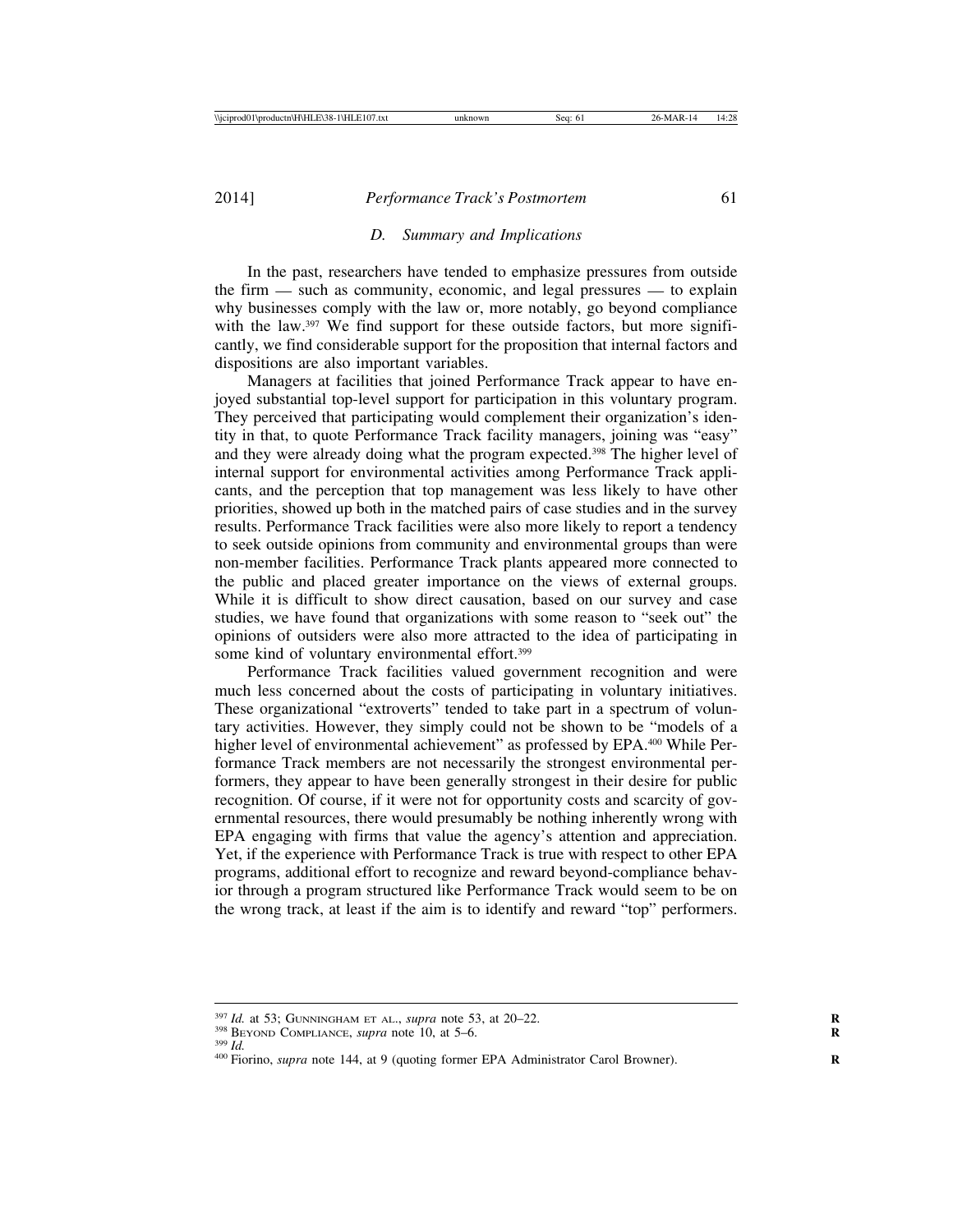#### *D. Summary and Implications*

In the past, researchers have tended to emphasize pressures from outside the firm — such as community, economic, and legal pressures — to explain why businesses comply with the law or, more notably, go beyond compliance with the law.<sup>397</sup> We find support for these outside factors, but more significantly, we find considerable support for the proposition that internal factors and dispositions are also important variables.

Managers at facilities that joined Performance Track appear to have enjoyed substantial top-level support for participation in this voluntary program. They perceived that participating would complement their organization's identity in that, to quote Performance Track facility managers, joining was "easy" and they were already doing what the program expected.398 The higher level of internal support for environmental activities among Performance Track applicants, and the perception that top management was less likely to have other priorities, showed up both in the matched pairs of case studies and in the survey results. Performance Track facilities were also more likely to report a tendency to seek outside opinions from community and environmental groups than were non-member facilities. Performance Track plants appeared more connected to the public and placed greater importance on the views of external groups. While it is difficult to show direct causation, based on our survey and case studies, we have found that organizations with some reason to "seek out" the opinions of outsiders were also more attracted to the idea of participating in some kind of voluntary environmental effort.<sup>399</sup>

Performance Track facilities valued government recognition and were much less concerned about the costs of participating in voluntary initiatives. These organizational "extroverts" tended to take part in a spectrum of voluntary activities. However, they simply could not be shown to be "models of a higher level of environmental achievement" as professed by EPA.<sup>400</sup> While Performance Track members are not necessarily the strongest environmental performers, they appear to have been generally strongest in their desire for public recognition. Of course, if it were not for opportunity costs and scarcity of governmental resources, there would presumably be nothing inherently wrong with EPA engaging with firms that value the agency's attention and appreciation. Yet, if the experience with Performance Track is true with respect to other EPA programs, additional effort to recognize and reward beyond-compliance behavior through a program structured like Performance Track would seem to be on the wrong track, at least if the aim is to identify and reward "top" performers.

<sup>&</sup>lt;sup>397</sup> Id. at 53; GUNNINGHAM ET AL., *supra* note 53, at 20–22.<br><sup>398</sup> BEYOND COMPLIANCE, *supra* note 10, at 5–6.<br><sup>399</sup> Id.<br><sup>400</sup> Fiorino, *supra* note 144, at 9 (quoting former EPA Administrator Carol Browner).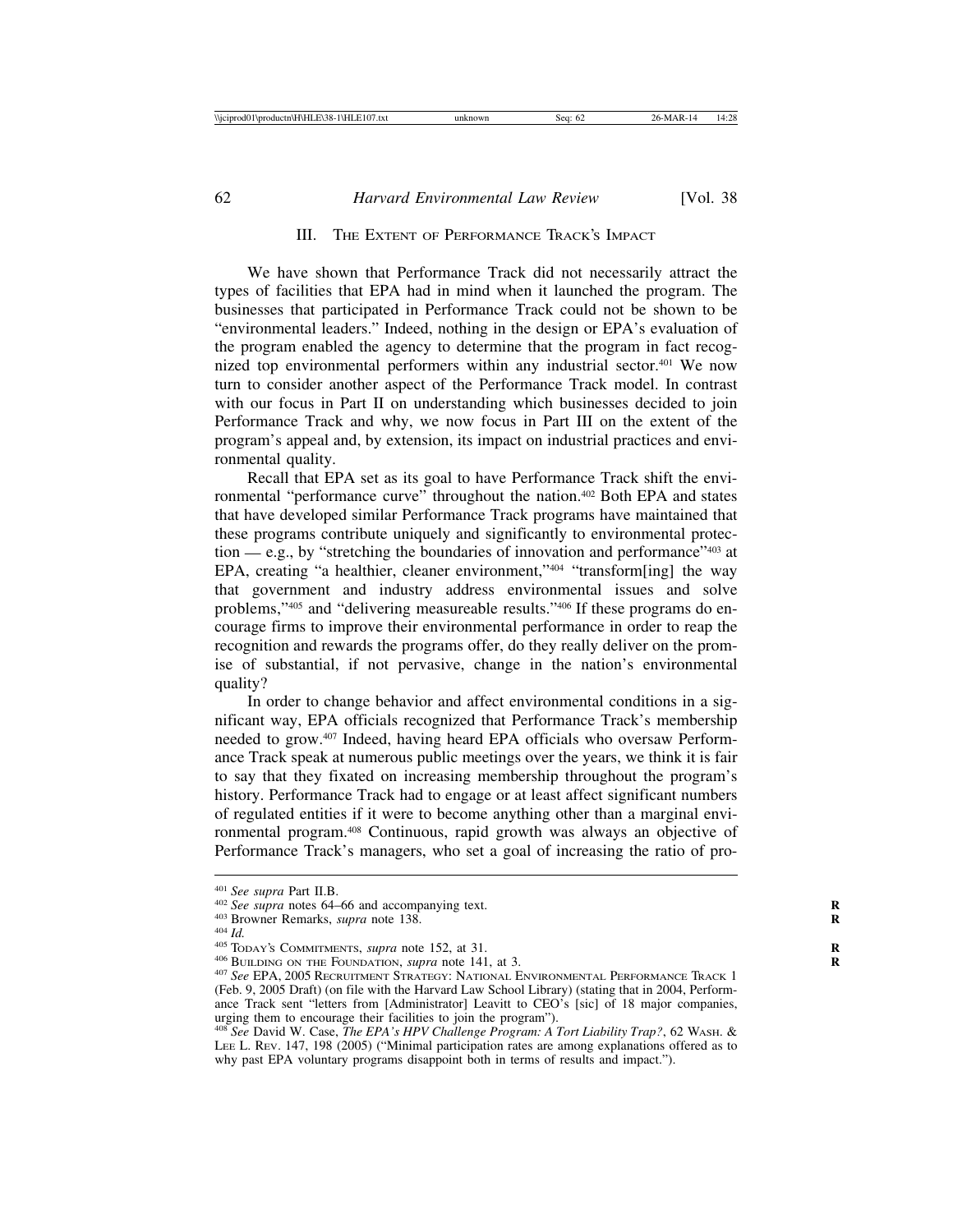## III. THE EXTENT OF PERFORMANCE TRACK'S IMPACT

We have shown that Performance Track did not necessarily attract the types of facilities that EPA had in mind when it launched the program. The businesses that participated in Performance Track could not be shown to be "environmental leaders." Indeed, nothing in the design or EPA's evaluation of the program enabled the agency to determine that the program in fact recognized top environmental performers within any industrial sector.401 We now turn to consider another aspect of the Performance Track model. In contrast with our focus in Part II on understanding which businesses decided to join Performance Track and why, we now focus in Part III on the extent of the program's appeal and, by extension, its impact on industrial practices and environmental quality.

Recall that EPA set as its goal to have Performance Track shift the environmental "performance curve" throughout the nation.402 Both EPA and states that have developed similar Performance Track programs have maintained that these programs contribute uniquely and significantly to environmental protection — e.g., by "stretching the boundaries of innovation and performance"<sup>403</sup> at EPA, creating "a healthier, cleaner environment,"<sup>404</sup> "transform[ing] the way that government and industry address environmental issues and solve problems,"405 and "delivering measureable results."406 If these programs do encourage firms to improve their environmental performance in order to reap the recognition and rewards the programs offer, do they really deliver on the promise of substantial, if not pervasive, change in the nation's environmental quality?

In order to change behavior and affect environmental conditions in a significant way, EPA officials recognized that Performance Track's membership needed to grow.407 Indeed, having heard EPA officials who oversaw Performance Track speak at numerous public meetings over the years, we think it is fair to say that they fixated on increasing membership throughout the program's history. Performance Track had to engage or at least affect significant numbers of regulated entities if it were to become anything other than a marginal environmental program.408 Continuous, rapid growth was always an objective of Performance Track's managers, who set a goal of increasing the ratio of pro-

<sup>&</sup>lt;sup>401</sup> See supra Part II.B.<br><sup>402</sup> See supra notes 64–66 and accompanying text.<br><sup>403</sup> Browner Remarks, *supra* note 138.<br><sup>404</sup> Id.<br><sup>405</sup> Today's Commitments, *supra* note 152, at 31.<br><sup>406</sup> BUILDING ON THE FOUNDATION, *supra* (Feb. 9, 2005 Draft) (on file with the Harvard Law School Library) (stating that in 2004, Performance Track sent "letters from [Administrator] Leavitt to CEO's [sic] of 18 major companies, urging them to encourage their facilities to join the program").

<sup>408</sup> *See* David W. Case, *The EPA's HPV Challenge Program: A Tort Liability Trap?*, 62 WASH. & LEE L. REV. 147, 198 (2005) ("Minimal participation rates are among explanations offered as to why past EPA voluntary programs disappoint both in terms of results and impact.").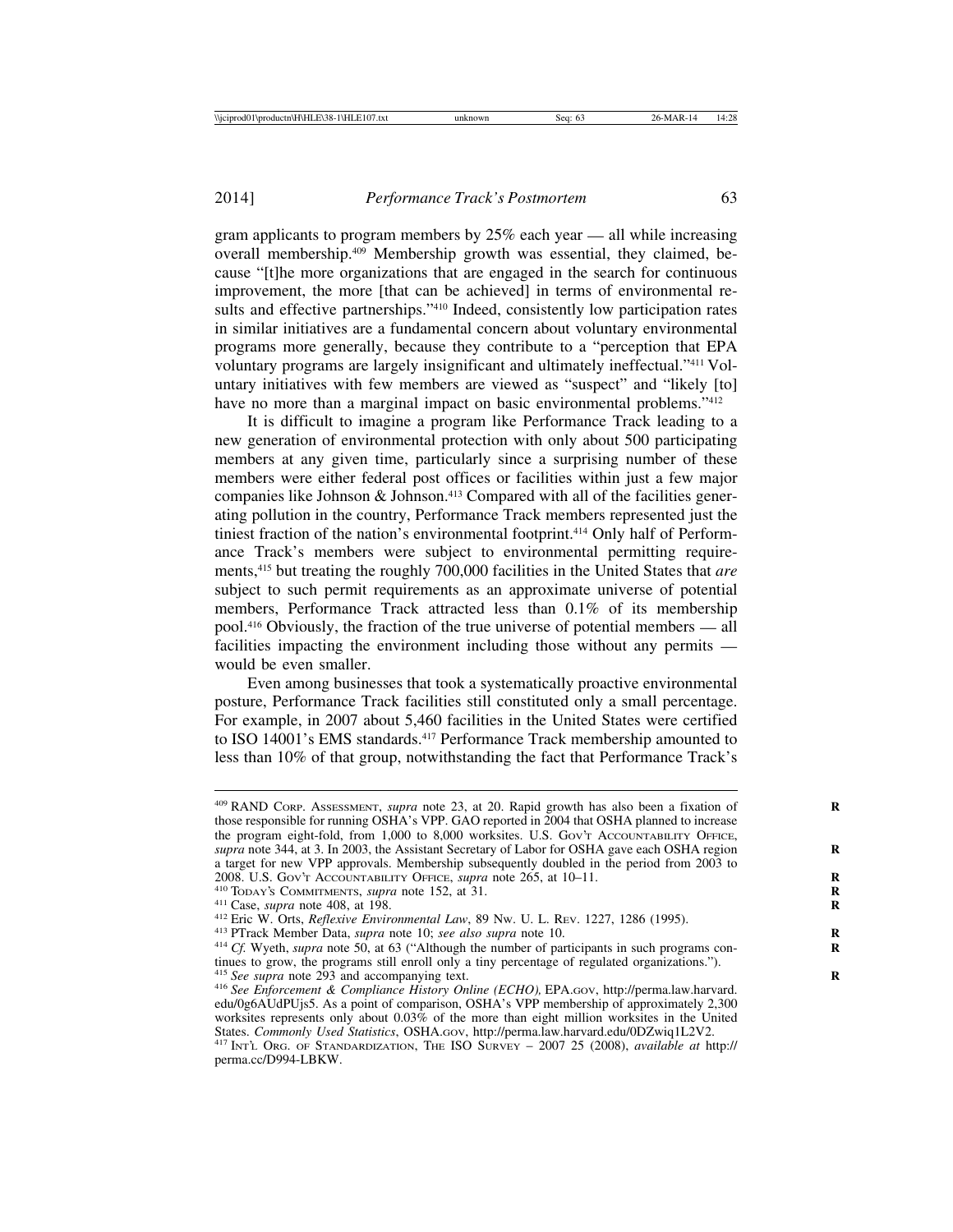gram applicants to program members by 25% each year — all while increasing overall membership.409 Membership growth was essential, they claimed, because "[t]he more organizations that are engaged in the search for continuous improvement, the more [that can be achieved] in terms of environmental results and effective partnerships."<sup>410</sup> Indeed, consistently low participation rates in similar initiatives are a fundamental concern about voluntary environmental programs more generally, because they contribute to a "perception that EPA voluntary programs are largely insignificant and ultimately ineffectual."411 Voluntary initiatives with few members are viewed as "suspect" and "likely [to] have no more than a marginal impact on basic environmental problems."<sup>412</sup>

It is difficult to imagine a program like Performance Track leading to a new generation of environmental protection with only about 500 participating members at any given time, particularly since a surprising number of these members were either federal post offices or facilities within just a few major companies like Johnson  $\&$  Johnson.<sup>413</sup> Compared with all of the facilities generating pollution in the country, Performance Track members represented just the tiniest fraction of the nation's environmental footprint.414 Only half of Performance Track's members were subject to environmental permitting requirements,415 but treating the roughly 700,000 facilities in the United States that *are* subject to such permit requirements as an approximate universe of potential members, Performance Track attracted less than 0.1% of its membership pool.416 Obviously, the fraction of the true universe of potential members — all facilities impacting the environment including those without any permits would be even smaller.

Even among businesses that took a systematically proactive environmental posture, Performance Track facilities still constituted only a small percentage. For example, in 2007 about 5,460 facilities in the United States were certified to ISO 14001's EMS standards.<sup>417</sup> Performance Track membership amounted to less than 10% of that group, notwithstanding the fact that Performance Track's

<sup>409</sup> RAND CORP. ASSESSMENT, *supra* note 23, at 20. Rapid growth has also been a fixation of **R** those responsible for running OSHA's VPP. GAO reported in 2004 that OSHA planned to increase the program eight-fold, from 1,000 to 8,000 worksites. U.S. GOV'T ACCOUNTABILITY OFFICE, *supra* note 344, at 3. In 2003, the Assistant Secretary of Labor for OSHA gave each OSHA region **R** a target for new VPP approvals. Membership subsequently doubled in the period from 2003 to 2008. U.S. Gov'r ACCOUNTABILITY OFFICE, *supra* note 265, at  $10-11$ .

<sup>&</sup>lt;sup>410</sup> Today's Commitments, *supra* note 152, at 31.<br><sup>411</sup> Case, *supra* note 408, at 198.<br><sup>412</sup> Eric W. Orts, *Reflexive Environmental Law*, 89 Nw. U. L. Rev. 1227, 1286 (1995).<br><sup>413</sup> PTrack Member Data, *supra* note 10; tinues to grow, the programs still enroll only a tiny percentage of regulated organizations."). <sup>415</sup> See supra note 293 and accompanying text.

<sup>&</sup>lt;sup>416</sup> See Enforcement & Compliance History Online (ECHO), EPA.Gov, http://perma.law.harvard. edu/0g6AUdPUjs5. As a point of comparison, OSHA's VPP membership of approximately 2,300 worksites represents only about 0.03% of the more than eight million worksites in the United States. Commonly Used Statistics, OSHA.Gov, http://perma.law.harvard.edu/0DZwiq1L2V2. <sup>417</sup> INTL ORG. OF STANDARDIZATION, THE ISO SURVEY – 2007 25 (2008), *available at http://* perma.cc/D994-LBKW.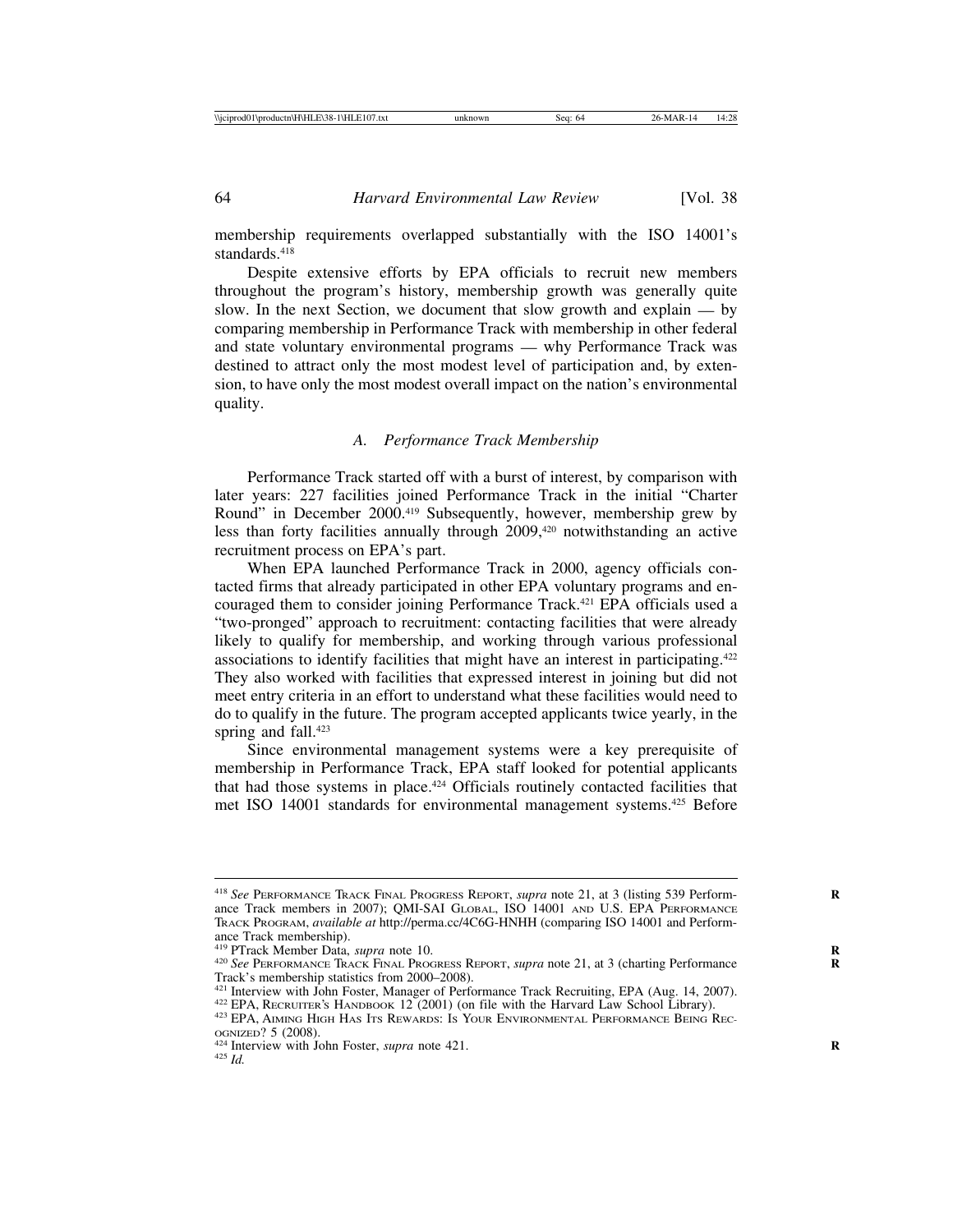membership requirements overlapped substantially with the ISO 14001's standards.<sup>418</sup>

Despite extensive efforts by EPA officials to recruit new members throughout the program's history, membership growth was generally quite slow. In the next Section, we document that slow growth and explain — by comparing membership in Performance Track with membership in other federal and state voluntary environmental programs — why Performance Track was destined to attract only the most modest level of participation and, by extension, to have only the most modest overall impact on the nation's environmental quality.

#### *A. Performance Track Membership*

Performance Track started off with a burst of interest, by comparison with later years: 227 facilities joined Performance Track in the initial "Charter Round" in December 2000.<sup>419</sup> Subsequently, however, membership grew by less than forty facilities annually through 2009,<sup>420</sup> notwithstanding an active recruitment process on EPA's part.

When EPA launched Performance Track in 2000, agency officials contacted firms that already participated in other EPA voluntary programs and encouraged them to consider joining Performance Track.421 EPA officials used a "two-pronged" approach to recruitment: contacting facilities that were already likely to qualify for membership, and working through various professional associations to identify facilities that might have an interest in participating.422 They also worked with facilities that expressed interest in joining but did not meet entry criteria in an effort to understand what these facilities would need to do to qualify in the future. The program accepted applicants twice yearly, in the spring and fall.<sup>423</sup>

Since environmental management systems were a key prerequisite of membership in Performance Track, EPA staff looked for potential applicants that had those systems in place.<sup>424</sup> Officials routinely contacted facilities that met ISO 14001 standards for environmental management systems.425 Before

<sup>418</sup> *See* PERFORMANCE TRACK FINAL PROGRESS REPORT, *supra* note 21, at 3 (listing 539 Perform- **R** ance Track members in 2007); QMI-SAI GLOBAL, ISO 14001 AND U.S. EPA PERFORMANCE TRACK PROGRAM, *available at* http://perma.cc/4C6G-HNHH (comparing ISO 14001 and Performance Track membership).<br><sup>419</sup> PTrack Member Data, *supra* note 10.

<sup>&</sup>lt;sup>420</sup> See PERFORMANCE TRACK FINAL PROGRESS REPORT, *supra* note 21, at 3 (charting Performance Track's membership statistics from 2000–2008).

<sup>&</sup>lt;sup>421</sup> Interview with John Foster, Manager of Performance Track Recruiting, EPA (Aug. 14, 2007).<br><sup>422</sup> EPA, RECRUITER'S HANDBOOK 12 (2001) (on file with the Harvard Law School Library).<br><sup>423</sup> EPA, AIMING HIGH HAS ITS REWAR

OGNIZED? 5 (2008). <sup>424</sup> Interview with John Foster, *supra* note 421. **<sup>R</sup>** <sup>425</sup> *Id.*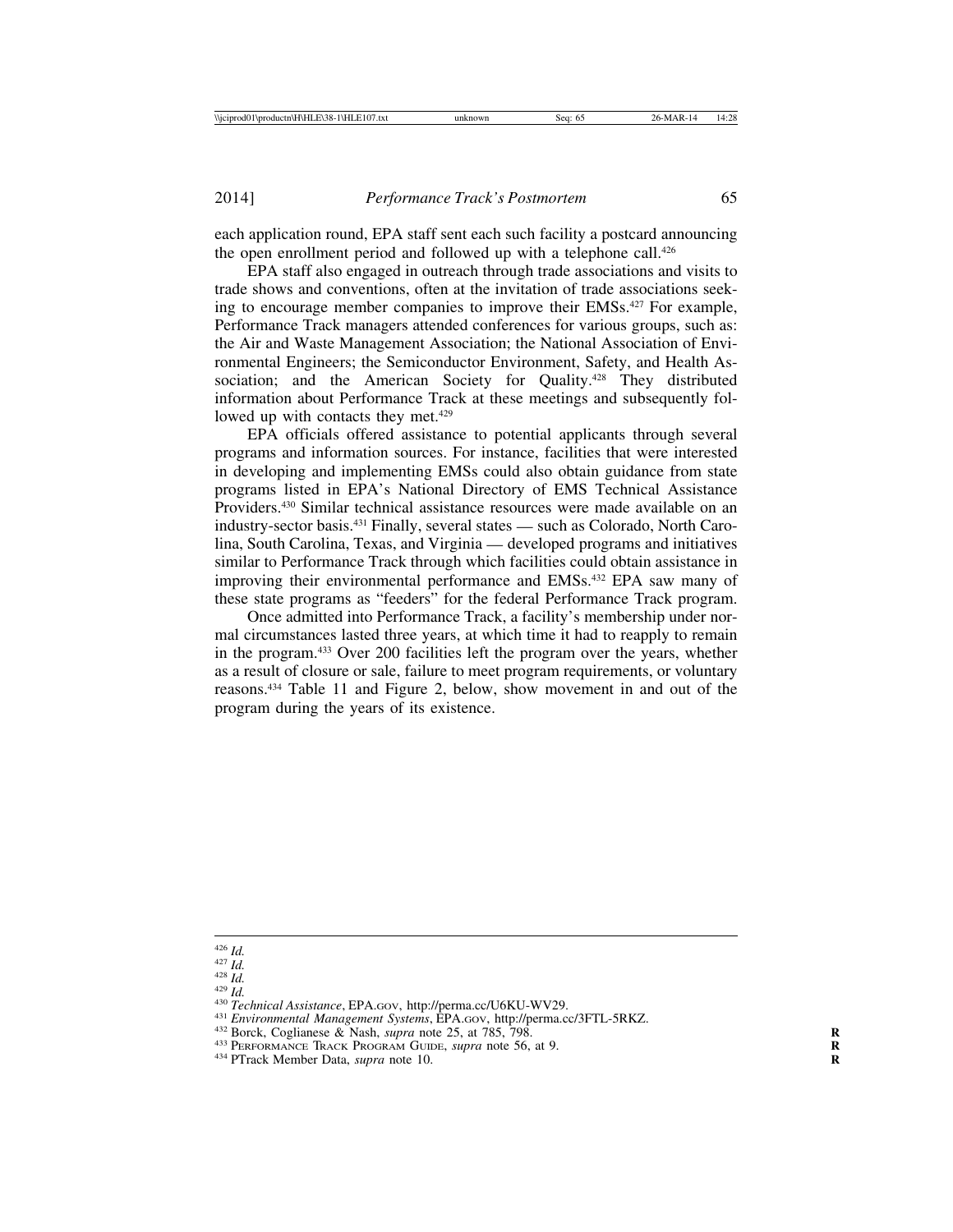each application round, EPA staff sent each such facility a postcard announcing the open enrollment period and followed up with a telephone call.<sup>426</sup>

EPA staff also engaged in outreach through trade associations and visits to trade shows and conventions, often at the invitation of trade associations seeking to encourage member companies to improve their EMSs.<sup>427</sup> For example, Performance Track managers attended conferences for various groups, such as: the Air and Waste Management Association; the National Association of Environmental Engineers; the Semiconductor Environment, Safety, and Health Association; and the American Society for Quality.<sup>428</sup> They distributed information about Performance Track at these meetings and subsequently followed up with contacts they met.<sup>429</sup>

EPA officials offered assistance to potential applicants through several programs and information sources. For instance, facilities that were interested in developing and implementing EMSs could also obtain guidance from state programs listed in EPA's National Directory of EMS Technical Assistance Providers.430 Similar technical assistance resources were made available on an industry-sector basis.431 Finally, several states — such as Colorado, North Carolina, South Carolina, Texas, and Virginia — developed programs and initiatives similar to Performance Track through which facilities could obtain assistance in improving their environmental performance and EMSs.432 EPA saw many of these state programs as "feeders" for the federal Performance Track program.

Once admitted into Performance Track, a facility's membership under normal circumstances lasted three years, at which time it had to reapply to remain in the program.433 Over 200 facilities left the program over the years, whether as a result of closure or sale, failure to meet program requirements, or voluntary reasons.434 Table 11 and Figure 2, below, show movement in and out of the program during the years of its existence.

<sup>&</sup>lt;sup>426</sup> *Id.*<br><sup>426</sup> *Id.*<br><sup>438</sup> *Id.*<br><sup>430</sup> *Ichnical Assistance*, EPA.Gov, http://perma.cc/U6KU-WV29.<br><sup>430</sup> *Ienvironmental Management Systems*, EPA.Gov, http://perma.cc/3FTL-5RKZ.<br><sup>431</sup> Environmental Management Systems, E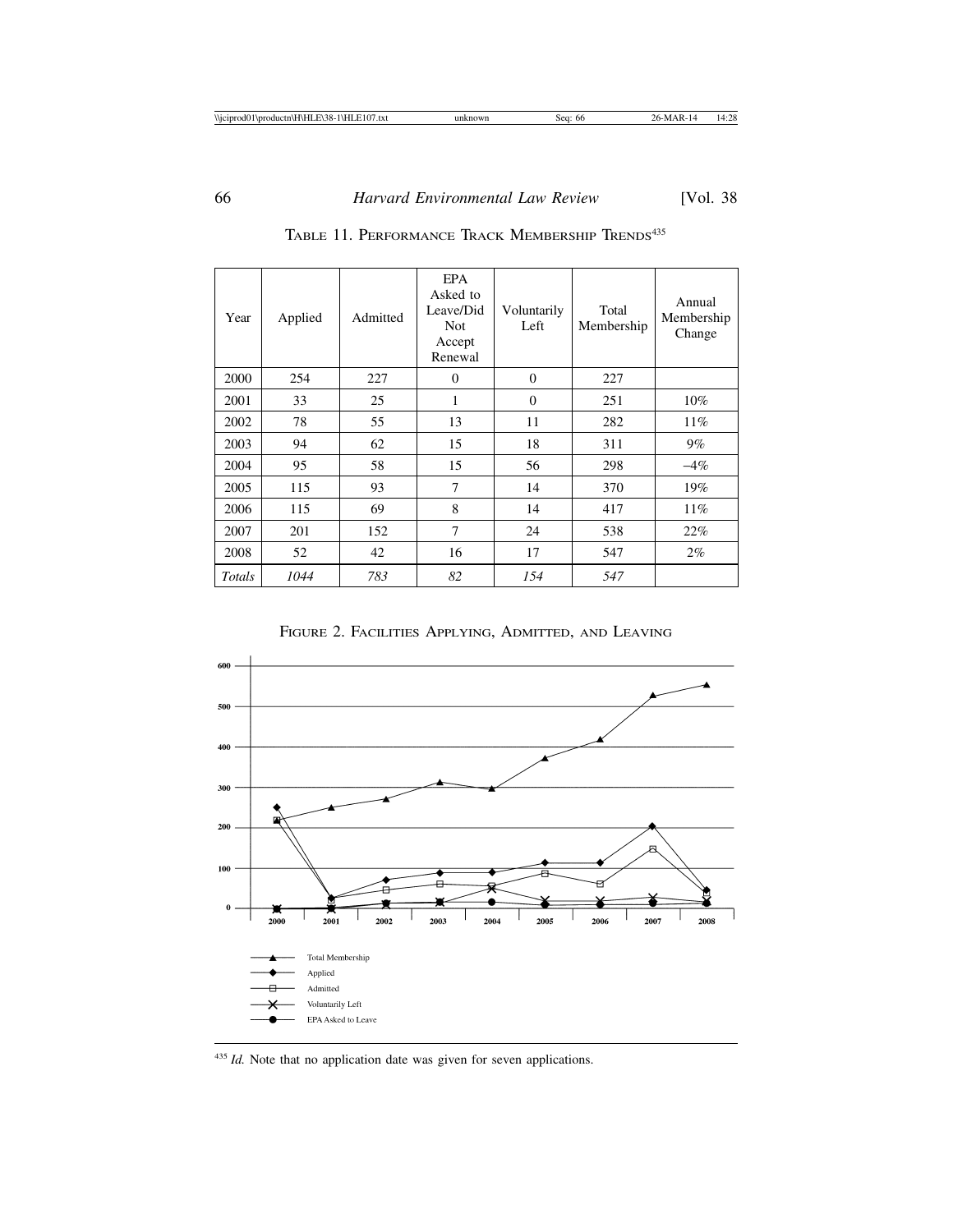| Year   | Applied | Admitted | EPA<br>Asked to<br>Leave/Did<br><b>Not</b><br>Accept<br>Renewal | Voluntarily<br>Left | Total<br>Membership | Annual<br>Membership<br>Change |
|--------|---------|----------|-----------------------------------------------------------------|---------------------|---------------------|--------------------------------|
| 2000   | 254     | 227      | $\overline{0}$                                                  | $\overline{0}$      | 227                 |                                |
| 2001   | 33      | 25       | 1                                                               | $\overline{0}$      | 251                 | $10\%$                         |
| 2002   | 78      | 55       | 13                                                              | 11                  | 282                 | 11%                            |
| 2003   | 94      | 62       | 15                                                              | 18                  | 311                 | $9\%$                          |
| 2004   | 95      | 58       | 15                                                              | 56                  | 298                 | $-4\%$                         |
| 2005   | 115     | 93       | 7                                                               | 14                  | 370                 | 19%                            |
| 2006   | 115     | 69       | 8                                                               | 14                  | 417                 | $11\%$                         |
| 2007   | 201     | 152      | $\overline{7}$                                                  | 24                  | 538                 | 22%                            |
| 2008   | 52      | 42       | 16                                                              | 17                  | 547                 | $2\%$                          |
| Totals | 1044    | 783      | 82                                                              | 154                 | 547                 |                                |

TABLE 11. PERFORMANCE TRACK MEMBERSHIP TRENDS<sup>435</sup>

FIGURE 2. FACILITIES APPLYING, ADMITTED, AND LEAVING



<sup>435</sup> *Id.* Note that no application date was given for seven applications.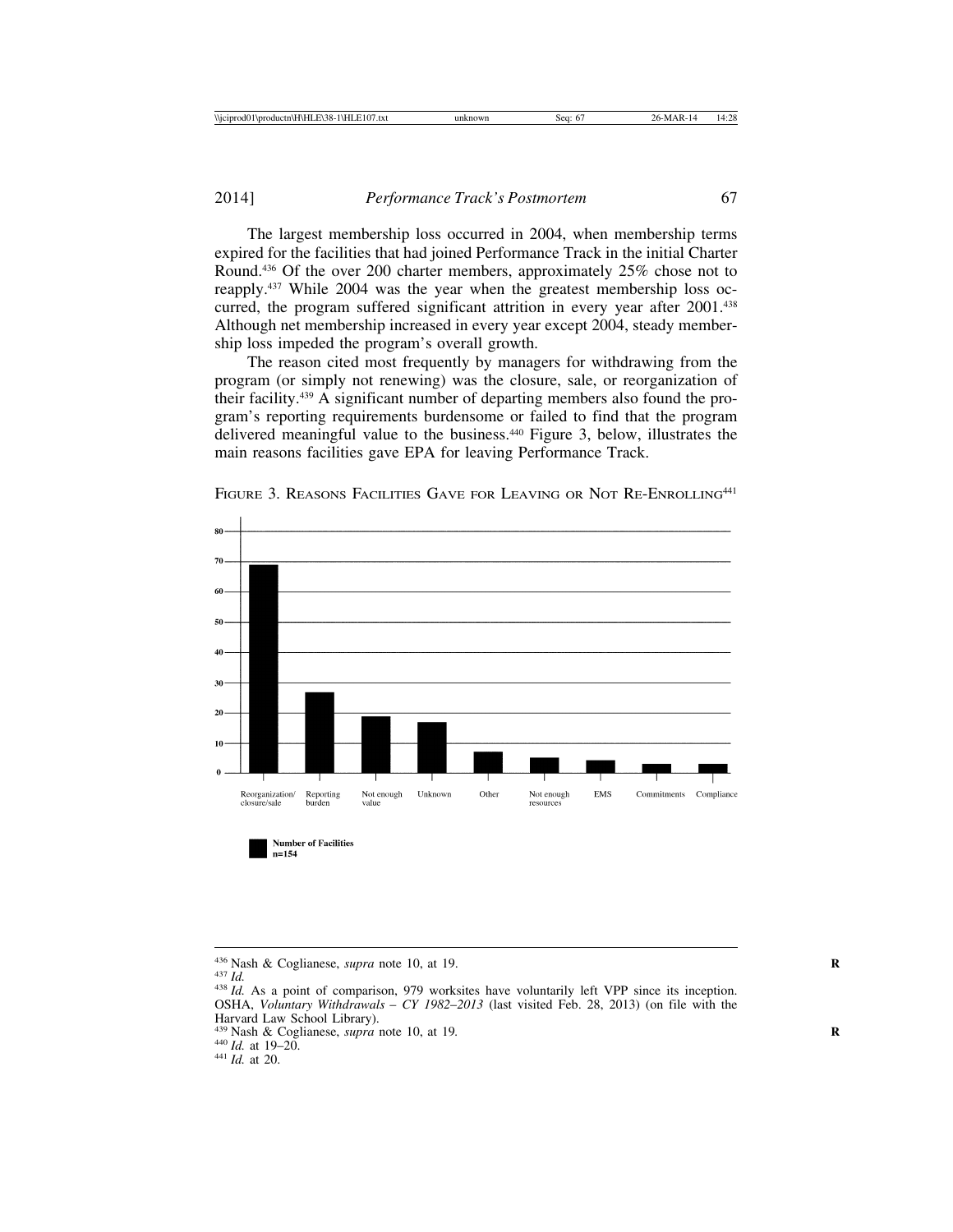The largest membership loss occurred in 2004, when membership terms expired for the facilities that had joined Performance Track in the initial Charter Round.436 Of the over 200 charter members, approximately 25% chose not to reapply.437 While 2004 was the year when the greatest membership loss occurred, the program suffered significant attrition in every year after 2001.<sup>438</sup> Although net membership increased in every year except 2004, steady membership loss impeded the program's overall growth.

The reason cited most frequently by managers for withdrawing from the program (or simply not renewing) was the closure, sale, or reorganization of their facility.439 A significant number of departing members also found the program's reporting requirements burdensome or failed to find that the program delivered meaningful value to the business.440 Figure 3, below, illustrates the main reasons facilities gave EPA for leaving Performance Track.



FIGURE 3. REASONS FACILITIES GAVE FOR LEAVING OR NOT RE-ENROLLING<sup>441</sup>

- <sup>439</sup> Nash & Coglianese, *supra* note 10, at 19*.* **<sup>R</sup>** <sup>440</sup> *Id.* at 19–20. <sup>441</sup> *Id.* at 20.
- 
- 

<sup>&</sup>lt;sup>436</sup> Nash & Coglianese, *supra* note 10, at 19.<br><sup>437</sup> *Id.* As a point of comparison, 979 worksites have voluntarily left VPP since its inception. OSHA, *Voluntary Withdrawals* – *CY 1982*–*2013* (last visited Feb. 28, 2013) (on file with the Harvard Law School Library).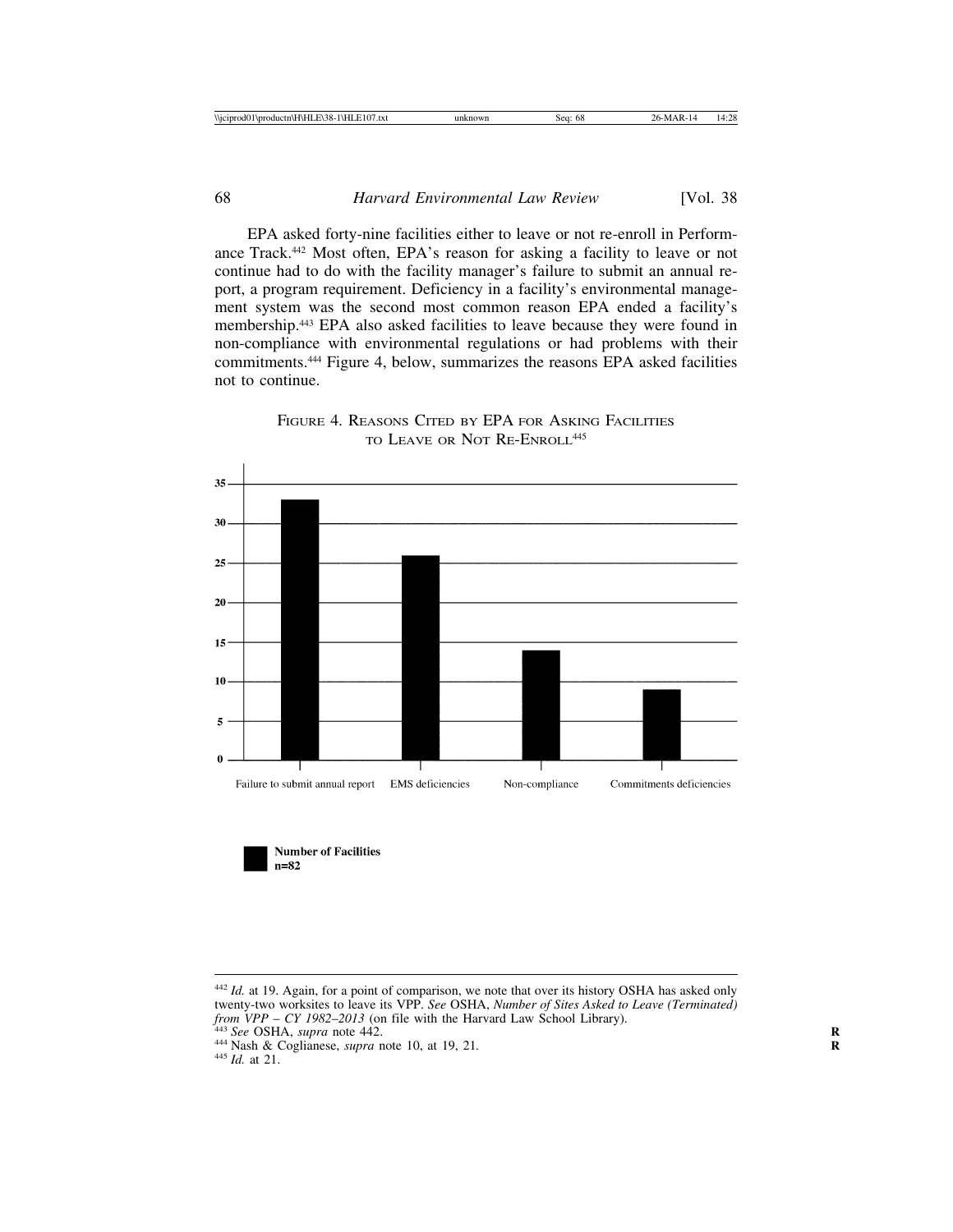EPA asked forty-nine facilities either to leave or not re-enroll in Performance Track.442 Most often, EPA's reason for asking a facility to leave or not continue had to do with the facility manager's failure to submit an annual report, a program requirement. Deficiency in a facility's environmental management system was the second most common reason EPA ended a facility's membership.443 EPA also asked facilities to leave because they were found in non-compliance with environmental regulations or had problems with their commitments.444 Figure 4, below, summarizes the reasons EPA asked facilities not to continue.



FIGURE 4. REASONS CITED BY EPA FOR ASKING FACILITIES TO LEAVE OR NOT RE-ENROLL<sup>445</sup>

**Number of Facilities** 

 $n=82$ 

<sup>&</sup>lt;sup>442</sup> *Id.* at 19. Again, for a point of comparison, we note that over its history OSHA has asked only twenty-two worksites to leave its VPP. *See* OSHA, *Number of Sites Asked to Leave (Terminated)*

<sup>&</sup>lt;sup>443</sup> See OSHA, *supra* note 442.<br><sup>444</sup> Nash & Coglianese, *supra* note 10, at 19, 21.<br><sup>445</sup> Id. at 21.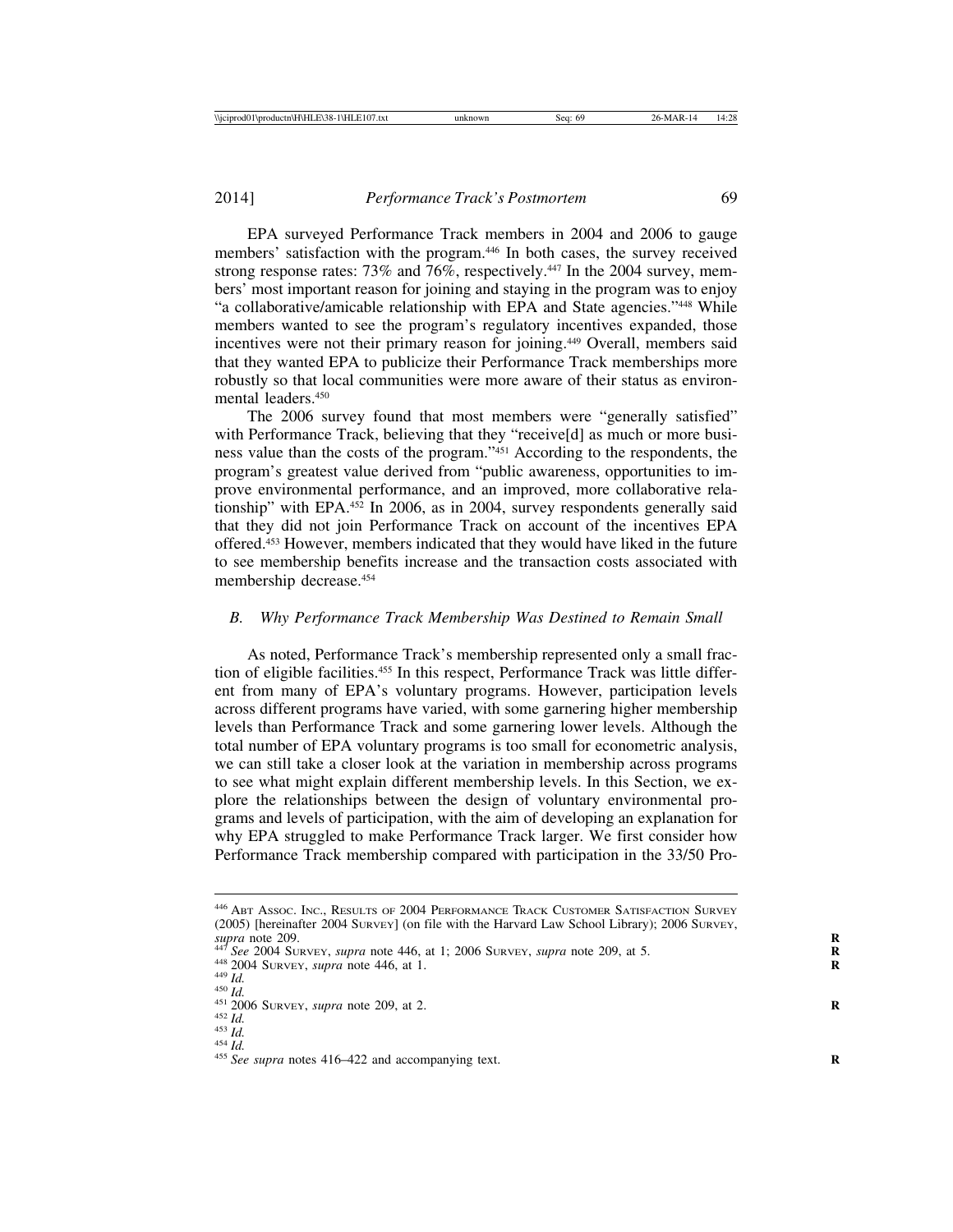EPA surveyed Performance Track members in 2004 and 2006 to gauge members' satisfaction with the program.446 In both cases, the survey received strong response rates: 73% and 76%, respectively.447 In the 2004 survey, members' most important reason for joining and staying in the program was to enjoy "a collaborative/amicable relationship with EPA and State agencies."448 While members wanted to see the program's regulatory incentives expanded, those incentives were not their primary reason for joining.449 Overall, members said that they wanted EPA to publicize their Performance Track memberships more robustly so that local communities were more aware of their status as environmental leaders.<sup>450</sup>

The 2006 survey found that most members were "generally satisfied" with Performance Track, believing that they "receive[d] as much or more business value than the costs of the program."451 According to the respondents, the program's greatest value derived from "public awareness, opportunities to improve environmental performance, and an improved, more collaborative relationship" with EPA.452 In 2006, as in 2004, survey respondents generally said that they did not join Performance Track on account of the incentives EPA offered.453 However, members indicated that they would have liked in the future to see membership benefits increase and the transaction costs associated with membership decrease.454

#### *B. Why Performance Track Membership Was Destined to Remain Small*

As noted, Performance Track's membership represented only a small fraction of eligible facilities.455 In this respect, Performance Track was little different from many of EPA's voluntary programs. However, participation levels across different programs have varied, with some garnering higher membership levels than Performance Track and some garnering lower levels. Although the total number of EPA voluntary programs is too small for econometric analysis, we can still take a closer look at the variation in membership across programs to see what might explain different membership levels. In this Section, we explore the relationships between the design of voluntary environmental programs and levels of participation, with the aim of developing an explanation for why EPA struggled to make Performance Track larger. We first consider how Performance Track membership compared with participation in the 33/50 Pro-

- 
- 

<sup>446</sup> ABT ASSOC. INC., RESULTS OF 2004 PERFORMANCE TRACK CUSTOMER SATISFACTION SURVEY (2005) [hereinafter 2004 SURVEY] (on file with the Harvard Law School Library); 2006 SURVEY, supra note 209. supra note 209.<br>
<sup>447</sup> See 2004 SURVEY, supra note 446, at 1; 2006 SURVEY, supra note 209, at 5.<br>
<sup>448</sup> 2004 SURVEY, supra note 446, at 1.<br>
<sup>449</sup> Id.<br>
<sup>449</sup> Id.<br>
<sup>451</sup> 2006 SURVEY, supra note 209, at 2.<br>
<sup>452</sup> Id.<br>
<sup>453</sup> I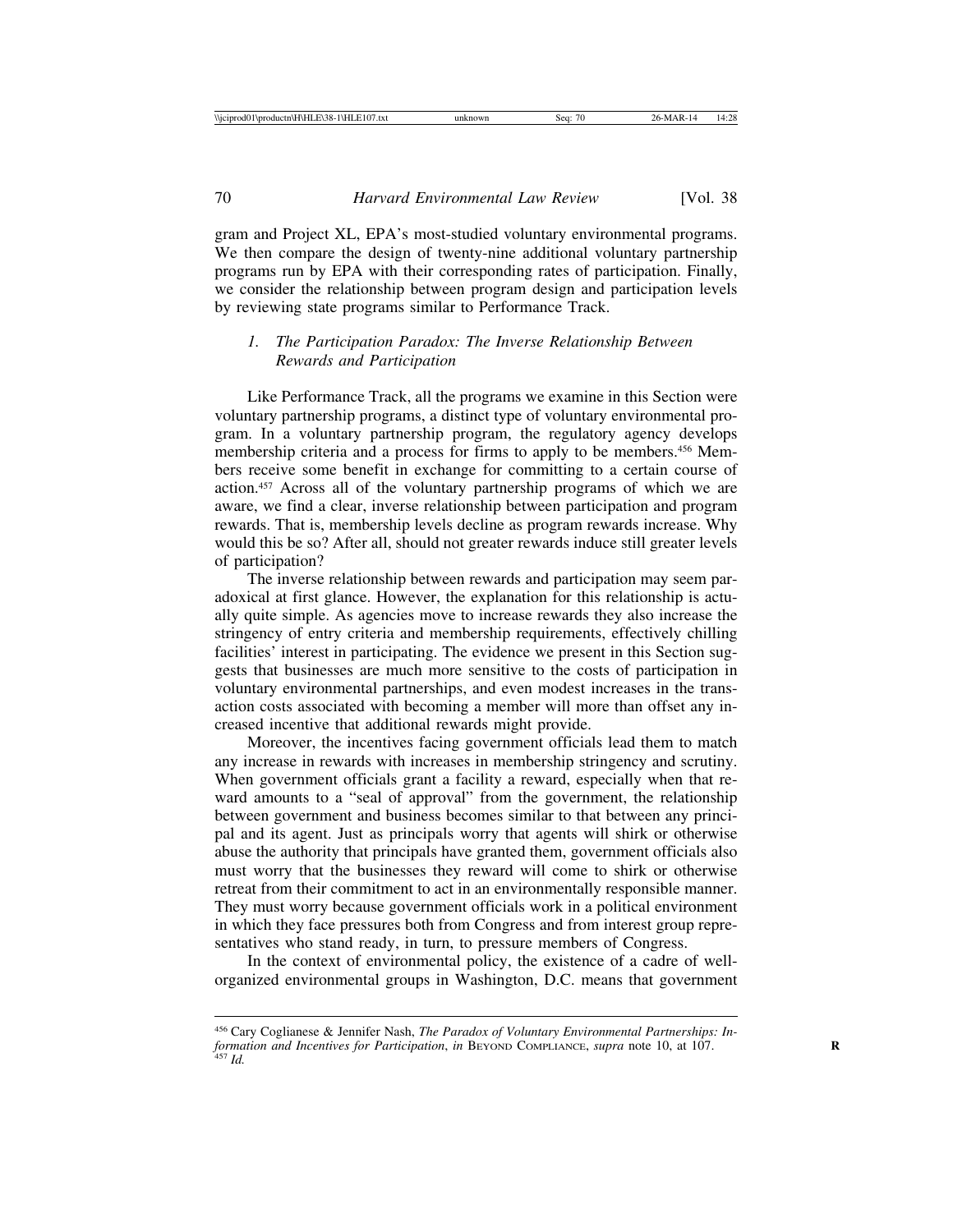gram and Project XL, EPA's most-studied voluntary environmental programs. We then compare the design of twenty-nine additional voluntary partnership programs run by EPA with their corresponding rates of participation. Finally, we consider the relationship between program design and participation levels by reviewing state programs similar to Performance Track.

#### *1. The Participation Paradox: The Inverse Relationship Between Rewards and Participation*

Like Performance Track, all the programs we examine in this Section were voluntary partnership programs, a distinct type of voluntary environmental program. In a voluntary partnership program, the regulatory agency develops membership criteria and a process for firms to apply to be members.<sup>456</sup> Members receive some benefit in exchange for committing to a certain course of action.457 Across all of the voluntary partnership programs of which we are aware, we find a clear, inverse relationship between participation and program rewards. That is, membership levels decline as program rewards increase. Why would this be so? After all, should not greater rewards induce still greater levels of participation?

The inverse relationship between rewards and participation may seem paradoxical at first glance. However, the explanation for this relationship is actually quite simple. As agencies move to increase rewards they also increase the stringency of entry criteria and membership requirements, effectively chilling facilities' interest in participating. The evidence we present in this Section suggests that businesses are much more sensitive to the costs of participation in voluntary environmental partnerships, and even modest increases in the transaction costs associated with becoming a member will more than offset any increased incentive that additional rewards might provide.

Moreover, the incentives facing government officials lead them to match any increase in rewards with increases in membership stringency and scrutiny. When government officials grant a facility a reward, especially when that reward amounts to a "seal of approval" from the government, the relationship between government and business becomes similar to that between any principal and its agent. Just as principals worry that agents will shirk or otherwise abuse the authority that principals have granted them, government officials also must worry that the businesses they reward will come to shirk or otherwise retreat from their commitment to act in an environmentally responsible manner. They must worry because government officials work in a political environment in which they face pressures both from Congress and from interest group representatives who stand ready, in turn, to pressure members of Congress.

In the context of environmental policy, the existence of a cadre of wellorganized environmental groups in Washington, D.C. means that government

<sup>456</sup> Cary Coglianese & Jennifer Nash, *The Paradox of Voluntary Environmental Partnerships: Information and Incentives for Participation*, *in* BEYOND COMPLIANCE, *supra* note 10, at 107. **<sup>R</sup>** <sup>457</sup> *Id.*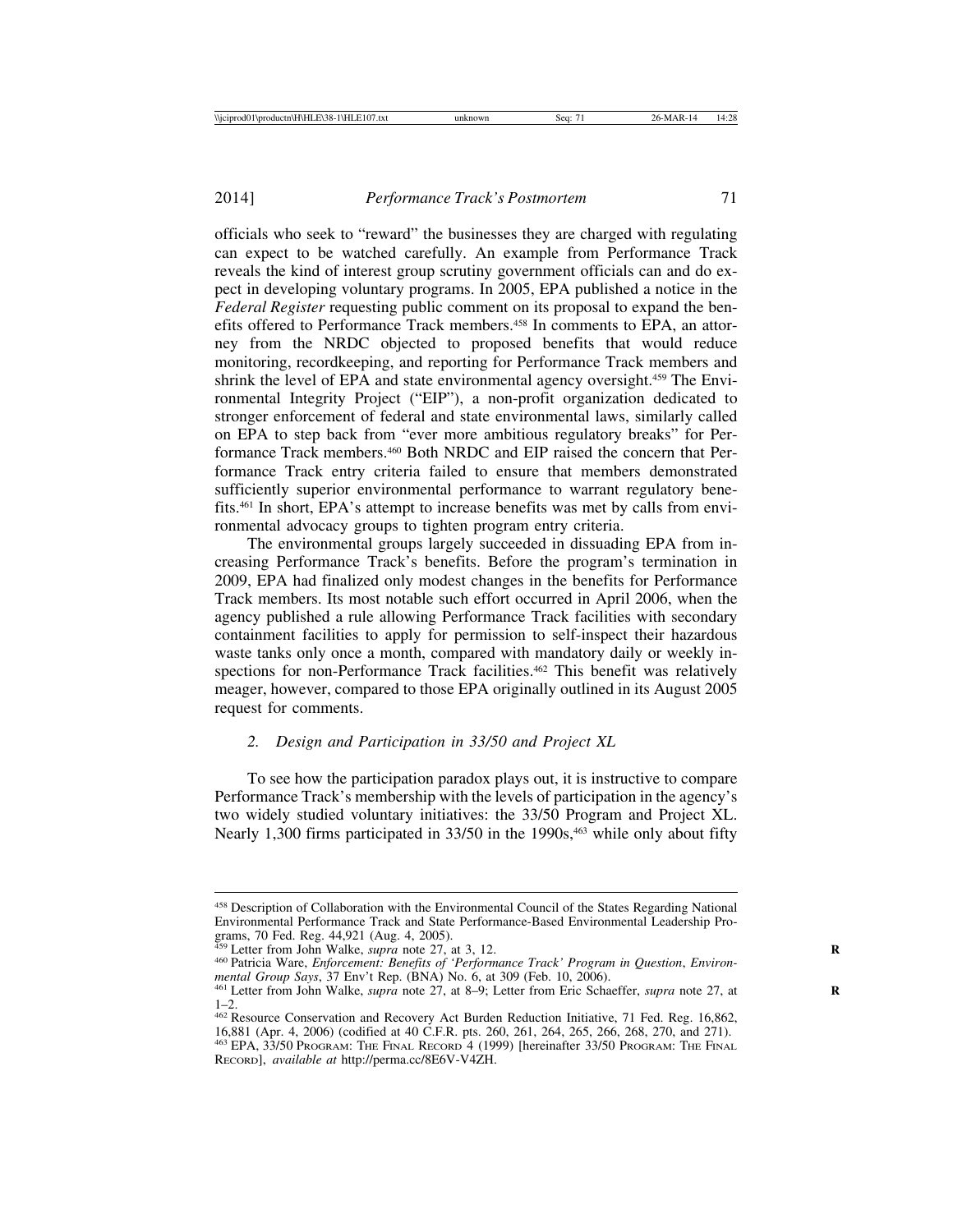officials who seek to "reward" the businesses they are charged with regulating can expect to be watched carefully. An example from Performance Track reveals the kind of interest group scrutiny government officials can and do expect in developing voluntary programs. In 2005, EPA published a notice in the *Federal Register* requesting public comment on its proposal to expand the benefits offered to Performance Track members.<sup>458</sup> In comments to EPA, an attorney from the NRDC objected to proposed benefits that would reduce monitoring, recordkeeping, and reporting for Performance Track members and shrink the level of EPA and state environmental agency oversight.459 The Environmental Integrity Project ("EIP"), a non-profit organization dedicated to stronger enforcement of federal and state environmental laws, similarly called on EPA to step back from "ever more ambitious regulatory breaks" for Performance Track members.460 Both NRDC and EIP raised the concern that Performance Track entry criteria failed to ensure that members demonstrated sufficiently superior environmental performance to warrant regulatory benefits.461 In short, EPA's attempt to increase benefits was met by calls from environmental advocacy groups to tighten program entry criteria.

The environmental groups largely succeeded in dissuading EPA from increasing Performance Track's benefits. Before the program's termination in 2009, EPA had finalized only modest changes in the benefits for Performance Track members. Its most notable such effort occurred in April 2006, when the agency published a rule allowing Performance Track facilities with secondary containment facilities to apply for permission to self-inspect their hazardous waste tanks only once a month, compared with mandatory daily or weekly inspections for non-Performance Track facilities.<sup>462</sup> This benefit was relatively meager, however, compared to those EPA originally outlined in its August 2005 request for comments.

# *2. Design and Participation in 33/50 and Project XL*

To see how the participation paradox plays out, it is instructive to compare Performance Track's membership with the levels of participation in the agency's two widely studied voluntary initiatives: the 33/50 Program and Project XL. Nearly 1,300 firms participated in 33/50 in the 1990s,<sup>463</sup> while only about fifty

<sup>458</sup> Description of Collaboration with the Environmental Council of the States Regarding National Environmental Performance Track and State Performance-Based Environmental Leadership Programs, 70 Fed. Reg. 44,921 (Aug. 4, 2005).<br><sup>459</sup> Letter from John Walke, *supra* note 27, at 3, 12.

<sup>&</sup>lt;sup>460</sup> Patricia Ware, *Enforcement: Benefits of 'Performance Track' Program in Question, <i>Environ-mental Group Says*, 37 Env't Rep. (BNA) No. 6, at 309 (Feb. 10, 2006).

<sup>&</sup>lt;sup>461</sup> Letter from John Walke, *supra* note 27, at 8–9; Letter from Eric Schaeffer, *supra* note 27, at 1–2.

<sup>&</sup>lt;sup>462</sup> Resource Conservation and Recovery Act Burden Reduction Initiative, 71 Fed. Reg. 16,862, 16,881 (Apr. 4, 2006) (codified at 40 C.F.R. pts. 260, 261, 264, 265, 266, 268, 270, and 271). <sup>463</sup> EPA, 33/50 PROGRAM: THE FINAL RECORD 4 (1999) [hereinafter 33/50 PROGRAM: THE FINAL

RECORD], *available at* http://perma.cc/8E6V-V4ZH.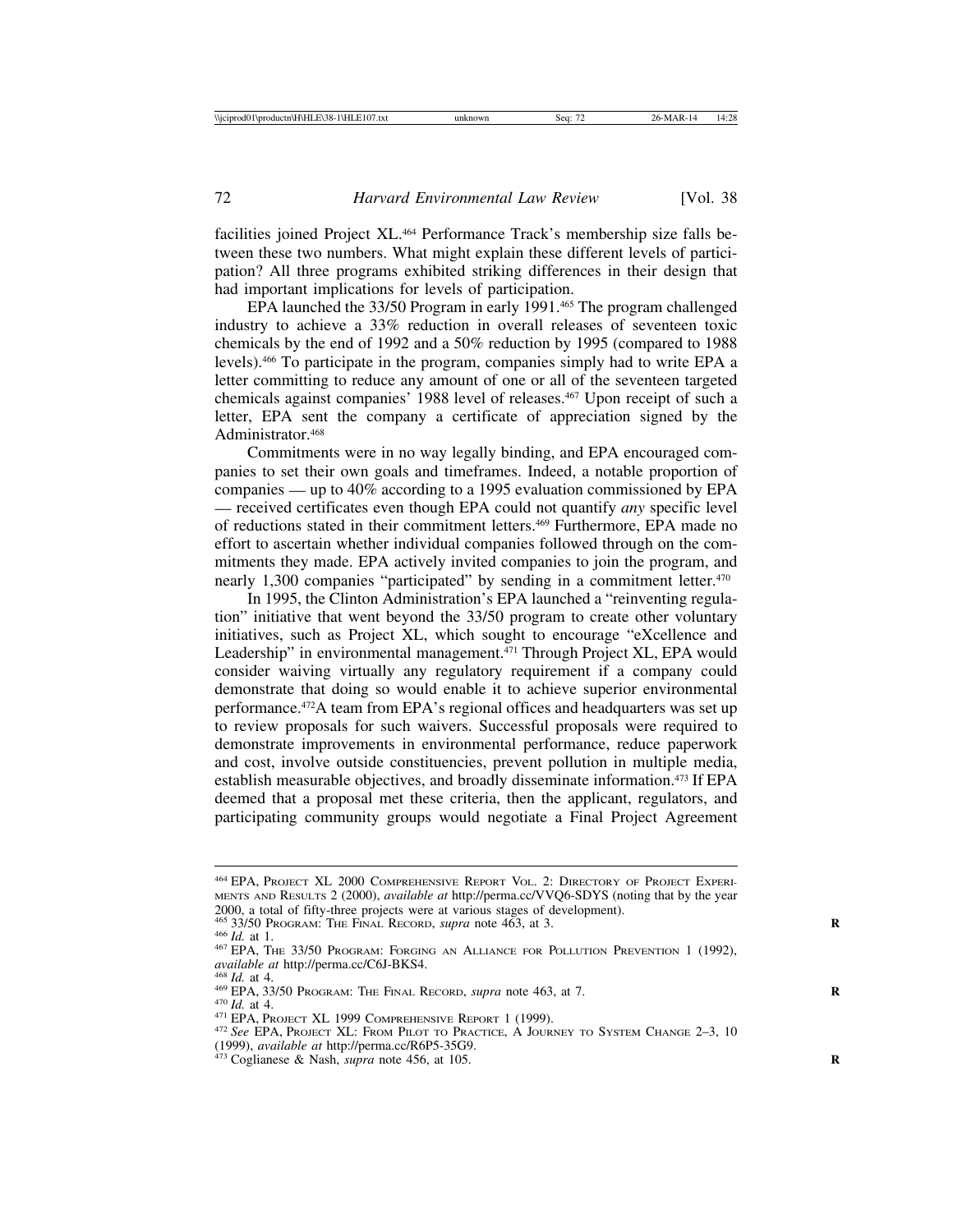facilities joined Project XL.<sup>464</sup> Performance Track's membership size falls between these two numbers. What might explain these different levels of participation? All three programs exhibited striking differences in their design that had important implications for levels of participation.

EPA launched the 33/50 Program in early 1991.465 The program challenged industry to achieve a 33% reduction in overall releases of seventeen toxic chemicals by the end of 1992 and a 50% reduction by 1995 (compared to 1988 levels).466 To participate in the program, companies simply had to write EPA a letter committing to reduce any amount of one or all of the seventeen targeted chemicals against companies' 1988 level of releases.<sup>467</sup> Upon receipt of such a letter, EPA sent the company a certificate of appreciation signed by the Administrator.<sup>468</sup>

Commitments were in no way legally binding, and EPA encouraged companies to set their own goals and timeframes. Indeed, a notable proportion of companies — up to 40% according to a 1995 evaluation commissioned by EPA — received certificates even though EPA could not quantify *any* specific level of reductions stated in their commitment letters.469 Furthermore, EPA made no effort to ascertain whether individual companies followed through on the commitments they made. EPA actively invited companies to join the program, and nearly 1,300 companies "participated" by sending in a commitment letter.<sup>470</sup>

In 1995, the Clinton Administration's EPA launched a "reinventing regulation" initiative that went beyond the 33/50 program to create other voluntary initiatives, such as Project XL, which sought to encourage "eXcellence and Leadership" in environmental management.<sup>471</sup> Through Project XL, EPA would consider waiving virtually any regulatory requirement if a company could demonstrate that doing so would enable it to achieve superior environmental performance.472A team from EPA's regional offices and headquarters was set up to review proposals for such waivers. Successful proposals were required to demonstrate improvements in environmental performance, reduce paperwork and cost, involve outside constituencies, prevent pollution in multiple media, establish measurable objectives, and broadly disseminate information.<sup>473</sup> If EPA deemed that a proposal met these criteria, then the applicant, regulators, and participating community groups would negotiate a Final Project Agreement

<sup>464</sup> EPA, PROJECT XL 2000 COMPREHENSIVE REPORT VOL. 2: DIRECTORY OF PROJECT EXPERI-MENTS AND RESULTS 2 (2000), *available at* http://perma.cc/VVQ6-SDYS (noting that by the year 2000, a total of fifty-three projects were at various stages of development).

<sup>&</sup>lt;sup>466</sup> Id. at 1.<br><sup>467</sup> EPA, The 33/50 Program: Forging an Alliance for Pollution Prevention 1 (1992), *available at* http://perma.cc/C6J-BKS4.

<sup>&</sup>lt;sup>468</sup> *Id.* at 4.<br><sup>469</sup> EPA, 33/50 Program: The Final Record, *supra* note 463, at 7.<br><sup>470</sup> *Id.* at 4.<br><sup>471</sup> EPA, Project XL 1999 COMPREHENSIVE REPORT 1 (1999).<br><sup>472</sup> See EPA, Project XL: From Pilot to Practice, A JOURNE (1999), *available at* http://perma.cc/R6P5-35G9. <sup>473</sup> Coglianese & Nash, *supra* note 456, at 105. **<sup>R</sup>**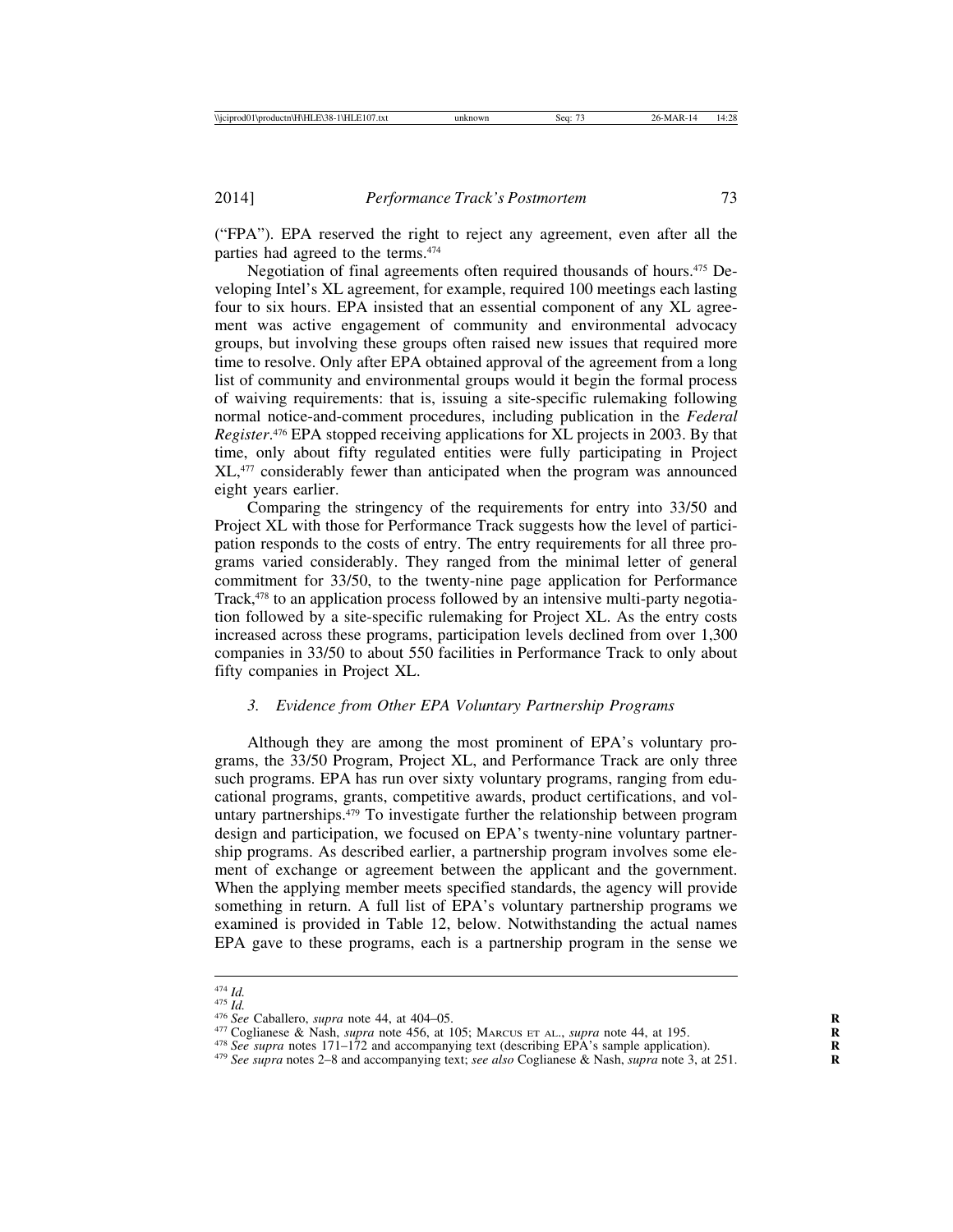("FPA"). EPA reserved the right to reject any agreement, even after all the parties had agreed to the terms.474

Negotiation of final agreements often required thousands of hours.<sup>475</sup> Developing Intel's XL agreement, for example, required 100 meetings each lasting four to six hours. EPA insisted that an essential component of any XL agreement was active engagement of community and environmental advocacy groups, but involving these groups often raised new issues that required more time to resolve. Only after EPA obtained approval of the agreement from a long list of community and environmental groups would it begin the formal process of waiving requirements: that is, issuing a site-specific rulemaking following normal notice-and-comment procedures, including publication in the *Federal Register*. 476 EPA stopped receiving applications for XL projects in 2003. By that time, only about fifty regulated entities were fully participating in Project XL,477 considerably fewer than anticipated when the program was announced eight years earlier.

Comparing the stringency of the requirements for entry into 33/50 and Project XL with those for Performance Track suggests how the level of participation responds to the costs of entry. The entry requirements for all three programs varied considerably. They ranged from the minimal letter of general commitment for 33/50, to the twenty-nine page application for Performance Track,478 to an application process followed by an intensive multi-party negotiation followed by a site-specific rulemaking for Project XL. As the entry costs increased across these programs, participation levels declined from over 1,300 companies in 33/50 to about 550 facilities in Performance Track to only about fifty companies in Project XL.

## *3. Evidence from Other EPA Voluntary Partnership Programs*

Although they are among the most prominent of EPA's voluntary programs, the 33/50 Program, Project XL, and Performance Track are only three such programs. EPA has run over sixty voluntary programs, ranging from educational programs, grants, competitive awards, product certifications, and voluntary partnerships.479 To investigate further the relationship between program design and participation, we focused on EPA's twenty-nine voluntary partnership programs. As described earlier, a partnership program involves some element of exchange or agreement between the applicant and the government. When the applying member meets specified standards, the agency will provide something in return. A full list of EPA's voluntary partnership programs we examined is provided in Table 12, below. Notwithstanding the actual names EPA gave to these programs, each is a partnership program in the sense we

<sup>&</sup>lt;sup>474</sup> *Id.*<br><sup>475</sup> *See* Caballero, *supra* note 44, at 404–05.<br><sup>476</sup> *See* Caballero, *supra* note 44, at 404–05.<br><sup>477</sup> Coglianese & Nash, *supra* note 456, at 105; MARCUS ET AL., *supra* note 44, at 195.<br><sup>478</sup> *See sup*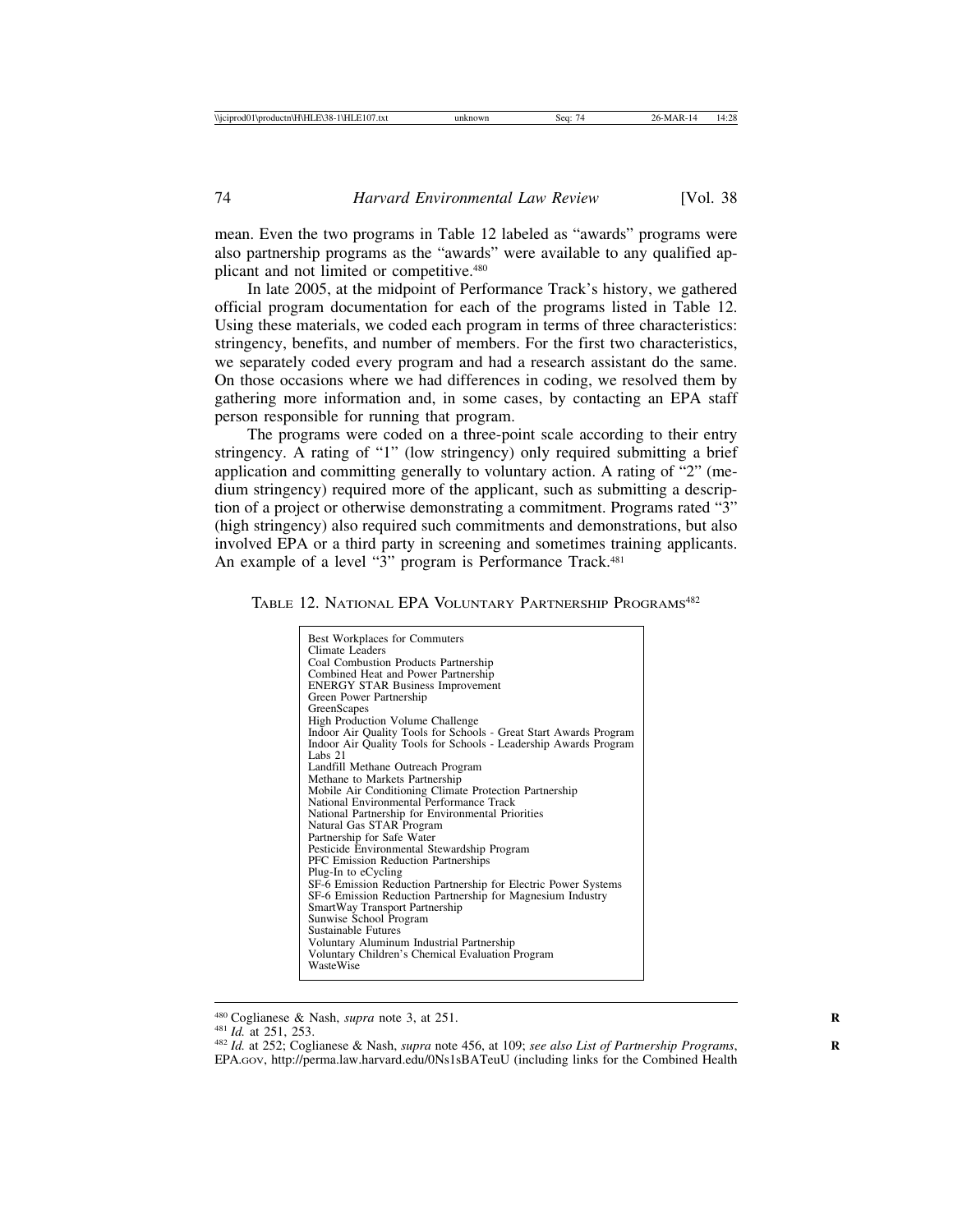mean. Even the two programs in Table 12 labeled as "awards" programs were also partnership programs as the "awards" were available to any qualified applicant and not limited or competitive.480

In late 2005, at the midpoint of Performance Track's history, we gathered official program documentation for each of the programs listed in Table 12. Using these materials, we coded each program in terms of three characteristics: stringency, benefits, and number of members. For the first two characteristics, we separately coded every program and had a research assistant do the same. On those occasions where we had differences in coding, we resolved them by gathering more information and, in some cases, by contacting an EPA staff person responsible for running that program.

The programs were coded on a three-point scale according to their entry stringency. A rating of "1" (low stringency) only required submitting a brief application and committing generally to voluntary action. A rating of "2" (medium stringency) required more of the applicant, such as submitting a description of a project or otherwise demonstrating a commitment. Programs rated "3" (high stringency) also required such commitments and demonstrations, but also involved EPA or a third party in screening and sometimes training applicants. An example of a level "3" program is Performance Track.<sup>481</sup>

TABLE 12. NATIONAL EPA VOLUNTARY PARTNERSHIP PROGRAMS<sup>482</sup>

<sup>480</sup> Coglianese & Nash, *supra* note 3, at 251.<br><sup>481</sup> *Id.* at 251, 253. <br><sup>482</sup> *Id.* at 252; Coglianese & Nash, *supra* note 456, at 109; *see also List of Partnership Programs*, EPA.GOV, http://perma.law.harvard.edu/0Ns1sBATeuU (including links for the Combined Health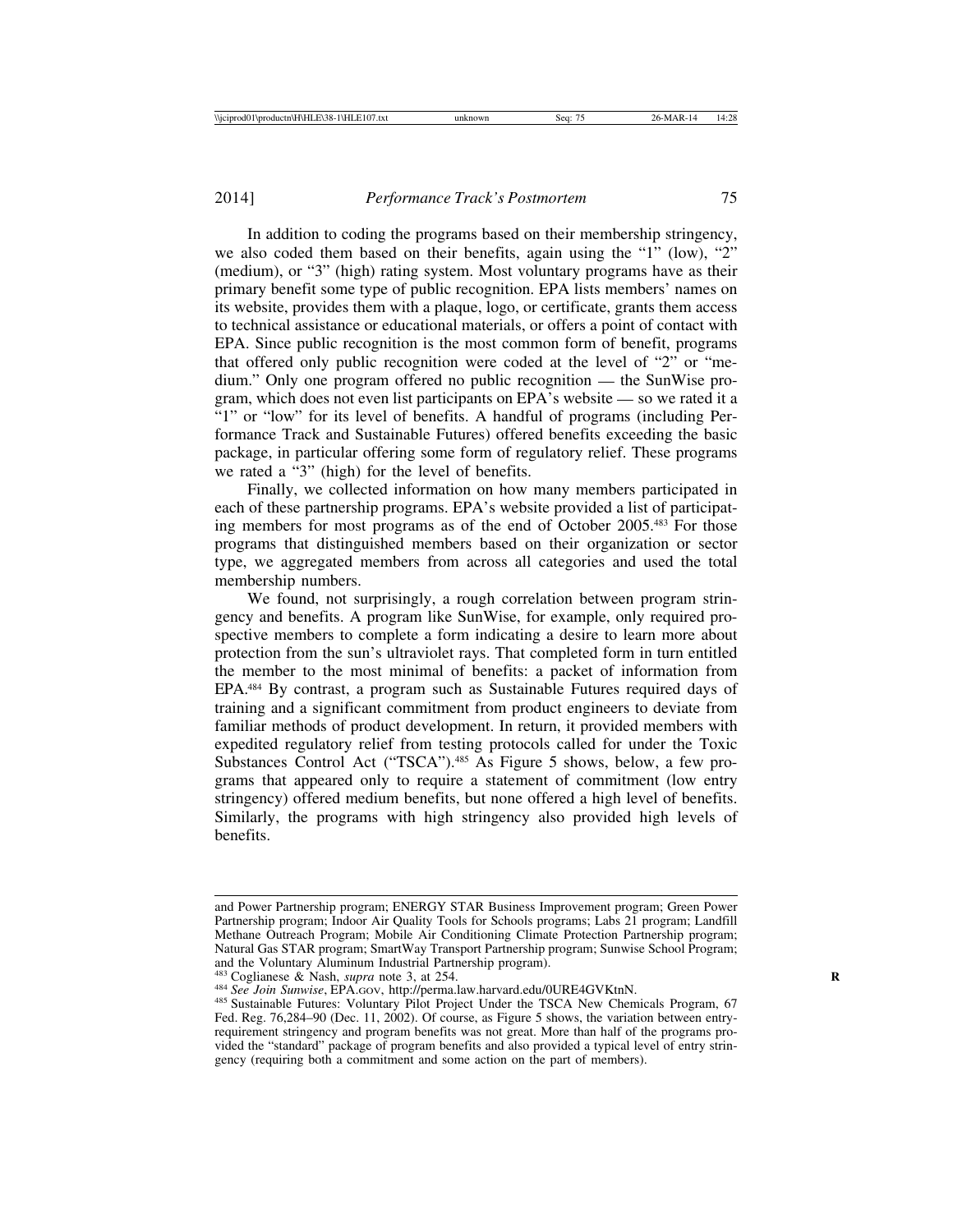In addition to coding the programs based on their membership stringency, we also coded them based on their benefits, again using the "1" (low), "2" (medium), or "3" (high) rating system. Most voluntary programs have as their primary benefit some type of public recognition. EPA lists members' names on its website, provides them with a plaque, logo, or certificate, grants them access to technical assistance or educational materials, or offers a point of contact with EPA. Since public recognition is the most common form of benefit, programs that offered only public recognition were coded at the level of "2" or "medium." Only one program offered no public recognition — the SunWise program, which does not even list participants on EPA's website — so we rated it a "1" or "low" for its level of benefits. A handful of programs (including Performance Track and Sustainable Futures) offered benefits exceeding the basic package, in particular offering some form of regulatory relief. These programs we rated a "3" (high) for the level of benefits.

Finally, we collected information on how many members participated in each of these partnership programs. EPA's website provided a list of participating members for most programs as of the end of October 2005.483 For those programs that distinguished members based on their organization or sector type, we aggregated members from across all categories and used the total membership numbers.

We found, not surprisingly, a rough correlation between program stringency and benefits. A program like SunWise, for example, only required prospective members to complete a form indicating a desire to learn more about protection from the sun's ultraviolet rays. That completed form in turn entitled the member to the most minimal of benefits: a packet of information from EPA.484 By contrast, a program such as Sustainable Futures required days of training and a significant commitment from product engineers to deviate from familiar methods of product development. In return, it provided members with expedited regulatory relief from testing protocols called for under the Toxic Substances Control Act ("TSCA").<sup>485</sup> As Figure 5 shows, below, a few programs that appeared only to require a statement of commitment (low entry stringency) offered medium benefits, but none offered a high level of benefits. Similarly, the programs with high stringency also provided high levels of benefits.

and Power Partnership program; ENERGY STAR Business Improvement program; Green Power Partnership program; Indoor Air Quality Tools for Schools programs; Labs 21 program; Landfill Methane Outreach Program; Mobile Air Conditioning Climate Protection Partnership program; Natural Gas STAR program; SmartWay Transport Partnership program; Sunwise School Program; and the Voluntary Aluminum Industrial Partnership program).<br><sup>483</sup> Coglianese & Nash, *supra* note 3, at 254.

<sup>&</sup>lt;sup>484</sup> See Join Sunwise, EPA.GOV, http://perma.law.harvard.edu/0URE4GVKtnN.<br><sup>485</sup> Sustainable Futures: Voluntary Pilot Project Under the TSCA New Chemicals Program, 67 Fed. Reg. 76,284–90 (Dec. 11, 2002). Of course, as Figure 5 shows, the variation between entryrequirement stringency and program benefits was not great. More than half of the programs provided the "standard" package of program benefits and also provided a typical level of entry stringency (requiring both a commitment and some action on the part of members).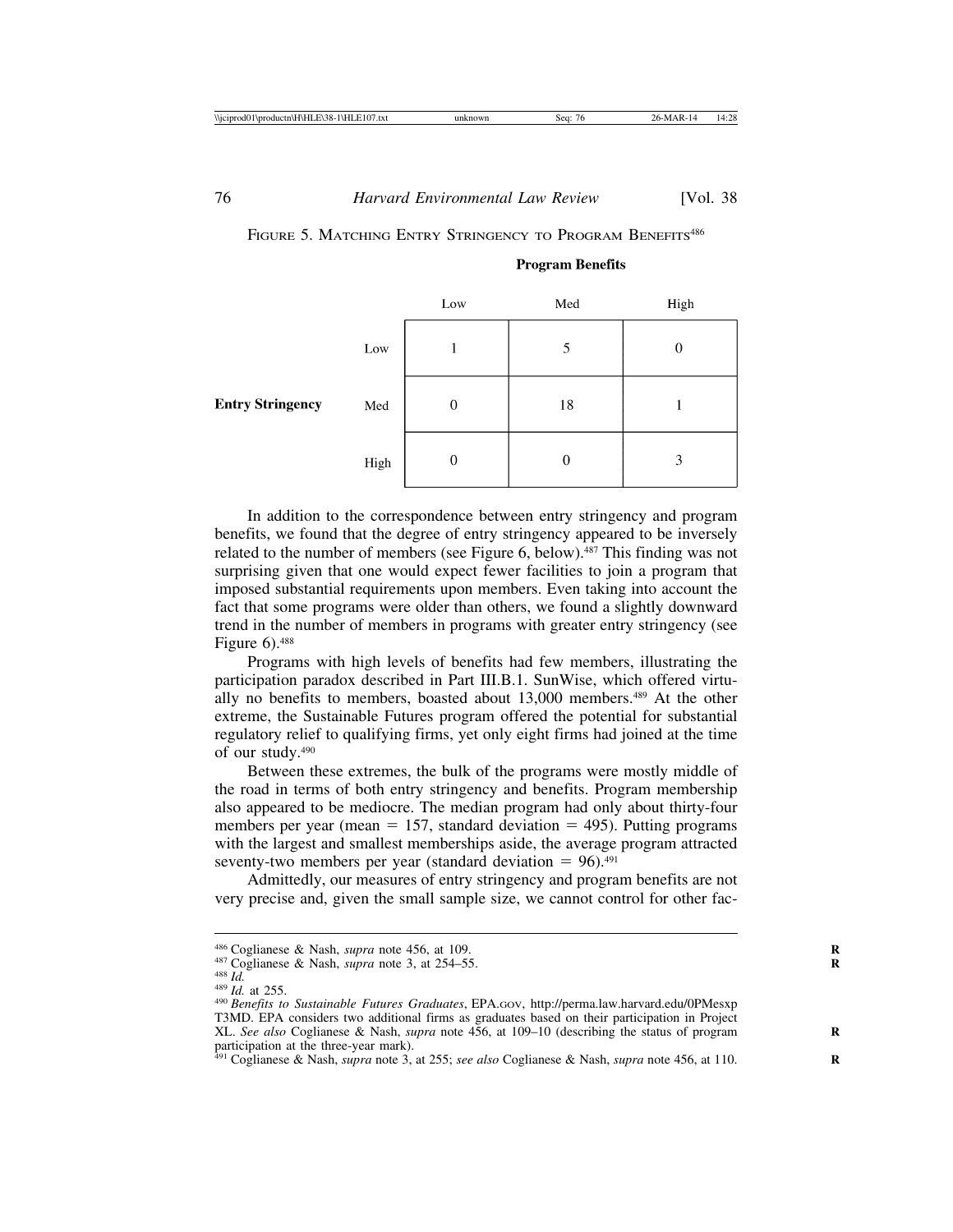|                         |                               | Low | $\operatorname{\mathsf{Med}}$ | High             |
|-------------------------|-------------------------------|-----|-------------------------------|------------------|
| <b>Entry Stringency</b> | Low                           |     |                               | $\boldsymbol{0}$ |
|                         | $\operatorname{\mathsf{Med}}$ | 0   | 18                            |                  |
|                         | High                          | 0   | 0                             | 3                |

# FIGURE 5. MATCHING ENTRY STRINGENCY TO PROGRAM BENEFITS<sup>486</sup>

**Program Benefits** 

In addition to the correspondence between entry stringency and program benefits, we found that the degree of entry stringency appeared to be inversely related to the number of members (see Figure 6, below).<sup>487</sup> This finding was not surprising given that one would expect fewer facilities to join a program that imposed substantial requirements upon members. Even taking into account the fact that some programs were older than others, we found a slightly downward trend in the number of members in programs with greater entry stringency (see Figure  $6$ ).<sup>488</sup>

Programs with high levels of benefits had few members, illustrating the participation paradox described in Part III.B.1. SunWise, which offered virtually no benefits to members, boasted about 13,000 members.<sup>489</sup> At the other extreme, the Sustainable Futures program offered the potential for substantial regulatory relief to qualifying firms, yet only eight firms had joined at the time of our study.490

Between these extremes, the bulk of the programs were mostly middle of the road in terms of both entry stringency and benefits. Program membership also appeared to be mediocre. The median program had only about thirty-four members per year (mean  $= 157$ , standard deviation  $= 495$ ). Putting programs with the largest and smallest memberships aside, the average program attracted seventy-two members per year (standard deviation  $= 96$ ).<sup>491</sup>

Admittedly, our measures of entry stringency and program benefits are not very precise and, given the small sample size, we cannot control for other fac-

<sup>&</sup>lt;sup>486</sup> Coglianese & Nash, *supra* note 456, at 109.<br><sup>487</sup> Coglianese & Nash, *supra* note 3, at 254–55.<br><sup>488</sup> Id. at 255.<br><sup>490</sup> Benefits to Sustainable Futures Graduates, EPA.GOV, http://perma.law.harvard.edu/0PMesxp T3MD. EPA considers two additional firms as graduates based on their participation in Project XL. *See also* Coglianese & Nash, *supra* note 456, at 109–10 (describing the status of program **R** participation at the three-year mark). <sup>491</sup> Coglianese & Nash, *supra* note 3, at 255; *see also* Coglianese & Nash, *supra* note 456, at 110. **R**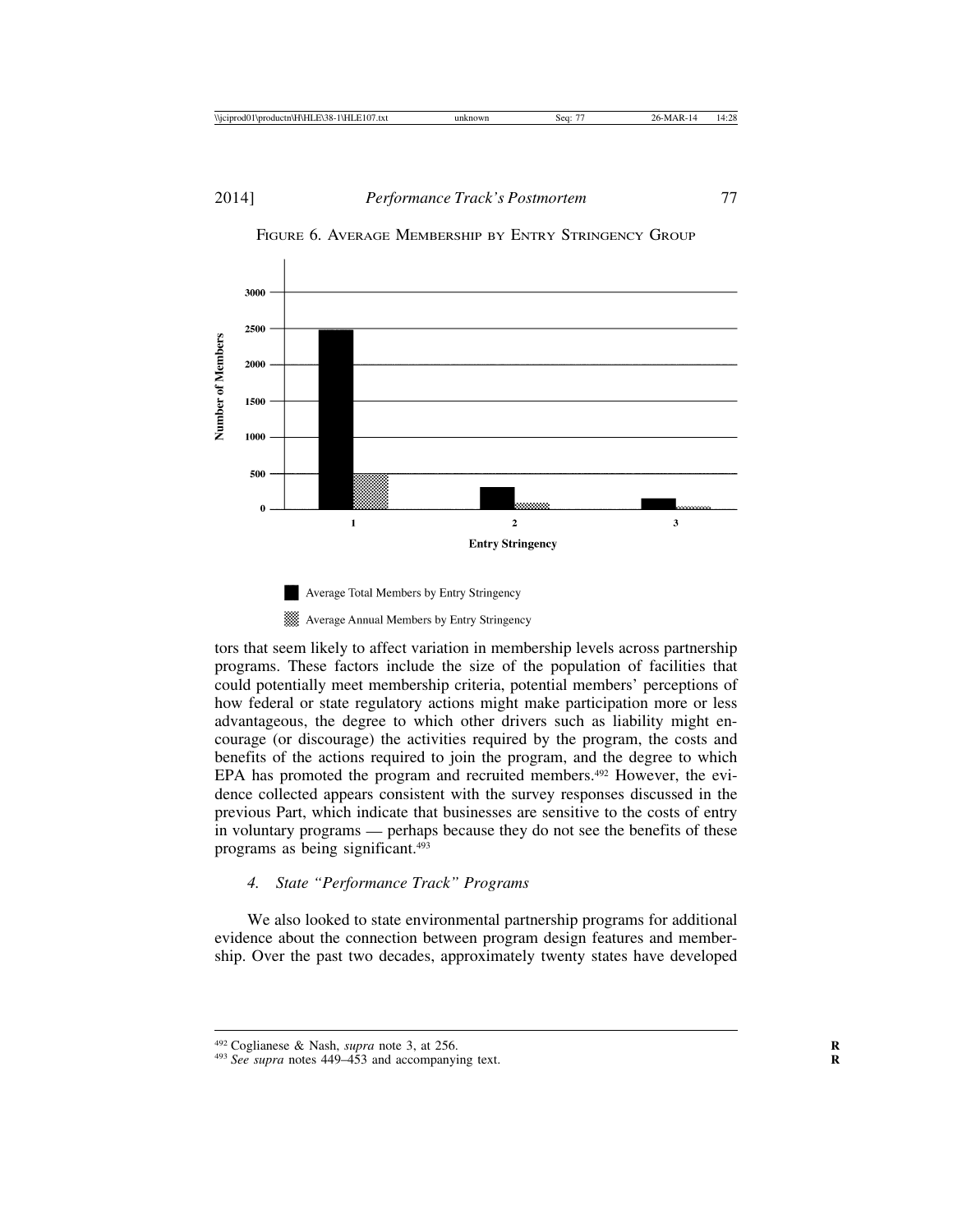

FIGURE 6. AVERAGE MEMBERSHIP BY ENTRY STRINGENCY GROUP



tors that seem likely to affect variation in membership levels across partnership programs. These factors include the size of the population of facilities that could potentially meet membership criteria, potential members' perceptions of how federal or state regulatory actions might make participation more or less advantageous, the degree to which other drivers such as liability might encourage (or discourage) the activities required by the program, the costs and benefits of the actions required to join the program, and the degree to which EPA has promoted the program and recruited members.<sup>492</sup> However, the evidence collected appears consistent with the survey responses discussed in the previous Part, which indicate that businesses are sensitive to the costs of entry in voluntary programs — perhaps because they do not see the benefits of these programs as being significant.493

## *4. State "Performance Track" Programs*

We also looked to state environmental partnership programs for additional evidence about the connection between program design features and membership. Over the past two decades, approximately twenty states have developed

<sup>&</sup>lt;sup>492</sup> Coglianese & Nash, *supra* note 3, at 256. *A93 See supra* notes 449–453 and accompanying text.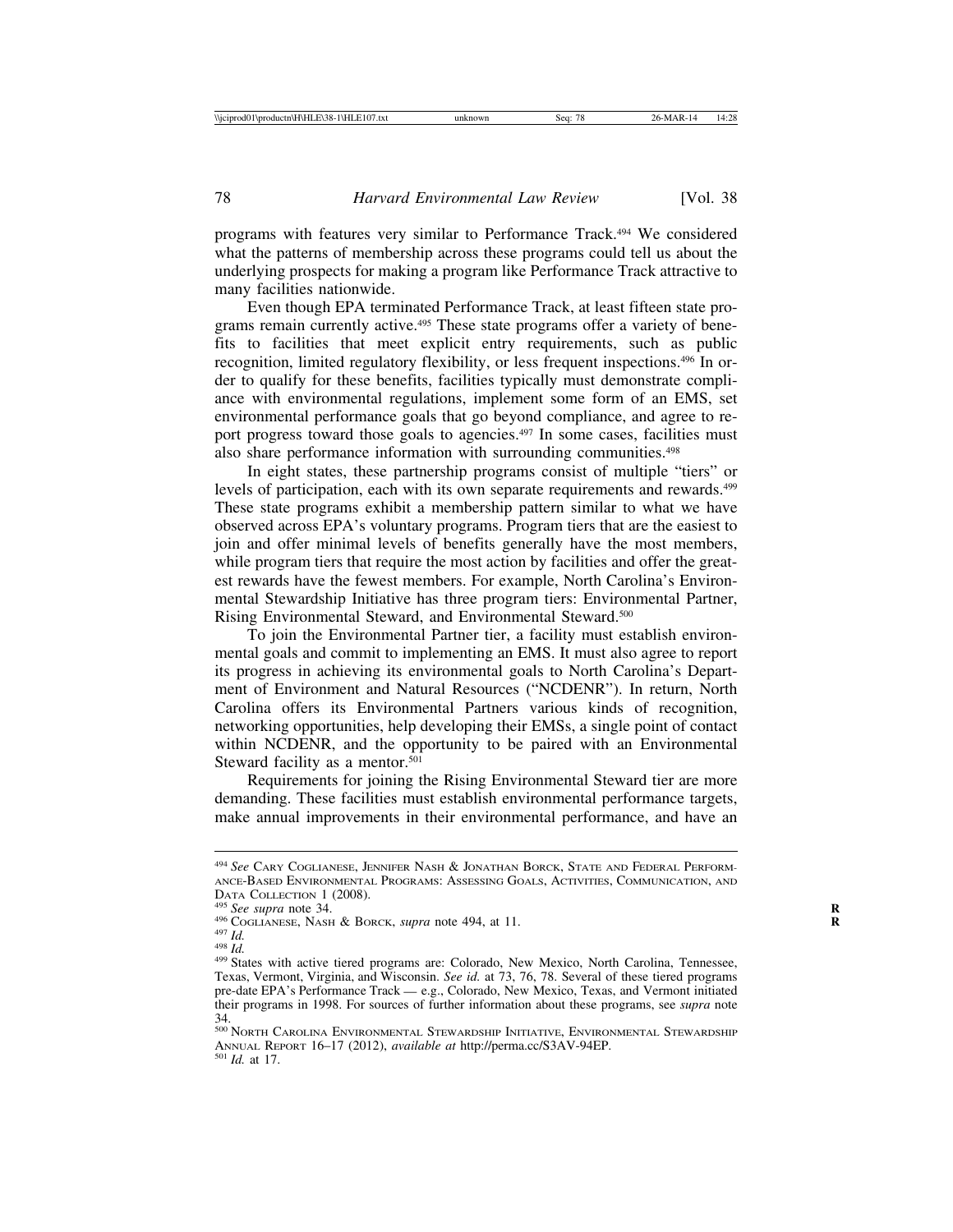programs with features very similar to Performance Track.494 We considered what the patterns of membership across these programs could tell us about the underlying prospects for making a program like Performance Track attractive to many facilities nationwide.

Even though EPA terminated Performance Track, at least fifteen state programs remain currently active.<sup>495</sup> These state programs offer a variety of benefits to facilities that meet explicit entry requirements, such as public recognition, limited regulatory flexibility, or less frequent inspections.496 In order to qualify for these benefits, facilities typically must demonstrate compliance with environmental regulations, implement some form of an EMS, set environmental performance goals that go beyond compliance, and agree to report progress toward those goals to agencies.<sup>497</sup> In some cases, facilities must also share performance information with surrounding communities.<sup>498</sup>

In eight states, these partnership programs consist of multiple "tiers" or levels of participation, each with its own separate requirements and rewards.<sup>499</sup> These state programs exhibit a membership pattern similar to what we have observed across EPA's voluntary programs. Program tiers that are the easiest to join and offer minimal levels of benefits generally have the most members, while program tiers that require the most action by facilities and offer the greatest rewards have the fewest members. For example, North Carolina's Environmental Stewardship Initiative has three program tiers: Environmental Partner, Rising Environmental Steward, and Environmental Steward.500

To join the Environmental Partner tier, a facility must establish environmental goals and commit to implementing an EMS. It must also agree to report its progress in achieving its environmental goals to North Carolina's Department of Environment and Natural Resources ("NCDENR"). In return, North Carolina offers its Environmental Partners various kinds of recognition, networking opportunities, help developing their EMSs, a single point of contact within NCDENR, and the opportunity to be paired with an Environmental Steward facility as a mentor.<sup>501</sup>

Requirements for joining the Rising Environmental Steward tier are more demanding. These facilities must establish environmental performance targets, make annual improvements in their environmental performance, and have an

<sup>494</sup> *See* CARY COGLIANESE, JENNIFER NASH & JONATHAN BORCK, STATE AND FEDERAL PERFORM-ANCE-BASED ENVIRONMENTAL PROGRAMS: ASSESSING GOALS, ACTIVITIES, COMMUNICATION, AND DATA COLLECTION 1 (2008).<br><sup>495</sup> See supra note 34.<br><sup>496</sup> COGLIANESE, NASH & BORCK, *supra* note 494, at 11.<br><sup>497</sup> Id.<br><sup>499</sup> States with active tiered programs are: Colorado, New Mexico, North Carolina, Tennessee,

Texas, Vermont, Virginia, and Wisconsin. *See id.* at 73, 76, 78. Several of these tiered programs pre-date EPA's Performance Track — e.g., Colorado, New Mexico, Texas, and Vermont initiated their programs in 1998. For sources of further information about these programs, see *supra* note 34.

 $^{500}\,$  North Carolina Environmental Stewardship Initiative, Environmental Stewardship ANNUAL REPORT 16–17 (2012), *available at* http://perma.cc/S3AV-94EP. <sup>501</sup> *Id.* at 17.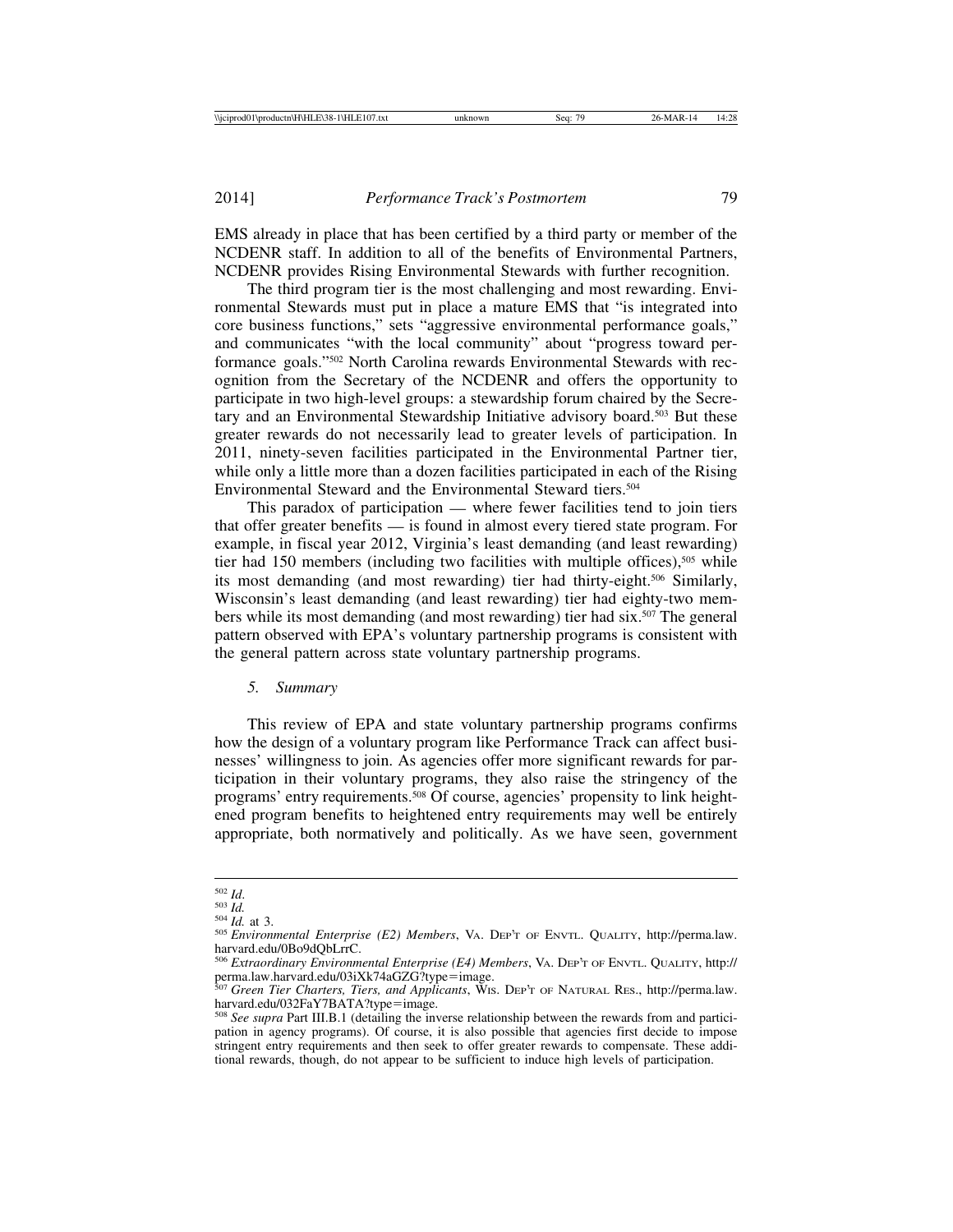EMS already in place that has been certified by a third party or member of the NCDENR staff. In addition to all of the benefits of Environmental Partners, NCDENR provides Rising Environmental Stewards with further recognition.

The third program tier is the most challenging and most rewarding. Environmental Stewards must put in place a mature EMS that "is integrated into core business functions," sets "aggressive environmental performance goals," and communicates "with the local community" about "progress toward performance goals."502 North Carolina rewards Environmental Stewards with recognition from the Secretary of the NCDENR and offers the opportunity to participate in two high-level groups: a stewardship forum chaired by the Secretary and an Environmental Stewardship Initiative advisory board.503 But these greater rewards do not necessarily lead to greater levels of participation. In 2011, ninety-seven facilities participated in the Environmental Partner tier, while only a little more than a dozen facilities participated in each of the Rising Environmental Steward and the Environmental Steward tiers.504

This paradox of participation — where fewer facilities tend to join tiers that offer greater benefits — is found in almost every tiered state program. For example, in fiscal year 2012, Virginia's least demanding (and least rewarding) tier had 150 members (including two facilities with multiple offices),<sup>505</sup> while its most demanding (and most rewarding) tier had thirty-eight.506 Similarly, Wisconsin's least demanding (and least rewarding) tier had eighty-two members while its most demanding (and most rewarding) tier had six.507 The general pattern observed with EPA's voluntary partnership programs is consistent with the general pattern across state voluntary partnership programs.

## *5. Summary*

This review of EPA and state voluntary partnership programs confirms how the design of a voluntary program like Performance Track can affect businesses' willingness to join. As agencies offer more significant rewards for participation in their voluntary programs, they also raise the stringency of the programs' entry requirements.508 Of course, agencies' propensity to link heightened program benefits to heightened entry requirements may well be entirely appropriate, both normatively and politically. As we have seen, government

<sup>502</sup> *Id*. <sup>503</sup> *Id.* <sup>504</sup> *Id.* at 3. <sup>505</sup> *Environmental Enterprise (E2) Members*, VA. DEP'T OF ENVTL. QUALITY, http://perma.law. harvard.edu/0Bo9dQbLrrC.

<sup>506</sup> *Extraordinary Environmental Enterprise (E4) Members*, VA. DEP'T OF ENVTL. QUALITY, http:// perma.law.harvard.edu/03iXk74aGZG?type=image. <sup>507</sup> *Green Tier Charters, Tiers, and Applicants*, WIS. DEP'T OF NATURAL RES., http://perma.law.

harvard.edu/032FaY7BATA?type=image.

<sup>508</sup> *See supra* Part III.B.1 (detailing the inverse relationship between the rewards from and participation in agency programs). Of course, it is also possible that agencies first decide to impose stringent entry requirements and then seek to offer greater rewards to compensate. These additional rewards, though, do not appear to be sufficient to induce high levels of participation.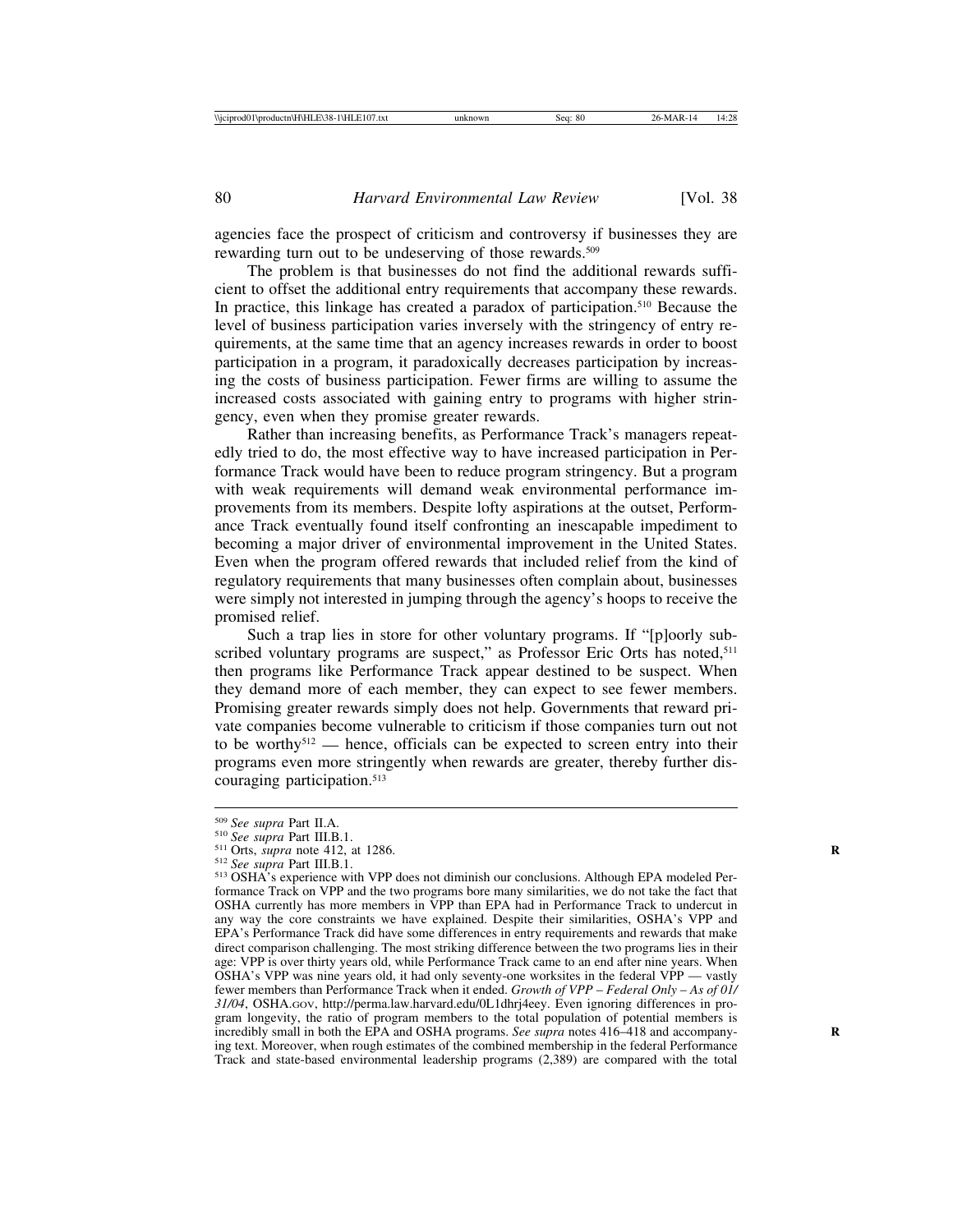agencies face the prospect of criticism and controversy if businesses they are rewarding turn out to be undeserving of those rewards.<sup>509</sup>

The problem is that businesses do not find the additional rewards sufficient to offset the additional entry requirements that accompany these rewards. In practice, this linkage has created a paradox of participation.510 Because the level of business participation varies inversely with the stringency of entry requirements, at the same time that an agency increases rewards in order to boost participation in a program, it paradoxically decreases participation by increasing the costs of business participation. Fewer firms are willing to assume the increased costs associated with gaining entry to programs with higher stringency, even when they promise greater rewards.

Rather than increasing benefits, as Performance Track's managers repeatedly tried to do, the most effective way to have increased participation in Performance Track would have been to reduce program stringency. But a program with weak requirements will demand weak environmental performance improvements from its members. Despite lofty aspirations at the outset, Performance Track eventually found itself confronting an inescapable impediment to becoming a major driver of environmental improvement in the United States. Even when the program offered rewards that included relief from the kind of regulatory requirements that many businesses often complain about, businesses were simply not interested in jumping through the agency's hoops to receive the promised relief.

Such a trap lies in store for other voluntary programs. If "[p]oorly subscribed voluntary programs are suspect," as Professor Eric Orts has noted,<sup>511</sup> then programs like Performance Track appear destined to be suspect. When they demand more of each member, they can expect to see fewer members. Promising greater rewards simply does not help. Governments that reward private companies become vulnerable to criticism if those companies turn out not to be worthy<sup> $512$ </sup> — hence, officials can be expected to screen entry into their programs even more stringently when rewards are greater, thereby further discouraging participation.513

<sup>&</sup>lt;sup>509</sup> See supra Part II.A.<br><sup>510</sup> See supra Part III.B.1.<br><sup>511</sup> Orts, *supra* note 412, at 1286.<br><sup>512</sup> See supra Part III.B.1.<br><sup>513</sup> OSHA's experience with VPP does not diminish our conclusions. Although EPA modeled Performance Track on VPP and the two programs bore many similarities, we do not take the fact that OSHA currently has more members in VPP than EPA had in Performance Track to undercut in any way the core constraints we have explained. Despite their similarities, OSHA's VPP and EPA's Performance Track did have some differences in entry requirements and rewards that make direct comparison challenging. The most striking difference between the two programs lies in their age: VPP is over thirty years old, while Performance Track came to an end after nine years. When OSHA's VPP was nine years old, it had only seventy-one worksites in the federal VPP — vastly fewer members than Performance Track when it ended. *Growth of VPP* – *Federal Only* – *As of 01/ 31/04*, OSHA.GOV, http://perma.law.harvard.edu/0L1dhrj4eey. Even ignoring differences in program longevity, the ratio of program members to the total population of potential members is incredibly small in both the EPA and OSHA programs. *See supra* notes 416–418 and accompanying text. Moreover, when rough estimates of the combined membership in the federal Performance Track and state-based environmental leadership programs (2,389) are compared with the total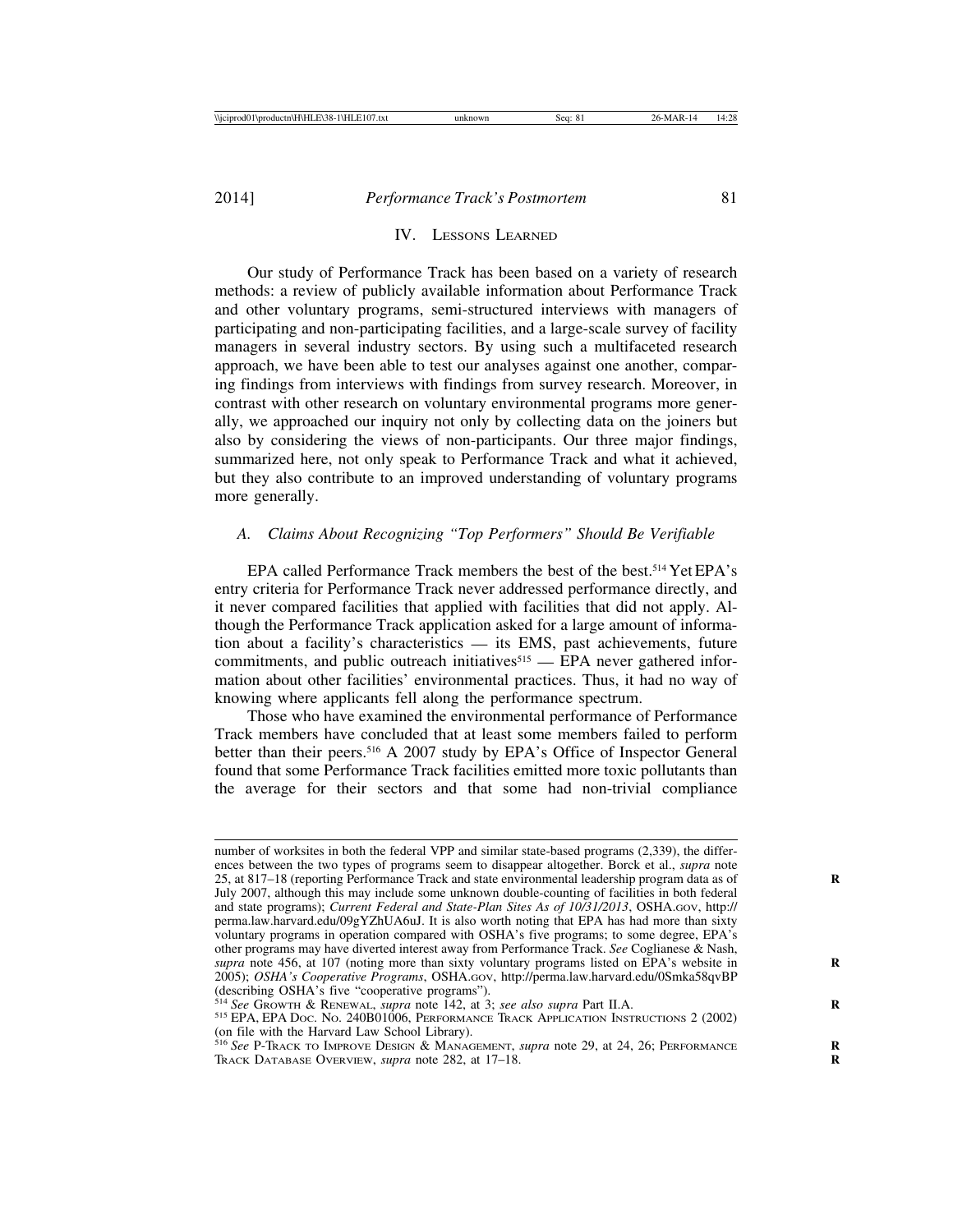#### IV. LESSONS LEARNED

Our study of Performance Track has been based on a variety of research methods: a review of publicly available information about Performance Track and other voluntary programs, semi-structured interviews with managers of participating and non-participating facilities, and a large-scale survey of facility managers in several industry sectors. By using such a multifaceted research approach, we have been able to test our analyses against one another, comparing findings from interviews with findings from survey research. Moreover, in contrast with other research on voluntary environmental programs more generally, we approached our inquiry not only by collecting data on the joiners but also by considering the views of non-participants. Our three major findings, summarized here, not only speak to Performance Track and what it achieved, but they also contribute to an improved understanding of voluntary programs more generally.

## *A. Claims About Recognizing "Top Performers" Should Be Verifiable*

EPA called Performance Track members the best of the best.514 Yet EPA's entry criteria for Performance Track never addressed performance directly, and it never compared facilities that applied with facilities that did not apply. Although the Performance Track application asked for a large amount of information about a facility's characteristics — its EMS, past achievements, future commitments, and public outreach initiatives $515$  — EPA never gathered information about other facilities' environmental practices. Thus, it had no way of knowing where applicants fell along the performance spectrum.

Those who have examined the environmental performance of Performance Track members have concluded that at least some members failed to perform better than their peers.<sup>516</sup> A 2007 study by EPA's Office of Inspector General found that some Performance Track facilities emitted more toxic pollutants than the average for their sectors and that some had non-trivial compliance

number of worksites in both the federal VPP and similar state-based programs (2,339), the differences between the two types of programs seem to disappear altogether. Borck et al., *supra* note 25, at 817–18 (reporting Performance Track and state environmental leadership program data as of **R** July 2007, although this may include some unknown double-counting of facilities in both federal and state programs); *Current Federal and State-Plan Sites As of 10/31/2013*, OSHA.GOV, http:// perma.law.harvard.edu/09gYZhUA6uJ. It is also worth noting that EPA has had more than sixty voluntary programs in operation compared with OSHA's five programs; to some degree, EPA's other programs may have diverted interest away from Performance Track. *See* Coglianese & Nash, *supra* note 456, at 107 (noting more than sixty voluntary programs listed on EPA's website in **R** 2005); *OSHA's Cooperative Programs*, OSHA.GOV, http://perma.law.harvard.edu/0Smka58qvBP (describing OSHA's five "cooperative programs").<br>
<sup>514</sup> See Growth & RENEWAL, *supra* note 142, at 3; *see also supra* Part II.A.

<sup>&</sup>lt;sup>515</sup> EPA, EPA Doc. No. 240B01006, PERFORMANCE TRACK APPLICATION INSTRUCTIONS 2 (2002) (on file with the Harvard Law School Library). <sup>516</sup> *See* P-TRACK TO IMPROVE DESIGN & MANAGEMENT, *supra* note 29, at 24, 26; PERFORMANCE **R**

TRACK DATABASE OVERVIEW, *supra* note 282, at 17–18. **R**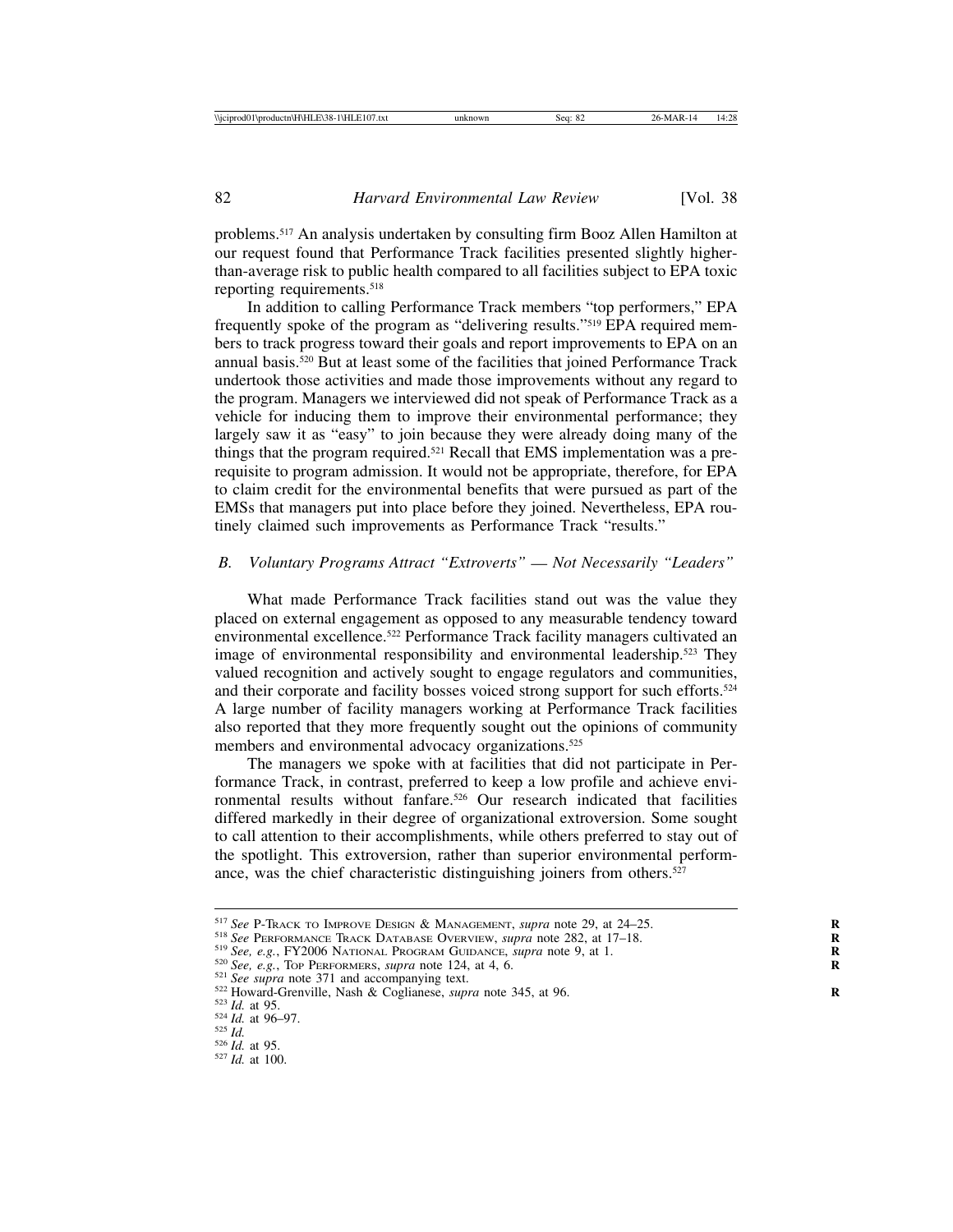problems.517 An analysis undertaken by consulting firm Booz Allen Hamilton at our request found that Performance Track facilities presented slightly higherthan-average risk to public health compared to all facilities subject to EPA toxic reporting requirements.518

In addition to calling Performance Track members "top performers," EPA frequently spoke of the program as "delivering results."519 EPA required members to track progress toward their goals and report improvements to EPA on an annual basis.520 But at least some of the facilities that joined Performance Track undertook those activities and made those improvements without any regard to the program. Managers we interviewed did not speak of Performance Track as a vehicle for inducing them to improve their environmental performance; they largely saw it as "easy" to join because they were already doing many of the things that the program required.521 Recall that EMS implementation was a prerequisite to program admission. It would not be appropriate, therefore, for EPA to claim credit for the environmental benefits that were pursued as part of the EMSs that managers put into place before they joined. Nevertheless, EPA routinely claimed such improvements as Performance Track "results."

#### *B. Voluntary Programs Attract "Extroverts"* — *Not Necessarily "Leaders"*

What made Performance Track facilities stand out was the value they placed on external engagement as opposed to any measurable tendency toward environmental excellence.<sup>522</sup> Performance Track facility managers cultivated an image of environmental responsibility and environmental leadership.<sup>523</sup> They valued recognition and actively sought to engage regulators and communities, and their corporate and facility bosses voiced strong support for such efforts.<sup>524</sup> A large number of facility managers working at Performance Track facilities also reported that they more frequently sought out the opinions of community members and environmental advocacy organizations.525

The managers we spoke with at facilities that did not participate in Performance Track, in contrast, preferred to keep a low profile and achieve environmental results without fanfare.526 Our research indicated that facilities differed markedly in their degree of organizational extroversion. Some sought to call attention to their accomplishments, while others preferred to stay out of the spotlight. This extroversion, rather than superior environmental performance, was the chief characteristic distinguishing joiners from others.<sup>527</sup>

<sup>&</sup>lt;sup>517</sup> See P-Track To IMPROVE DESIGN & MANAGEMENT, supra note 29, at 24–25.<br><sup>518</sup> See PERFORMANCE TRACK DATABASE OVERVIEW, supra note 282, at 17–18.<br><sup>519</sup> See, e.g., FY2006 NATIONAL PROGRAM GUIDANCE, supra note 9, at 1.<br><sup>5</sup>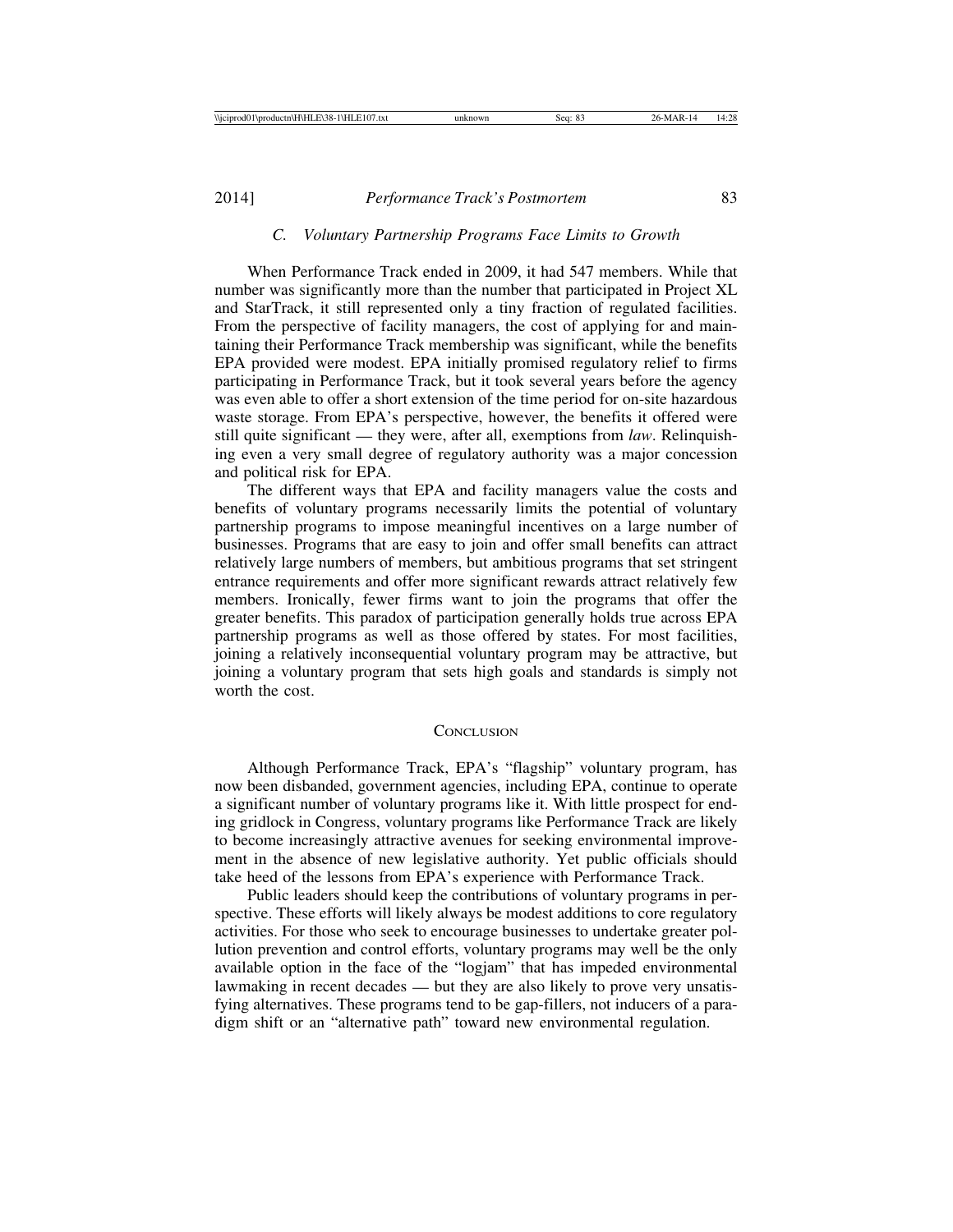### *C. Voluntary Partnership Programs Face Limits to Growth*

When Performance Track ended in 2009, it had 547 members. While that number was significantly more than the number that participated in Project XL and StarTrack, it still represented only a tiny fraction of regulated facilities. From the perspective of facility managers, the cost of applying for and maintaining their Performance Track membership was significant, while the benefits EPA provided were modest. EPA initially promised regulatory relief to firms participating in Performance Track, but it took several years before the agency was even able to offer a short extension of the time period for on-site hazardous waste storage. From EPA's perspective, however, the benefits it offered were still quite significant — they were, after all, exemptions from *law*. Relinquishing even a very small degree of regulatory authority was a major concession and political risk for EPA.

The different ways that EPA and facility managers value the costs and benefits of voluntary programs necessarily limits the potential of voluntary partnership programs to impose meaningful incentives on a large number of businesses. Programs that are easy to join and offer small benefits can attract relatively large numbers of members, but ambitious programs that set stringent entrance requirements and offer more significant rewards attract relatively few members. Ironically, fewer firms want to join the programs that offer the greater benefits. This paradox of participation generally holds true across EPA partnership programs as well as those offered by states. For most facilities, joining a relatively inconsequential voluntary program may be attractive, but joining a voluntary program that sets high goals and standards is simply not worth the cost.

#### **CONCLUSION**

Although Performance Track, EPA's "flagship" voluntary program, has now been disbanded, government agencies, including EPA, continue to operate a significant number of voluntary programs like it. With little prospect for ending gridlock in Congress, voluntary programs like Performance Track are likely to become increasingly attractive avenues for seeking environmental improvement in the absence of new legislative authority. Yet public officials should take heed of the lessons from EPA's experience with Performance Track.

Public leaders should keep the contributions of voluntary programs in perspective. These efforts will likely always be modest additions to core regulatory activities. For those who seek to encourage businesses to undertake greater pollution prevention and control efforts, voluntary programs may well be the only available option in the face of the "logjam" that has impeded environmental lawmaking in recent decades — but they are also likely to prove very unsatisfying alternatives. These programs tend to be gap-fillers, not inducers of a paradigm shift or an "alternative path" toward new environmental regulation.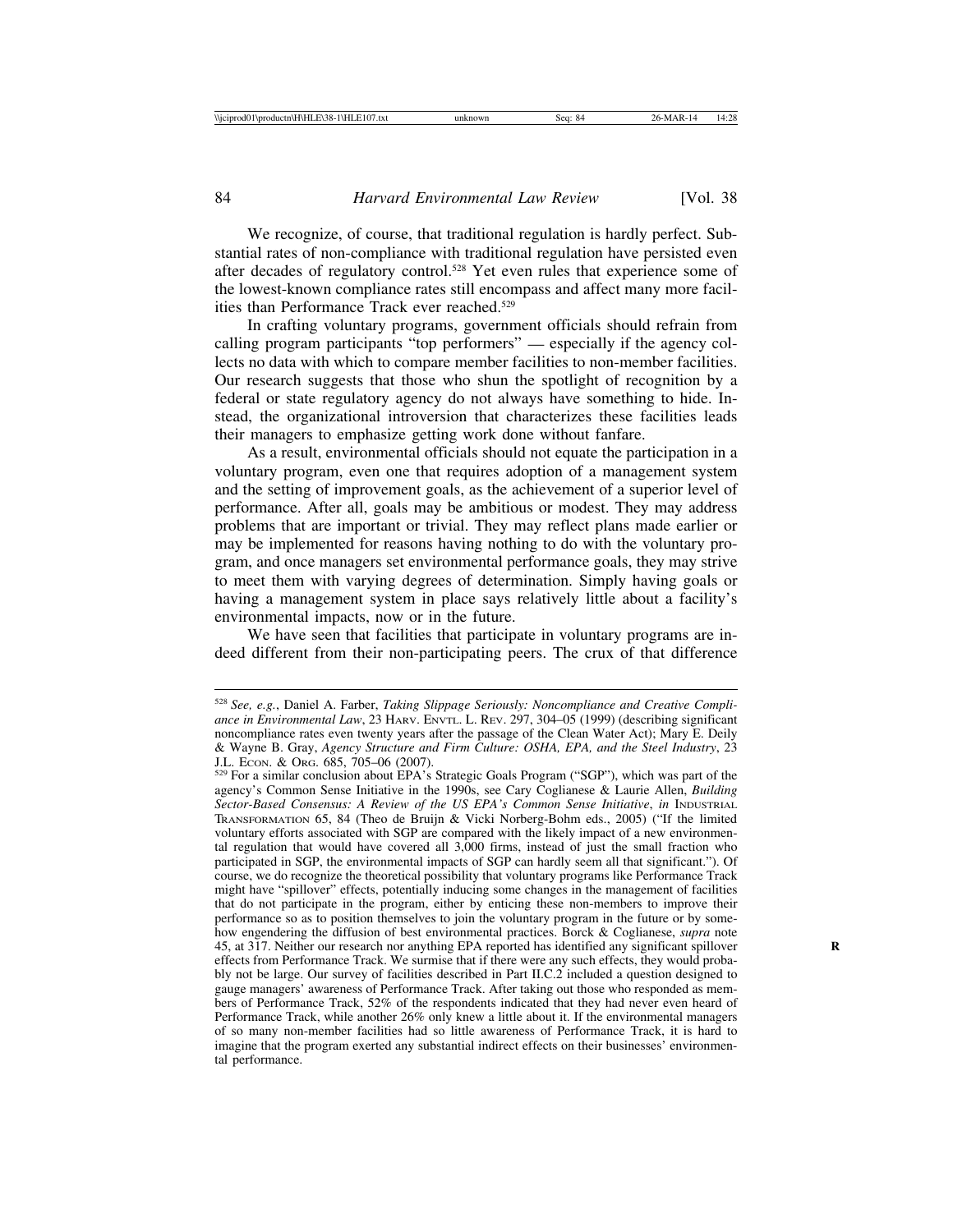We recognize, of course, that traditional regulation is hardly perfect. Substantial rates of non-compliance with traditional regulation have persisted even after decades of regulatory control.528 Yet even rules that experience some of the lowest-known compliance rates still encompass and affect many more facilities than Performance Track ever reached.529

In crafting voluntary programs, government officials should refrain from calling program participants "top performers" — especially if the agency collects no data with which to compare member facilities to non-member facilities. Our research suggests that those who shun the spotlight of recognition by a federal or state regulatory agency do not always have something to hide. Instead, the organizational introversion that characterizes these facilities leads their managers to emphasize getting work done without fanfare.

As a result, environmental officials should not equate the participation in a voluntary program, even one that requires adoption of a management system and the setting of improvement goals, as the achievement of a superior level of performance. After all, goals may be ambitious or modest. They may address problems that are important or trivial. They may reflect plans made earlier or may be implemented for reasons having nothing to do with the voluntary program, and once managers set environmental performance goals, they may strive to meet them with varying degrees of determination. Simply having goals or having a management system in place says relatively little about a facility's environmental impacts, now or in the future.

We have seen that facilities that participate in voluntary programs are indeed different from their non-participating peers. The crux of that difference

<sup>528</sup> *See, e.g.*, Daniel A. Farber, *Taking Slippage Seriously: Noncompliance and Creative Compliance in Environmental Law*, 23 HARV. ENVTL. L. REV. 297, 304–05 (1999) (describing significant noncompliance rates even twenty years after the passage of the Clean Water Act); Mary E. Deily & Wayne B. Gray, *Agency Structure and Firm Culture: OSHA, EPA, and the Steel Industry*, 23

<sup>529</sup> For a similar conclusion about EPA's Strategic Goals Program ("SGP"), which was part of the agency's Common Sense Initiative in the 1990s, see Cary Coglianese & Laurie Allen, *Building Sector-Based Consensus: A Review of the US EPA's Common Sense Initiative*, *in* INDUSTRIAL TRANSFORMATION 65, 84 (Theo de Bruijn & Vicki Norberg-Bohm eds., 2005) ("If the limited voluntary efforts associated with SGP are compared with the likely impact of a new environmental regulation that would have covered all 3,000 firms, instead of just the small fraction who participated in SGP, the environmental impacts of SGP can hardly seem all that significant."). Of course, we do recognize the theoretical possibility that voluntary programs like Performance Track might have "spillover" effects, potentially inducing some changes in the management of facilities that do not participate in the program, either by enticing these non-members to improve their performance so as to position themselves to join the voluntary program in the future or by somehow engendering the diffusion of best environmental practices. Borck & Coglianese, *supra* note 45, at 317. Neither our research nor anything EPA reported has identified any significant spillover **R** effects from Performance Track. We surmise that if there were any such effects, they would probably not be large. Our survey of facilities described in Part II.C.2 included a question designed to gauge managers' awareness of Performance Track. After taking out those who responded as members of Performance Track, 52% of the respondents indicated that they had never even heard of Performance Track, while another 26% only knew a little about it. If the environmental managers of so many non-member facilities had so little awareness of Performance Track, it is hard to imagine that the program exerted any substantial indirect effects on their businesses' environmental performance.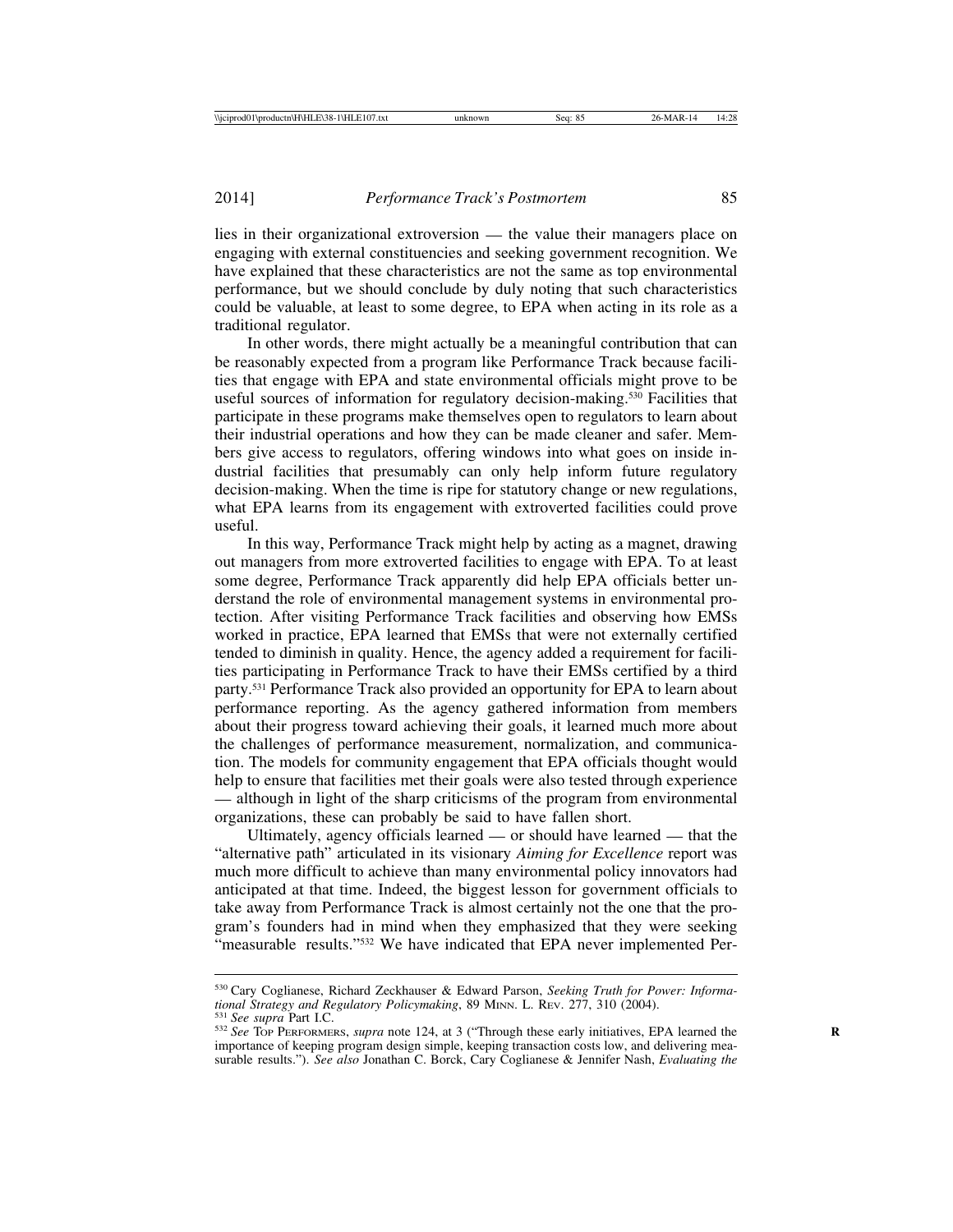lies in their organizational extroversion — the value their managers place on engaging with external constituencies and seeking government recognition. We have explained that these characteristics are not the same as top environmental performance, but we should conclude by duly noting that such characteristics could be valuable, at least to some degree, to EPA when acting in its role as a traditional regulator.

In other words, there might actually be a meaningful contribution that can be reasonably expected from a program like Performance Track because facilities that engage with EPA and state environmental officials might prove to be useful sources of information for regulatory decision-making.<sup>530</sup> Facilities that participate in these programs make themselves open to regulators to learn about their industrial operations and how they can be made cleaner and safer. Members give access to regulators, offering windows into what goes on inside industrial facilities that presumably can only help inform future regulatory decision-making. When the time is ripe for statutory change or new regulations, what EPA learns from its engagement with extroverted facilities could prove useful.

In this way, Performance Track might help by acting as a magnet, drawing out managers from more extroverted facilities to engage with EPA. To at least some degree, Performance Track apparently did help EPA officials better understand the role of environmental management systems in environmental protection. After visiting Performance Track facilities and observing how EMSs worked in practice, EPA learned that EMSs that were not externally certified tended to diminish in quality. Hence, the agency added a requirement for facilities participating in Performance Track to have their EMSs certified by a third party.531 Performance Track also provided an opportunity for EPA to learn about performance reporting. As the agency gathered information from members about their progress toward achieving their goals, it learned much more about the challenges of performance measurement, normalization, and communication. The models for community engagement that EPA officials thought would help to ensure that facilities met their goals were also tested through experience — although in light of the sharp criticisms of the program from environmental organizations, these can probably be said to have fallen short.

Ultimately, agency officials learned — or should have learned — that the "alternative path" articulated in its visionary *Aiming for Excellence* report was much more difficult to achieve than many environmental policy innovators had anticipated at that time. Indeed, the biggest lesson for government officials to take away from Performance Track is almost certainly not the one that the program's founders had in mind when they emphasized that they were seeking "measurable results."532 We have indicated that EPA never implemented Per-

<sup>530</sup> Cary Coglianese, Richard Zeckhauser & Edward Parson, *Seeking Truth for Power: Informa-*

 $531$  See supra Part I.C.<br> $532$  See Top PERFORMERS, supra note 124, at 3 ("Through these early initiatives, EPA learned the importance of keeping program design simple, keeping transaction costs low, and delivering measurable results."). *See also* Jonathan C. Borck, Cary Coglianese & Jennifer Nash, *Evaluating the*